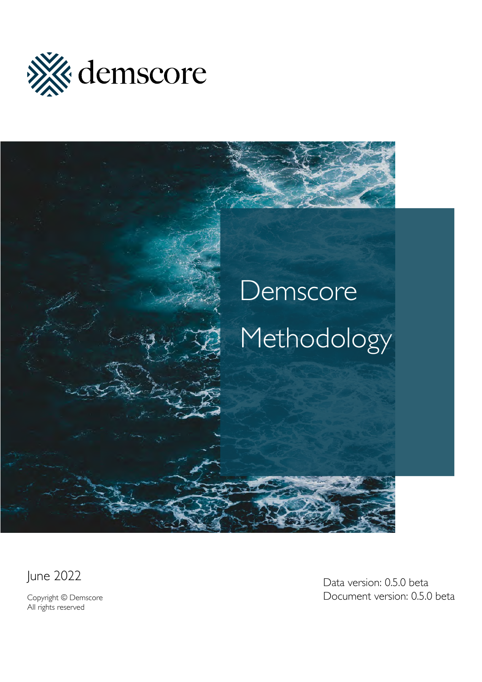

# Demscore Methodology

June 2022

Copyright © Demscore All rights reserved

Data version: 0.5.0 beta Document version: 0.5.0 beta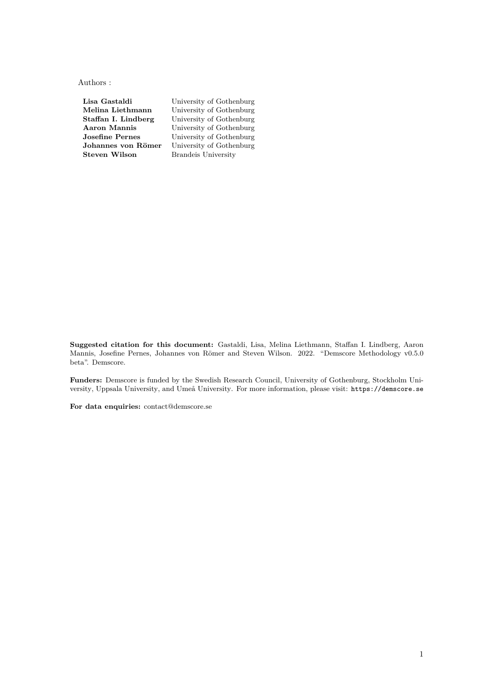Authors :

**Lisa Gastaldi** University of Gothenburg **Melina Liethmann** University of Gothenburg<br> **Staffan I. Lindberg** University of Gothenburg University of Gothenburg **Aaron Mannis** University of Gothenburg<br> **Josefine Pernes** University of Gothenburg **Josefine Pernes** University of Gothenburg<br> **Johannes von Römer** University of Gothenburg University of Gothenburg **Steven Wilson** Brandeis University

**Suggested citation for this document:** Gastaldi, Lisa, Melina Liethmann, Staffan I. Lindberg, Aaron Mannis, Josefine Pernes, Johannes von Römer and Steven Wilson. 2022. "Demscore Methodology v0.5.0 beta". Demscore.

**Funders:** Demscore is funded by the [Swedish Research Council,](https://www.vr.se/english/mandates/research-infrastructure/find-research-infrastructure/list/2020-08-19-demscore.html) [University of Gothenburg,](https://www.gu.se/) [Stockholm Uni](https://www.su.se/)[versity,](https://www.su.se/) [Uppsala University,](https://www.uu.se/) and [Umeå University.](https://www.umu.se/) For more information, please visit: <https://demscore.se>

**For data enquiries:** contact@demscore.se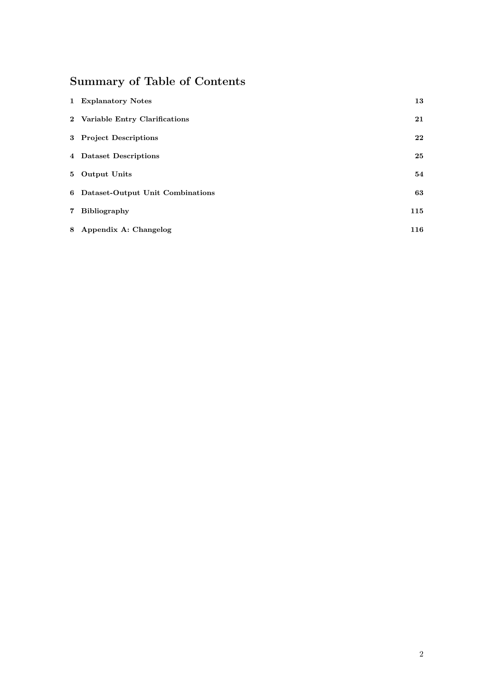# **Summary of Table of Contents**

| 1 Explanatory Notes                | 13  |
|------------------------------------|-----|
| 2 Variable Entry Clarifications    | 21  |
| 3 Project Descriptions             | 22  |
| 4 Dataset Descriptions             | 25  |
| 5 Output Units                     | 54  |
| 6 Dataset-Output Unit Combinations | 63  |
| 7 Bibliography                     | 115 |
| 8 Appendix A: Changelog            | 116 |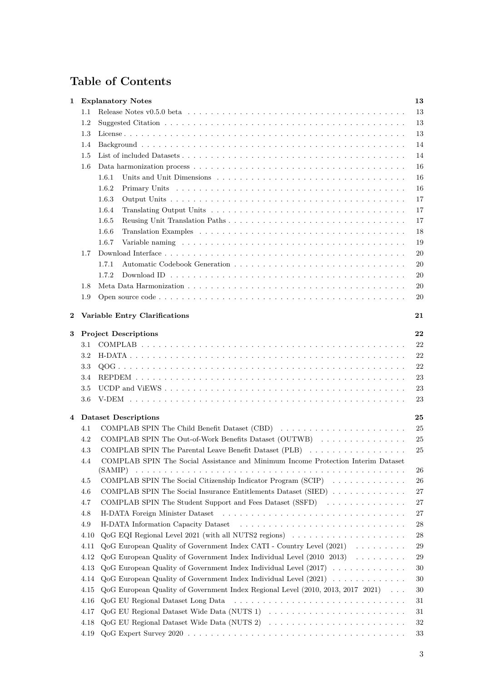# **Table of Contents**

| 1        |                                                                                                                               | <b>Explanatory Notes</b>                                                                                                        | 13       |  |
|----------|-------------------------------------------------------------------------------------------------------------------------------|---------------------------------------------------------------------------------------------------------------------------------|----------|--|
|          | Release Notes v0.5.0 beta $\ldots \ldots \ldots \ldots \ldots \ldots \ldots \ldots \ldots \ldots \ldots \ldots \ldots$<br>1.1 |                                                                                                                                 |          |  |
|          | 1.2                                                                                                                           |                                                                                                                                 | 13<br>13 |  |
|          | 1.3                                                                                                                           |                                                                                                                                 | 13       |  |
|          | 1.4                                                                                                                           |                                                                                                                                 | 14       |  |
|          | 1.5                                                                                                                           |                                                                                                                                 | 14       |  |
|          |                                                                                                                               |                                                                                                                                 |          |  |
|          | 1.6                                                                                                                           |                                                                                                                                 | 16       |  |
|          |                                                                                                                               | 1.6.1<br>Units and Unit Dimensions $\ldots \ldots \ldots \ldots \ldots \ldots \ldots \ldots \ldots \ldots \ldots \ldots \ldots$ | 16       |  |
|          |                                                                                                                               | 1.6.2                                                                                                                           | 16       |  |
|          |                                                                                                                               | 1.6.3                                                                                                                           | 17       |  |
|          |                                                                                                                               | 1.6.4                                                                                                                           | 17       |  |
|          |                                                                                                                               | 1.6.5                                                                                                                           | 17       |  |
|          |                                                                                                                               | 1.6.6                                                                                                                           | 18       |  |
|          |                                                                                                                               | 1.6.7                                                                                                                           | 19       |  |
|          | 1.7                                                                                                                           |                                                                                                                                 | $20\,$   |  |
|          |                                                                                                                               | 1.7.1                                                                                                                           | 20       |  |
|          |                                                                                                                               | 1.7.2                                                                                                                           | 20       |  |
|          | 1.8                                                                                                                           |                                                                                                                                 | 20       |  |
|          | 1.9                                                                                                                           |                                                                                                                                 | 20       |  |
|          |                                                                                                                               |                                                                                                                                 |          |  |
| $\bf{2}$ |                                                                                                                               | Variable Entry Clarifications                                                                                                   | 21       |  |
| 3        |                                                                                                                               | <b>Project Descriptions</b>                                                                                                     | 22       |  |
|          | 3.1                                                                                                                           |                                                                                                                                 | 22       |  |
|          | $3.2\,$                                                                                                                       |                                                                                                                                 | 22       |  |
|          | 3.3                                                                                                                           |                                                                                                                                 | 22       |  |
|          | 3.4                                                                                                                           |                                                                                                                                 | $23\,$   |  |
|          |                                                                                                                               |                                                                                                                                 |          |  |
|          | $3.5\,$                                                                                                                       |                                                                                                                                 | $23\,$   |  |
|          | 3.6                                                                                                                           |                                                                                                                                 | 23       |  |
| 4        |                                                                                                                               | Dataset Descriptions                                                                                                            | 25       |  |
|          | 4.1                                                                                                                           | COMPLAB SPIN The Child Benefit Dataset (CBD)                                                                                    | 25       |  |
|          | 4.2                                                                                                                           | COMPLAB SPIN The Out-of-Work Benefits Dataset (OUTWB)                                                                           | 25       |  |
|          | 4.3                                                                                                                           | COMPLAB SPIN The Parental Leave Benefit Dataset (PLB)                                                                           | 25       |  |
|          | 4.4                                                                                                                           | COMPLAB SPIN The Social Assistance and Minimum Income Protection Interim Dataset                                                |          |  |
|          |                                                                                                                               | (SAMIP)                                                                                                                         | 26       |  |
|          | 4.5                                                                                                                           | COMPLAB SPIN The Social Citizenship Indicator Program (SCIP)                                                                    | 26       |  |
|          | 4.6                                                                                                                           | COMPLAB SPIN The Social Insurance Entitlements Dataset (SIED)                                                                   | 27       |  |
|          | 4.7                                                                                                                           | COMPLAB SPIN The Student Support and Fees Dataset (SSFD)                                                                        | 27       |  |
|          | 4.8                                                                                                                           |                                                                                                                                 | 27       |  |
|          | 4.9                                                                                                                           |                                                                                                                                 | 28       |  |
|          | 4.10                                                                                                                          | $QoG$ EQI Regional Level 2021 (with all NUTS2 regions) $\ldots \ldots \ldots \ldots \ldots \ldots$                              | 28       |  |
|          | 4.11                                                                                                                          | QoG European Quality of Government Index CATI - Country Level (2021)                                                            | 29       |  |
|          | 4.12                                                                                                                          | $QoG$ European Quality of Government Index Individual Level (2010 2013)                                                         | 29       |  |
|          | 4.13                                                                                                                          | $QoG$ European Quality of Government Index Individual Level $(2017)$                                                            | 30       |  |
|          | 4.14                                                                                                                          | QoG European Quality of Government Index Individual Level (2021)                                                                | 30       |  |
|          | 4.15                                                                                                                          | QoG European Quality of Government Index Regional Level (2010, 2013, 2017 2021)                                                 | 30       |  |
|          | 4.16                                                                                                                          |                                                                                                                                 | 31       |  |
|          | 4.17                                                                                                                          |                                                                                                                                 | 31       |  |
|          | 4.18                                                                                                                          |                                                                                                                                 | 32       |  |
|          | 4.19                                                                                                                          |                                                                                                                                 | 33       |  |
|          |                                                                                                                               |                                                                                                                                 |          |  |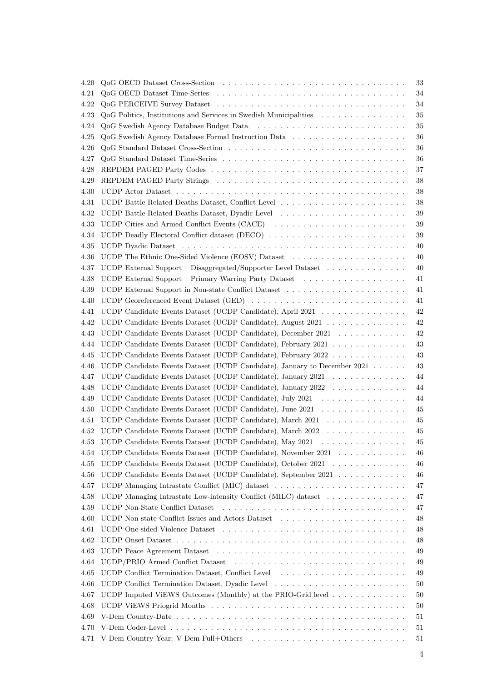| 4.20         |                                                                                                | 33       |
|--------------|------------------------------------------------------------------------------------------------|----------|
| 4.21         |                                                                                                | 34       |
| 4.22         |                                                                                                | 34       |
| 4.23         | QoG Politics, Institutions and Services in Swedish Municipalities                              | 35       |
| 4.24         |                                                                                                | $35\,$   |
| 4.25         |                                                                                                | 36       |
| 4.26         |                                                                                                | 36       |
| 4.27         |                                                                                                | $36\,$   |
| 4.28         |                                                                                                | $37\,$   |
| 4.29         |                                                                                                | $38\,$   |
| 4.30         |                                                                                                | 38       |
| 4.31         |                                                                                                | 38       |
| 4.32         |                                                                                                | 39       |
| 4.33         | UCDP Cities and Armed Conflict Events (CACE)                                                   | 39       |
| 4.34         | UCDP Deadly Electoral Conflict dataset (DECO)                                                  | 39       |
| 4.35         |                                                                                                | 40       |
| 4.36         |                                                                                                | 40       |
| 4.37         | UCDP External Support – Disaggregated/Supporter Level Dataset                                  | 40       |
| 4.38         |                                                                                                | 41       |
| 4.39         |                                                                                                | 41       |
| 4.40         | UCDP Georeferenced Event Dataset (GED)                                                         | 41       |
| 4.41         | UCDP Candidate Events Dataset (UCDP Candidate), April 2021                                     | $42\,$   |
| 4.42         | UCDP Candidate Events Dataset (UCDP Candidate), August 2021                                    | $42\,$   |
| 4.43         | UCDP Candidate Events Dataset (UCDP Candidate), December 2021                                  | $42\,$   |
| 4.44         | UCDP Candidate Events Dataset (UCDP Candidate), February 2021                                  | $43\,$   |
| 4.45         | UCDP Candidate Events Dataset (UCDP Candidate), February 2022                                  | $43\,$   |
| 4.46         | UCDP Candidate Events Dataset (UCDP Candidate), January to December 2021                       | $43\,$   |
| 4.47         | UCDP Candidate Events Dataset (UCDP Candidate), January 2021                                   | 44       |
| 4.48         | UCDP Candidate Events Dataset (UCDP Candidate), January 2022                                   | 44       |
| 4.49         | UCDP Candidate Events Dataset (UCDP Candidate), July 2021 $\ldots \ldots \ldots \ldots \ldots$ | 44       |
| 4.50         | UCDP Candidate Events Dataset (UCDP Candidate), June 2021                                      | 45       |
| 4.51         | UCDP Candidate Events Dataset (UCDP Candidate), March 2021                                     | 45       |
| 4.52         | UCDP Candidate Events Dataset (UCDP Candidate), March 2022                                     | 45       |
| $4.53\,$     | UCDP Candidate Events Dataset (UCDP Candidate), May 2021                                       | $45\,$   |
| 4.54         | UCDP Candidate Events Dataset (UCDP Candidate), November 2021                                  | 46       |
| 4.55         | UCDP Candidate Events Dataset (UCDP Candidate), October 2021                                   | 46       |
|              | UCDP Candidate Events Dataset (UCDP Candidate), September 2021                                 |          |
| 4.56         |                                                                                                | 46       |
| 4.57<br>4.58 | UCDP Managing Intrastate Low-intensity Conflict (MILC) dataset $\dots \dots \dots \dots$       | 47<br>47 |
| 4.59         |                                                                                                | 47       |
| 4.60         | UCDP Non-state Conflict Issues and Actors Dataset                                              | 48       |
|              |                                                                                                |          |
| 4.61         |                                                                                                | 48       |
| 4.62         |                                                                                                | 48       |
| 4.63         |                                                                                                | 49       |
| 4.64         |                                                                                                | 49       |
| 4.65         |                                                                                                | 49       |
| 4.66         |                                                                                                | 50       |
| 4.67         | UCDP Imputed ViEWS Outcomes (Monthly) at the PRIO-Grid level                                   | 50       |
| 4.68         |                                                                                                |          |
|              |                                                                                                | 50       |
| 4.69         |                                                                                                | 51       |
| 4.70<br>4.71 |                                                                                                | 51<br>51 |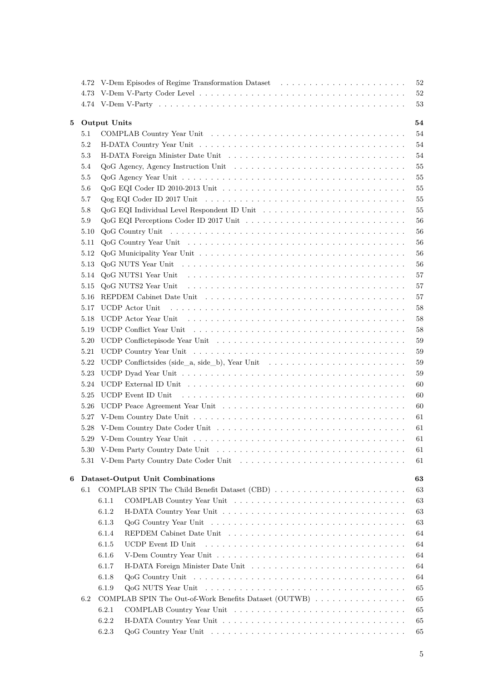|   | 4.72 |                                                                                                                                                                                                                               |  |  |  | 52 |
|---|------|-------------------------------------------------------------------------------------------------------------------------------------------------------------------------------------------------------------------------------|--|--|--|----|
|   | 4.73 |                                                                                                                                                                                                                               |  |  |  | 52 |
|   |      |                                                                                                                                                                                                                               |  |  |  | 53 |
| 5 |      | <b>Output Units</b>                                                                                                                                                                                                           |  |  |  | 54 |
|   | 5.1  |                                                                                                                                                                                                                               |  |  |  | 54 |
|   | 5.2  |                                                                                                                                                                                                                               |  |  |  | 54 |
|   | 5.3  |                                                                                                                                                                                                                               |  |  |  | 54 |
|   | 5.4  | $QoG$ Agency, Agency Instruction Unit $\ldots \ldots \ldots \ldots \ldots \ldots \ldots \ldots \ldots \ldots$                                                                                                                 |  |  |  | 55 |
|   | 5.5  |                                                                                                                                                                                                                               |  |  |  | 55 |
|   | 5.6  |                                                                                                                                                                                                                               |  |  |  | 55 |
|   |      |                                                                                                                                                                                                                               |  |  |  |    |
|   | 5.7  |                                                                                                                                                                                                                               |  |  |  | 55 |
|   | 5.8  |                                                                                                                                                                                                                               |  |  |  | 55 |
|   | 5.9  |                                                                                                                                                                                                                               |  |  |  | 56 |
|   | 5.10 |                                                                                                                                                                                                                               |  |  |  | 56 |
|   | 5.11 |                                                                                                                                                                                                                               |  |  |  | 56 |
|   | 5.12 |                                                                                                                                                                                                                               |  |  |  | 56 |
|   | 5.13 |                                                                                                                                                                                                                               |  |  |  | 56 |
|   | 5.14 | QoG NUTS1 Year Unit in the state of the state of the state of the state of the state of the state of the state of the state of the state of the state of the state of the state of the state of the state of the state of the |  |  |  | 57 |
|   | 5.15 |                                                                                                                                                                                                                               |  |  |  | 57 |
|   | 5.16 |                                                                                                                                                                                                                               |  |  |  | 57 |
|   | 5.17 | UCDP Actor Unit                                                                                                                                                                                                               |  |  |  | 58 |
|   | 5.18 |                                                                                                                                                                                                                               |  |  |  | 58 |
|   | 5.19 |                                                                                                                                                                                                                               |  |  |  | 58 |
|   | 5.20 |                                                                                                                                                                                                                               |  |  |  | 59 |
|   | 5.21 |                                                                                                                                                                                                                               |  |  |  | 59 |
|   | 5.22 | UCDP Conflictsides (side_a, side_b), Year Unit $\dots \dots \dots \dots \dots \dots \dots \dots \dots \dots$                                                                                                                  |  |  |  | 59 |
|   | 5.23 |                                                                                                                                                                                                                               |  |  |  | 59 |
|   | 5.24 |                                                                                                                                                                                                                               |  |  |  | 60 |
|   | 5.25 | UCDP Event ID Unit                                                                                                                                                                                                            |  |  |  | 60 |
|   | 5.26 |                                                                                                                                                                                                                               |  |  |  | 60 |
|   |      |                                                                                                                                                                                                                               |  |  |  |    |
|   | 5.27 |                                                                                                                                                                                                                               |  |  |  | 61 |
|   | 5.28 |                                                                                                                                                                                                                               |  |  |  | 61 |
|   |      |                                                                                                                                                                                                                               |  |  |  | 61 |
|   | 5.30 |                                                                                                                                                                                                                               |  |  |  | 61 |
|   | 5.31 |                                                                                                                                                                                                                               |  |  |  | 61 |
| 6 |      | Dataset-Output Unit Combinations                                                                                                                                                                                              |  |  |  | 63 |
|   | 6.1  | COMPLAB SPIN The Child Benefit Dataset (CBD)                                                                                                                                                                                  |  |  |  | 63 |
|   |      | 6.1.1                                                                                                                                                                                                                         |  |  |  | 63 |
|   |      | 6.1.2                                                                                                                                                                                                                         |  |  |  | 63 |
|   |      | 6.1.3                                                                                                                                                                                                                         |  |  |  | 63 |
|   |      | 6.1.4                                                                                                                                                                                                                         |  |  |  | 64 |
|   |      | 6.1.5<br>UCDP Event ID Unit                                                                                                                                                                                                   |  |  |  | 64 |
|   |      | 6.1.6                                                                                                                                                                                                                         |  |  |  | 64 |
|   |      | 6.1.7                                                                                                                                                                                                                         |  |  |  | 64 |
|   |      | 6.1.8                                                                                                                                                                                                                         |  |  |  | 64 |
|   |      |                                                                                                                                                                                                                               |  |  |  |    |
|   |      | 6.1.9                                                                                                                                                                                                                         |  |  |  | 65 |
|   | 6.2  | COMPLAB SPIN The Out-of-Work Benefits Dataset (OUTWB)                                                                                                                                                                         |  |  |  | 65 |
|   |      | 6.2.1                                                                                                                                                                                                                         |  |  |  | 65 |
|   |      | 6.2.2                                                                                                                                                                                                                         |  |  |  | 65 |
|   |      | 6.2.3                                                                                                                                                                                                                         |  |  |  | 65 |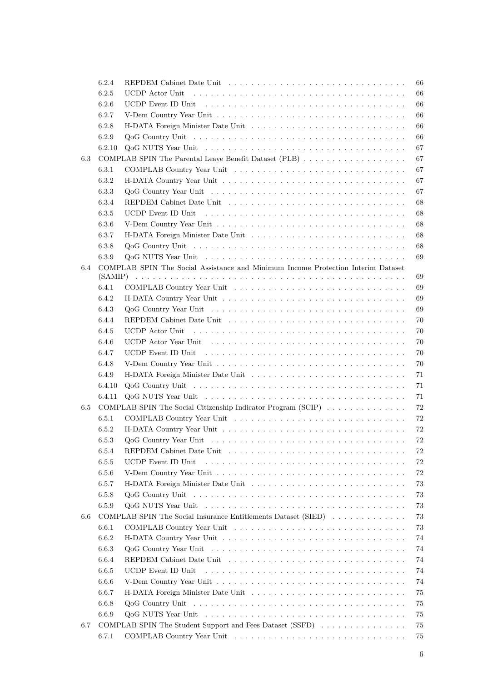|     | 6.2.4  |                                                                                                                      | 66 |
|-----|--------|----------------------------------------------------------------------------------------------------------------------|----|
|     | 6.2.5  | UCDP Actor Unit                                                                                                      | 66 |
|     | 6.2.6  | UCDP Event ID Unit $\dots \dots \dots \dots \dots \dots \dots \dots \dots \dots \dots \dots \dots \dots \dots \dots$ | 66 |
|     | 6.2.7  |                                                                                                                      | 66 |
|     | 6.2.8  |                                                                                                                      | 66 |
|     | 6.2.9  |                                                                                                                      | 66 |
|     | 6.2.10 |                                                                                                                      | 67 |
| 6.3 |        | COMPLAB SPIN The Parental Leave Benefit Dataset (PLB)                                                                | 67 |
|     | 6.3.1  |                                                                                                                      | 67 |
|     | 6.3.2  |                                                                                                                      | 67 |
|     | 6.3.3  |                                                                                                                      | 67 |
|     |        |                                                                                                                      |    |
|     | 6.3.4  |                                                                                                                      | 68 |
|     | 6.3.5  |                                                                                                                      | 68 |
|     | 6.3.6  |                                                                                                                      | 68 |
|     | 6.3.7  |                                                                                                                      | 68 |
|     | 6.3.8  | $QoG$ Country Unit $\ldots \ldots \ldots \ldots \ldots \ldots \ldots \ldots \ldots \ldots \ldots \ldots \ldots$      | 68 |
|     | 6.3.9  |                                                                                                                      | 69 |
| 6.4 |        | COMPLAB SPIN The Social Assistance and Minimum Income Protection Interim Dataset                                     |    |
|     |        |                                                                                                                      | 69 |
|     | 6.4.1  |                                                                                                                      | 69 |
|     | 6.4.2  |                                                                                                                      | 69 |
|     | 6.4.3  |                                                                                                                      | 69 |
|     | 6.4.4  |                                                                                                                      | 70 |
|     | 6.4.5  |                                                                                                                      | 70 |
|     | 6.4.6  |                                                                                                                      | 70 |
|     | 6.4.7  |                                                                                                                      | 70 |
|     | 6.4.8  |                                                                                                                      | 70 |
|     | 6.4.9  |                                                                                                                      | 71 |
|     | 6.4.10 |                                                                                                                      | 71 |
|     | 6.4.11 |                                                                                                                      | 71 |
| 6.5 |        | COMPLAB SPIN The Social Citizenship Indicator Program (SCIP)                                                         | 72 |
|     | 6.5.1  |                                                                                                                      | 72 |
|     | 6.5.2  |                                                                                                                      | 72 |
|     | 6.5.3  |                                                                                                                      | 72 |
|     | 6.5.4  |                                                                                                                      | 72 |
|     | 6.5.5  | UCDP Event ID Unit                                                                                                   | 72 |
|     | 6.5.6  |                                                                                                                      | 72 |
|     | 6.5.7  |                                                                                                                      | 73 |
|     | 6.5.8  |                                                                                                                      | 73 |
|     | 6.5.9  |                                                                                                                      | 73 |
| 6.6 |        | COMPLAB SPIN The Social Insurance Entitlements Dataset (SIED)                                                        | 73 |
|     | 6.6.1  |                                                                                                                      | 73 |
|     | 6.6.2  |                                                                                                                      | 74 |
|     | 6.6.3  |                                                                                                                      | 74 |
|     |        |                                                                                                                      |    |
|     | 6.6.4  |                                                                                                                      | 74 |
|     | 6.6.5  | UCDP Event ID Unit                                                                                                   | 74 |
|     | 6.6.6  |                                                                                                                      | 74 |
|     | 6.6.7  |                                                                                                                      | 75 |
|     | 6.6.8  |                                                                                                                      | 75 |
|     | 6.6.9  |                                                                                                                      | 75 |
| 6.7 |        | COMPLAB SPIN The Student Support and Fees Dataset (SSFD)                                                             | 75 |
|     | 6.7.1  |                                                                                                                      | 75 |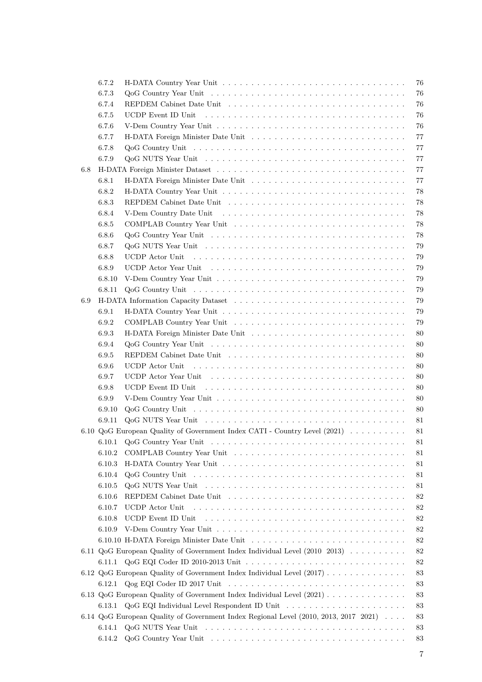|     | 6.7.2  |                                                                                                                  | 76 |
|-----|--------|------------------------------------------------------------------------------------------------------------------|----|
|     | 6.7.3  |                                                                                                                  | 76 |
|     | 6.7.4  |                                                                                                                  | 76 |
|     | 6.7.5  |                                                                                                                  | 76 |
|     | 6.7.6  |                                                                                                                  | 76 |
|     | 6.7.7  |                                                                                                                  | 77 |
|     | 6.7.8  | $Q_0G$ Country Unit $\ldots \ldots \ldots \ldots \ldots \ldots \ldots \ldots \ldots \ldots \ldots \ldots \ldots$ | 77 |
|     | 6.7.9  |                                                                                                                  | 77 |
| 6.8 |        |                                                                                                                  | 77 |
|     | 6.8.1  |                                                                                                                  | 77 |
|     | 6.8.2  |                                                                                                                  | 78 |
|     | 6.8.3  |                                                                                                                  | 78 |
|     | 6.8.4  |                                                                                                                  | 78 |
|     | 6.8.5  |                                                                                                                  | 78 |
|     | 6.8.6  |                                                                                                                  | 78 |
|     | 6.8.7  |                                                                                                                  | 79 |
|     | 6.8.8  |                                                                                                                  | 79 |
|     | 6.8.9  |                                                                                                                  | 79 |
|     | 6.8.10 |                                                                                                                  | 79 |
|     | 6.8.11 |                                                                                                                  | 79 |
| 6.9 |        |                                                                                                                  | 79 |
|     | 6.9.1  |                                                                                                                  | 79 |
|     | 6.9.2  |                                                                                                                  | 79 |
|     | 6.9.3  |                                                                                                                  | 80 |
|     | 6.9.4  |                                                                                                                  | 80 |
|     | 6.9.5  |                                                                                                                  | 80 |
|     | 6.9.6  | UCDP Actor Unit                                                                                                  | 80 |
|     | 6.9.7  |                                                                                                                  | 80 |
|     | 6.9.8  |                                                                                                                  | 80 |
|     | 6.9.9  |                                                                                                                  | 80 |
|     | 6.9.10 |                                                                                                                  | 80 |
|     | 6.9.11 |                                                                                                                  | 81 |
|     |        | 6.10 QoG European Quality of Government Index CATI - Country Level (2021)                                        | 81 |
|     |        |                                                                                                                  | 81 |
|     | 6.10.2 |                                                                                                                  | 81 |
|     | 6.10.3 |                                                                                                                  | 81 |
|     | 6.10.4 |                                                                                                                  | 81 |
|     | 6.10.5 |                                                                                                                  | 81 |
|     | 6.10.6 |                                                                                                                  | 82 |
|     | 6.10.7 | UCDP Actor Unit                                                                                                  | 82 |
|     | 6.10.8 |                                                                                                                  | 82 |
|     | 6.10.9 |                                                                                                                  | 82 |
|     |        |                                                                                                                  | 82 |
|     |        | 6.11 QoG European Quality of Government Index Individual Level (2010 2013)                                       | 82 |
|     |        |                                                                                                                  | 82 |
|     |        | 6.12 QoG European Quality of Government Index Individual Level (2017)                                            | 83 |
|     |        |                                                                                                                  | 83 |
|     |        | 6.13 QoG European Quality of Government Index Individual Level (2021)                                            | 83 |
|     | 6.13.1 |                                                                                                                  | 83 |
|     |        | 6.14 QoG European Quality of Government Index Regional Level (2010, 2013, 2017 2021)                             | 83 |
|     | 6.14.1 |                                                                                                                  | 83 |
|     | 6.14.2 |                                                                                                                  | 83 |
|     |        |                                                                                                                  |    |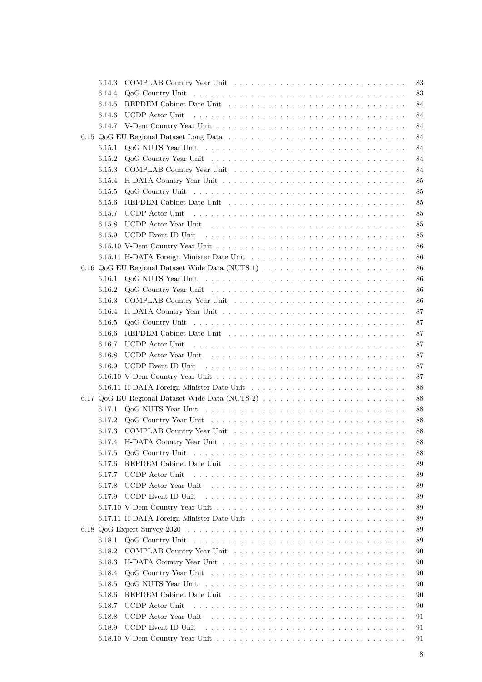| 6.14.3 |                                                                                                                 | 83 |
|--------|-----------------------------------------------------------------------------------------------------------------|----|
| 6.14.4 |                                                                                                                 | 83 |
| 6.14.5 |                                                                                                                 | 84 |
| 6.14.6 |                                                                                                                 | 84 |
| 6.14.7 |                                                                                                                 | 84 |
|        |                                                                                                                 | 84 |
| 6.15.1 |                                                                                                                 | 84 |
| 6.15.2 |                                                                                                                 | 84 |
| 6.15.3 |                                                                                                                 | 84 |
| 6.15.4 |                                                                                                                 | 85 |
| 6.15.5 |                                                                                                                 | 85 |
| 6.15.6 |                                                                                                                 | 85 |
|        |                                                                                                                 |    |
| 6.15.7 | UCDP Actor Unit                                                                                                 | 85 |
| 6.15.8 |                                                                                                                 | 85 |
| 6.15.9 |                                                                                                                 | 85 |
|        |                                                                                                                 | 86 |
|        | 6.15.11 H-DATA Foreign Minister Date Unit                                                                       | 86 |
|        |                                                                                                                 | 86 |
| 6.16.1 |                                                                                                                 | 86 |
| 6.16.2 |                                                                                                                 | 86 |
| 6.16.3 |                                                                                                                 | 86 |
| 6.16.4 |                                                                                                                 | 87 |
| 6.16.5 |                                                                                                                 | 87 |
| 6.16.6 |                                                                                                                 | 87 |
| 6.16.7 | UCDP Actor Unit                                                                                                 | 87 |
| 6.16.8 |                                                                                                                 | 87 |
| 6.16.9 |                                                                                                                 | 87 |
|        |                                                                                                                 | 87 |
|        |                                                                                                                 | 88 |
|        | 6.17 QoG EU Regional Dataset Wide Data (NUTS 2)                                                                 | 88 |
| 6.17.1 |                                                                                                                 | 88 |
| 6.17.2 |                                                                                                                 | 88 |
|        |                                                                                                                 | 88 |
|        |                                                                                                                 | 88 |
| 6.17.5 | $QoG$ Country Unit $\ldots \ldots \ldots \ldots \ldots \ldots \ldots \ldots \ldots \ldots \ldots \ldots \ldots$ | 88 |
| 6.17.6 |                                                                                                                 | 89 |
| 6.17.7 | UCDP Actor Unit                                                                                                 | 89 |
| 6.17.8 |                                                                                                                 | 89 |
| 6.17.9 | UCDP Event ID Unit                                                                                              | 89 |
|        |                                                                                                                 | 89 |
|        |                                                                                                                 | 89 |
|        |                                                                                                                 | 89 |
|        |                                                                                                                 | 89 |
| 6.18.1 |                                                                                                                 |    |
| 6.18.2 |                                                                                                                 | 90 |
| 6.18.3 |                                                                                                                 | 90 |
| 6.18.4 |                                                                                                                 | 90 |
| 6.18.5 |                                                                                                                 | 90 |
| 6.18.6 |                                                                                                                 | 90 |
| 6.18.7 | UCDP Actor Unit                                                                                                 | 90 |
| 6.18.8 |                                                                                                                 | 91 |
| 6.18.9 | UCDP Event ID Unit                                                                                              | 91 |
|        |                                                                                                                 | 91 |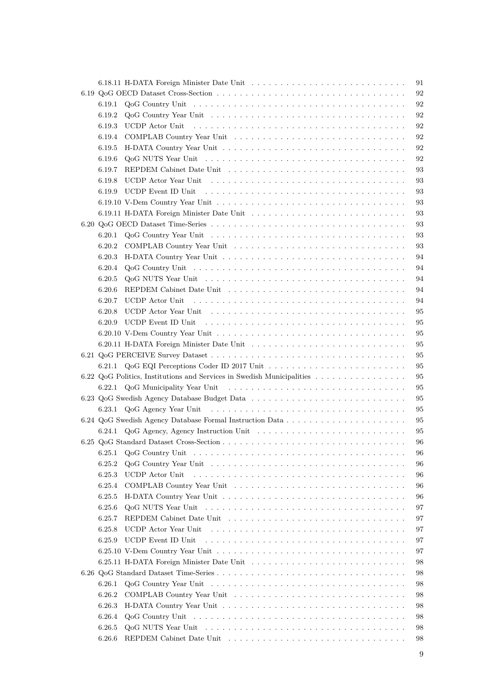|        |                                                                                                                 | 91 |
|--------|-----------------------------------------------------------------------------------------------------------------|----|
|        |                                                                                                                 | 92 |
| 6.19.1 |                                                                                                                 | 92 |
| 6.19.2 |                                                                                                                 | 92 |
| 6.19.3 | UCDP Actor Unit                                                                                                 | 92 |
| 6.19.4 |                                                                                                                 | 92 |
| 6.19.5 |                                                                                                                 | 92 |
| 6.19.6 |                                                                                                                 | 92 |
| 6.19.7 |                                                                                                                 | 93 |
| 6.19.8 |                                                                                                                 | 93 |
|        |                                                                                                                 | 93 |
| 6.19.9 |                                                                                                                 |    |
|        |                                                                                                                 | 93 |
|        | 6.19.11 H-DATA Foreign Minister Date Unit                                                                       | 93 |
|        |                                                                                                                 | 93 |
| 6.20.1 |                                                                                                                 | 93 |
| 6.20.2 |                                                                                                                 | 93 |
| 6.20.3 |                                                                                                                 | 94 |
| 6.20.4 |                                                                                                                 | 94 |
| 6.20.5 |                                                                                                                 | 94 |
| 6.20.6 |                                                                                                                 | 94 |
| 6.20.7 | UCDP Actor Unit                                                                                                 | 94 |
| 6.20.8 |                                                                                                                 | 95 |
| 6.20.9 |                                                                                                                 | 95 |
|        |                                                                                                                 | 95 |
|        |                                                                                                                 | 95 |
|        |                                                                                                                 | 95 |
|        |                                                                                                                 |    |
|        |                                                                                                                 |    |
|        |                                                                                                                 | 95 |
|        | 6.22 QoG Politics, Institutions and Services in Swedish Municipalities                                          | 95 |
|        |                                                                                                                 | 95 |
|        |                                                                                                                 | 95 |
|        |                                                                                                                 | 95 |
|        |                                                                                                                 | 95 |
|        |                                                                                                                 | 95 |
|        |                                                                                                                 | 96 |
| 6.25.1 | $QoG$ Country Unit $\ldots \ldots \ldots \ldots \ldots \ldots \ldots \ldots \ldots \ldots \ldots \ldots \ldots$ | 96 |
| 6.25.2 |                                                                                                                 | 96 |
| 6.25.3 | UCDP Actor Unit                                                                                                 | 96 |
| 6.25.4 |                                                                                                                 | 96 |
| 6.25.5 |                                                                                                                 | 96 |
| 6.25.6 |                                                                                                                 | 97 |
| 6.25.7 |                                                                                                                 | 97 |
| 6.25.8 | UCDP Actor Year Unit                                                                                            | 97 |
| 6.25.9 | UCDP Event ID Unit                                                                                              | 97 |
|        |                                                                                                                 | 97 |
|        |                                                                                                                 | 98 |
|        |                                                                                                                 | 98 |
| 6.26.1 |                                                                                                                 | 98 |
| 6.26.2 |                                                                                                                 | 98 |
| 6.26.3 |                                                                                                                 | 98 |
| 6.26.4 |                                                                                                                 | 98 |
| 6.26.5 |                                                                                                                 | 98 |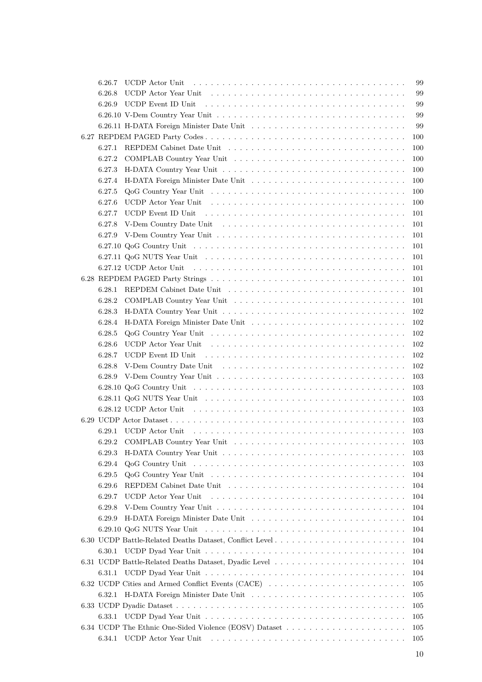| 6.26.7           | UCDP Actor Unit                                                                                                                                                                                                                | 99  |
|------------------|--------------------------------------------------------------------------------------------------------------------------------------------------------------------------------------------------------------------------------|-----|
| 6.26.8           |                                                                                                                                                                                                                                | 99  |
| 6.26.9           | UCDP Event ID Unit responses in the set of the set of the set of the set of the set of the set of the set of the set of the set of the set of the set of the set of the set of the set of the set of the set of the set of the | 99  |
|                  |                                                                                                                                                                                                                                | 99  |
|                  |                                                                                                                                                                                                                                | 99  |
|                  |                                                                                                                                                                                                                                | 100 |
| 6.27.1           |                                                                                                                                                                                                                                | 100 |
| 6.27.2           |                                                                                                                                                                                                                                | 100 |
| 6.27.3           |                                                                                                                                                                                                                                | 100 |
| 6.27.4           |                                                                                                                                                                                                                                | 100 |
| 6.27.5           |                                                                                                                                                                                                                                | 100 |
| 6.27.6           |                                                                                                                                                                                                                                | 100 |
| 6.27.7           |                                                                                                                                                                                                                                | 101 |
| 6.27.8           |                                                                                                                                                                                                                                | 101 |
| 6.27.9           |                                                                                                                                                                                                                                | 101 |
|                  |                                                                                                                                                                                                                                | 101 |
|                  |                                                                                                                                                                                                                                | 101 |
|                  | 6.27.12 UCDP Actor Unit                                                                                                                                                                                                        | 101 |
|                  |                                                                                                                                                                                                                                | 101 |
| 6.28.1           |                                                                                                                                                                                                                                | 101 |
| 6.28.2           |                                                                                                                                                                                                                                | 101 |
| 6.28.3           |                                                                                                                                                                                                                                | 102 |
| 6.28.4           |                                                                                                                                                                                                                                | 102 |
| 6.28.5           |                                                                                                                                                                                                                                | 102 |
| 6.28.6           |                                                                                                                                                                                                                                | 102 |
| 6.28.7           |                                                                                                                                                                                                                                | 102 |
| 6.28.8           |                                                                                                                                                                                                                                | 102 |
| 6.28.9           |                                                                                                                                                                                                                                | 103 |
|                  |                                                                                                                                                                                                                                | 103 |
|                  |                                                                                                                                                                                                                                | 103 |
|                  |                                                                                                                                                                                                                                | 103 |
|                  |                                                                                                                                                                                                                                | 103 |
|                  |                                                                                                                                                                                                                                | 103 |
|                  |                                                                                                                                                                                                                                | 103 |
|                  |                                                                                                                                                                                                                                |     |
| 6.29.3           |                                                                                                                                                                                                                                | 103 |
| 6.29.4<br>6.29.5 |                                                                                                                                                                                                                                | 103 |
|                  |                                                                                                                                                                                                                                | 104 |
| 6.29.6           | UCDP Actor Year Unit                                                                                                                                                                                                           | 104 |
| 6.29.7           |                                                                                                                                                                                                                                | 104 |
| 6.29.8           |                                                                                                                                                                                                                                | 104 |
| 6.29.9           |                                                                                                                                                                                                                                | 104 |
|                  |                                                                                                                                                                                                                                | 104 |
|                  |                                                                                                                                                                                                                                | 104 |
| 6.30.1           |                                                                                                                                                                                                                                | 104 |
|                  |                                                                                                                                                                                                                                | 104 |
| 6.31.1           |                                                                                                                                                                                                                                | 104 |
|                  | 6.32 UCDP Cities and Armed Conflict Events (CACE)                                                                                                                                                                              | 105 |
| 6.32.1           |                                                                                                                                                                                                                                | 105 |
|                  |                                                                                                                                                                                                                                | 105 |
| 6.33.1           |                                                                                                                                                                                                                                | 105 |
|                  |                                                                                                                                                                                                                                | 105 |
| 6.34.1           | UCDP Actor Year Unit (also contained a series of the VCDP Actor Year Unit (also contained a series of the VCDP                                                                                                                 | 105 |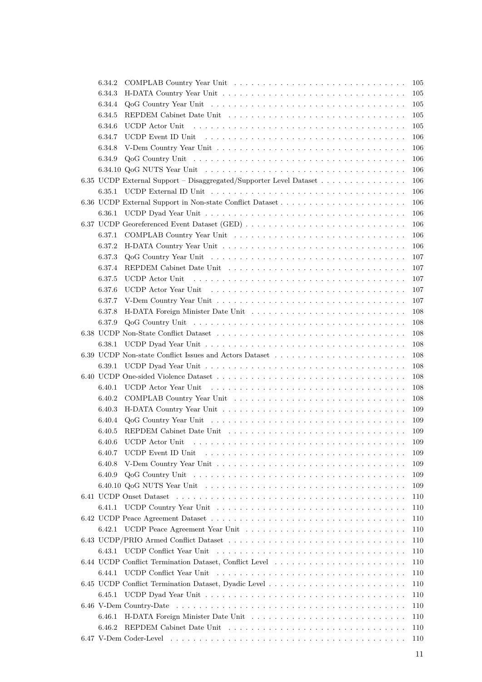| 6.34.2                                                                                                                    | 105        |
|---------------------------------------------------------------------------------------------------------------------------|------------|
| 6.34.3                                                                                                                    | 105        |
| 6.34.4                                                                                                                    | 105        |
| 6.34.5                                                                                                                    | 105        |
| 6.34.6<br>UCDP Actor Unit                                                                                                 | 105        |
| 6.34.7                                                                                                                    | 106        |
| 6.34.8                                                                                                                    | 106        |
| 6.34.9                                                                                                                    | 106        |
|                                                                                                                           | 106        |
| 6.35 UCDP External Support – Disaggregated/Supporter Level Dataset                                                        | 106        |
| 6.35.1                                                                                                                    | 106        |
|                                                                                                                           | 106        |
| 6.36.1                                                                                                                    | 106        |
|                                                                                                                           | 106        |
| 6.37.1                                                                                                                    | 106        |
| 6.37.2                                                                                                                    | 106        |
| 6.37.3                                                                                                                    | 107        |
| 6.37.4                                                                                                                    | 107        |
| 6.37.5<br><b>UCDP</b> Actor Unit                                                                                          | 107        |
| 6.37.6<br>UCDP Actor Year Unit enterprised in the service of the UCDP Actor Year Unit enterprised in the service of the S | 107        |
| 6.37.7                                                                                                                    | 107        |
| 6.37.8                                                                                                                    | 108        |
| 6.37.9                                                                                                                    | 108        |
|                                                                                                                           | 108        |
| 6.38.1                                                                                                                    | 108        |
|                                                                                                                           | 108        |
| 6.39.1                                                                                                                    | 108        |
|                                                                                                                           | 108        |
| UCDP Actor Year Unit<br>6.40.1                                                                                            | 108        |
| 6.40.2                                                                                                                    | 108        |
| 6.40.3                                                                                                                    | 109        |
| 6.40.4                                                                                                                    | 109        |
| 6.40.5                                                                                                                    | 109        |
| 6.40.6 UCDP Actor Unit                                                                                                    | 109        |
| 6.40.7                                                                                                                    | 109        |
| 6.40.8                                                                                                                    | 109        |
| 6.40.9                                                                                                                    | 109        |
|                                                                                                                           | 109        |
|                                                                                                                           | 110        |
| 6.41.1                                                                                                                    | 110        |
|                                                                                                                           | 110        |
| 6.42.1                                                                                                                    | 110        |
|                                                                                                                           | 110        |
| 6.43.1                                                                                                                    |            |
|                                                                                                                           | 110<br>110 |
| 6.44.1                                                                                                                    | 110        |
|                                                                                                                           | 110        |
|                                                                                                                           |            |
|                                                                                                                           | 110        |
|                                                                                                                           | 110        |
| 6.46.1                                                                                                                    | 110        |
| 6.46.2                                                                                                                    | 110        |
|                                                                                                                           | 110        |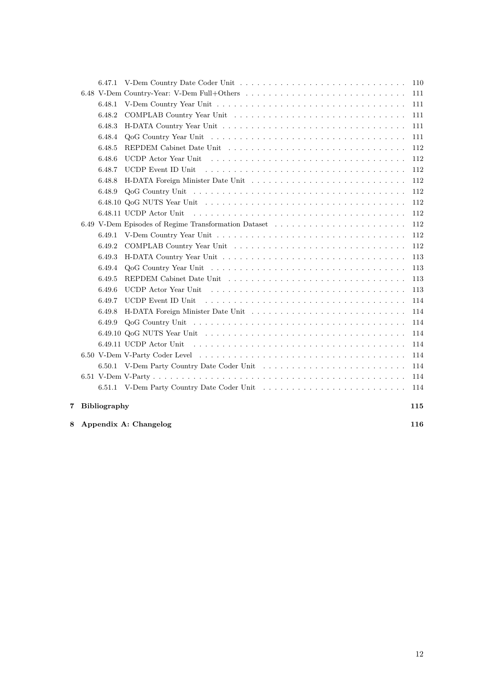|  | 7 Bibliography   |                                                      | 115        |
|--|------------------|------------------------------------------------------|------------|
|  |                  |                                                      | 114        |
|  |                  |                                                      | 114        |
|  |                  |                                                      | 114        |
|  |                  |                                                      | 114        |
|  |                  | 6.49.11 UCDP Actor Unit                              | 114        |
|  |                  |                                                      | 114        |
|  | 6.49.9           |                                                      | 114        |
|  | 6.49.8           |                                                      | 114        |
|  | 6.49.7           | UCDP Event ID Unit                                   | 114        |
|  | 6.49.6           |                                                      | 113        |
|  | 6.49.5           |                                                      | 113        |
|  | 6.49.4           |                                                      | 113        |
|  | 6.49.3           |                                                      | 113        |
|  | 6.49.2           |                                                      | 112        |
|  | 6.49.1           |                                                      | 112        |
|  |                  | 6.49 V-Dem Episodes of Regime Transformation Dataset | 112        |
|  |                  | 6.48.11 UCDP Actor Unit                              | 112        |
|  |                  |                                                      | 112        |
|  | 6.48.9           |                                                      | 112        |
|  | 6.48.7<br>6.48.8 | UCDP Event ID Unit                                   | 112<br>112 |
|  | 6.48.6           |                                                      | 112        |
|  | 6.48.5           |                                                      | 112        |
|  | 6.48.4           |                                                      | 111        |
|  | 6.48.3           |                                                      | 111        |
|  | 6.48.2           |                                                      | 111        |
|  | 6.48.1           |                                                      | 111        |
|  |                  |                                                      | 111        |
|  |                  |                                                      | 110        |
|  |                  |                                                      |            |

**[8 Appendix A: Changelog](#page-115-1) 116**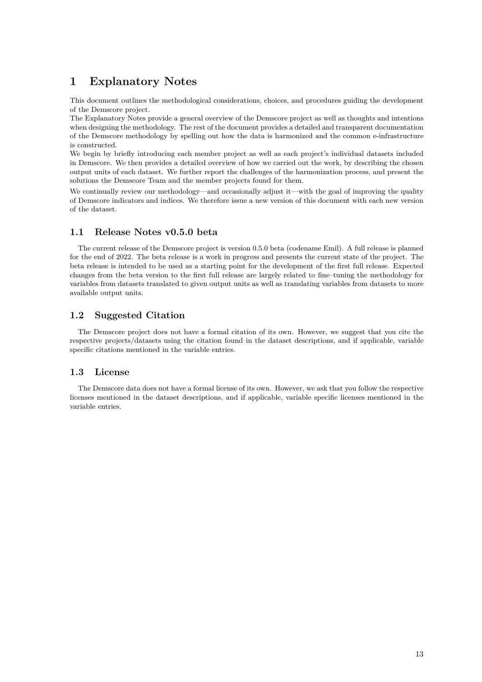# <span id="page-13-0"></span>**1 Explanatory Notes**

This document outlines the methodological considerations, choices, and procedures guiding the development of the Demscore project.

The Explanatory Notes provide a general overview of the Demscore project as well as thoughts and intentions when designing the methodology. The rest of the document provides a detailed and transparent documentation of the Demscore methodology by spelling out how the data is harmonized and the common e-infrastructure is constructed.

We begin by briefly introducing each member project as well as each project's individual datasets included in Demscore. We then provides a detailed overview of how we carried out the work, by describing the chosen output units of each dataset. We further report the challenges of the harmonization process, and present the solutions the Demscore Team and the member projects found for them.

We continually review our methodology—and occasionally adjust it—with the goal of improving the quality of Demscore indicators and indices. We therefore issue a new version of this document with each new version of the dataset.

# <span id="page-13-1"></span>**1.1 Release Notes v0.5.0 beta**

The current release of the Demscore project is version 0.5.0 beta (codename Emil). A full release is planned for the end of 2022. The beta release is a work in progress and presents the current state of the project. The beta release is intended to be used as a starting point for the development of the first full release. Expected changes from the beta version to the first full release are largely related to fine–tuning the methodology for variables from datasets translated to given output units as well as translating variables from datasets to more available output units.

# <span id="page-13-2"></span>**1.2 Suggested Citation**

The Demscore project does not have a formal citation of its own. However, we suggest that you cite the respective projects/datasets using the citation found in the dataset descriptions, and if applicable, variable specific citations mentioned in the variable entries.

# <span id="page-13-3"></span>**1.3 License**

The Demscore data does not have a formal license of its own. However, we ask that you follow the respective licenses mentioned in the dataset descriptions, and if applicable, variable specific licenses mentioned in the variable entries.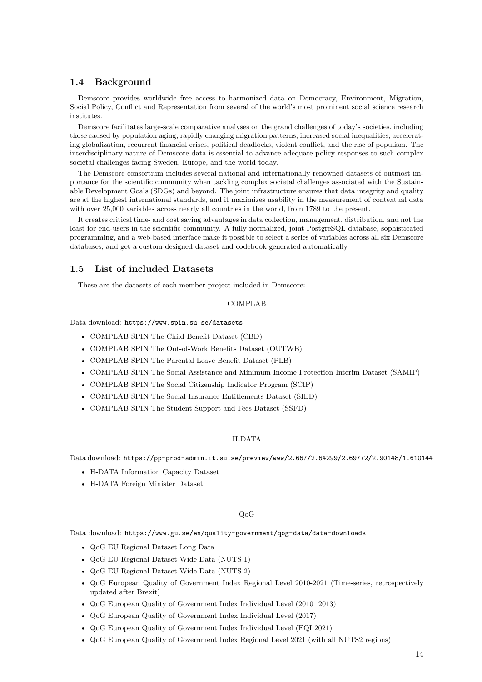## <span id="page-14-0"></span>**1.4 Background**

Demscore provides worldwide free access to harmonized data on Democracy, Environment, Migration, Social Policy, Conflict and Representation from several of the world's most prominent social science research institutes.

Demscore facilitates large-scale comparative analyses on the grand challenges of today's societies, including those caused by population aging, rapidly changing migration patterns, increased social inequalities, accelerating globalization, recurrent financial crises, political deadlocks, violent conflict, and the rise of populism. The interdisciplinary nature of Demscore data is essential to advance adequate policy responses to such complex societal challenges facing Sweden, Europe, and the world today.

The Demscore consortium includes several national and internationally renowned datasets of outmost importance for the scientific community when tackling complex societal challenges associated with the Sustainable Development Goals (SDGs) and beyond. The joint infrastructure ensures that data integrity and quality are at the highest international standards, and it maximizes usability in the measurement of contextual data with over 25,000 variables across nearly all countries in the world, from 1789 to the present.

It creates critical time- and cost saving advantages in data collection, management, distribution, and not the least for end-users in the scientific community. A fully normalized, joint PostgreSQL database, sophisticated programming, and a web-based interface make it possible to select a series of variables across all six Demscore databases, and get a custom-designed dataset and codebook generated automatically.

## <span id="page-14-1"></span>**1.5 List of included Datasets**

These are the datasets of each member project included in Demscore:

## COMPLAB

Data download: <https://www.spin.su.se/datasets>

- COMPLAB SPIN The Child Benefit Dataset (CBD)
- COMPLAB SPIN The Out-of-Work Benefits Dataset (OUTWB)
- COMPLAB SPIN The Parental Leave Benefit Dataset (PLB)
- COMPLAB SPIN The Social Assistance and Minimum Income Protection Interim Dataset (SAMIP)
- COMPLAB SPIN The Social Citizenship Indicator Program (SCIP)
- COMPLAB SPIN The Social Insurance Entitlements Dataset (SIED)
- COMPLAB SPIN The Student Support and Fees Dataset (SSFD)

## H-DATA

Data download: <https://pp-prod-admin.it.su.se/preview/www/2.667/2.64299/2.69772/2.90148/1.610144>

- H-DATA Information Capacity Dataset
- H-DATA Foreign Minister Dataset

## QoG

Data download: <https://www.gu.se/en/quality-government/qog-data/data-downloads>

- QoG EU Regional Dataset Long Data
- QoG EU Regional Dataset Wide Data (NUTS 1)
- QoG EU Regional Dataset Wide Data (NUTS 2)
- QoG European Quality of Government Index Regional Level 2010-2021 (Time-series, retrospectively updated after Brexit)
- QoG European Quality of Government Index Individual Level (2010 2013)
- QoG European Quality of Government Index Individual Level (2017)
- QoG European Quality of Government Index Individual Level (EQI 2021)
- QoG European Quality of Government Index Regional Level 2021 (with all NUTS2 regions)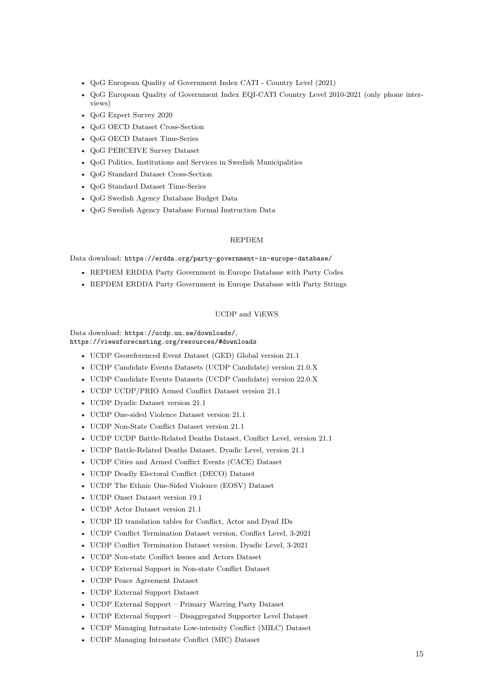- QoG European Quality of Government Index CATI Country Level (2021)
- QoG European Quality of Government Index EQI-CATI Country Level 2010-2021 (only phone interviews)
- QoG Expert Survey 2020
- QoG OECD Dataset Cross-Section
- QoG OECD Dataset Time-Series
- QoG PERCEIVE Survey Dataset
- QoG Politics, Institutions and Services in Swedish Municipalities
- QoG Standard Dataset Cross-Section
- QoG Standard Dataset Time-Series
- QoG Swedish Agency Database Budget Data
- QoG Swedish Agency Database Formal Instruction Data

## REPDEM

Data download: <https://erdda.org/party-government-in-europe-database/>

- REPDEM ERDDA Party Government in Europe Database with Party Codes
- REPDEM ERDDA Party Government in Europe Database with Party Strings

## UCDP and ViEWS

Data download: <https://ucdp.uu.se/downloads/>, <https://viewsforecasting.org/resources/#downloads>

- UCDP Georeferenced Event Dataset (GED) Global version 21.1
- UCDP Candidate Events Datasets (UCDP Candidate) version 21.0.X
- UCDP Candidate Events Datasets (UCDP Candidate) version 22.0.X
- UCDP UCDP/PRIO Armed Conflict Dataset version 21.1
- UCDP Dyadic Dataset version 21.1
- UCDP One-sided Violence Dataset version 21.1
- UCDP Non-State Conflict Dataset version 21.1
- UCDP UCDP Battle-Related Deaths Dataset, Conflict Level, version 21.1
- UCDP Battle-Related Deaths Dataset, Dyadic Level, version 21.1
- UCDP Cities and Armed Conflict Events (CACE) Dataset
- UCDP Deadly Electoral Conflict (DECO) Dataset
- UCDP The Ethnic One-Sided Violence (EOSV) Dataset
- UCDP Onset Dataset version 19.1
- UCDP Actor Dataset version 21.1
- UCDP ID translation tables for Conflict, Actor and Dyad IDs
- UCDP Conflict Termination Dataset version, Conflict Level, 3-2021
- UCDP Conflict Termination Dataset version, Dyadic Level, 3-2021
- UCDP Non-state Conflict Issues and Actors Dataset
- UCDP External Support in Non-state Conflict Dataset
- UCDP Peace Agreement Dataset
- UCDP External Support Dataset
- UCDP External Support Primary Warring Party Dataset
- UCDP External Support Disaggregated Supporter Level Dataset
- UCDP Managing Intrastate Low-intensity Conflict (MILC) Dataset
- UCDP Managing Intrastate Conflict (MIC) Dataset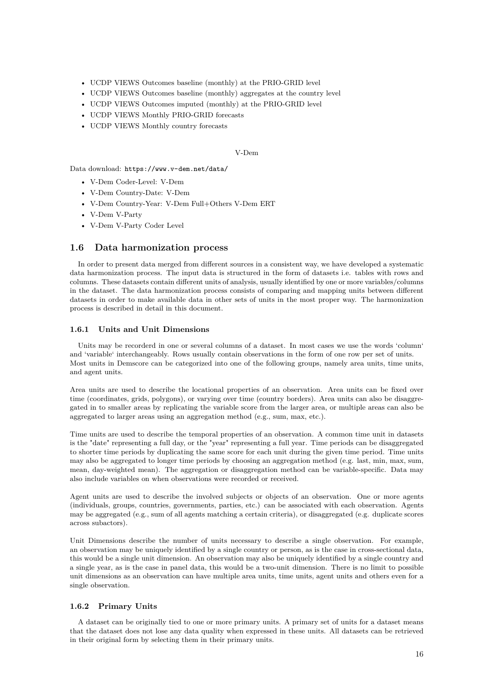- UCDP VIEWS Outcomes baseline (monthly) at the PRIO-GRID level
- UCDP VIEWS Outcomes baseline (monthly) aggregates at the country level
- UCDP VIEWS Outcomes imputed (monthly) at the PRIO-GRID level
- UCDP VIEWS Monthly PRIO-GRID forecasts
- UCDP VIEWS Monthly country forecasts

### V-Dem

Data download: <https://www.v-dem.net/data/>

- V-Dem Coder-Level: V-Dem
- V-Dem Country-Date: V-Dem
- V-Dem Country-Year: V-Dem Full+Others V-Dem ERT
- V-Dem V-Party
- V-Dem V-Party Coder Level

## <span id="page-16-0"></span>**1.6 Data harmonization process**

In order to present data merged from different sources in a consistent way, we have developed a systematic data harmonization process. The input data is structured in the form of datasets i.e. tables with rows and columns. These datasets contain different units of analysis, usually identified by one or more variables/columns in the dataset. The data harmonization process consists of comparing and mapping units between different datasets in order to make available data in other sets of units in the most proper way. The harmonization process is described in detail in this document.

## <span id="page-16-1"></span>**1.6.1 Units and Unit Dimensions**

Units may be recorderd in one or several columns of a dataset. In most cases we use the words 'column' and 'variable' interchangeably. Rows usually contain observations in the form of one row per set of units. Most units in Demscore can be categorized into one of the following groups, namely area units, time units, and agent units.

Area units are used to describe the locational properties of an observation. Area units can be fixed over time (coordinates, grids, polygons), or varying over time (country borders). Area units can also be disaggregated in to smaller areas by replicating the variable score from the larger area, or multiple areas can also be aggregated to larger areas using an aggregation method (e.g., sum, max, etc.).

Time units are used to describe the temporal properties of an observation. A common time unit in datasets is the "date" representing a full day, or the "year" representing a full year. Time periods can be disaggregated to shorter time periods by duplicating the same score for each unit during the given time period. Time units may also be aggregated to longer time periods by choosing an aggregation method (e.g. last, min, max, sum, mean, day-weighted mean). The aggregation or disaggregation method can be variable-specific. Data may also include variables on when observations were recorded or received.

Agent units are used to describe the involved subjects or objects of an observation. One or more agents (individuals, groups, countries, governments, parties, etc.) can be associated with each observation. Agents may be aggregated (e.g., sum of all agents matching a certain criteria), or disaggregated (e.g. duplicate scores across subactors).

Unit Dimensions describe the number of units necessary to describe a single observation. For example, an observation may be uniquely identified by a single country or person, as is the case in cross-sectional data, this would be a single unit dimension. An observation may also be uniquely identified by a single country and a single year, as is the case in panel data, this would be a two-unit dimension. There is no limit to possible unit dimensions as an observation can have multiple area units, time units, agent units and others even for a single observation.

## <span id="page-16-2"></span>**1.6.2 Primary Units**

A dataset can be originally tied to one or more primary units. A primary set of units for a dataset means that the dataset does not lose any data quality when expressed in these units. All datasets can be retrieved in their original form by selecting them in their primary units.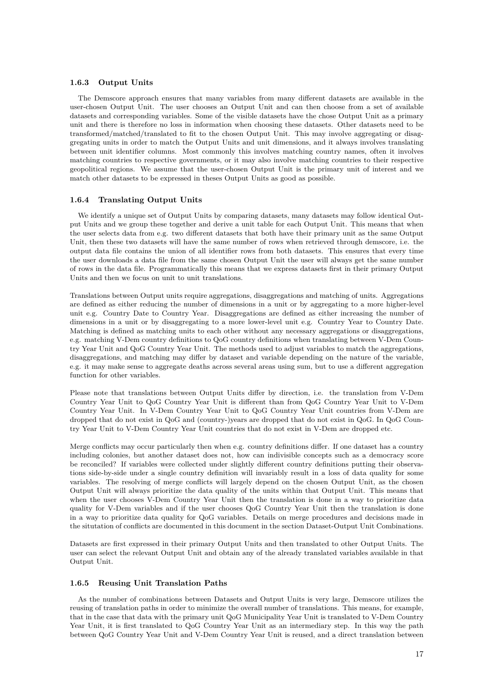## <span id="page-17-0"></span>**1.6.3 Output Units**

The Demscore approach ensures that many variables from many different datasets are available in the user-chosen Output Unit. The user chooses an Output Unit and can then choose from a set of available datasets and corresponding variables. Some of the visible datasets have the chose Output Unit as a primary unit and there is therefore no loss in information when choosing these datasets. Other datasets need to be transformed/matched/translated to fit to the chosen Output Unit. This may involve aggregating or disaggregating units in order to match the Output Units and unit dimensions, and it always involves translating between unit identifier columns. Most commonly this involves matching country names, often it involves matching countries to respective governments, or it may also involve matching countries to their respective geopolitical regions. We assume that the user-chosen Output Unit is the primary unit of interest and we match other datasets to be expressed in theses Output Units as good as possible.

## <span id="page-17-1"></span>**1.6.4 Translating Output Units**

We identify a unique set of Output Units by comparing datasets, many datasets may follow identical Output Units and we group these together and derive a unit table for each Output Unit. This means that when the user selects data from e.g. two different datasets that both have their primary unit as the same Output Unit, then these two datasets will have the same number of rows when retrieved through demscore, i.e. the output data file contains the union of all identifier rows from both datasets. This ensures that every time the user downloads a data file from the same chosen Output Unit the user will always get the same number of rows in the data file. Programmatically this means that we express datasets first in their primary Output Units and then we focus on unit to unit translations.

Translations between Output units require aggregations, disaggregations and matching of units. Aggregations are defined as either reducing the number of dimensions in a unit or by aggregating to a more higher-level unit e.g. Country Date to Country Year. Disaggregations are defined as either increasing the number of dimensions in a unit or by disaggregating to a more lower-level unit e.g. Country Year to Country Date. Matching is defined as matching units to each other without any necessary aggregations or disaggregations, e.g. matching V-Dem country definitions to QoG country definitions when translating between V-Dem Country Year Unit and QoG Country Year Unit. The methods used to adjust variables to match the aggregations, disaggregations, and matching may differ by dataset and variable depending on the nature of the variable, e.g. it may make sense to aggregate deaths across several areas using sum, but to use a different aggregation function for other variables.

Please note that translations between Output Units differ by direction, i.e. the translation from V-Dem Country Year Unit to QoG Country Year Unit is different than from QoG Country Year Unit to V-Dem Country Year Unit. In V-Dem Country Year Unit to QoG Country Year Unit countries from V-Dem are dropped that do not exist in QoG and (country-)years are dropped that do not exist in QoG. In QoG Country Year Unit to V-Dem Country Year Unit countries that do not exist in V-Dem are dropped etc.

Merge conflicts may occur particularly then when e.g. country definitions differ. If one dataset has a country including colonies, but another dataset does not, how can indivisible concepts such as a democracy score be reconciled? If variables were collected under slightly different country definitions putting their observations side-by-side under a single country definition will invariably result in a loss of data quality for some variables. The resolving of merge conflicts will largely depend on the chosen Output Unit, as the chosen Output Unit will always prioritize the data quality of the units within that Output Unit. This means that when the user chooses V-Dem Country Year Unit then the translation is done in a way to prioritize data quality for V-Dem variables and if the user chooses QoG Country Year Unit then the translation is done in a way to prioritize data quality for QoG variables. Details on merge procedures and decisions made in the situtation of conflicts are documented in this document in the section Dataset-Output Unit Combinations.

Datasets are first expressed in their primary Output Units and then translated to other Output Units. The user can select the relevant Output Unit and obtain any of the already translated variables available in that Output Unit.

## <span id="page-17-2"></span>**1.6.5 Reusing Unit Translation Paths**

As the number of combinations between Datasets and Output Units is very large, Demscore utilizes the reusing of translation paths in order to minimize the overall number of translations. This means, for example, that in the case that data with the primary unit QoG Municipality Year Unit is translated to V-Dem Country Year Unit, it is first translated to QoG Country Year Unit as an intermediary step. In this way the path between QoG Country Year Unit and V-Dem Country Year Unit is reused, and a direct translation between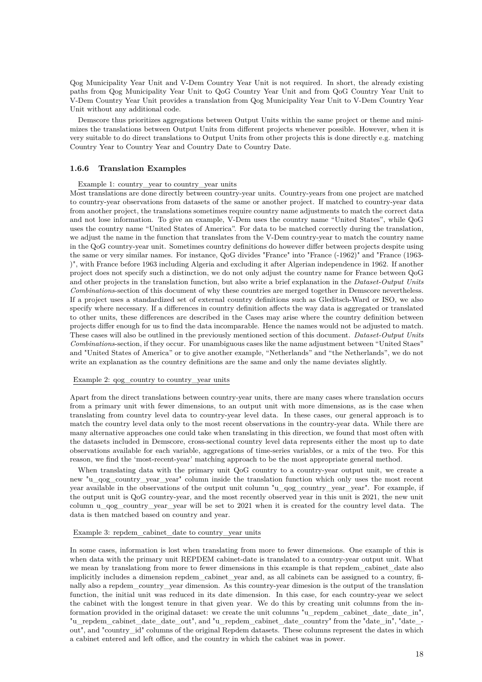Qog Municipality Year Unit and V-Dem Country Year Unit is not required. In short, the already existing paths from Qog Municipality Year Unit to QoG Country Year Unit and from QoG Country Year Unit to V-Dem Country Year Unit provides a translation from Qog Municipality Year Unit to V-Dem Country Year Unit without any additional code.

Demscore thus prioritizes aggregations between Output Units within the same project or theme and minimizes the translations between Output Units from different projects whenever possible. However, when it is very suitable to do direct translations to Output Units from other projects this is done directly e.g. matching Country Year to Country Year and Country Date to Country Date.

## <span id="page-18-0"></span>**1.6.6 Translation Examples**

#### Example 1: country\_year to country\_year units

Most translations are done directly between country-year units. Country-years from one project are matched to country-year observations from datasets of the same or another project. If matched to country-year data from another project, the translations sometimes require country name adjustments to match the correct data and not lose information. To give an example, V-Dem uses the country name "United States", while QoG uses the country name "United States of America". For data to be matched correctly during the translation, we adjust the name in the function that translates from the V-Dem country-year to match the country name in the QoG country-year unit. Sometimes country definitions do however differ between projects despite using the same or very similar names. For instance, QoG divides "France" into "France (-1962)" and "France (1963- )", with France before 1963 including Algeria and excluding it after Algerian independence in 1962. If another project does not specify such a distinction, we do not only adjust the country name for France between QoG and other projects in the translation function, but also write a brief explanation in the *Dataset-Output Units Combinations*-section of this document of why these countries are merged together in Demscore nevertheless. If a project uses a standardized set of external country definitions such as Gleditsch-Ward or ISO, we also specify where necessary. If a differences in country definition affects the way data is aggregated or translated to other units, these differences are described in the Cases may arise where the country definition between projects differ enough for us to find the data incomparable. Hence the names would not be adjusted to match. These cases will also be outlined in the previously mentioned section of this document. *Dataset-Output Units Combinations*-section, if they occur. For unambiguous cases like the name adjustment between "United Staes" and "United States of America" or to give another example, "Netherlands" and "the Netherlands", we do not write an explanation as the country definitions are the same and only the name deviates slightly.

#### Example 2:  $q_{0}q_{0}$  country to country year units

Apart from the direct translations between country-year units, there are many cases where translation occurs from a primary unit with fewer dimensions, to an output unit with more dimensions, as is the case when translating from country level data to country-year level data. In these cases, our general approach is to match the country level data only to the most recent observations in the country-year data. While there are many alternative approaches one could take when translating in this direction, we found that most often with the datasets included in Demscore, cross-sectional country level data represents either the most up to date observations available for each variable, aggregations of time-series variables, or a mix of the two. For this reason, we find the 'most-recent-year' matching approach to be the most appropriate general method.

When translating data with the primary unit QoG country to a country-year output unit, we create a new "u\_qog\_country\_year\_year" column inside the translation function which only uses the most recent year available in the observations of the output unit column "u\_qog\_country\_year\_year". For example, if the output unit is QoG country-year, and the most recently observed year in this unit is 2021, the new unit column u\_qog\_country\_year\_year will be set to 2021 when it is created for the country level data. The data is then matched based on country and year.

#### Example 3: repdem\_cabinet\_date to country\_year units

In some cases, information is lost when translating from more to fewer dimensions. One example of this is when data with the primary unit REPDEM cabinet-date is translated to a country-year output unit. What we mean by translationg from more to fewer dimensions in this example is that repdem\_cabinet\_date also implicitly includes a dimension repdem\_cabinet\_year and, as all cabinets can be assigned to a country, finally also a repdem\_country\_year dimension. As this country-year dimesion is the output of the translation function, the initial unit was reduced in its date dimension. In this case, for each country-year we select the cabinet with the longest tenure in that given year. We do this by creating unit columns from the information provided in the original dataset: we create the unit columns "u\_repdem\_cabinet\_date\_date\_in", "u\_repdem\_cabinet\_date\_date\_out", and "u\_repdem\_cabinet\_date\_country" from the "date\_in", "date\_out", and "country\_id" columns of the original Repdem datasets. These columns represent the dates in which a cabinet entered and left office, and the country in which the cabinet was in power.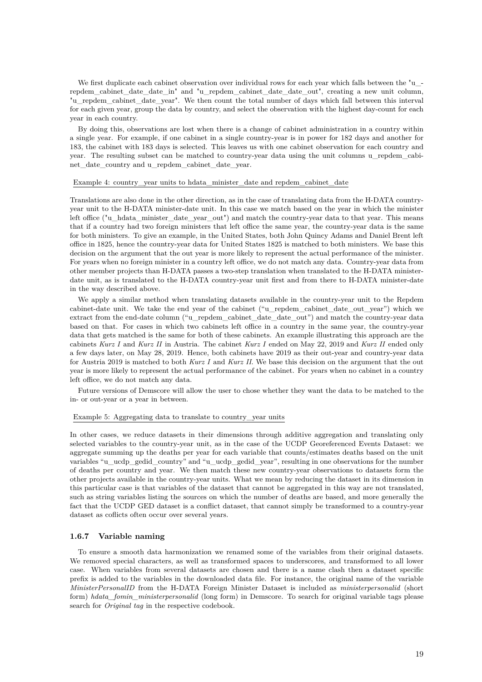We first duplicate each cabinet observation over individual rows for each year which falls between the "u\_repdem\_cabinet\_date\_date\_in" and "u\_repdem\_cabinet\_date\_date\_out", creating a new unit column, "u\_repdem\_cabinet\_date\_year". We then count the total number of days which fall between this interval for each given year, group the data by country, and select the observation with the highest day-count for each year in each country.

By doing this, observations are lost when there is a change of cabinet administration in a country within a single year. For example, if one cabinet in a single country-year is in power for 182 days and another for 183, the cabinet with 183 days is selected. This leaves us with one cabinet observation for each country and year. The resulting subset can be matched to country-year data using the unit columns u\_repdem\_cabinet\_date\_country and u\_repdem\_cabinet\_date\_year.

## Example 4: country\_year units to hdata\_minister\_date and repdem\_cabinet\_date

Translations are also done in the other direction, as in the case of translating data from the H-DATA countryyear unit to the H-DATA minister-date unit. In this case we match based on the year in which the minister left office ("u\_hdata\_minister\_date\_year\_out") and match the country-year data to that year. This means that if a country had two foreign ministers that left office the same year, the country-year data is the same for both ministers. To give an example, in the United States, both John Quincy Adams and Daniel Brent left office in 1825, hence the country-year data for United States 1825 is matched to both ministers. We base this decision on the argument that the out year is more likely to represent the actual performance of the minister. For years when no foreign minister in a country left office, we do not match any data. Country-year data from other member projects than H-DATA passes a two-step translation when translated to the H-DATA ministerdate unit, as is translated to the H-DATA country-year unit first and from there to H-DATA minister-date in the way described above.

We apply a similar method when translating datasets available in the country-year unit to the Repdem cabinet-date unit. We take the end year of the cabinet ("u\_repdem\_cabinet\_date\_out\_year") which we extract from the end-date column ("u\_repdem\_cabinet\_date\_date\_out") and match the country-year data based on that. For cases in which two cabinets left office in a country in the same year, the country-year data that gets matched is the same for both of these cabinets. An example illustrating this approach are the cabinets *Kurz I* and *Kurz II* in Austria. The cabinet *Kurz I* ended on May 22, 2019 and *Kurz II* ended only a few days later, on May 28, 2019. Hence, both cabinets have 2019 as their out-year and country-year data for Austria 2019 is matched to both *Kurz I* and *Kurz II*. We base this decision on the argument that the out year is more likely to represent the actual performance of the cabinet. For years when no cabinet in a country left office, we do not match any data.

Future versions of Demscore will allow the user to chose whether they want the data to be matched to the in- or out-year or a year in between.

#### Example 5: Aggregating data to translate to country\_year units

In other cases, we reduce datasets in their dimensions through additive aggregation and translating only selected variables to the country-year unit, as in the case of the UCDP Georeferenced Events Dataset: we aggregate summing up the deaths per year for each variable that counts/estimates deaths based on the unit variables "u\_ucdp\_gedid\_country" and "u\_ucdp\_gedid\_year", resulting in one observations for the number of deaths per country and year. We then match these new country-year observations to datasets form the other projects available in the country-year units. What we mean by reducing the dataset in its dimension in this particular case is that variables of the dataset that cannot be aggregated in this way are not translated, such as string variables listing the sources on which the number of deaths are based, and more generally the fact that the UCDP GED dataset is a conflict dataset, that cannot simply be transformed to a country-year dataset as coflicts often occur over several years.

## <span id="page-19-0"></span>**1.6.7 Variable naming**

To ensure a smooth data harmonization we renamed some of the variables from their original datasets. We removed special characters, as well as transformed spaces to underscores, and transformed to all lower case. When variables from several datasets are chosen and there is a name clash then a dataset specific prefix is added to the variables in the downloaded data file. For instance, the original name of the variable *MinisterPersonalID* from the H-DATA Foreign Minister Dataset is included as *ministerpersonalid* (short form) *hdata\_fomin\_ministerpersonalid* (long form) in Demscore. To search for original variable tags please search for *Original tag* in the respective codebook.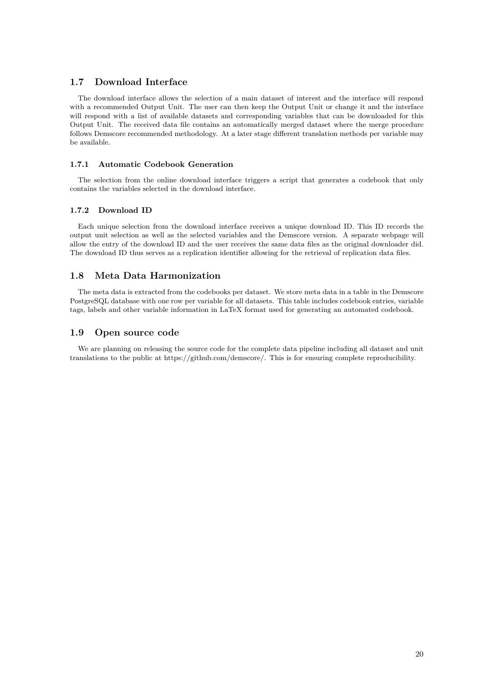## <span id="page-20-1"></span>**1.7 Download Interface**

The download interface allows the selection of a main dataset of interest and the interface will respond with a recommended Output Unit. The user can then keep the Output Unit or change it and the interface will respond with a list of available datasets and corresponding variables that can be downloaded for this Output Unit. The received data file contains an automatically merged dataset where the merge procedure follows Demscore recommended methodology. At a later stage different translation methods per variable may be available.

## <span id="page-20-2"></span>**1.7.1 Automatic Codebook Generation**

The selection from the online download interface triggers a script that generates a codebook that only contains the variables selected in the download interface.

## <span id="page-20-3"></span>**1.7.2 Download ID**

Each unique selection from the download interface receives a unique download ID. This ID records the output unit selection as well as the selected variables and the Demscore version. A separate webpage will allow the entry of the download ID and the user receives the same data files as the original downloader did. The download ID thus serves as a replication identifier allowing for the retrieval of replication data files.

## <span id="page-20-4"></span>**1.8 Meta Data Harmonization**

The meta data is extracted from the codebooks per dataset. We store meta data in a table in the Demscore PostgreSQL database with one row per variable for all datasets. This table includes codebook entries, variable tags, labels and other variable information in LaTeX format used for generating an automated codebook.

## <span id="page-20-5"></span>**1.9 Open source code**

<span id="page-20-0"></span>We are planning on releasing the source code for the complete data pipeline including all dataset and unit translations to the public at https://github.com/demscore/. This is for ensuring complete reproducibility.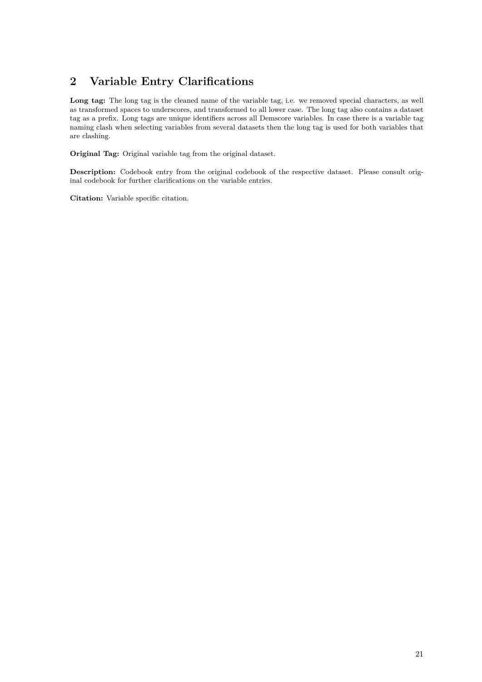# **2 Variable Entry Clarifications**

Long tag: The long tag is the cleaned name of the variable tag, i.e. we removed special characters, as well as transformed spaces to underscores, and transformed to all lower case. The long tag also contains a dataset tag as a prefix. Long tags are unique identifiers across all Demscore variables. In case there is a variable tag naming clash when selecting variables from several datasets then the long tag is used for both variables that are clashing.

**Original Tag:** Original variable tag from the original dataset.

**Description:** Codebook entry from the original codebook of the respective dataset. Please consult original codebook for further clarifications on the variable entries.

<span id="page-21-0"></span>**Citation:** Variable specific citation.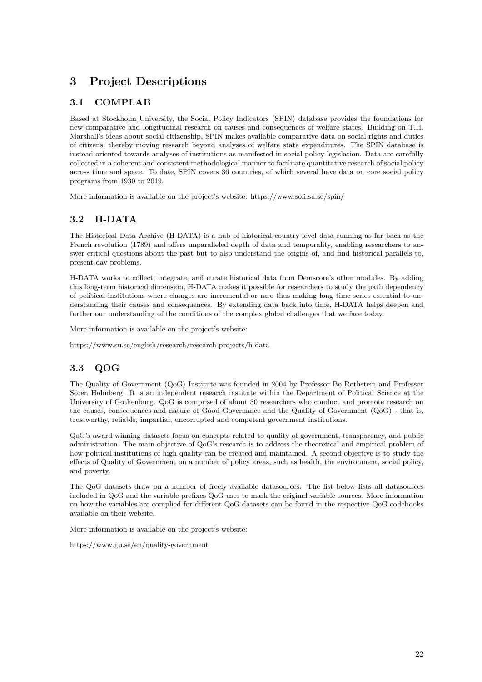# **3 Project Descriptions**

# <span id="page-22-0"></span>**3.1 COMPLAB**

Based at Stockholm University, the Social Policy Indicators (SPIN) database provides the foundations for new comparative and longitudinal research on causes and consequences of welfare states. Building on T.H. Marshall's ideas about social citizenship, SPIN makes available comparative data on social rights and duties of citizens, thereby moving research beyond analyses of welfare state expenditures. The SPIN database is instead oriented towards analyses of institutions as manifested in social policy legislation. Data are carefully collected in a coherent and consistent methodological manner to facilitate quantitative research of social policy across time and space. To date, SPIN covers 36 countries, of which several have data on core social policy programs from 1930 to 2019.

More information is available on the project's website:<https://www.sofi.su.se/spin/>

# <span id="page-22-1"></span>**3.2 H-DATA**

The Historical Data Archive (H-DATA) is a hub of historical country-level data running as far back as the French revolution (1789) and offers unparalleled depth of data and temporality, enabling researchers to answer critical questions about the past but to also understand the origins of, and find historical parallels to, present-day problems.

H-DATA works to collect, integrate, and curate historical data from Demscore's other modules. By adding this long-term historical dimension, H-DATA makes it possible for researchers to study the path dependency of political institutions where changes are incremental or rare thus making long time-series essential to understanding their causes and consequences. By extending data back into time, H-DATA helps deepen and further our understanding of the conditions of the complex global challenges that we face today.

More information is available on the project's website:

<https://www.su.se/english/research/research-projects/h-data>

# <span id="page-22-2"></span>**3.3 QOG**

The Quality of Government (QoG) Institute was founded in 2004 by Professor Bo Rothstein and Professor Sören Holmberg. It is an independent research institute within the Department of Political Science at the University of Gothenburg. QoG is comprised of about 30 researchers who conduct and promote research on the causes, consequences and nature of Good Governance and the Quality of Government (QoG) - that is, trustworthy, reliable, impartial, uncorrupted and competent government institutions.

QoG's award-winning datasets focus on concepts related to quality of government, transparency, and public administration. The main objective of QoG's research is to address the theoretical and empirical problem of how political institutions of high quality can be created and maintained. A second objective is to study the effects of Quality of Government on a number of policy areas, such as health, the environment, social policy, and poverty.

The QoG datasets draw on a number of freely available datasources. The list below lists all datasources included in QoG and the variable prefixes QoG uses to mark the original variable sources. More information on how the variables are complied for different QoG datasets can be found in the respective QoG codebooks available on their website.

More information is available on the project's website:

<https://www.gu.se/en/quality-government>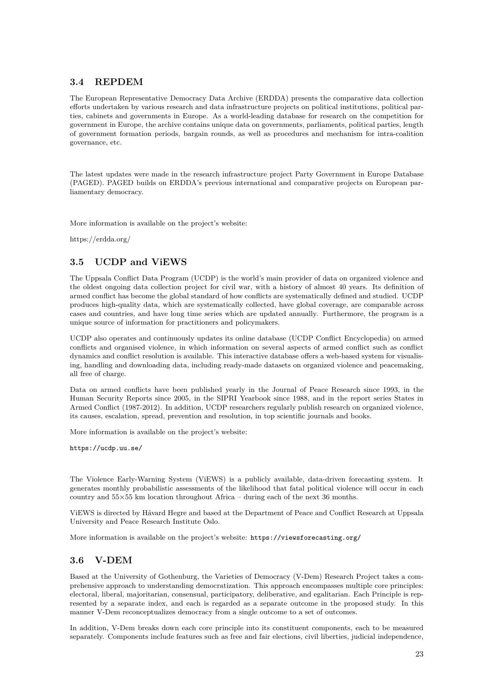# <span id="page-23-0"></span>**3.4 REPDEM**

The European Representative Democracy Data Archive (ERDDA) presents the comparative data collection efforts undertaken by various research and data infrastructure projects on political institutions, political parties, cabinets and governments in Europe. As a world-leading database for research on the competition for government in Europe, the archive contains unique data on governments, parliaments, political parties, length of government formation periods, bargain rounds, as well as procedures and mechanism for intra-coalition governance, etc.

The latest updates were made in the research infrastructure project Party Government in Europe Database (PAGED). PAGED builds on ERDDA's previous international and comparative projects on European parliamentary democracy.

More information is available on the project's website:

<https://erdda.org/>

# <span id="page-23-1"></span>**3.5 UCDP and ViEWS**

The Uppsala Conflict Data Program (UCDP) is the world's main provider of data on organized violence and the oldest ongoing data collection project for civil war, with a history of almost 40 years. Its definition of armed conflict has become the global standard of how conflicts are systematically defined and studied. UCDP produces high-quality data, which are systematically collected, have global coverage, are comparable across cases and countries, and have long time series which are updated annually. Furthermore, the program is a unique source of information for practitioners and policymakers.

UCDP also operates and continuously updates its online database (UCDP Conflict Encyclopedia) on armed conflicts and organised violence, in which information on several aspects of armed conflict such as conflict dynamics and conflict resolution is available. This interactive database offers a web-based system for visualising, handling and downloading data, including ready-made datasets on organized violence and peacemaking, all free of charge.

Data on armed conflicts have been published yearly in the Journal of Peace Research since 1993, in the Human Security Reports since 2005, in the SIPRI Yearbook since 1988, and in the report series States in Armed Conflict (1987-2012). In addition, UCDP researchers regularly publish research on organized violence, its causes, escalation, spread, prevention and resolution, in top scientific journals and books.

More information is available on the project's website:

<https://ucdp.uu.se/>

The Violence Early-Warning System (ViEWS) is a publicly available, data-driven forecasting system. It generates monthly probabilistic assessments of the likelihood that fatal political violence will occur in each country and  $55\times55$  km location throughout Africa – during each of the next 36 months.

ViEWS is directed by Håvard Hegre and based at the Department of Peace and Conflict Research at Uppsala University and Peace Research Institute Oslo.

More information is available on the project's website: <https://viewsforecasting.org/>

# <span id="page-23-2"></span>**3.6 V-DEM**

Based at the University of Gothenburg, the Varieties of Democracy (V-Dem) Research Project takes a comprehensive approach to understanding democratization. This approach encompasses multiple core principles: electoral, liberal, majoritarian, consensual, participatory, deliberative, and egalitarian. Each Principle is represented by a separate index, and each is regarded as a separate outcome in the proposed study. In this manner V-Dem reconceptualizes democracy from a single outcome to a set of outcomes.

In addition, V-Dem breaks down each core principle into its constituent components, each to be measured separately. Components include features such as free and fair elections, civil liberties, judicial independence,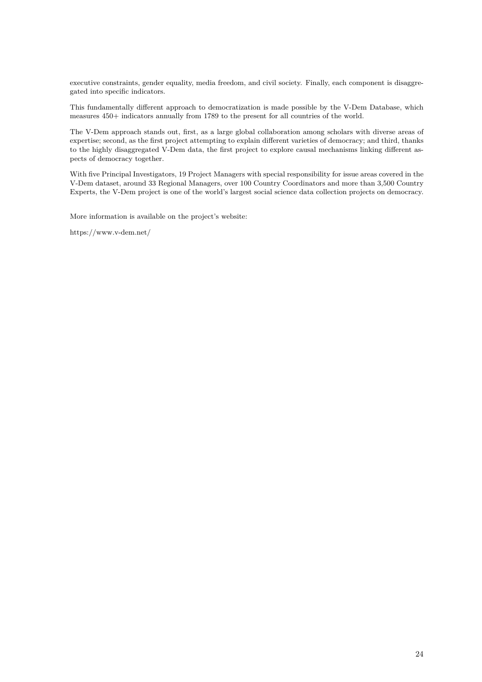executive constraints, gender equality, media freedom, and civil society. Finally, each component is disaggregated into specific indicators.

This fundamentally different approach to democratization is made possible by the V-Dem Database, which measures 450+ indicators annually from 1789 to the present for all countries of the world.

The V-Dem approach stands out, first, as a large global collaboration among scholars with diverse areas of expertise; second, as the first project attempting to explain different varieties of democracy; and third, thanks to the highly disaggregated V-Dem data, the first project to explore causal mechanisms linking different aspects of democracy together.

With five Principal Investigators, 19 Project Managers with special responsibility for issue areas covered in the V-Dem dataset, around 33 Regional Managers, over 100 Country Coordinators and more than 3,500 Country Experts, the V-Dem project is one of the world's largest social science data collection projects on democracy.

More information is available on the project's website:

<span id="page-24-0"></span><https://www.v-dem.net/>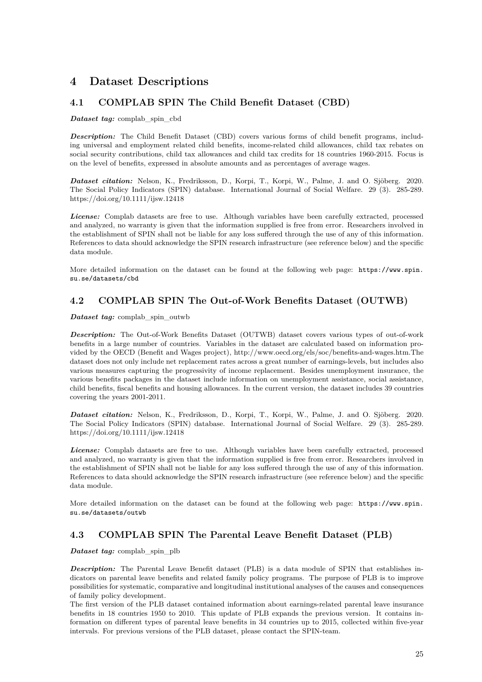# **4 Dataset Descriptions**

# <span id="page-25-0"></span>**4.1 COMPLAB SPIN The Child Benefit Dataset (CBD)**

*Dataset tag:* complab\_spin\_cbd

*Description:* The Child Benefit Dataset (CBD) covers various forms of child benefit programs, including universal and employment related child benefits, income-related child allowances, child tax rebates on social security contributions, child tax allowances and child tax credits for 18 countries 1960-2015. Focus is on the level of benefits, expressed in absolute amounts and as percentages of average wages.

*Dataset citation:* Nelson, K., Fredriksson, D., Korpi, T., Korpi, W., Palme, J. and O. Sjöberg. 2020. The Social Policy Indicators (SPIN) database. International Journal of Social Welfare. 29 (3). 285-289. https://doi.org/10.1111/ijsw.12418

*License:* Complab datasets are free to use. Although variables have been carefully extracted, processed and analyzed, no warranty is given that the information supplied is free from error. Researchers involved in the establishment of SPIN shall not be liable for any loss suffered through the use of any of this information. References to data should acknowledge the SPIN research infrastructure (see reference below) and the specific data module.

More detailed information on the dataset can be found at the following web page: [https://www.spin.](https://www.spin.su.se/datasets/cbd) [su.se/datasets/cbd](https://www.spin.su.se/datasets/cbd)

# <span id="page-25-1"></span>**4.2 COMPLAB SPIN The Out-of-Work Benefits Dataset (OUTWB)**

*Dataset tag:* complab\_spin\_outwb

*Description:* The Out-of-Work Benefits Dataset (OUTWB) dataset covers various types of out-of-work benefits in a large number of countries. Variables in the dataset are calculated based on information provided by the OECD (Benefit and Wages project), http://www.oecd.org/els/soc/benefits-and-wages.htm.The dataset does not only include net replacement rates across a great number of earnings-levels, but includes also various measures capturing the progressivity of income replacement. Besides unemployment insurance, the various benefits packages in the dataset include information on unemployment assistance, social assistance, child benefits, fiscal benefits and housing allowances. In the current version, the dataset includes 39 countries covering the years 2001-2011.

*Dataset citation:* Nelson, K., Fredriksson, D., Korpi, T., Korpi, W., Palme, J. and O. Sjöberg. 2020. The Social Policy Indicators (SPIN) database. International Journal of Social Welfare. 29 (3). 285-289. https://doi.org/10.1111/ijsw.12418

*License:* Complab datasets are free to use. Although variables have been carefully extracted, processed and analyzed, no warranty is given that the information supplied is free from error. Researchers involved in the establishment of SPIN shall not be liable for any loss suffered through the use of any of this information. References to data should acknowledge the SPIN research infrastructure (see reference below) and the specific data module.

More detailed information on the dataset can be found at the following web page: [https://www.spin.](https://www.spin.su.se/datasets/outwb) [su.se/datasets/outwb](https://www.spin.su.se/datasets/outwb)

# <span id="page-25-2"></span>**4.3 COMPLAB SPIN The Parental Leave Benefit Dataset (PLB)**

*Dataset tag:* complab spin plb

*Description:* The Parental Leave Benefit dataset (PLB) is a data module of SPIN that establishes indicators on parental leave benefits and related family policy programs. The purpose of PLB is to improve possibilities for systematic, comparative and longitudinal institutional analyses of the causes and consequences of family policy development.

The first version of the PLB dataset contained information about earnings-related parental leave insurance benefits in 18 countries 1950 to 2010. This update of PLB expands the previous version. It contains information on different types of parental leave benefits in 34 countries up to 2015, collected within five-year intervals. For previous versions of the PLB dataset, please contact the SPIN-team.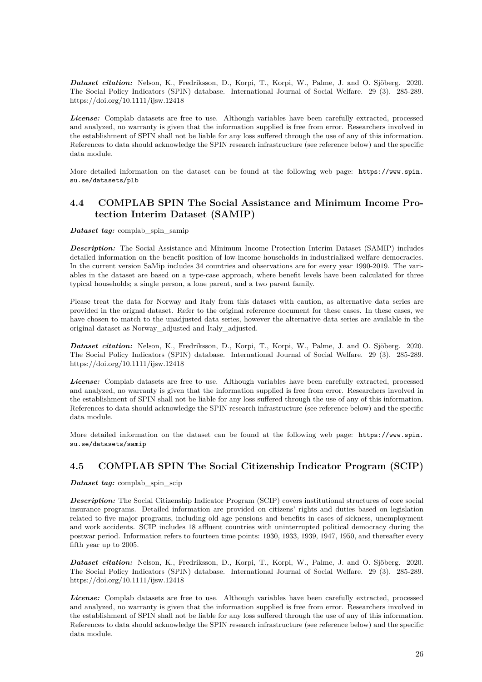*Dataset citation:* Nelson, K., Fredriksson, D., Korpi, T., Korpi, W., Palme, J. and O. Sjöberg. 2020. The Social Policy Indicators (SPIN) database. International Journal of Social Welfare. 29 (3). 285-289. https://doi.org/10.1111/ijsw.12418

*License:* Complab datasets are free to use. Although variables have been carefully extracted, processed and analyzed, no warranty is given that the information supplied is free from error. Researchers involved in the establishment of SPIN shall not be liable for any loss suffered through the use of any of this information. References to data should acknowledge the SPIN research infrastructure (see reference below) and the specific data module.

More detailed information on the dataset can be found at the following web page: [https://www.spin.](https://www.spin.su.se/datasets/plb) [su.se/datasets/plb](https://www.spin.su.se/datasets/plb)

# <span id="page-26-0"></span>**4.4 COMPLAB SPIN The Social Assistance and Minimum Income Protection Interim Dataset (SAMIP)**

*Dataset tag:* complab\_spin\_samip

*Description:* The Social Assistance and Minimum Income Protection Interim Dataset (SAMIP) includes detailed information on the benefit position of low-income households in industrialized welfare democracies. In the current version SaMip includes 34 countries and observations are for every year 1990-2019. The variables in the dataset are based on a type-case approach, where benefit levels have been calculated for three typical households; a single person, a lone parent, and a two parent family.

Please treat the data for Norway and Italy from this dataset with caution, as alternative data series are provided in the orignal dataset. Refer to the original reference document for these cases. In these cases, we have chosen to match to the unadjusted data series, however the alternative data series are available in the original dataset as Norway\_adjusted and Italy\_adjusted.

*Dataset citation:* Nelson, K., Fredriksson, D., Korpi, T., Korpi, W., Palme, J. and O. Sjöberg. 2020. The Social Policy Indicators (SPIN) database. International Journal of Social Welfare. 29 (3). 285-289. https://doi.org/10.1111/ijsw.12418

*License:* Complab datasets are free to use. Although variables have been carefully extracted, processed and analyzed, no warranty is given that the information supplied is free from error. Researchers involved in the establishment of SPIN shall not be liable for any loss suffered through the use of any of this information. References to data should acknowledge the SPIN research infrastructure (see reference below) and the specific data module.

More detailed information on the dataset can be found at the following web page: [https://www.spin.](https://www.spin.su.se/datasets/samip) [su.se/datasets/samip](https://www.spin.su.se/datasets/samip)

# <span id="page-26-1"></span>**4.5 COMPLAB SPIN The Social Citizenship Indicator Program (SCIP)**

*Dataset tag:* complab\_spin\_scip

*Description:* The Social Citizenship Indicator Program (SCIP) covers institutional structures of core social insurance programs. Detailed information are provided on citizens' rights and duties based on legislation related to five major programs, including old age pensions and benefits in cases of sickness, unemployment and work accidents. SCIP includes 18 affluent countries with uninterrupted political democracy during the postwar period. Information refers to fourteen time points: 1930, 1933, 1939, 1947, 1950, and thereafter every fifth year up to 2005.

*Dataset citation:* Nelson, K., Fredriksson, D., Korpi, T., Korpi, W., Palme, J. and O. Sjöberg. 2020. The Social Policy Indicators (SPIN) database. International Journal of Social Welfare. 29 (3). 285-289. https://doi.org/10.1111/ijsw.12418

*License:* Complab datasets are free to use. Although variables have been carefully extracted, processed and analyzed, no warranty is given that the information supplied is free from error. Researchers involved in the establishment of SPIN shall not be liable for any loss suffered through the use of any of this information. References to data should acknowledge the SPIN research infrastructure (see reference below) and the specific data module.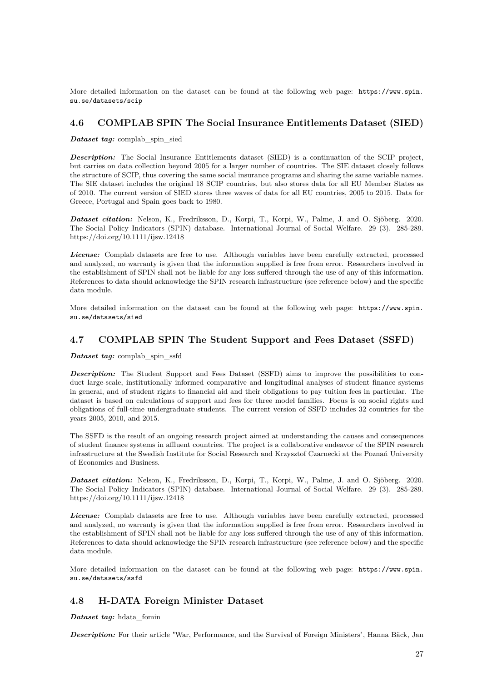More detailed information on the dataset can be found at the following web page: [https://www.spin.](https://www.spin.su.se/datasets/scip) [su.se/datasets/scip](https://www.spin.su.se/datasets/scip)

## <span id="page-27-0"></span>**4.6 COMPLAB SPIN The Social Insurance Entitlements Dataset (SIED)**

*Dataset tag:* complab\_spin\_sied

**Description:** The Social Insurance Entitlements dataset (SIED) is a continuation of the SCIP project, but carries on data collection beyond 2005 for a larger number of countries. The SIE dataset closely follows the structure of SCIP, thus covering the same social insurance programs and sharing the same variable names. The SIE dataset includes the original 18 SCIP countries, but also stores data for all EU Member States as of 2010. The current version of SIED stores three waves of data for all EU countries, 2005 to 2015. Data for Greece, Portugal and Spain goes back to 1980.

*Dataset citation:* Nelson, K., Fredriksson, D., Korpi, T., Korpi, W., Palme, J. and O. Sjöberg. 2020. The Social Policy Indicators (SPIN) database. International Journal of Social Welfare. 29 (3). 285-289. https://doi.org/10.1111/ijsw.12418

*License:* Complab datasets are free to use. Although variables have been carefully extracted, processed and analyzed, no warranty is given that the information supplied is free from error. Researchers involved in the establishment of SPIN shall not be liable for any loss suffered through the use of any of this information. References to data should acknowledge the SPIN research infrastructure (see reference below) and the specific data module.

More detailed information on the dataset can be found at the following web page: [https://www.spin.](https://www.spin.su.se/datasets/sied) [su.se/datasets/sied](https://www.spin.su.se/datasets/sied)

# <span id="page-27-1"></span>**4.7 COMPLAB SPIN The Student Support and Fees Dataset (SSFD)**

*Dataset tag:* complab\_spin\_ssfd

**Description:** The Student Support and Fees Dataset (SSFD) aims to improve the possibilities to conduct large-scale, institutionally informed comparative and longitudinal analyses of student finance systems in general, and of student rights to financial aid and their obligations to pay tuition fees in particular. The dataset is based on calculations of support and fees for three model families. Focus is on social rights and obligations of full-time undergraduate students. The current version of SSFD includes 32 countries for the years 2005, 2010, and 2015.

The SSFD is the result of an ongoing research project aimed at understanding the causes and consequences of student finance systems in affluent countries. The project is a collaborative endeavor of the SPIN research infrastructure at the Swedish Institute for Social Research and Krzysztof Czarnecki at the Poznań University of Economics and Business.

*Dataset citation:* Nelson, K., Fredriksson, D., Korpi, T., Korpi, W., Palme, J. and O. Sjöberg. 2020. The Social Policy Indicators (SPIN) database. International Journal of Social Welfare. 29 (3). 285-289. https://doi.org/10.1111/ijsw.12418

*License:* Complab datasets are free to use. Although variables have been carefully extracted, processed and analyzed, no warranty is given that the information supplied is free from error. Researchers involved in the establishment of SPIN shall not be liable for any loss suffered through the use of any of this information. References to data should acknowledge the SPIN research infrastructure (see reference below) and the specific data module.

More detailed information on the dataset can be found at the following web page: [https://www.spin.](https://www.spin.su.se/datasets/ssfd) [su.se/datasets/ssfd](https://www.spin.su.se/datasets/ssfd)

# <span id="page-27-2"></span>**4.8 H-DATA Foreign Minister Dataset**

*Dataset tag:* hdata\_fomin

*Description:* For their article "War, Performance, and the Survival of Foreign Ministers", Hanna Bäck, Jan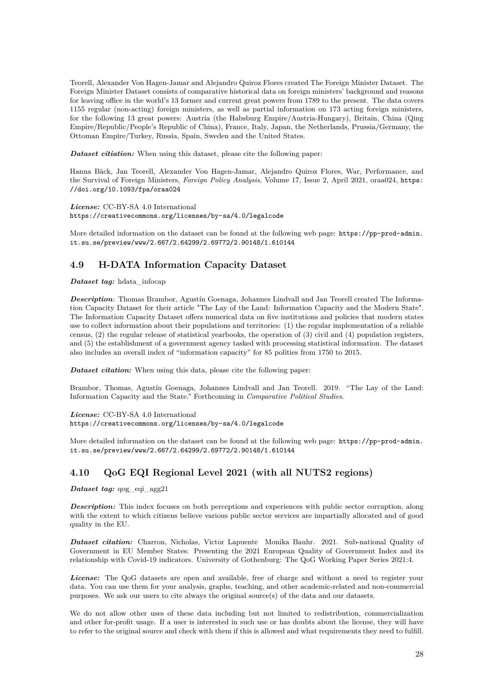Teorell, Alexander Von Hagen-Jamar and Alejandro Quiroz Flores created The Foreign Minister Dataset. The Foreign Minister Dataset consists of comparative historical data on foreign ministers' background and reasons for leaving office in the world's 13 former and current great powers from 1789 to the present. The data covers 1155 regular (non-acting) foreign ministers, as well as partial information on 173 acting foreign ministers, for the following 13 great powers: Austria (the Habsburg Empire/Austria-Hungary), Britain, China (Qing Empire/Republic/People's Republic of China), France, Italy, Japan, the Netherlands, Prussia/Germany, the Ottoman Empire/Turkey, Russia, Spain, Sweden and the United States.

*Dataset citiation:* When using this dataset, please cite the following paper:

Hanna Bäck, Jan Teorell, Alexander Von Hagen-Jamar, Alejandro Quiroz Flores, War, Performance, and the Survival of Foreign Ministers, *Foreign Policy Analysis*, Volume 17, Issue 2, April 2021, oraa024, [https:](https://doi.org/10.1093/fpa/oraa024) [//doi.org/10.1093/fpa/oraa024](https://doi.org/10.1093/fpa/oraa024)

*License:* CC-BY-SA 4.0 International <https://creativecommons.org/licenses/by-sa/4.0/legalcode>

More detailed information on the dataset can be found at the following web page: [https://pp-prod-admin.](https://pp-prod-admin.it.su.se/preview/www/2.667/2.64299/2.69772/2.90148/1.610144) [it.su.se/preview/www/2.667/2.64299/2.69772/2.90148/1.610144](https://pp-prod-admin.it.su.se/preview/www/2.667/2.64299/2.69772/2.90148/1.610144)

# <span id="page-28-0"></span>**4.9 H-DATA Information Capacity Dataset**

*Dataset tag:* hdata\_infocap

*Description*: Thomas Brambor, Agustín Goenaga, Johannes Lindvall and Jan Teorell created The Information Capacity Dataset for their article "The Lay of the Land: Information Capacity and the Modern State". The Information Capacity Dataset offers numerical data on five institutions and policies that modern states use to collect information about their populations and territories: (1) the regular implementation of a reliable census, (2) the regular release of statistical yearbooks, the operation of (3) civil and (4) population registers, and (5) the establishment of a government agency tasked with processing statistical information. The dataset also includes an overall index of "information capacity" for 85 polities from 1750 to 2015.

*Dataset citation:* When using this data, please cite the following paper:

Brambor, Thomas, Agustín Goenaga, Johannes Lindvall and Jan Teorell. 2019. "The Lay of the Land: Information Capacity and the State." Forthcoming in *Comparative Political Studies*.

*License:* CC-BY-SA 4.0 International <https://creativecommons.org/licenses/by-sa/4.0/legalcode>

More detailed information on the dataset can be found at the following web page: [https://pp-prod-admin.](https://pp-prod-admin.it.su.se/preview/www/2.667/2.64299/2.69772/2.90148/1.610144) [it.su.se/preview/www/2.667/2.64299/2.69772/2.90148/1.610144](https://pp-prod-admin.it.su.se/preview/www/2.667/2.64299/2.69772/2.90148/1.610144)

# <span id="page-28-1"></span>**4.10 QoG EQI Regional Level 2021 (with all NUTS2 regions)**

*Dataset tag:* qog\_eqi\_agg21

*Description:* This index focuses on both perceptions and experiences with public sector corruption, along with the extent to which citizens believe various public sector services are impartially allocated and of good quality in the EU.

*Dataset citation:* Charron, Nicholas, Victor Lapuente Monika Bauhr. 2021. Sub-national Quality of Government in EU Member States: Presenting the 2021 European Quality of Government Index and its relationship with Covid-19 indicators. University of Gothenburg: The QoG Working Paper Series 2021:4.

*License:* The QoG datasets are open and available, free of charge and without a need to register your data. You can use them for your analysis, graphs, teaching, and other academic-related and non-commercial purposes. We ask our users to cite always the original source(s) of the data and our datasets.

We do not allow other uses of these data including but not limited to redistribution, commercialization and other for-profit usage. If a user is interested in such use or has doubts about the license, they will have to refer to the original source and check with them if this is allowed and what requirements they need to fulfill.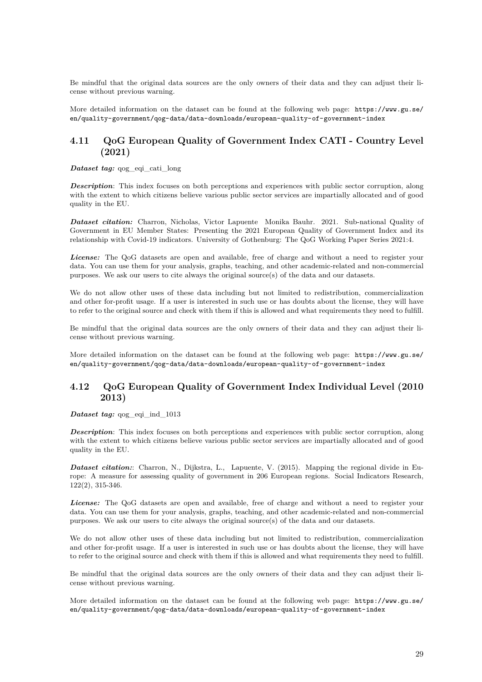Be mindful that the original data sources are the only owners of their data and they can adjust their license without previous warning.

More detailed information on the dataset can be found at the following web page: [https://www.gu.se/](https://www.gu.se/en/quality-government/qog-data/data-downloads/european-quality-of-government-index) [en/quality-government/qog-data/data-downloads/european-quality-of-government-index](https://www.gu.se/en/quality-government/qog-data/data-downloads/european-quality-of-government-index)

# <span id="page-29-0"></span>**4.11 QoG European Quality of Government Index CATI - Country Level (2021)**

*Dataset tag:*  $q \circ q$  eqi cati long

*Description*: This index focuses on both perceptions and experiences with public sector corruption, along with the extent to which citizens believe various public sector services are impartially allocated and of good quality in the EU.

*Dataset citation:* Charron, Nicholas, Victor Lapuente Monika Bauhr. 2021. Sub-national Quality of Government in EU Member States: Presenting the 2021 European Quality of Government Index and its relationship with Covid-19 indicators. University of Gothenburg: The QoG Working Paper Series 2021:4.

*License:* The QoG datasets are open and available, free of charge and without a need to register your data. You can use them for your analysis, graphs, teaching, and other academic-related and non-commercial purposes. We ask our users to cite always the original source(s) of the data and our datasets.

We do not allow other uses of these data including but not limited to redistribution, commercialization and other for-profit usage. If a user is interested in such use or has doubts about the license, they will have to refer to the original source and check with them if this is allowed and what requirements they need to fulfill.

Be mindful that the original data sources are the only owners of their data and they can adjust their license without previous warning.

More detailed information on the dataset can be found at the following web page: [https://www.gu.se/](https://www.gu.se/en/quality-government/qog-data/data-downloads/european-quality-of-government-index) [en/quality-government/qog-data/data-downloads/european-quality-of-government-index](https://www.gu.se/en/quality-government/qog-data/data-downloads/european-quality-of-government-index)

# <span id="page-29-1"></span>**4.12 QoG European Quality of Government Index Individual Level (2010 2013)**

*Dataset tag:* qog\_eqi\_ind\_1013

*Description*: This index focuses on both perceptions and experiences with public sector corruption, along with the extent to which citizens believe various public sector services are impartially allocated and of good quality in the EU.

*Dataset citation:*: Charron, N., Dijkstra, L., Lapuente, V. (2015). Mapping the regional divide in Europe: A measure for assessing quality of government in 206 European regions. Social Indicators Research, 122(2), 315-346.

*License:* The QoG datasets are open and available, free of charge and without a need to register your data. You can use them for your analysis, graphs, teaching, and other academic-related and non-commercial purposes. We ask our users to cite always the original source(s) of the data and our datasets.

We do not allow other uses of these data including but not limited to redistribution, commercialization and other for-profit usage. If a user is interested in such use or has doubts about the license, they will have to refer to the original source and check with them if this is allowed and what requirements they need to fulfill.

Be mindful that the original data sources are the only owners of their data and they can adjust their license without previous warning.

More detailed information on the dataset can be found at the following web page: [https://www.gu.se/](https://www.gu.se/en/quality-government/qog-data/data-downloads/european-quality-of-government-index) [en/quality-government/qog-data/data-downloads/european-quality-of-government-index](https://www.gu.se/en/quality-government/qog-data/data-downloads/european-quality-of-government-index)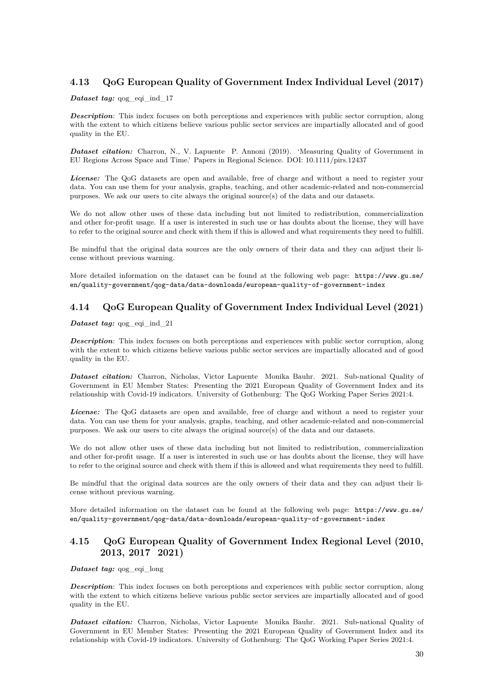# <span id="page-30-0"></span>**4.13 QoG European Quality of Government Index Individual Level (2017)**

## *Dataset tag:* qog\_eqi\_ind\_17

*Description*: This index focuses on both perceptions and experiences with public sector corruption, along with the extent to which citizens believe various public sector services are impartially allocated and of good quality in the EU.

*Dataset citation:* Charron, N., V. Lapuente P. Annoni (2019). 'Measuring Quality of Government in EU Regions Across Space and Time.' Papers in Regional Science. DOI: 10.1111/pirs.12437

*License:* The QoG datasets are open and available, free of charge and without a need to register your data. You can use them for your analysis, graphs, teaching, and other academic-related and non-commercial purposes. We ask our users to cite always the original source(s) of the data and our datasets.

We do not allow other uses of these data including but not limited to redistribution, commercialization and other for-profit usage. If a user is interested in such use or has doubts about the license, they will have to refer to the original source and check with them if this is allowed and what requirements they need to fulfill.

Be mindful that the original data sources are the only owners of their data and they can adjust their license without previous warning.

More detailed information on the dataset can be found at the following web page: [https://www.gu.se/](https://www.gu.se/en/quality-government/qog-data/data-downloads/european-quality-of-government-index) [en/quality-government/qog-data/data-downloads/european-quality-of-government-index](https://www.gu.se/en/quality-government/qog-data/data-downloads/european-quality-of-government-index)

# <span id="page-30-1"></span>**4.14 QoG European Quality of Government Index Individual Level (2021)**

*Dataset tag:* qog\_eqi\_ind\_21

*Description*: This index focuses on both perceptions and experiences with public sector corruption, along with the extent to which citizens believe various public sector services are impartially allocated and of good quality in the EU.

*Dataset citation:* Charron, Nicholas, Victor Lapuente Monika Bauhr. 2021. Sub-national Quality of Government in EU Member States: Presenting the 2021 European Quality of Government Index and its relationship with Covid-19 indicators. University of Gothenburg: The QoG Working Paper Series 2021:4.

*License:* The QoG datasets are open and available, free of charge and without a need to register your data. You can use them for your analysis, graphs, teaching, and other academic-related and non-commercial purposes. We ask our users to cite always the original source(s) of the data and our datasets.

We do not allow other uses of these data including but not limited to redistribution, commercialization and other for-profit usage. If a user is interested in such use or has doubts about the license, they will have to refer to the original source and check with them if this is allowed and what requirements they need to fulfill.

Be mindful that the original data sources are the only owners of their data and they can adjust their license without previous warning.

More detailed information on the dataset can be found at the following web page: [https://www.gu.se/](https://www.gu.se/en/quality-government/qog-data/data-downloads/european-quality-of-government-index) [en/quality-government/qog-data/data-downloads/european-quality-of-government-index](https://www.gu.se/en/quality-government/qog-data/data-downloads/european-quality-of-government-index)

# <span id="page-30-2"></span>**4.15 QoG European Quality of Government Index Regional Level (2010, 2013, 2017 2021)**

*Dataset tag:* qog\_eqi\_long

*Description*: This index focuses on both perceptions and experiences with public sector corruption, along with the extent to which citizens believe various public sector services are impartially allocated and of good quality in the EU.

*Dataset citation:* Charron, Nicholas, Victor Lapuente Monika Bauhr. 2021. Sub-national Quality of Government in EU Member States: Presenting the 2021 European Quality of Government Index and its relationship with Covid-19 indicators. University of Gothenburg: The QoG Working Paper Series 2021:4.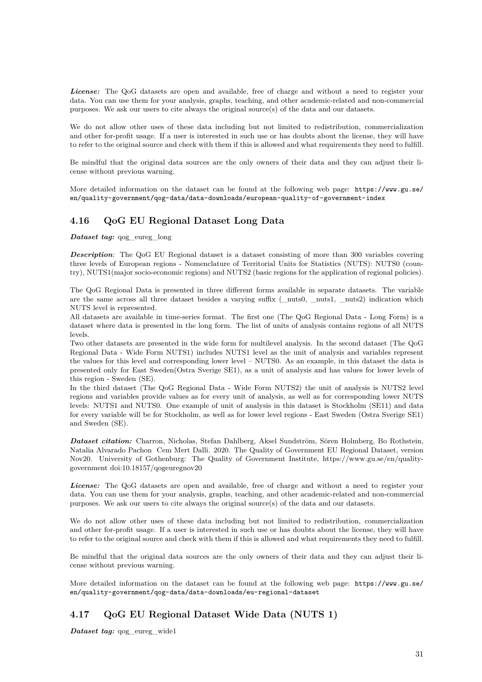*License:* The QoG datasets are open and available, free of charge and without a need to register your data. You can use them for your analysis, graphs, teaching, and other academic-related and non-commercial purposes. We ask our users to cite always the original source(s) of the data and our datasets.

We do not allow other uses of these data including but not limited to redistribution, commercialization and other for-profit usage. If a user is interested in such use or has doubts about the license, they will have to refer to the original source and check with them if this is allowed and what requirements they need to fulfill.

Be mindful that the original data sources are the only owners of their data and they can adjust their license without previous warning.

More detailed information on the dataset can be found at the following web page: [https://www.gu.se/](https://www.gu.se/en/quality-government/qog-data/data-downloads/european-quality-of-government-index) [en/quality-government/qog-data/data-downloads/european-quality-of-government-index](https://www.gu.se/en/quality-government/qog-data/data-downloads/european-quality-of-government-index)

# <span id="page-31-0"></span>**4.16 QoG EU Regional Dataset Long Data**

*Dataset tag:* qog\_eureg\_long

**Description**: The QoG EU Regional dataset is a dataset consisting of more than 300 variables covering three levels of European regions - Nomenclature of Territorial Units for Statistics (NUTS): NUTS0 (country), NUTS1(major socio-economic regions) and NUTS2 (basic regions for the application of regional policies).

The QoG Regional Data is presented in three different forms available in separate datasets. The variable are the same across all three dataset besides a varying suffix (\_nuts0, \_nuts1, \_nuts2) indication which NUTS level is represented.

All datasets are available in time-series format. The first one (The QoG Regional Data - Long Form) is a dataset where data is presented in the long form. The list of units of analysis contains regions of all NUTS levels.

Two other datasets are presented in the wide form for multilevel analysis. In the second dataset (The QoG Regional Data - Wide Form NUTS1) includes NUTS1 level as the unit of analysis and variables represent the values for this level and corresponding lower level – NUTS0. As an example, in this dataset the data is presented only for East Sweden(Ostra Sverige SE1), as a unit of analysis and has values for lower levels of this region - Sweden (SE).

In the third dataset (The QoG Regional Data - Wide Form NUTS2) the unit of analysis is NUTS2 level regions and variables provide values as for every unit of analysis, as well as for corresponding lower NUTS levels: NUTS1 and NUTS0. One example of unit of analysis in this dataset is Stockholm (SE11) and data for every variable will be for Stockholm, as well as for lower level regions - East Sweden (Ostra Sverige SE1) and Sweden (SE).

*Dataset citation:* Charron, Nicholas, Stefan Dahlberg, Aksel Sundström, Sören Holmberg, Bo Rothstein, Natalia Alvarado Pachon Cem Mert Dalli. 2020. The Quality of Government EU Regional Dataset, version Nov20. University of Gothenburg: The Quality of Government Institute, https://www.gu.se/en/qualitygovernment doi:10.18157/qogeuregnov20

*License:* The QoG datasets are open and available, free of charge and without a need to register your data. You can use them for your analysis, graphs, teaching, and other academic-related and non-commercial purposes. We ask our users to cite always the original source(s) of the data and our datasets.

We do not allow other uses of these data including but not limited to redistribution, commercialization and other for-profit usage. If a user is interested in such use or has doubts about the license, they will have to refer to the original source and check with them if this is allowed and what requirements they need to fulfill.

Be mindful that the original data sources are the only owners of their data and they can adjust their license without previous warning.

More detailed information on the dataset can be found at the following web page: [https://www.gu.se/](https://www.gu.se/en/quality-government/qog-data/data-downloads/eu-regional-dataset) [en/quality-government/qog-data/data-downloads/eu-regional-dataset](https://www.gu.se/en/quality-government/qog-data/data-downloads/eu-regional-dataset)

# <span id="page-31-1"></span>**4.17 QoG EU Regional Dataset Wide Data (NUTS 1)**

*Dataset tag:* qog\_eureg\_wide1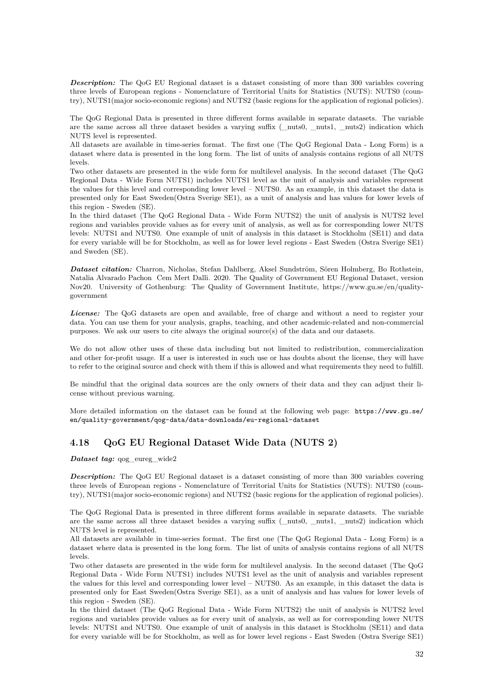**Description:** The QoG EU Regional dataset is a dataset consisting of more than 300 variables covering three levels of European regions - Nomenclature of Territorial Units for Statistics (NUTS): NUTS0 (country), NUTS1(major socio-economic regions) and NUTS2 (basic regions for the application of regional policies).

The QoG Regional Data is presented in three different forms available in separate datasets. The variable are the same across all three dataset besides a varying suffix (\_nuts0, \_nuts1, \_nuts2) indication which NUTS level is represented.

All datasets are available in time-series format. The first one (The QoG Regional Data - Long Form) is a dataset where data is presented in the long form. The list of units of analysis contains regions of all NUTS levels.

Two other datasets are presented in the wide form for multilevel analysis. In the second dataset (The QoG Regional Data - Wide Form NUTS1) includes NUTS1 level as the unit of analysis and variables represent the values for this level and corresponding lower level – NUTS0. As an example, in this dataset the data is presented only for East Sweden(Ostra Sverige SE1), as a unit of analysis and has values for lower levels of this region - Sweden (SE).

In the third dataset (The QoG Regional Data - Wide Form NUTS2) the unit of analysis is NUTS2 level regions and variables provide values as for every unit of analysis, as well as for corresponding lower NUTS levels: NUTS1 and NUTS0. One example of unit of analysis in this dataset is Stockholm (SE11) and data for every variable will be for Stockholm, as well as for lower level regions - East Sweden (Ostra Sverige SE1) and Sweden (SE).

*Dataset citation:* Charron, Nicholas, Stefan Dahlberg, Aksel Sundström, Sören Holmberg, Bo Rothstein, Natalia Alvarado Pachon Cem Mert Dalli. 2020. The Quality of Government EU Regional Dataset, version Nov20. University of Gothenburg: The Quality of Government Institute, https://www.gu.se/en/qualitygovernment

*License:* The QoG datasets are open and available, free of charge and without a need to register your data. You can use them for your analysis, graphs, teaching, and other academic-related and non-commercial purposes. We ask our users to cite always the original source(s) of the data and our datasets.

We do not allow other uses of these data including but not limited to redistribution, commercialization and other for-profit usage. If a user is interested in such use or has doubts about the license, they will have to refer to the original source and check with them if this is allowed and what requirements they need to fulfill.

Be mindful that the original data sources are the only owners of their data and they can adjust their license without previous warning.

More detailed information on the dataset can be found at the following web page: [https://www.gu.se/](https://www.gu.se/en/quality-government/qog-data/data-downloads/eu-regional-dataset) [en/quality-government/qog-data/data-downloads/eu-regional-dataset](https://www.gu.se/en/quality-government/qog-data/data-downloads/eu-regional-dataset)

# <span id="page-32-0"></span>**4.18 QoG EU Regional Dataset Wide Data (NUTS 2)**

*Dataset tag:* qog eureg wide2

**Description:** The QoG EU Regional dataset is a dataset consisting of more than 300 variables covering three levels of European regions - Nomenclature of Territorial Units for Statistics (NUTS): NUTS0 (country), NUTS1(major socio-economic regions) and NUTS2 (basic regions for the application of regional policies).

The QoG Regional Data is presented in three different forms available in separate datasets. The variable are the same across all three dataset besides a varying suffix (\_nuts0, \_nuts1, \_nuts2) indication which NUTS level is represented.

All datasets are available in time-series format. The first one (The QoG Regional Data - Long Form) is a dataset where data is presented in the long form. The list of units of analysis contains regions of all NUTS levels.

Two other datasets are presented in the wide form for multilevel analysis. In the second dataset (The QoG Regional Data - Wide Form NUTS1) includes NUTS1 level as the unit of analysis and variables represent the values for this level and corresponding lower level – NUTS0. As an example, in this dataset the data is presented only for East Sweden(Ostra Sverige SE1), as a unit of analysis and has values for lower levels of this region - Sweden (SE).

In the third dataset (The QoG Regional Data - Wide Form NUTS2) the unit of analysis is NUTS2 level regions and variables provide values as for every unit of analysis, as well as for corresponding lower NUTS levels: NUTS1 and NUTS0. One example of unit of analysis in this dataset is Stockholm (SE11) and data for every variable will be for Stockholm, as well as for lower level regions - East Sweden (Ostra Sverige SE1)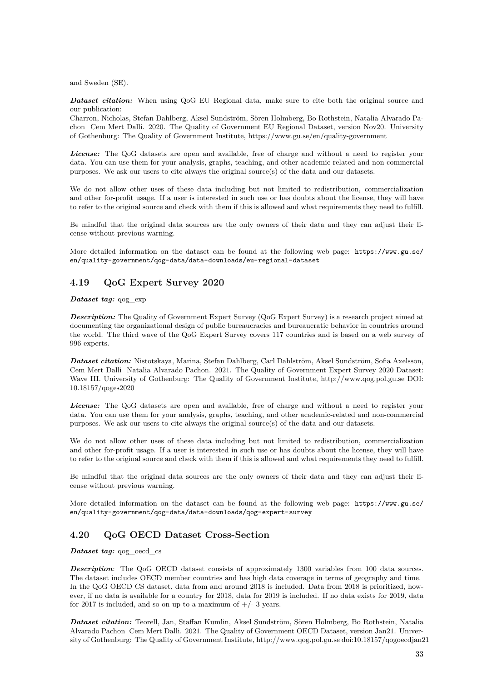and Sweden (SE).

*Dataset citation:* When using QoG EU Regional data, make sure to cite both the original source and our publication:

Charron, Nicholas, Stefan Dahlberg, Aksel Sundström, Sören Holmberg, Bo Rothstein, Natalia Alvarado Pachon Cem Mert Dalli. 2020. The Quality of Government EU Regional Dataset, version Nov20. University of Gothenburg: The Quality of Government Institute, https://www.gu.se/en/quality-government

*License:* The QoG datasets are open and available, free of charge and without a need to register your data. You can use them for your analysis, graphs, teaching, and other academic-related and non-commercial purposes. We ask our users to cite always the original source(s) of the data and our datasets.

We do not allow other uses of these data including but not limited to redistribution, commercialization and other for-profit usage. If a user is interested in such use or has doubts about the license, they will have to refer to the original source and check with them if this is allowed and what requirements they need to fulfill.

Be mindful that the original data sources are the only owners of their data and they can adjust their license without previous warning.

More detailed information on the dataset can be found at the following web page: [https://www.gu.se/](https://www.gu.se/en/quality-government/qog-data/data-downloads/eu-regional-dataset) [en/quality-government/qog-data/data-downloads/eu-regional-dataset](https://www.gu.se/en/quality-government/qog-data/data-downloads/eu-regional-dataset)

# <span id="page-33-0"></span>**4.19 QoG Expert Survey 2020**

## *Dataset tag:* qog\_exp

*Description:* The Quality of Government Expert Survey (QoG Expert Survey) is a research project aimed at documenting the organizational design of public bureaucracies and bureaucratic behavior in countries around the world. The third wave of the QoG Expert Survey covers 117 countries and is based on a web survey of 996 experts.

*Dataset citation:* Nistotskaya, Marina, Stefan Dahlberg, Carl Dahlström, Aksel Sundström, Sofia Axelsson, Cem Mert Dalli Natalia Alvarado Pachon. 2021. The Quality of Government Expert Survey 2020 Dataset: Wave III. University of Gothenburg: The Quality of Government Institute, http://www.qog.pol.gu.se DOI: 10.18157/qoges2020

*License:* The QoG datasets are open and available, free of charge and without a need to register your data. You can use them for your analysis, graphs, teaching, and other academic-related and non-commercial purposes. We ask our users to cite always the original source(s) of the data and our datasets.

We do not allow other uses of these data including but not limited to redistribution, commercialization and other for-profit usage. If a user is interested in such use or has doubts about the license, they will have to refer to the original source and check with them if this is allowed and what requirements they need to fulfill.

Be mindful that the original data sources are the only owners of their data and they can adjust their license without previous warning.

More detailed information on the dataset can be found at the following web page: [https://www.gu.se/](https://www.gu.se/en/quality-government/qog-data/data-downloads/qog-expert-survey) [en/quality-government/qog-data/data-downloads/qog-expert-survey](https://www.gu.se/en/quality-government/qog-data/data-downloads/qog-expert-survey)

# <span id="page-33-1"></span>**4.20 QoG OECD Dataset Cross-Section**

*Dataset tag:* qog\_oecd\_cs

*Description*: The QoG OECD dataset consists of approximately 1300 variables from 100 data sources. The dataset includes OECD member countries and has high data coverage in terms of geography and time. In the QoG OECD CS dataset, data from and around 2018 is included. Data from 2018 is prioritized, however, if no data is available for a country for 2018, data for 2019 is included. If no data exists for 2019, data for 2017 is included, and so on up to a maximum of  $+/- 3$  years.

*Dataset citation:* Teorell, Jan, Staffan Kumlin, Aksel Sundström, Sören Holmberg, Bo Rothstein, Natalia Alvarado Pachon Cem Mert Dalli. 2021. The Quality of Government OECD Dataset, version Jan21. University of Gothenburg: The Quality of Government Institute, http://www.qog.pol.gu.se doi:10.18157/qogoecdjan21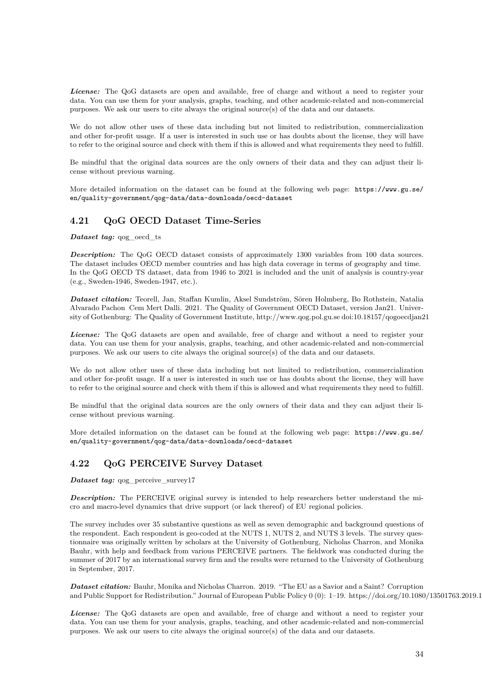*License:* The QoG datasets are open and available, free of charge and without a need to register your data. You can use them for your analysis, graphs, teaching, and other academic-related and non-commercial purposes. We ask our users to cite always the original source(s) of the data and our datasets.

We do not allow other uses of these data including but not limited to redistribution, commercialization and other for-profit usage. If a user is interested in such use or has doubts about the license, they will have to refer to the original source and check with them if this is allowed and what requirements they need to fulfill.

Be mindful that the original data sources are the only owners of their data and they can adjust their license without previous warning.

More detailed information on the dataset can be found at the following web page: [https://www.gu.se/](https://www.gu.se/en/quality-government/qog-data/data-downloads/oecd-dataset) [en/quality-government/qog-data/data-downloads/oecd-dataset](https://www.gu.se/en/quality-government/qog-data/data-downloads/oecd-dataset)

# <span id="page-34-0"></span>**4.21 QoG OECD Dataset Time-Series**

*Dataset tag:* qog\_oecd\_ts

**Description:** The QoG OECD dataset consists of approximately 1300 variables from 100 data sources. The dataset includes OECD member countries and has high data coverage in terms of geography and time. In the QoG OECD TS dataset, data from 1946 to 2021 is included and the unit of analysis is country-year (e.g., Sweden-1946, Sweden-1947, etc.).

*Dataset citation:* Teorell, Jan, Staffan Kumlin, Aksel Sundström, Sören Holmberg, Bo Rothstein, Natalia Alvarado Pachon Cem Mert Dalli. 2021. The Quality of Government OECD Dataset, version Jan21. University of Gothenburg: The Quality of Government Institute, http://www.qog.pol.gu.se doi:10.18157/qogoecdjan21

*License:* The QoG datasets are open and available, free of charge and without a need to register your data. You can use them for your analysis, graphs, teaching, and other academic-related and non-commercial purposes. We ask our users to cite always the original source(s) of the data and our datasets.

We do not allow other uses of these data including but not limited to redistribution, commercialization and other for-profit usage. If a user is interested in such use or has doubts about the license, they will have to refer to the original source and check with them if this is allowed and what requirements they need to fulfill.

Be mindful that the original data sources are the only owners of their data and they can adjust their license without previous warning.

More detailed information on the dataset can be found at the following web page: [https://www.gu.se/](https://www.gu.se/en/quality-government/qog-data/data-downloads/oecd-dataset) [en/quality-government/qog-data/data-downloads/oecd-dataset](https://www.gu.se/en/quality-government/qog-data/data-downloads/oecd-dataset)

# <span id="page-34-1"></span>**4.22 QoG PERCEIVE Survey Dataset**

*Dataset tag:* qog\_perceive\_survey17

**Description:** The PERCEIVE original survey is intended to help researchers better understand the micro and macro-level dynamics that drive support (or lack thereof) of EU regional policies.

The survey includes over 35 substantive questions as well as seven demographic and background questions of the respondent. Each respondent is geo-coded at the NUTS 1, NUTS 2, and NUTS 3 levels. The survey questionnaire was originally written by scholars at the University of Gothenburg, Nicholas Charron, and Monika Bauhr, with help and feedback from various PERCEIVE partners. The fieldwork was conducted during the summer of 2017 by an international survey firm and the results were returned to the University of Gothenburg in September, 2017.

*Dataset citation:* Bauhr, Monika and Nicholas Charron. 2019. "The EU as a Savior and a Saint? Corruption and Public Support for Redistribution." Journal of European Public Policy 0 (0): 1–19. https://doi.org/10.1080/13501763.2019.1

*License:* The QoG datasets are open and available, free of charge and without a need to register your data. You can use them for your analysis, graphs, teaching, and other academic-related and non-commercial purposes. We ask our users to cite always the original source(s) of the data and our datasets.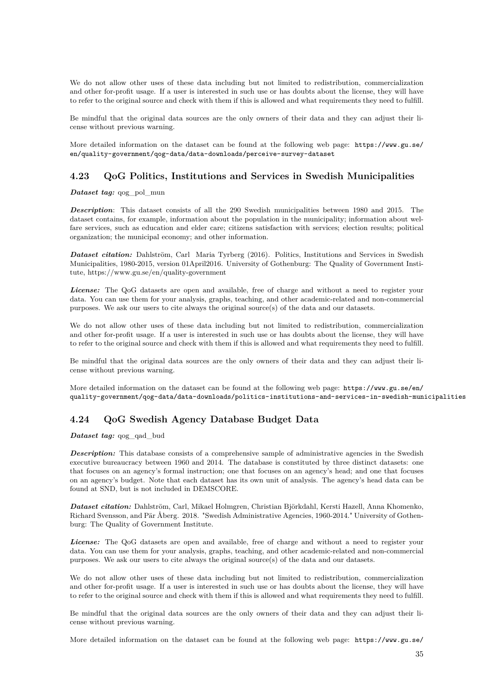We do not allow other uses of these data including but not limited to redistribution, commercialization and other for-profit usage. If a user is interested in such use or has doubts about the license, they will have to refer to the original source and check with them if this is allowed and what requirements they need to fulfill.

Be mindful that the original data sources are the only owners of their data and they can adjust their license without previous warning.

More detailed information on the dataset can be found at the following web page: [https://www.gu.se/](https://www.gu.se/en/quality-government/qog-data/data-downloads/perceive-survey-dataset) [en/quality-government/qog-data/data-downloads/perceive-survey-dataset](https://www.gu.se/en/quality-government/qog-data/data-downloads/perceive-survey-dataset)

## <span id="page-35-0"></span>**4.23 QoG Politics, Institutions and Services in Swedish Municipalities**

*Dataset tag:* qog\_pol\_mun

*Description*: This dataset consists of all the 290 Swedish municipalities between 1980 and 2015. The dataset contains, for example, information about the population in the municipality; information about welfare services, such as education and elder care; citizens satisfaction with services; election results; political organization; the municipal economy; and other information.

*Dataset citation:* Dahlström, Carl Maria Tyrberg (2016). Politics, Institutions and Services in Swedish Municipalities, 1980-2015, version 01April2016. University of Gothenburg: The Quality of Government Institute, https://www.gu.se/en/quality-government

*License:* The QoG datasets are open and available, free of charge and without a need to register your data. You can use them for your analysis, graphs, teaching, and other academic-related and non-commercial purposes. We ask our users to cite always the original source(s) of the data and our datasets.

We do not allow other uses of these data including but not limited to redistribution, commercialization and other for-profit usage. If a user is interested in such use or has doubts about the license, they will have to refer to the original source and check with them if this is allowed and what requirements they need to fulfill.

Be mindful that the original data sources are the only owners of their data and they can adjust their license without previous warning.

More detailed information on the dataset can be found at the following web page: [https://www.gu.se/en/](https://www.gu.se/en/quality-government/qog-data/data-downloads/politics-institutions-and-services-in-swedish-municipalities) [quality-government/qog-data/data-downloads/politics-institutions-and-services-in-swedish-municipalities](https://www.gu.se/en/quality-government/qog-data/data-downloads/politics-institutions-and-services-in-swedish-municipalities)

# <span id="page-35-1"></span>**4.24 QoG Swedish Agency Database Budget Data**

*Dataset tag:* qog qad bud

**Description:** This database consists of a comprehensive sample of administrative agencies in the Swedish executive bureaucracy between 1960 and 2014. The database is constituted by three distinct datasets: one that focuses on an agency's formal instruction; one that focuses on an agency's head; and one that focuses on an agency's budget. Note that each dataset has its own unit of analysis. The agency's head data can be found at SND, but is not included in DEMSCORE.

*Dataset citation:* Dahlström, Carl, Mikael Holmgren, Christian Björkdahl, Kersti Hazell, Anna Khomenko, Richard Svensson, and Pär Åberg. 2018. "Swedish Administrative Agencies, 1960-2014." University of Gothenburg: The Quality of Government Institute.

*License:* The QoG datasets are open and available, free of charge and without a need to register your data. You can use them for your analysis, graphs, teaching, and other academic-related and non-commercial purposes. We ask our users to cite always the original source(s) of the data and our datasets.

We do not allow other uses of these data including but not limited to redistribution, commercialization and other for-profit usage. If a user is interested in such use or has doubts about the license, they will have to refer to the original source and check with them if this is allowed and what requirements they need to fulfill.

Be mindful that the original data sources are the only owners of their data and they can adjust their license without previous warning.

More detailed information on the dataset can be found at the following web page: [https://www.gu.se/](https://www.gu.se/en/quality-government/qog-data/data-downloads/qog-swedish-agency-database)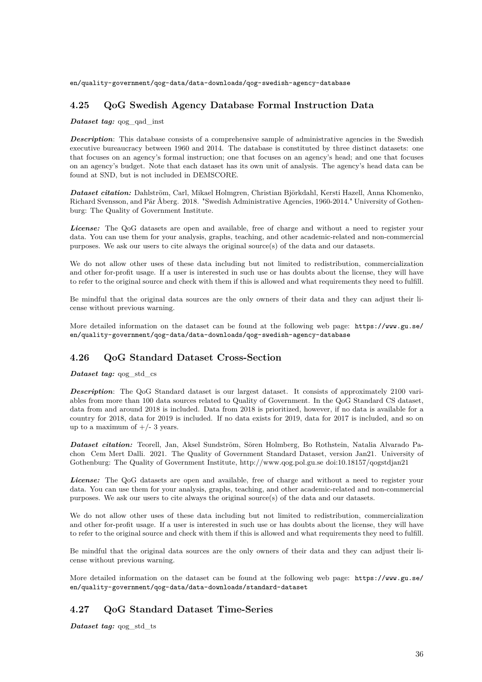[en/quality-government/qog-data/data-downloads/qog-swedish-agency-database](https://www.gu.se/en/quality-government/qog-data/data-downloads/qog-swedish-agency-database)

# **4.25 QoG Swedish Agency Database Formal Instruction Data**

#### *Dataset tag:* qog\_qad\_inst

**Description**: This database consists of a comprehensive sample of administrative agencies in the Swedish executive bureaucracy between 1960 and 2014. The database is constituted by three distinct datasets: one that focuses on an agency's formal instruction; one that focuses on an agency's head; and one that focuses on an agency's budget. Note that each dataset has its own unit of analysis. The agency's head data can be found at SND, but is not included in DEMSCORE.

*Dataset citation:* Dahlström, Carl, Mikael Holmgren, Christian Björkdahl, Kersti Hazell, Anna Khomenko, Richard Svensson, and Pär Åberg. 2018. "Swedish Administrative Agencies, 1960-2014." University of Gothenburg: The Quality of Government Institute.

*License:* The QoG datasets are open and available, free of charge and without a need to register your data. You can use them for your analysis, graphs, teaching, and other academic-related and non-commercial purposes. We ask our users to cite always the original source(s) of the data and our datasets.

We do not allow other uses of these data including but not limited to redistribution, commercialization and other for-profit usage. If a user is interested in such use or has doubts about the license, they will have to refer to the original source and check with them if this is allowed and what requirements they need to fulfill.

Be mindful that the original data sources are the only owners of their data and they can adjust their license without previous warning.

More detailed information on the dataset can be found at the following web page: [https://www.gu.se/](https://www.gu.se/en/quality-government/qog-data/data-downloads/qog-swedish-agency-database) [en/quality-government/qog-data/data-downloads/qog-swedish-agency-database](https://www.gu.se/en/quality-government/qog-data/data-downloads/qog-swedish-agency-database)

### **4.26 QoG Standard Dataset Cross-Section**

#### *Dataset tag:* qog\_std\_cs

*Description*: The QoG Standard dataset is our largest dataset. It consists of approximately 2100 variables from more than 100 data sources related to Quality of Government. In the QoG Standard CS dataset, data from and around 2018 is included. Data from 2018 is prioritized, however, if no data is available for a country for 2018, data for 2019 is included. If no data exists for 2019, data for 2017 is included, and so on up to a maximum of  $+/- 3$  years.

*Dataset citation:* Teorell, Jan, Aksel Sundström, Sören Holmberg, Bo Rothstein, Natalia Alvarado Pachon Cem Mert Dalli. 2021. The Quality of Government Standard Dataset, version Jan21. University of Gothenburg: The Quality of Government Institute, http://www.qog.pol.gu.se doi:10.18157/qogstdjan21

*License:* The QoG datasets are open and available, free of charge and without a need to register your data. You can use them for your analysis, graphs, teaching, and other academic-related and non-commercial purposes. We ask our users to cite always the original source(s) of the data and our datasets.

We do not allow other uses of these data including but not limited to redistribution, commercialization and other for-profit usage. If a user is interested in such use or has doubts about the license, they will have to refer to the original source and check with them if this is allowed and what requirements they need to fulfill.

Be mindful that the original data sources are the only owners of their data and they can adjust their license without previous warning.

More detailed information on the dataset can be found at the following web page: [https://www.gu.se/](https://www.gu.se/en/quality-government/qog-data/data-downloads/standard-dataset) [en/quality-government/qog-data/data-downloads/standard-dataset](https://www.gu.se/en/quality-government/qog-data/data-downloads/standard-dataset)

# **4.27 QoG Standard Dataset Time-Series**

*Dataset tag:* qog\_std\_ts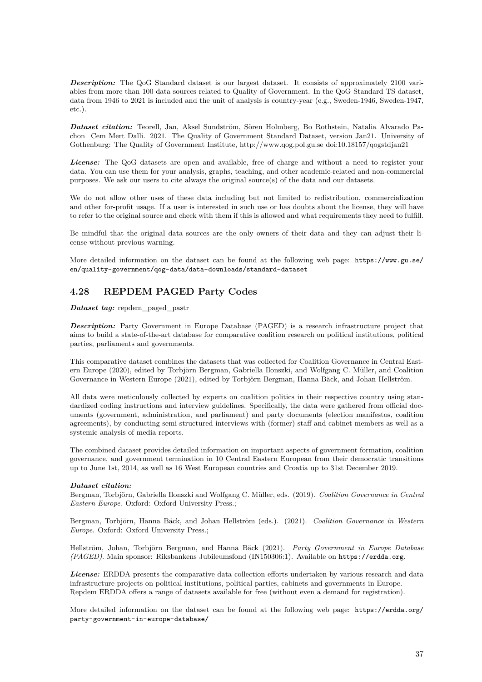**Description:** The QoG Standard dataset is our largest dataset. It consists of approximately 2100 variables from more than 100 data sources related to Quality of Government. In the QoG Standard TS dataset, data from 1946 to 2021 is included and the unit of analysis is country-year (e.g., Sweden-1946, Sweden-1947, etc.).

*Dataset citation:* Teorell, Jan, Aksel Sundström, Sören Holmberg, Bo Rothstein, Natalia Alvarado Pachon Cem Mert Dalli. 2021. The Quality of Government Standard Dataset, version Jan21. University of Gothenburg: The Quality of Government Institute, http://www.qog.pol.gu.se doi:10.18157/qogstdjan21

*License:* The QoG datasets are open and available, free of charge and without a need to register your data. You can use them for your analysis, graphs, teaching, and other academic-related and non-commercial purposes. We ask our users to cite always the original source(s) of the data and our datasets.

We do not allow other uses of these data including but not limited to redistribution, commercialization and other for-profit usage. If a user is interested in such use or has doubts about the license, they will have to refer to the original source and check with them if this is allowed and what requirements they need to fulfill.

Be mindful that the original data sources are the only owners of their data and they can adjust their license without previous warning.

More detailed information on the dataset can be found at the following web page: [https://www.gu.se/](https://www.gu.se/en/quality-government/qog-data/data-downloads/standard-dataset) [en/quality-government/qog-data/data-downloads/standard-dataset](https://www.gu.se/en/quality-government/qog-data/data-downloads/standard-dataset)

# **4.28 REPDEM PAGED Party Codes**

*Dataset tag:* repdem\_paged\_pastr

*Description:* Party Government in Europe Database (PAGED) is a research infrastructure project that aims to build a state-of-the-art database for comparative coalition research on political institutions, political parties, parliaments and governments.

This comparative dataset combines the datasets that was collected for Coalition Governance in Central Eastern Europe (2020), edited by Torbjörn Bergman, Gabriella Ilonszki, and Wolfgang C. Müller, and Coalition Governance in Western Europe (2021), edited by Torbjörn Bergman, Hanna Bäck, and Johan Hellström.

All data were meticulously collected by experts on coalition politics in their respective country using standardized coding instructions and interview guidelines. Specifically, the data were gathered from official documents (government, administration, and parliament) and party documents (election manifestos, coalition agreements), by conducting semi-structured interviews with (former) staff and cabinet members as well as a systemic analysis of media reports.

The combined dataset provides detailed information on important aspects of government formation, coalition governance, and government termination in 10 Central Eastern European from their democratic transitions up to June 1st, 2014, as well as 16 West European countries and Croatia up to 31st December 2019.

#### *Dataset citation:*

Bergman, Torbjörn, Gabriella Ilonszki and Wolfgang C. Müller, eds. (2019). *Coalition Governance in Central Eastern Europe*. Oxford: Oxford University Press.;

Bergman, Torbjörn, Hanna Bäck, and Johan Hellström (eds.). (2021). *Coalition Governance in Western Europe*. Oxford: Oxford University Press.;

Hellström, Johan, Torbjörn Bergman, and Hanna Bäck (2021). *Party Government in Europe Database (PAGED)*. Main sponsor: Riksbankens Jubileumsfond (IN150306:1). Available on <https://erdda.org>.

*License:* ERDDA presents the comparative data collection efforts undertaken by various research and data infrastructure projects on political institutions, political parties, cabinets and governments in Europe. Repdem ERDDA offers a range of datasets available for free (without even a demand for registration).

More detailed information on the dataset can be found at the following web page: [https://erdda.org/](https://erdda.org/party-government-in-europe-database/) [party-government-in-europe-database/](https://erdda.org/party-government-in-europe-database/)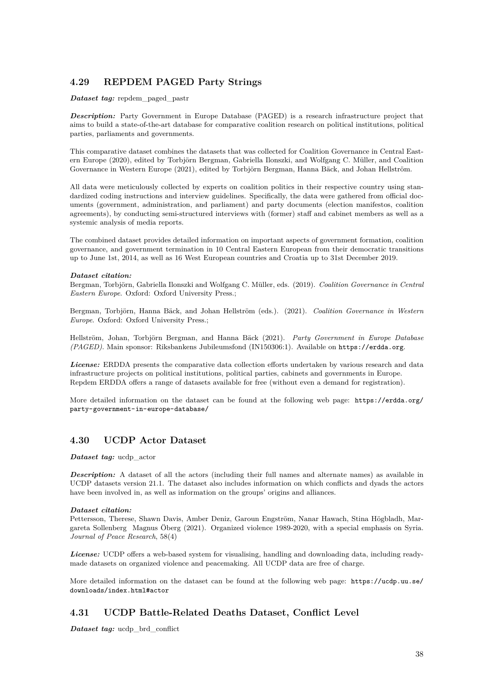# **4.29 REPDEM PAGED Party Strings**

#### *Dataset tag:* repdem\_paged\_pastr

**Description:** Party Government in Europe Database (PAGED) is a research infrastructure project that aims to build a state-of-the-art database for comparative coalition research on political institutions, political parties, parliaments and governments.

This comparative dataset combines the datasets that was collected for Coalition Governance in Central Eastern Europe (2020), edited by Torbjörn Bergman, Gabriella Ilonszki, and Wolfgang C. Müller, and Coalition Governance in Western Europe (2021), edited by Torbjörn Bergman, Hanna Bäck, and Johan Hellström.

All data were meticulously collected by experts on coalition politics in their respective country using standardized coding instructions and interview guidelines. Specifically, the data were gathered from official documents (government, administration, and parliament) and party documents (election manifestos, coalition agreements), by conducting semi-structured interviews with (former) staff and cabinet members as well as a systemic analysis of media reports.

The combined dataset provides detailed information on important aspects of government formation, coalition governance, and government termination in 10 Central Eastern European from their democratic transitions up to June 1st, 2014, as well as 16 West European countries and Croatia up to 31st December 2019.

#### *Dataset citation:*

Bergman, Torbjörn, Gabriella Ilonszki and Wolfgang C. Müller, eds. (2019). *Coalition Governance in Central Eastern Europe*. Oxford: Oxford University Press.;

Bergman, Torbjörn, Hanna Bäck, and Johan Hellström (eds.). (2021). *Coalition Governance in Western Europe*. Oxford: Oxford University Press.;

Hellström, Johan, Torbjörn Bergman, and Hanna Bäck (2021). *Party Government in Europe Database (PAGED)*. Main sponsor: Riksbankens Jubileumsfond (IN150306:1). Available on <https://erdda.org>.

*License:* ERDDA presents the comparative data collection efforts undertaken by various research and data infrastructure projects on political institutions, political parties, cabinets and governments in Europe. Repdem ERDDA offers a range of datasets available for free (without even a demand for registration).

More detailed information on the dataset can be found at the following web page: [https://erdda.org/](https://erdda.org/party-government-in-europe-database/) [party-government-in-europe-database/](https://erdda.org/party-government-in-europe-database/)

## **4.30 UCDP Actor Dataset**

### *Dataset tag:* ucdp\_actor

**Description:** A dataset of all the actors (including their full names and alternate names) as available in UCDP datasets version 21.1. The dataset also includes information on which conflicts and dyads the actors have been involved in, as well as information on the groups' origins and alliances.

### *Dataset citation:*

Pettersson, Therese, Shawn Davis, Amber Deniz, Garoun Engström, Nanar Hawach, Stina Högbladh, Margareta Sollenberg Magnus Öberg (2021). Organized violence 1989-2020, with a special emphasis on Syria. *Journal of Peace Research*, 58(4)

*License:* UCDP offers a web-based system for visualising, handling and downloading data, including readymade datasets on organized violence and peacemaking. All UCDP data are free of charge.

More detailed information on the dataset can be found at the following web page: [https://ucdp.uu.se/](https://ucdp.uu.se/downloads/index.html#actor) [downloads/index.html#actor](https://ucdp.uu.se/downloads/index.html#actor)

## **4.31 UCDP Battle-Related Deaths Dataset, Conflict Level**

*Dataset tag:* ucdp\_brd\_conflict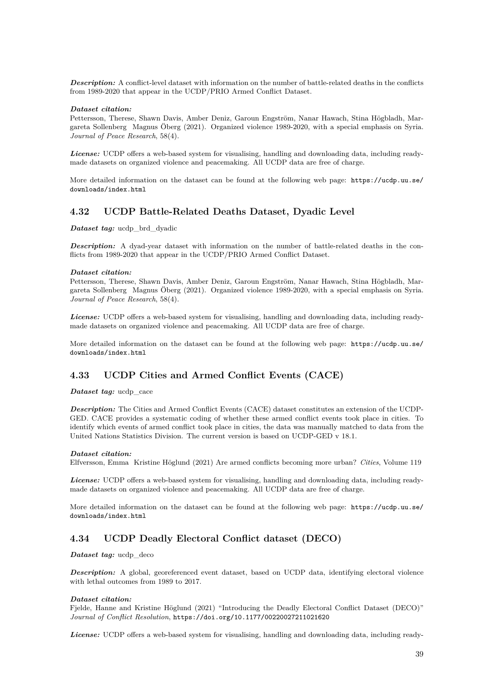*Description:* A conflict-level dataset with information on the number of battle-related deaths in the conflicts from 1989-2020 that appear in the UCDP/PRIO Armed Conflict Dataset.

#### *Dataset citation:*

Pettersson, Therese, Shawn Davis, Amber Deniz, Garoun Engström, Nanar Hawach, Stina Högbladh, Margareta Sollenberg Magnus Öberg (2021). Organized violence 1989-2020, with a special emphasis on Syria. *Journal of Peace Research*, 58(4).

*License:* UCDP offers a web-based system for visualising, handling and downloading data, including readymade datasets on organized violence and peacemaking. All UCDP data are free of charge.

More detailed information on the dataset can be found at the following web page: [https://ucdp.uu.se/](https://ucdp.uu.se/downloads/index.html) [downloads/index.html](https://ucdp.uu.se/downloads/index.html)

### **4.32 UCDP Battle-Related Deaths Dataset, Dyadic Level**

*Dataset tag:* ucdp\_brd\_dyadic

*Description:* A dyad-year dataset with information on the number of battle-related deaths in the conflicts from 1989-2020 that appear in the UCDP/PRIO Armed Conflict Dataset.

#### *Dataset citation:*

Pettersson, Therese, Shawn Davis, Amber Deniz, Garoun Engström, Nanar Hawach, Stina Högbladh, Margareta Sollenberg Magnus Öberg (2021). Organized violence 1989-2020, with a special emphasis on Syria. *Journal of Peace Research*, 58(4).

*License:* UCDP offers a web-based system for visualising, handling and downloading data, including readymade datasets on organized violence and peacemaking. All UCDP data are free of charge.

More detailed information on the dataset can be found at the following web page: [https://ucdp.uu.se/](https://ucdp.uu.se/downloads/index.html) [downloads/index.html](https://ucdp.uu.se/downloads/index.html)

## **4.33 UCDP Cities and Armed Conflict Events (CACE)**

*Dataset tag:* ucdp\_cace

*Description:* The Cities and Armed Conflict Events (CACE) dataset constitutes an extension of the UCDP-GED. CACE provides a systematic coding of whether these armed conflict events took place in cities. To identify which events of armed conflict took place in cities, the data was manually matched to data from the United Nations Statistics Division. The current version is based on UCDP-GED v 18.1.

#### *Dataset citation:*

Elfversson, Emma Kristine Höglund (2021) Are armed conflicts becoming more urban? *Cities*, Volume 119

*License:* UCDP offers a web-based system for visualising, handling and downloading data, including readymade datasets on organized violence and peacemaking. All UCDP data are free of charge.

More detailed information on the dataset can be found at the following web page: [https://ucdp.uu.se/](https://ucdp.uu.se/downloads/index.html) [downloads/index.html](https://ucdp.uu.se/downloads/index.html)

## **4.34 UCDP Deadly Electoral Conflict dataset (DECO)**

*Dataset tag:* ucdp\_deco

*Description:* A global, georeferenced event dataset, based on UCDP data, identifying electoral violence with lethal outcomes from 1989 to 2017.

#### *Dataset citation:*

Fjelde, Hanne and Kristine Höglund (2021) "Introducing the Deadly Electoral Conflict Dataset (DECO)" *Journal of Conflict Resolution*, <https://doi.org/10.1177/00220027211021620>

*License:* UCDP offers a web-based system for visualising, handling and downloading data, including ready-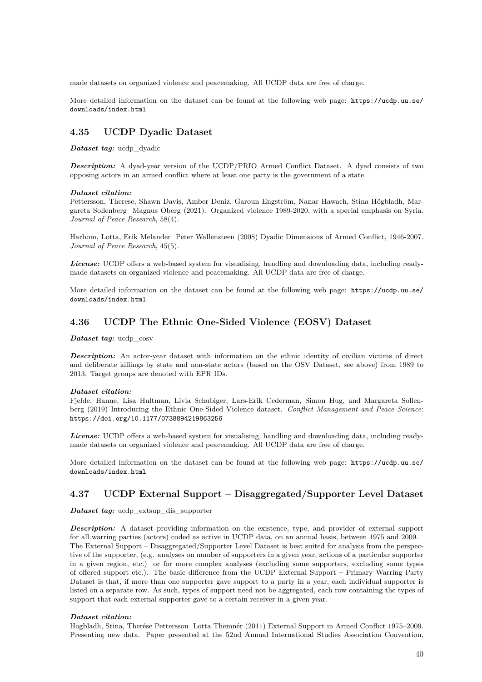made datasets on organized violence and peacemaking. All UCDP data are free of charge.

More detailed information on the dataset can be found at the following web page: [https://ucdp.uu.se/](https://ucdp.uu.se/downloads/index.html) [downloads/index.html](https://ucdp.uu.se/downloads/index.html)

### **4.35 UCDP Dyadic Dataset**

*Dataset tag:* ucdp\_dyadic

*Description:* A dyad-year version of the UCDP/PRIO Armed Conflict Dataset. A dyad consists of two opposing actors in an armed conflict where at least one party is the government of a state.

#### *Dataset citation:*

Pettersson, Therese, Shawn Davis, Amber Deniz, Garoun Engström, Nanar Hawach, Stina Högbladh, Margareta Sollenberg Magnus Öberg (2021). Organized violence 1989-2020, with a special emphasis on Syria. *Journal of Peace Research*, 58(4).

Harbom, Lotta, Erik Melander Peter Wallensteen (2008) Dyadic Dimensions of Armed Conflict, 1946-2007. *Journal of Peace Research*, 45(5).

*License:* UCDP offers a web-based system for visualising, handling and downloading data, including readymade datasets on organized violence and peacemaking. All UCDP data are free of charge.

More detailed information on the dataset can be found at the following web page: [https://ucdp.uu.se/](https://ucdp.uu.se/downloads/index.html) [downloads/index.html](https://ucdp.uu.se/downloads/index.html)

### **4.36 UCDP The Ethnic One-Sided Violence (EOSV) Dataset**

*Dataset tag:* ucdp\_eosv

**Description:** An actor-year dataset with information on the ethnic identity of civilian victims of direct and deliberate killings by state and non-state actors (based on the OSV Dataset, see above) from 1989 to 2013. Target groups are denoted with EPR IDs.

#### *Dataset citation:*

Fjelde, Hanne, Lisa Hultman, Livia Schubiger, Lars-Erik Cederman, Simon Hug, and Margareta Sollenberg (2019) Introducing the Ethnic One-Sided Violence dataset. *Conflict Management and Peace Science*: <https://doi.org/10.1177/0738894219863256>

*License:* UCDP offers a web-based system for visualising, handling and downloading data, including readymade datasets on organized violence and peacemaking. All UCDP data are free of charge.

More detailed information on the dataset can be found at the following web page: [https://ucdp.uu.se/](https://ucdp.uu.se/downloads/index.html) [downloads/index.html](https://ucdp.uu.se/downloads/index.html)

## **4.37 UCDP External Support – Disaggregated/Supporter Level Dataset**

*Dataset tag:* ucdp\_extsup\_dis\_supporter

*Description:* A dataset providing information on the existence, type, and provider of external support for all warring parties (actors) coded as active in UCDP data, on an annual basis, between 1975 and 2009. The External Support – Disaggregated/Supporter Level Dataset is best suited for analysis from the perspective of the supporter, (e.g. analyses on number of supporters in a given year, actions of a particular supporter in a given region, etc.) or for more complex analyses (excluding some supporters, excluding some types of offered support etc.). The basic difference from the UCDP External Support – Primary Warring Party Dataset is that, if more than one supporter gave support to a party in a year, each individual supporter is listed on a separate row. As such, types of support need not be aggregated, each row containing the types of support that each external supporter gave to a certain receiver in a given year.

#### *Dataset citation:*

Högbladh, Stina, Therése Pettersson Lotta Themnér (2011) External Support in Armed Conflict 1975–2009. Presenting new data. Paper presented at the 52nd Annual International Studies Association Convention,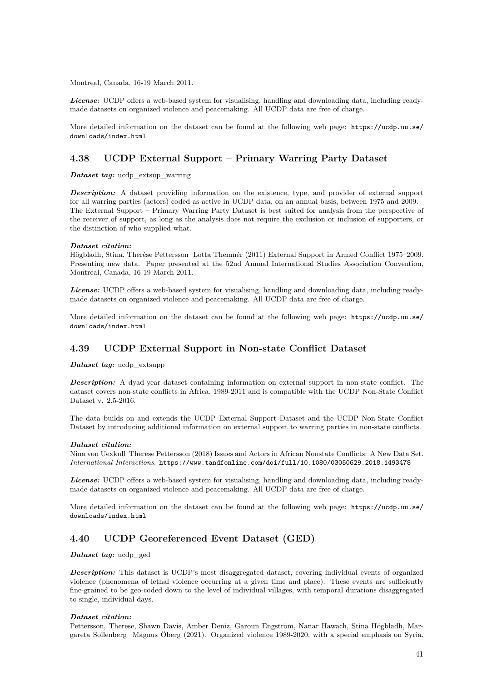Montreal, Canada, 16-19 March 2011.

*License:* UCDP offers a web-based system for visualising, handling and downloading data, including readymade datasets on organized violence and peacemaking. All UCDP data are free of charge.

More detailed information on the dataset can be found at the following web page: [https://ucdp.uu.se/](https://ucdp.uu.se/downloads/index.html) [downloads/index.html](https://ucdp.uu.se/downloads/index.html)

# **4.38 UCDP External Support – Primary Warring Party Dataset**

*Dataset tag:* ucdp\_extsup\_warring

*Description:* A dataset providing information on the existence, type, and provider of external support for all warring parties (actors) coded as active in UCDP data, on an annual basis, between 1975 and 2009. The External Support – Primary Warring Party Dataset is best suited for analysis from the perspective of the receiver of support, as long as the analysis does not require the exclusion or inclusion of supporters, or the distinction of who supplied what.

#### *Dataset citation:*

Högbladh, Stina, Therése Pettersson Lotta Themnér (2011) External Support in Armed Conflict 1975–2009. Presenting new data. Paper presented at the 52nd Annual International Studies Association Convention, Montreal, Canada, 16-19 March 2011.

*License:* UCDP offers a web-based system for visualising, handling and downloading data, including readymade datasets on organized violence and peacemaking. All UCDP data are free of charge.

More detailed information on the dataset can be found at the following web page: [https://ucdp.uu.se/](https://ucdp.uu.se/downloads/index.html) [downloads/index.html](https://ucdp.uu.se/downloads/index.html)

## **4.39 UCDP External Support in Non-state Conflict Dataset**

*Dataset tag:* ucdp\_extsupp

**Description:** A dyad-year dataset containing information on external support in non-state conflict. The dataset covers non-state conflicts in Africa, 1989-2011 and is compatible with the UCDP Non-State Conflict Dataset v. 2.5-2016.

The data builds on and extends the UCDP External Support Dataset and the UCDP Non-State Conflict Dataset by introducing additional information on external support to warring parties in non-state conflicts.

#### *Dataset citation:*

Nina von Uexkull Therese Pettersson (2018) Issues and Actors in African Nonstate Conflicts: A New Data Set. *International Interactions*. <https://www.tandfonline.com/doi/full/10.1080/03050629.2018.1493478>

*License:* UCDP offers a web-based system for visualising, handling and downloading data, including readymade datasets on organized violence and peacemaking. All UCDP data are free of charge.

More detailed information on the dataset can be found at the following web page: [https://ucdp.uu.se/](https://ucdp.uu.se/downloads/index.html) [downloads/index.html](https://ucdp.uu.se/downloads/index.html)

# **4.40 UCDP Georeferenced Event Dataset (GED)**

*Dataset tag:* ucdp\_ged

**Description:** This dataset is UCDP's most disaggregated dataset, covering individual events of organized violence (phenomena of lethal violence occurring at a given time and place). These events are sufficiently fine-grained to be geo-coded down to the level of individual villages, with temporal durations disaggregated to single, individual days.

### *Dataset citation:*

Pettersson, Therese, Shawn Davis, Amber Deniz, Garoun Engström, Nanar Hawach, Stina Högbladh, Margareta Sollenberg Magnus Öberg (2021). Organized violence 1989-2020, with a special emphasis on Syria.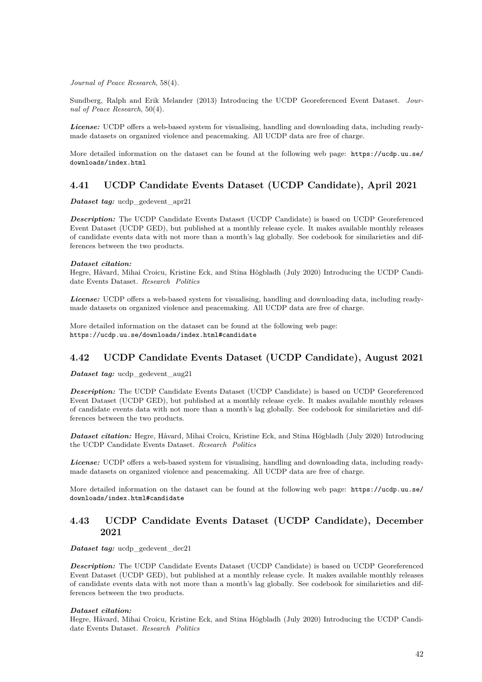*Journal of Peace Research*, 58(4).

Sundberg, Ralph and Erik Melander (2013) Introducing the UCDP Georeferenced Event Dataset. *Journal of Peace Research*, 50(4).

*License:* UCDP offers a web-based system for visualising, handling and downloading data, including readymade datasets on organized violence and peacemaking. All UCDP data are free of charge.

More detailed information on the dataset can be found at the following web page: [https://ucdp.uu.se/](https://ucdp.uu.se/downloads/index.html) [downloads/index.html](https://ucdp.uu.se/downloads/index.html)

### **4.41 UCDP Candidate Events Dataset (UCDP Candidate), April 2021**

*Dataset tag:* ucdp\_gedevent\_apr21

*Description:* The UCDP Candidate Events Dataset (UCDP Candidate) is based on UCDP Georeferenced Event Dataset (UCDP GED), but published at a monthly release cycle. It makes available monthly releases of candidate events data with not more than a month's lag globally. See codebook for similarieties and differences between the two products.

#### *Dataset citation:*

Hegre, Håvard, Mihai Croicu, Kristine Eck, and Stina Högbladh (July 2020) Introducing the UCDP Candidate Events Dataset. *Research Politics*

*License:* UCDP offers a web-based system for visualising, handling and downloading data, including readymade datasets on organized violence and peacemaking. All UCDP data are free of charge.

More detailed information on the dataset can be found at the following web page: <https://ucdp.uu.se/downloads/index.html#candidate>

### **4.42 UCDP Candidate Events Dataset (UCDP Candidate), August 2021**

*Dataset tag:* ucdp\_gedevent\_aug21

*Description:* The UCDP Candidate Events Dataset (UCDP Candidate) is based on UCDP Georeferenced Event Dataset (UCDP GED), but published at a monthly release cycle. It makes available monthly releases of candidate events data with not more than a month's lag globally. See codebook for similarieties and differences between the two products.

*Dataset citation:* Hegre, Håvard, Mihai Croicu, Kristine Eck, and Stina Högbladh (July 2020) Introducing the UCDP Candidate Events Dataset. *Research Politics*

*License:* UCDP offers a web-based system for visualising, handling and downloading data, including readymade datasets on organized violence and peacemaking. All UCDP data are free of charge.

More detailed information on the dataset can be found at the following web page: [https://ucdp.uu.se/](https://ucdp.uu.se/downloads/index.html#candidate) [downloads/index.html#candidate](https://ucdp.uu.se/downloads/index.html#candidate)

# **4.43 UCDP Candidate Events Dataset (UCDP Candidate), December 2021**

*Dataset tag:* ucdp\_gedevent\_dec21

*Description:* The UCDP Candidate Events Dataset (UCDP Candidate) is based on UCDP Georeferenced Event Dataset (UCDP GED), but published at a monthly release cycle. It makes available monthly releases of candidate events data with not more than a month's lag globally. See codebook for similarieties and differences between the two products.

#### *Dataset citation:*

Hegre, Håvard, Mihai Croicu, Kristine Eck, and Stina Högbladh (July 2020) Introducing the UCDP Candidate Events Dataset. *Research Politics*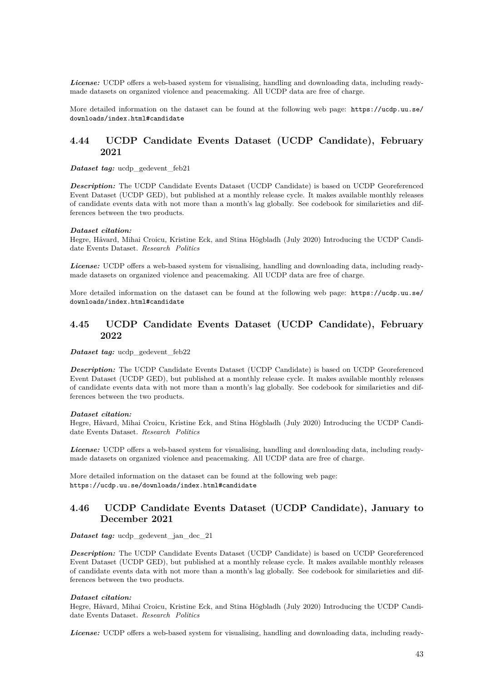*License:* UCDP offers a web-based system for visualising, handling and downloading data, including readymade datasets on organized violence and peacemaking. All UCDP data are free of charge.

More detailed information on the dataset can be found at the following web page: [https://ucdp.uu.se/](https://ucdp.uu.se/downloads/index.html#candidate) [downloads/index.html#candidate](https://ucdp.uu.se/downloads/index.html#candidate)

## **4.44 UCDP Candidate Events Dataset (UCDP Candidate), February 2021**

*Dataset tag:* ucdp gedevent feb21

*Description:* The UCDP Candidate Events Dataset (UCDP Candidate) is based on UCDP Georeferenced Event Dataset (UCDP GED), but published at a monthly release cycle. It makes available monthly releases of candidate events data with not more than a month's lag globally. See codebook for similarieties and differences between the two products.

#### *Dataset citation:*

Hegre, Håvard, Mihai Croicu, Kristine Eck, and Stina Högbladh (July 2020) Introducing the UCDP Candidate Events Dataset. *Research Politics*

*License:* UCDP offers a web-based system for visualising, handling and downloading data, including readymade datasets on organized violence and peacemaking. All UCDP data are free of charge.

More detailed information on the dataset can be found at the following web page: [https://ucdp.uu.se/](https://ucdp.uu.se/downloads/index.html#candidate) [downloads/index.html#candidate](https://ucdp.uu.se/downloads/index.html#candidate)

# **4.45 UCDP Candidate Events Dataset (UCDP Candidate), February 2022**

*Dataset tag:* ucdp gedevent feb22

*Description:* The UCDP Candidate Events Dataset (UCDP Candidate) is based on UCDP Georeferenced Event Dataset (UCDP GED), but published at a monthly release cycle. It makes available monthly releases of candidate events data with not more than a month's lag globally. See codebook for similarieties and differences between the two products.

#### *Dataset citation:*

Hegre, Håvard, Mihai Croicu, Kristine Eck, and Stina Högbladh (July 2020) Introducing the UCDP Candidate Events Dataset. *Research Politics*

*License:* UCDP offers a web-based system for visualising, handling and downloading data, including readymade datasets on organized violence and peacemaking. All UCDP data are free of charge.

More detailed information on the dataset can be found at the following web page: <https://ucdp.uu.se/downloads/index.html#candidate>

### **4.46 UCDP Candidate Events Dataset (UCDP Candidate), January to December 2021**

*Dataset tag:* ucdp\_gedevent\_jan\_dec\_21

*Description:* The UCDP Candidate Events Dataset (UCDP Candidate) is based on UCDP Georeferenced Event Dataset (UCDP GED), but published at a monthly release cycle. It makes available monthly releases of candidate events data with not more than a month's lag globally. See codebook for similarieties and differences between the two products.

#### *Dataset citation:*

Hegre, Håvard, Mihai Croicu, Kristine Eck, and Stina Högbladh (July 2020) Introducing the UCDP Candidate Events Dataset. *Research Politics*

*License:* UCDP offers a web-based system for visualising, handling and downloading data, including ready-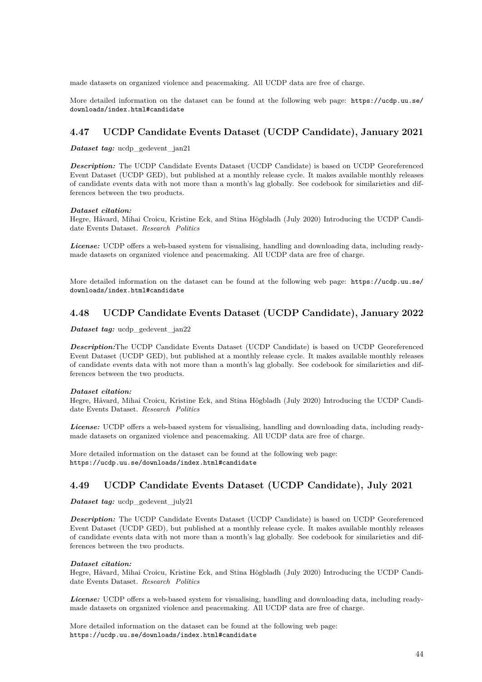made datasets on organized violence and peacemaking. All UCDP data are free of charge.

More detailed information on the dataset can be found at the following web page: [https://ucdp.uu.se/](https://ucdp.uu.se/downloads/index.html#candidate) [downloads/index.html#candidate](https://ucdp.uu.se/downloads/index.html#candidate)

# **4.47 UCDP Candidate Events Dataset (UCDP Candidate), January 2021**

*Dataset tag:* ucdp\_gedevent\_jan21

*Description:* The UCDP Candidate Events Dataset (UCDP Candidate) is based on UCDP Georeferenced Event Dataset (UCDP GED), but published at a monthly release cycle. It makes available monthly releases of candidate events data with not more than a month's lag globally. See codebook for similarieties and differences between the two products.

#### *Dataset citation:*

Hegre, Håvard, Mihai Croicu, Kristine Eck, and Stina Högbladh (July 2020) Introducing the UCDP Candidate Events Dataset. *Research Politics*

*License:* UCDP offers a web-based system for visualising, handling and downloading data, including readymade datasets on organized violence and peacemaking. All UCDP data are free of charge.

More detailed information on the dataset can be found at the following web page: [https://ucdp.uu.se/](https://ucdp.uu.se/downloads/index.html#candidate) [downloads/index.html#candidate](https://ucdp.uu.se/downloads/index.html#candidate)

### **4.48 UCDP Candidate Events Dataset (UCDP Candidate), January 2022**

*Dataset tag:* ucdp gedevent jan22

*Description:*The UCDP Candidate Events Dataset (UCDP Candidate) is based on UCDP Georeferenced Event Dataset (UCDP GED), but published at a monthly release cycle. It makes available monthly releases of candidate events data with not more than a month's lag globally. See codebook for similarieties and differences between the two products.

### *Dataset citation:*

Hegre, Håvard, Mihai Croicu, Kristine Eck, and Stina Högbladh (July 2020) Introducing the UCDP Candidate Events Dataset. *Research Politics*

*License:* UCDP offers a web-based system for visualising, handling and downloading data, including readymade datasets on organized violence and peacemaking. All UCDP data are free of charge.

More detailed information on the dataset can be found at the following web page: <https://ucdp.uu.se/downloads/index.html#candidate>

# **4.49 UCDP Candidate Events Dataset (UCDP Candidate), July 2021**

*Dataset tag:* ucdp\_gedevent\_july21

*Description:* The UCDP Candidate Events Dataset (UCDP Candidate) is based on UCDP Georeferenced Event Dataset (UCDP GED), but published at a monthly release cycle. It makes available monthly releases of candidate events data with not more than a month's lag globally. See codebook for similarieties and differences between the two products.

### *Dataset citation:*

Hegre, Håvard, Mihai Croicu, Kristine Eck, and Stina Högbladh (July 2020) Introducing the UCDP Candidate Events Dataset. *Research Politics*

*License:* UCDP offers a web-based system for visualising, handling and downloading data, including readymade datasets on organized violence and peacemaking. All UCDP data are free of charge.

More detailed information on the dataset can be found at the following web page: <https://ucdp.uu.se/downloads/index.html#candidate>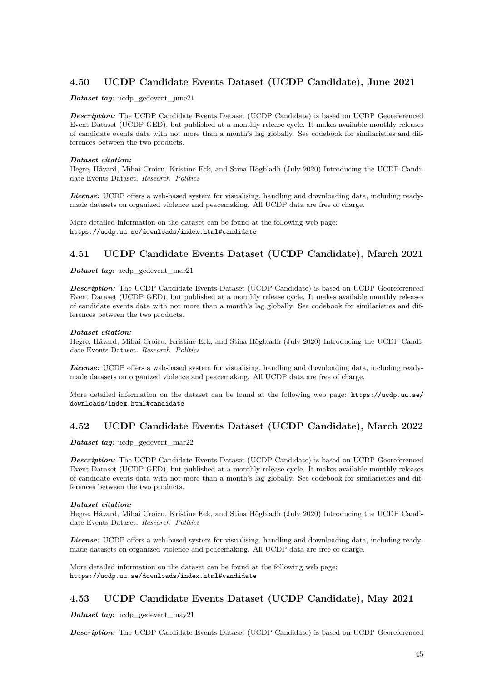# **4.50 UCDP Candidate Events Dataset (UCDP Candidate), June 2021**

*Dataset tag:* ucdp\_gedevent\_june21

*Description:* The UCDP Candidate Events Dataset (UCDP Candidate) is based on UCDP Georeferenced Event Dataset (UCDP GED), but published at a monthly release cycle. It makes available monthly releases of candidate events data with not more than a month's lag globally. See codebook for similarieties and differences between the two products.

#### *Dataset citation:*

Hegre, Håvard, Mihai Croicu, Kristine Eck, and Stina Högbladh (July 2020) Introducing the UCDP Candidate Events Dataset. *Research Politics*

*License:* UCDP offers a web-based system for visualising, handling and downloading data, including readymade datasets on organized violence and peacemaking. All UCDP data are free of charge.

More detailed information on the dataset can be found at the following web page: <https://ucdp.uu.se/downloads/index.html#candidate>

# **4.51 UCDP Candidate Events Dataset (UCDP Candidate), March 2021**

*Dataset tag:* ucdp gedevent mar21

*Description:* The UCDP Candidate Events Dataset (UCDP Candidate) is based on UCDP Georeferenced Event Dataset (UCDP GED), but published at a monthly release cycle. It makes available monthly releases of candidate events data with not more than a month's lag globally. See codebook for similarieties and differences between the two products.

#### *Dataset citation:*

Hegre, Håvard, Mihai Croicu, Kristine Eck, and Stina Högbladh (July 2020) Introducing the UCDP Candidate Events Dataset. *Research Politics*

*License:* UCDP offers a web-based system for visualising, handling and downloading data, including readymade datasets on organized violence and peacemaking. All UCDP data are free of charge.

More detailed information on the dataset can be found at the following web page: [https://ucdp.uu.se/](https://ucdp.uu.se/downloads/index.html#candidate) [downloads/index.html#candidate](https://ucdp.uu.se/downloads/index.html#candidate)

## **4.52 UCDP Candidate Events Dataset (UCDP Candidate), March 2022**

*Dataset tag:* ucdp\_gedevent\_mar22

*Description:* The UCDP Candidate Events Dataset (UCDP Candidate) is based on UCDP Georeferenced Event Dataset (UCDP GED), but published at a monthly release cycle. It makes available monthly releases of candidate events data with not more than a month's lag globally. See codebook for similarieties and differences between the two products.

### *Dataset citation:*

Hegre, Håvard, Mihai Croicu, Kristine Eck, and Stina Högbladh (July 2020) Introducing the UCDP Candidate Events Dataset. *Research Politics*

*License:* UCDP offers a web-based system for visualising, handling and downloading data, including readymade datasets on organized violence and peacemaking. All UCDP data are free of charge.

More detailed information on the dataset can be found at the following web page: <https://ucdp.uu.se/downloads/index.html#candidate>

# **4.53 UCDP Candidate Events Dataset (UCDP Candidate), May 2021**

*Dataset tag:* ucdp\_gedevent\_may21

*Description:* The UCDP Candidate Events Dataset (UCDP Candidate) is based on UCDP Georeferenced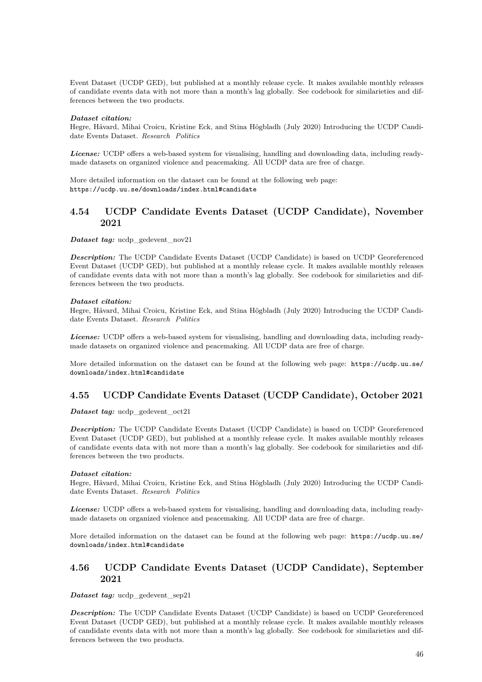Event Dataset (UCDP GED), but published at a monthly release cycle. It makes available monthly releases of candidate events data with not more than a month's lag globally. See codebook for similarieties and differences between the two products.

#### *Dataset citation:*

Hegre, Håvard, Mihai Croicu, Kristine Eck, and Stina Högbladh (July 2020) Introducing the UCDP Candidate Events Dataset. *Research Politics*

*License:* UCDP offers a web-based system for visualising, handling and downloading data, including readymade datasets on organized violence and peacemaking. All UCDP data are free of charge.

More detailed information on the dataset can be found at the following web page: <https://ucdp.uu.se/downloads/index.html#candidate>

## **4.54 UCDP Candidate Events Dataset (UCDP Candidate), November 2021**

*Dataset tag:* ucdp gedevent nov21

*Description:* The UCDP Candidate Events Dataset (UCDP Candidate) is based on UCDP Georeferenced Event Dataset (UCDP GED), but published at a monthly release cycle. It makes available monthly releases of candidate events data with not more than a month's lag globally. See codebook for similarieties and differences between the two products.

#### *Dataset citation:*

Hegre, Håvard, Mihai Croicu, Kristine Eck, and Stina Högbladh (July 2020) Introducing the UCDP Candidate Events Dataset. *Research Politics*

*License:* UCDP offers a web-based system for visualising, handling and downloading data, including readymade datasets on organized violence and peacemaking. All UCDP data are free of charge.

More detailed information on the dataset can be found at the following web page: [https://ucdp.uu.se/](https://ucdp.uu.se/downloads/index.html#candidate) [downloads/index.html#candidate](https://ucdp.uu.se/downloads/index.html#candidate)

# **4.55 UCDP Candidate Events Dataset (UCDP Candidate), October 2021**

*Dataset tag:* ucdp\_gedevent\_oct21

*Description:* The UCDP Candidate Events Dataset (UCDP Candidate) is based on UCDP Georeferenced Event Dataset (UCDP GED), but published at a monthly release cycle. It makes available monthly releases of candidate events data with not more than a month's lag globally. See codebook for similarieties and differences between the two products.

#### *Dataset citation:*

Hegre, Håvard, Mihai Croicu, Kristine Eck, and Stina Högbladh (July 2020) Introducing the UCDP Candidate Events Dataset. *Research Politics*

*License:* UCDP offers a web-based system for visualising, handling and downloading data, including readymade datasets on organized violence and peacemaking. All UCDP data are free of charge.

More detailed information on the dataset can be found at the following web page: [https://ucdp.uu.se/](https://ucdp.uu.se/downloads/index.html#candidate) [downloads/index.html#candidate](https://ucdp.uu.se/downloads/index.html#candidate)

## **4.56 UCDP Candidate Events Dataset (UCDP Candidate), September 2021**

*Dataset tag:* ucdp\_gedevent\_sep21

*Description:* The UCDP Candidate Events Dataset (UCDP Candidate) is based on UCDP Georeferenced Event Dataset (UCDP GED), but published at a monthly release cycle. It makes available monthly releases of candidate events data with not more than a month's lag globally. See codebook for similarieties and differences between the two products.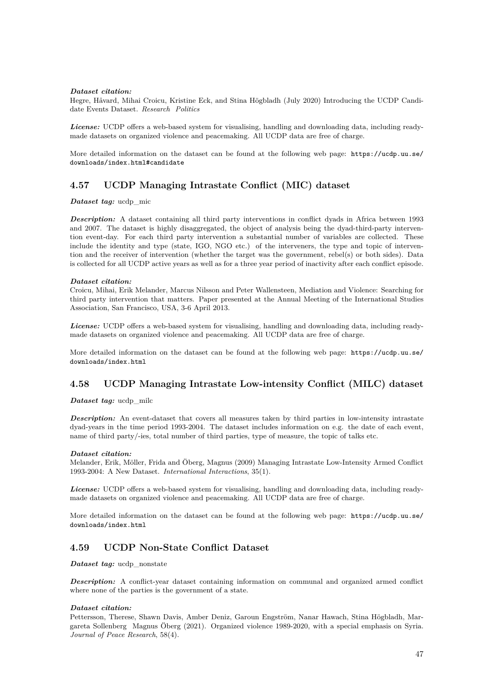#### *Dataset citation:*

Hegre, Håvard, Mihai Croicu, Kristine Eck, and Stina Högbladh (July 2020) Introducing the UCDP Candidate Events Dataset. *Research Politics*

*License:* UCDP offers a web-based system for visualising, handling and downloading data, including readymade datasets on organized violence and peacemaking. All UCDP data are free of charge.

More detailed information on the dataset can be found at the following web page: [https://ucdp.uu.se/](https://ucdp.uu.se/downloads/index.html#candidate) [downloads/index.html#candidate](https://ucdp.uu.se/downloads/index.html#candidate)

# **4.57 UCDP Managing Intrastate Conflict (MIC) dataset**

*Dataset tag:* ucdp\_mic

*Description:* A dataset containing all third party interventions in conflict dyads in Africa between 1993 and 2007. The dataset is highly disaggregated, the object of analysis being the dyad-third-party intervention event-day. For each third party intervention a substantial number of variables are collected. These include the identity and type (state, IGO, NGO etc.) of the interveners, the type and topic of intervention and the receiver of intervention (whether the target was the government, rebel(s) or both sides). Data is collected for all UCDP active years as well as for a three year period of inactivity after each conflict episode.

#### *Dataset citation:*

Croicu, Mihai, Erik Melander, Marcus Nilsson and Peter Wallensteen, Mediation and Violence: Searching for third party intervention that matters. Paper presented at the Annual Meeting of the International Studies Association, San Francisco, USA, 3-6 April 2013.

*License:* UCDP offers a web-based system for visualising, handling and downloading data, including readymade datasets on organized violence and peacemaking. All UCDP data are free of charge.

More detailed information on the dataset can be found at the following web page: [https://ucdp.uu.se/](https://ucdp.uu.se/downloads/index.html) [downloads/index.html](https://ucdp.uu.se/downloads/index.html)

## **4.58 UCDP Managing Intrastate Low-intensity Conflict (MILC) dataset**

*Dataset tag:* ucdp\_milc

*Description:* An event-dataset that covers all measures taken by third parties in low-intensity intrastate dyad-years in the time period 1993-2004. The dataset includes information on e.g. the date of each event, name of third party/-ies, total number of third parties, type of measure, the topic of talks etc.

#### *Dataset citation:*

Melander, Erik, Möller, Frida and Öberg, Magnus (2009) Managing Intrastate Low-Intensity Armed Conflict 1993-2004: A New Dataset. *International Interactions*, 35(1).

*License:* UCDP offers a web-based system for visualising, handling and downloading data, including readymade datasets on organized violence and peacemaking. All UCDP data are free of charge.

More detailed information on the dataset can be found at the following web page: [https://ucdp.uu.se/](https://ucdp.uu.se/downloads/index.html) [downloads/index.html](https://ucdp.uu.se/downloads/index.html)

## **4.59 UCDP Non-State Conflict Dataset**

*Dataset tag:* ucdp nonstate

*Description:* A conflict-year dataset containing information on communal and organized armed conflict where none of the parties is the government of a state.

### *Dataset citation:*

Pettersson, Therese, Shawn Davis, Amber Deniz, Garoun Engström, Nanar Hawach, Stina Högbladh, Margareta Sollenberg Magnus Öberg (2021). Organized violence 1989-2020, with a special emphasis on Syria. *Journal of Peace Research*, 58(4).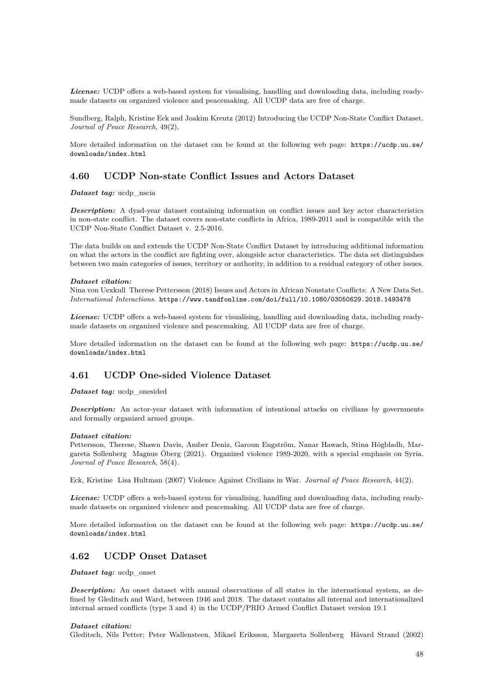*License:* UCDP offers a web-based system for visualising, handling and downloading data, including readymade datasets on organized violence and peacemaking. All UCDP data are free of charge.

Sundberg, Ralph, Kristine Eck and Joakim Kreutz (2012) Introducing the UCDP Non-State Conflict Dataset. *Journal of Peace Research*, 49(2).

More detailed information on the dataset can be found at the following web page: [https://ucdp.uu.se/](https://ucdp.uu.se/downloads/index.html) [downloads/index.html](https://ucdp.uu.se/downloads/index.html)

### **4.60 UCDP Non-state Conflict Issues and Actors Dataset**

*Dataset tag:* ucdp\_nscia

**Description:** A dyad-year dataset containing information on conflict issues and key actor characteristics in non-state conflict. The dataset covers non-state conflicts in Africa, 1989-2011 and is compatible with the UCDP Non-State Conflict Dataset v. 2.5-2016.

The data builds on and extends the UCDP Non-State Conflict Dataset by introducing additional information on what the actors in the conflict are fighting over, alongside actor characteristics. The data set distinguishes between two main categories of issues, territory or authority, in addition to a residual category of other issues.

#### *Dataset citation:*

Nina von Uexkull Therese Pettersson (2018) Issues and Actors in African Nonstate Conflicts: A New Data Set. *International Interactions*. <https://www.tandfonline.com/doi/full/10.1080/03050629.2018.1493478>

*License:* UCDP offers a web-based system for visualising, handling and downloading data, including readymade datasets on organized violence and peacemaking. All UCDP data are free of charge.

More detailed information on the dataset can be found at the following web page: [https://ucdp.uu.se/](https://ucdp.uu.se/downloads/index.html) [downloads/index.html](https://ucdp.uu.se/downloads/index.html)

### **4.61 UCDP One-sided Violence Dataset**

*Dataset tag:* ucdp\_onesided

**Description:** An actor-year dataset with information of intentional attacks on civilians by governments and formally organized armed groups.

#### *Dataset citation:*

Pettersson, Therese, Shawn Davis, Amber Deniz, Garoun Engström, Nanar Hawach, Stina Högbladh, Margareta Sollenberg Magnus Öberg (2021). Organized violence 1989-2020, with a special emphasis on Syria. *Journal of Peace Research*, 58(4).

Eck, Kristine Lisa Hultman (2007) Violence Against Civilians in War. *Journal of Peace Research*, 44(2).

*License:* UCDP offers a web-based system for visualising, handling and downloading data, including readymade datasets on organized violence and peacemaking. All UCDP data are free of charge.

More detailed information on the dataset can be found at the following web page: [https://ucdp.uu.se/](https://ucdp.uu.se/downloads/index.html) [downloads/index.html](https://ucdp.uu.se/downloads/index.html)

# **4.62 UCDP Onset Dataset**

*Dataset tag:* ucdp\_onset

**Description:** An onset dataset with annual observations of all states in the international system, as defined by Gleditsch and Ward, between 1946 and 2018. The dataset contains all internal and internationalized internal armed conflicts (type 3 and 4) in the UCDP/PRIO Armed Conflict Dataset version 19.1

#### *Dataset citation:*

Gleditsch, Nils Petter; Peter Wallensteen, Mikael Eriksson, Margareta Sollenberg Håvard Strand (2002)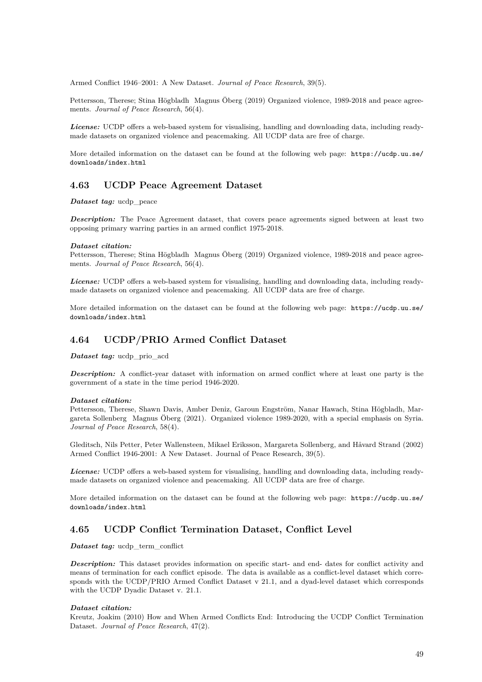Armed Conflict 1946–2001: A New Dataset. *Journal of Peace Research*, 39(5).

Pettersson, Therese; Stina Högbladh Magnus Öberg (2019) Organized violence, 1989-2018 and peace agreements. *Journal of Peace Research*, 56(4).

*License:* UCDP offers a web-based system for visualising, handling and downloading data, including readymade datasets on organized violence and peacemaking. All UCDP data are free of charge.

More detailed information on the dataset can be found at the following web page: [https://ucdp.uu.se/](https://ucdp.uu.se/downloads/index.html) [downloads/index.html](https://ucdp.uu.se/downloads/index.html)

### **4.63 UCDP Peace Agreement Dataset**

*Dataset tag:* ucdp\_peace

**Description:** The Peace Agreement dataset, that covers peace agreements signed between at least two opposing primary warring parties in an armed conflict 1975-2018.

#### *Dataset citation:*

Pettersson, Therese; Stina Högbladh Magnus Öberg (2019) Organized violence, 1989-2018 and peace agreements. *Journal of Peace Research*, 56(4).

*License:* UCDP offers a web-based system for visualising, handling and downloading data, including readymade datasets on organized violence and peacemaking. All UCDP data are free of charge.

More detailed information on the dataset can be found at the following web page: [https://ucdp.uu.se/](https://ucdp.uu.se/downloads/index.html) [downloads/index.html](https://ucdp.uu.se/downloads/index.html)

# **4.64 UCDP/PRIO Armed Conflict Dataset**

*Dataset tag:* ucdp prio acd

*Description:* A conflict-year dataset with information on armed conflict where at least one party is the government of a state in the time period 1946-2020.

#### *Dataset citation:*

Pettersson, Therese, Shawn Davis, Amber Deniz, Garoun Engström, Nanar Hawach, Stina Högbladh, Margareta Sollenberg Magnus Öberg (2021). Organized violence 1989-2020, with a special emphasis on Syria. *Journal of Peace Research*, 58(4).

Gleditsch, Nils Petter, Peter Wallensteen, Mikael Eriksson, Margareta Sollenberg, and Håvard Strand (2002) Armed Conflict 1946-2001: A New Dataset. Journal of Peace Research, 39(5).

*License:* UCDP offers a web-based system for visualising, handling and downloading data, including readymade datasets on organized violence and peacemaking. All UCDP data are free of charge.

More detailed information on the dataset can be found at the following web page: [https://ucdp.uu.se/](https://ucdp.uu.se/downloads/index.html) [downloads/index.html](https://ucdp.uu.se/downloads/index.html)

### **4.65 UCDP Conflict Termination Dataset, Conflict Level**

*Dataset tag:* ucdp\_term\_conflict

*Description:* This dataset provides information on specific start- and end- dates for conflict activity and means of termination for each conflict episode. The data is available as a conflict-level dataset which corresponds with the UCDP/PRIO Armed Conflict Dataset v 21.1, and a dyad-level dataset which corresponds with the UCDP Dyadic Dataset v. 21.1.

#### *Dataset citation:*

Kreutz, Joakim (2010) How and When Armed Conflicts End: Introducing the UCDP Conflict Termination Dataset. *Journal of Peace Research*, 47(2).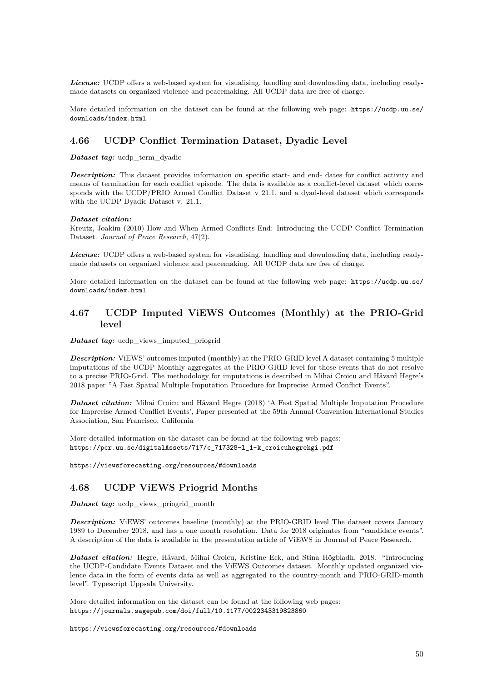*License:* UCDP offers a web-based system for visualising, handling and downloading data, including readymade datasets on organized violence and peacemaking. All UCDP data are free of charge.

More detailed information on the dataset can be found at the following web page: [https://ucdp.uu.se/](https://ucdp.uu.se/downloads/index.html) [downloads/index.html](https://ucdp.uu.se/downloads/index.html)

# **4.66 UCDP Conflict Termination Dataset, Dyadic Level**

*Dataset tag:* ucdp\_term\_dyadic

*Description:* This dataset provides information on specific start- and end- dates for conflict activity and means of termination for each conflict episode. The data is available as a conflict-level dataset which corresponds with the UCDP/PRIO Armed Conflict Dataset v 21.1, and a dyad-level dataset which corresponds with the UCDP Dyadic Dataset v. 21.1.

#### *Dataset citation:*

Kreutz, Joakim (2010) How and When Armed Conflicts End: Introducing the UCDP Conflict Termination Dataset. *Journal of Peace Research*, 47(2).

*License:* UCDP offers a web-based system for visualising, handling and downloading data, including readymade datasets on organized violence and peacemaking. All UCDP data are free of charge.

More detailed information on the dataset can be found at the following web page: [https://ucdp.uu.se/](https://ucdp.uu.se/downloads/index.html) [downloads/index.html](https://ucdp.uu.se/downloads/index.html)

# **4.67 UCDP Imputed ViEWS Outcomes (Monthly) at the PRIO-Grid level**

*Dataset tag:* ucdp\_views\_imputed\_priogrid

*Description:* ViEWS' outcomes imputed (monthly) at the PRIO-GRID level A dataset containing 5 multiple imputations of the UCDP Monthly aggregates at the PRIO-GRID level for those events that do not resolve to a precise PRIO-Grid. The methodology for imputations is described in Mihai Croicu and Håvard Hegre's 2018 paper "A Fast Spatial Multiple Imputation Procedure for Imprecise Armed Conflict Events".

*Dataset citation:* Mihai Croicu and Håvard Hegre (2018) 'A Fast Spatial Multiple Imputation Procedure for Imprecise Armed Conflict Events', Paper presented at the 59th Annual Convention International Studies Association, San Francisco, California

More detailed information on the dataset can be found at the following web pages: [https://pcr.uu.se/digitalAssets/717/c\\_717328-l\\_1-k\\_croicuhegrekgi.pdf](https://pcr.uu.se/digitalAssets/717/c_717328-l_1-k_croicuhegrekgi.pdf)

<https://viewsforecasting.org/resources/#downloads>

# **4.68 UCDP ViEWS Priogrid Months**

*Dataset tag:* ucdp\_views\_priogrid\_month

**Description:** ViEWS' outcomes baseline (monthly) at the PRIO-GRID level The dataset covers January 1989 to December 2018, and has a one month resolution. Data for 2018 originates from "candidate events". A description of the data is available in the presentation article of ViEWS in Journal of Peace Research.

*Dataset citation:* Hegre, Håvard, Mihai Croicu, Kristine Eck, and Stina Högbladh, 2018. "Introducing the UCDP-Candidate Events Dataset and the ViEWS Outcomes dataset. Monthly updated organized violence data in the form of events data as well as aggregated to the country-month and PRIO-GRID-month level". Typescript Uppsala University.

More detailed information on the dataset can be found at the following web pages: <https://journals.sagepub.com/doi/full/10.1177/0022343319823860>

<https://viewsforecasting.org/resources/#downloads>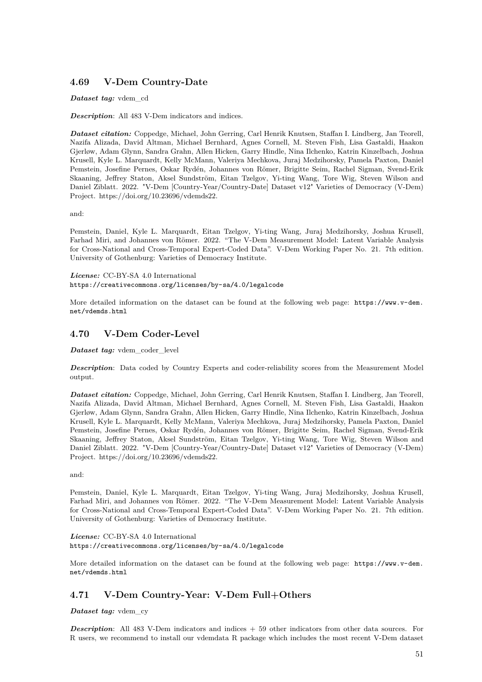# **4.69 V-Dem Country-Date**

### *Dataset tag:* vdem\_cd

*Description*: All 483 V-Dem indicators and indices.

*Dataset citation:* Coppedge, Michael, John Gerring, Carl Henrik Knutsen, Staffan I. Lindberg, Jan Teorell, Nazifa Alizada, David Altman, Michael Bernhard, Agnes Cornell, M. Steven Fish, Lisa Gastaldi, Haakon Gjerløw, Adam Glynn, Sandra Grahn, Allen Hicken, Garry Hindle, Nina Ilchenko, Katrin Kinzelbach, Joshua Krusell, Kyle L. Marquardt, Kelly McMann, Valeriya Mechkova, Juraj Medzihorsky, Pamela Paxton, Daniel Pemstein, Josefine Pernes, Oskar Rydén, Johannes von Römer, Brigitte Seim, Rachel Sigman, Svend-Erik Skaaning, Jeffrey Staton, Aksel Sundström, Eitan Tzelgov, Yi-ting Wang, Tore Wig, Steven Wilson and Daniel Ziblatt. 2022. "V-Dem [Country-Year/Country-Date] Dataset v12" Varieties of Democracy (V-Dem) Project. https://doi.org/10.23696/vdemds22.

and:

Pemstein, Daniel, Kyle L. Marquardt, Eitan Tzelgov, Yi-ting Wang, Juraj Medzihorsky, Joshua Krusell, Farhad Miri, and Johannes von Römer. 2022. "The V-Dem Measurement Model: Latent Variable Analysis for Cross-National and Cross-Temporal Expert-Coded Data". V-Dem Working Paper No. 21. 7th edition. University of Gothenburg: Varieties of Democracy Institute.

*License:* CC-BY-SA 4.0 International <https://creativecommons.org/licenses/by-sa/4.0/legalcode>

More detailed information on the dataset can be found at the following web page: [https://www.v-dem.](https://www.v-dem.net/vdemds.html) [net/vdemds.html](https://www.v-dem.net/vdemds.html)

# **4.70 V-Dem Coder-Level**

*Dataset tag:* vdem\_coder\_level

*Description*: Data coded by Country Experts and coder-reliability scores from the Measurement Model output.

*Dataset citation:* Coppedge, Michael, John Gerring, Carl Henrik Knutsen, Staffan I. Lindberg, Jan Teorell, Nazifa Alizada, David Altman, Michael Bernhard, Agnes Cornell, M. Steven Fish, Lisa Gastaldi, Haakon Gjerløw, Adam Glynn, Sandra Grahn, Allen Hicken, Garry Hindle, Nina Ilchenko, Katrin Kinzelbach, Joshua Krusell, Kyle L. Marquardt, Kelly McMann, Valeriya Mechkova, Juraj Medzihorsky, Pamela Paxton, Daniel Pemstein, Josefine Pernes, Oskar Rydén, Johannes von Römer, Brigitte Seim, Rachel Sigman, Svend-Erik Skaaning, Jeffrey Staton, Aksel Sundström, Eitan Tzelgov, Yi-ting Wang, Tore Wig, Steven Wilson and Daniel Ziblatt. 2022. "V-Dem [Country-Year/Country-Date] Dataset v12" Varieties of Democracy (V-Dem) Project. https://doi.org/10.23696/vdemds22.

and:

Pemstein, Daniel, Kyle L. Marquardt, Eitan Tzelgov, Yi-ting Wang, Juraj Medzihorsky, Joshua Krusell, Farhad Miri, and Johannes von Römer. 2022. "The V-Dem Measurement Model: Latent Variable Analysis for Cross-National and Cross-Temporal Expert-Coded Data". V-Dem Working Paper No. 21. 7th edition. University of Gothenburg: Varieties of Democracy Institute.

*License:* CC-BY-SA 4.0 International <https://creativecommons.org/licenses/by-sa/4.0/legalcode>

More detailed information on the dataset can be found at the following web page: [https://www.v-dem.](https://www.v-dem.net/vdemds.html) [net/vdemds.html](https://www.v-dem.net/vdemds.html)

# **4.71 V-Dem Country-Year: V-Dem Full+Others**

*Dataset tag:* vdem\_cy

**Description**: All 483 V-Dem indicators and indices + 59 other indicators from other data sources. For R users, we recommend to install our vdemdata R package which includes the most recent V-Dem dataset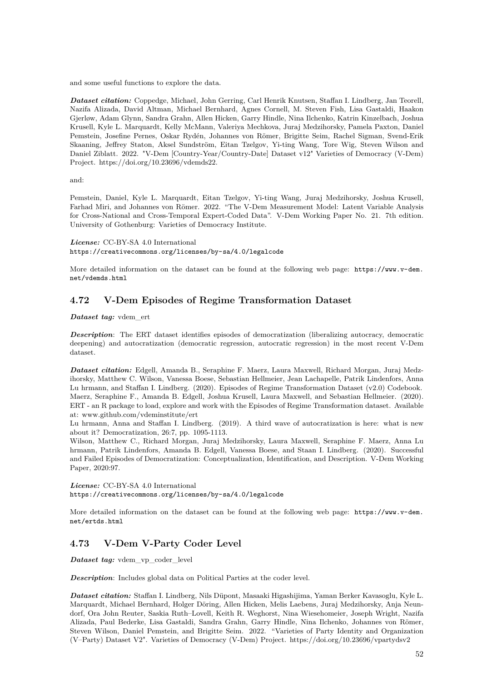and some useful functions to explore the data.

*Dataset citation:* Coppedge, Michael, John Gerring, Carl Henrik Knutsen, Staffan I. Lindberg, Jan Teorell, Nazifa Alizada, David Altman, Michael Bernhard, Agnes Cornell, M. Steven Fish, Lisa Gastaldi, Haakon Gjerløw, Adam Glynn, Sandra Grahn, Allen Hicken, Garry Hindle, Nina Ilchenko, Katrin Kinzelbach, Joshua Krusell, Kyle L. Marquardt, Kelly McMann, Valeriya Mechkova, Juraj Medzihorsky, Pamela Paxton, Daniel Pemstein, Josefine Pernes, Oskar Rydén, Johannes von Römer, Brigitte Seim, Rachel Sigman, Svend-Erik Skaaning, Jeffrey Staton, Aksel Sundström, Eitan Tzelgov, Yi-ting Wang, Tore Wig, Steven Wilson and Daniel Ziblatt. 2022. "V-Dem [Country-Year/Country-Date] Dataset v12" Varieties of Democracy (V-Dem) Project. https://doi.org/10.23696/vdemds22.

and:

Pemstein, Daniel, Kyle L. Marquardt, Eitan Tzelgov, Yi-ting Wang, Juraj Medzihorsky, Joshua Krusell, Farhad Miri, and Johannes von Römer. 2022. "The V-Dem Measurement Model: Latent Variable Analysis for Cross-National and Cross-Temporal Expert-Coded Data". V-Dem Working Paper No. 21. 7th edition. University of Gothenburg: Varieties of Democracy Institute.

*License:* CC-BY-SA 4.0 International <https://creativecommons.org/licenses/by-sa/4.0/legalcode>

More detailed information on the dataset can be found at the following web page: [https://www.v-dem.](https://www.v-dem.net/vdemds.html) [net/vdemds.html](https://www.v-dem.net/vdemds.html)

# **4.72 V-Dem Episodes of Regime Transformation Dataset**

*Dataset tag:* vdem\_ert

*Description*: The ERT dataset identifies episodes of democratization (liberalizing autocracy, democratic deepening) and autocratization (democratic regression, autocratic regression) in the most recent V-Dem dataset.

*Dataset citation:* Edgell, Amanda B., Seraphine F. Maerz, Laura Maxwell, Richard Morgan, Juraj Medzihorsky, Matthew C. Wilson, Vanessa Boese, Sebastian Hellmeier, Jean Lachapelle, Patrik Lindenfors, Anna Lu hrmann, and Staffan I. Lindberg. (2020). Episodes of Regime Transformation Dataset (v2.0) Codebook. Maerz, Seraphine F., Amanda B. Edgell, Joshua Krusell, Laura Maxwell, and Sebastian Hellmeier. (2020). ERT - an R package to load, explore and work with the Episodes of Regime Transformation dataset. Available at: www.github.com/vdeminstitute/ert

Lu hrmann, Anna and Staffan I. Lindberg. (2019). A third wave of autocratization is here: what is new about it? Democratization, 26:7, pp. 1095-1113.

Wilson, Matthew C., Richard Morgan, Juraj Medzihorsky, Laura Maxwell, Seraphine F. Maerz, Anna Lu hrmann, Patrik Lindenfors, Amanda B. Edgell, Vanessa Boese, and Staan I. Lindberg. (2020). Successful and Failed Episodes of Democratization: Conceptualization, Identification, and Description. V-Dem Working Paper, 2020:97.

*License:* CC-BY-SA 4.0 International <https://creativecommons.org/licenses/by-sa/4.0/legalcode>

More detailed information on the dataset can be found at the following web page: [https://www.v-dem.](https://www.v-dem.net/ertds.html) [net/ertds.html](https://www.v-dem.net/ertds.html)

## **4.73 V-Dem V-Party Coder Level**

*Dataset tag:* vdem\_vp\_coder\_level

*Description*: Includes global data on Political Parties at the coder level.

*Dataset citation:* Staffan I. Lindberg, Nils Düpont, Masaaki Higashijima, Yaman Berker Kavasoglu, Kyle L. Marquardt, Michael Bernhard, Holger Döring, Allen Hicken, Melis Laebens, Juraj Medzihorsky, Anja Neundorf, Ora John Reuter, Saskia Ruth–Lovell, Keith R. Weghorst, Nina Wiesehomeier, Joseph Wright, Nazifa Alizada, Paul Bederke, Lisa Gastaldi, Sandra Grahn, Garry Hindle, Nina Ilchenko, Johannes von Römer, Steven Wilson, Daniel Pemstein, and Brigitte Seim. 2022. "Varieties of Party Identity and Organization (V–Party) Dataset V2". Varieties of Democracy (V-Dem) Project. https://doi.org/10.23696/vpartydsv2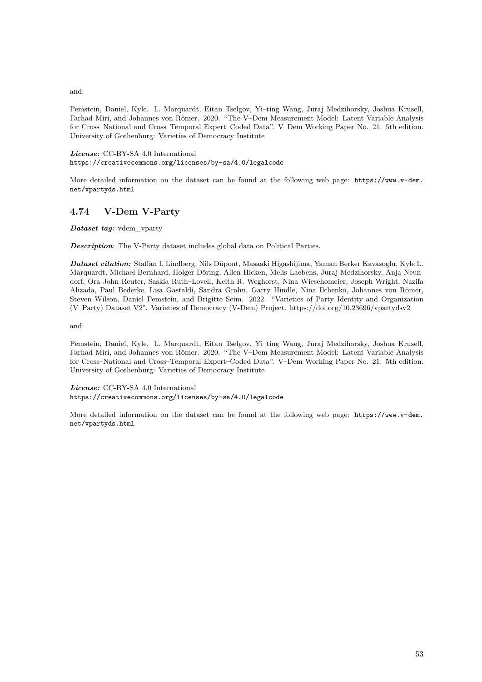and:

Pemstein, Daniel, Kyle. L. Marquardt, Eitan Tselgov, Yi–ting Wang, Juraj Medzihorsky, Joshua Krusell, Farhad Miri, and Johannes von Römer. 2020. "The V–Dem Measurement Model: Latent Variable Analysis for Cross–National and Cross–Temporal Expert–Coded Data". V–Dem Working Paper No. 21. 5th edition. University of Gothenburg: Varieties of Democracy Institute

*License:* CC-BY-SA 4.0 International <https://creativecommons.org/licenses/by-sa/4.0/legalcode>

More detailed information on the dataset can be found at the following web page: [https://www.v-dem.](https://www.v-dem.net/vpartyds.html) [net/vpartyds.html](https://www.v-dem.net/vpartyds.html)

# **4.74 V-Dem V-Party**

*Dataset tag:* vdem\_vparty

*Description*: The V-Party dataset includes global data on Political Parties.

*Dataset citation:* Staffan I. Lindberg, Nils Düpont, Masaaki Higashijima, Yaman Berker Kavasoglu, Kyle L. Marquardt, Michael Bernhard, Holger Döring, Allen Hicken, Melis Laebens, Juraj Medzihorsky, Anja Neundorf, Ora John Reuter, Saskia Ruth–Lovell, Keith R. Weghorst, Nina Wiesehomeier, Joseph Wright, Nazifa Alizada, Paul Bederke, Lisa Gastaldi, Sandra Grahn, Garry Hindle, Nina Ilchenko, Johannes von Römer, Steven Wilson, Daniel Pemstein, and Brigitte Seim. 2022. "Varieties of Party Identity and Organization (V–Party) Dataset V2". Varieties of Democracy (V-Dem) Project. https://doi.org/10.23696/vpartydsv2

and:

Pemstein, Daniel, Kyle. L. Marquardt, Eitan Tselgov, Yi–ting Wang, Juraj Medzihorsky, Joshua Krusell, Farhad Miri, and Johannes von Römer. 2020. "The V–Dem Measurement Model: Latent Variable Analysis for Cross–National and Cross–Temporal Expert–Coded Data". V–Dem Working Paper No. 21. 5th edition. University of Gothenburg: Varieties of Democracy Institute

*License:* CC-BY-SA 4.0 International <https://creativecommons.org/licenses/by-sa/4.0/legalcode>

More detailed information on the dataset can be found at the following web page: [https://www.v-dem.](https://www.v-dem.net/vpartyds.html) [net/vpartyds.html](https://www.v-dem.net/vpartyds.html)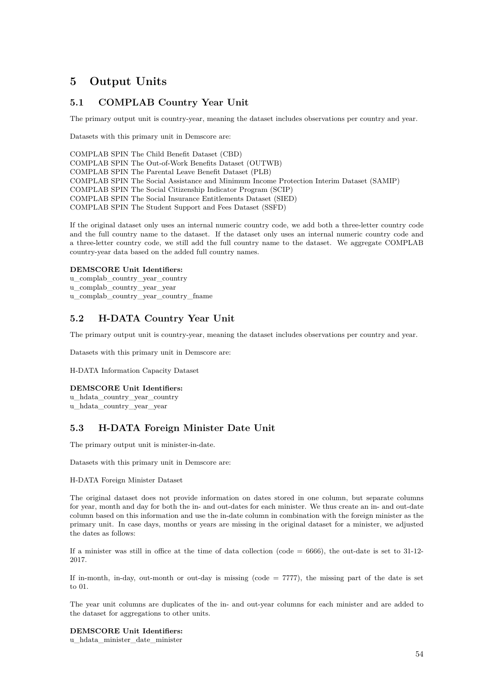# **5 Output Units**

# **5.1 COMPLAB Country Year Unit**

The primary output unit is country-year, meaning the dataset includes observations per country and year.

Datasets with this primary unit in Demscore are:

COMPLAB SPIN The Child Benefit Dataset (CBD) COMPLAB SPIN The Out-of-Work Benefits Dataset (OUTWB) COMPLAB SPIN The Parental Leave Benefit Dataset (PLB) COMPLAB SPIN The Social Assistance and Minimum Income Protection Interim Dataset (SAMIP) COMPLAB SPIN The Social Citizenship Indicator Program (SCIP) COMPLAB SPIN The Social Insurance Entitlements Dataset (SIED) COMPLAB SPIN The Student Support and Fees Dataset (SSFD)

If the original dataset only uses an internal numeric country code, we add both a three-letter country code and the full country name to the dataset. If the dataset only uses an internal numeric country code and a three-letter country code, we still add the full country name to the dataset. We aggregate COMPLAB country-year data based on the added full country names.

#### **DEMSCORE Unit Identifiers:**

u\_complab\_country\_year\_country u\_complab\_country\_year\_year u\_complab\_country\_year\_country\_fname

# **5.2 H-DATA Country Year Unit**

The primary output unit is country-year, meaning the dataset includes observations per country and year.

Datasets with this primary unit in Demscore are:

H-DATA Information Capacity Dataset

### **DEMSCORE Unit Identifiers:**

u\_hdata\_country\_year\_country u\_hdata\_country\_year\_year

## **5.3 H-DATA Foreign Minister Date Unit**

The primary output unit is minister-in-date.

Datasets with this primary unit in Demscore are:

### H-DATA Foreign Minister Dataset

The original dataset does not provide information on dates stored in one column, but separate columns for year, month and day for both the in- and out-dates for each minister. We thus create an in- and out-date column based on this information and use the in-date column in combination with the foreign minister as the primary unit. In case days, months or years are missing in the original dataset for a minister, we adjusted the dates as follows:

If a minister was still in office at the time of data collection (code  $= 6666$ ), the out-date is set to 31-12-2017.

If in-month, in-day, out-month or out-day is missing (code  $= 7777$ ), the missing part of the date is set to 01.

The year unit columns are duplicates of the in- and out-year columns for each minister and are added to the dataset for aggregations to other units.

**DEMSCORE Unit Identifiers:** u\_hdata\_minister\_date\_minister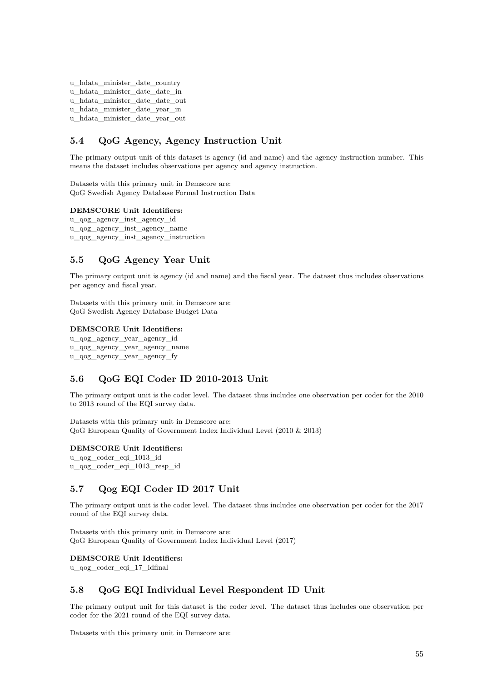```
u_hdata_minister_date_country
u_hdata_minister_date_date_in
u_hdata_minister_date_date_out
u_hdata_minister_date_year_in
u_hdata_minister_date_year_out
```
# **5.4 QoG Agency, Agency Instruction Unit**

The primary output unit of this dataset is agency (id and name) and the agency instruction number. This means the dataset includes observations per agency and agency instruction.

Datasets with this primary unit in Demscore are: QoG Swedish Agency Database Formal Instruction Data

#### **DEMSCORE Unit Identifiers:**

```
u_qog_agency_inst_agency_id
u_qog_agency_inst_agency_name
u_qog_agency_inst_agency_instruction
```
## **5.5 QoG Agency Year Unit**

The primary output unit is agency (id and name) and the fiscal year. The dataset thus includes observations per agency and fiscal year.

Datasets with this primary unit in Demscore are: QoG Swedish Agency Database Budget Data

### **DEMSCORE Unit Identifiers:**

u\_qog\_agency\_year\_agency\_id u\_qog\_agency\_year\_agency\_name u\_qog\_agency\_year\_agency\_fy

## **5.6 QoG EQI Coder ID 2010-2013 Unit**

The primary output unit is the coder level. The dataset thus includes one observation per coder for the 2010 to 2013 round of the EQI survey data.

Datasets with this primary unit in Demscore are: QoG European Quality of Government Index Individual Level (2010 & 2013)

### **DEMSCORE Unit Identifiers:**

u\_qog\_coder\_eqi\_1013\_id u\_qog\_coder\_eqi\_1013\_resp\_id

### **5.7 Qog EQI Coder ID 2017 Unit**

The primary output unit is the coder level. The dataset thus includes one observation per coder for the 2017 round of the EQI survey data.

Datasets with this primary unit in Demscore are: QoG European Quality of Government Index Individual Level (2017)

#### **DEMSCORE Unit Identifiers:**

u\_qog\_coder\_eqi\_17\_idfinal

## **5.8 QoG EQI Individual Level Respondent ID Unit**

The primary output unit for this dataset is the coder level. The dataset thus includes one observation per coder for the 2021 round of the EQI survey data.

Datasets with this primary unit in Demscore are: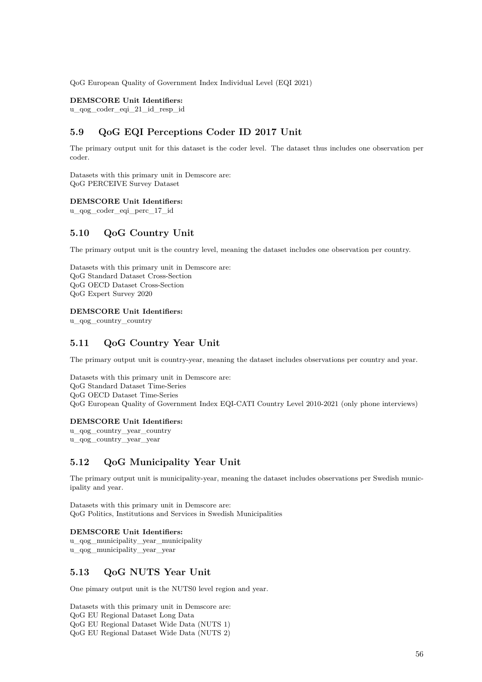QoG European Quality of Government Index Individual Level (EQI 2021)

**DEMSCORE Unit Identifiers:**

u\_qog\_coder\_eqi\_21\_id\_resp\_id

# **5.9 QoG EQI Perceptions Coder ID 2017 Unit**

The primary output unit for this dataset is the coder level. The dataset thus includes one observation per coder.

Datasets with this primary unit in Demscore are: QoG PERCEIVE Survey Dataset

**DEMSCORE Unit Identifiers:**

u\_qog\_coder\_eqi\_perc\_17\_id

### **5.10 QoG Country Unit**

The primary output unit is the country level, meaning the dataset includes one observation per country.

Datasets with this primary unit in Demscore are: QoG Standard Dataset Cross-Section QoG OECD Dataset Cross-Section QoG Expert Survey 2020

#### **DEMSCORE Unit Identifiers:**

u\_qog\_country\_country

# **5.11 QoG Country Year Unit**

The primary output unit is country-year, meaning the dataset includes observations per country and year.

Datasets with this primary unit in Demscore are: QoG Standard Dataset Time-Series QoG OECD Dataset Time-Series QoG European Quality of Government Index EQI-CATI Country Level 2010-2021 (only phone interviews)

#### **DEMSCORE Unit Identifiers:**

u\_qog\_country\_year\_country u\_qog\_country\_year\_year

## **5.12 QoG Municipality Year Unit**

The primary output unit is municipality-year, meaning the dataset includes observations per Swedish municipality and year.

Datasets with this primary unit in Demscore are: QoG Politics, Institutions and Services in Swedish Municipalities

### **DEMSCORE Unit Identifiers:**

u\_qog\_municipality\_year\_municipality u\_qog\_municipality\_year\_year

## **5.13 QoG NUTS Year Unit**

One pimary output unit is the NUTS0 level region and year.

Datasets with this primary unit in Demscore are: QoG EU Regional Dataset Long Data QoG EU Regional Dataset Wide Data (NUTS 1) QoG EU Regional Dataset Wide Data (NUTS 2)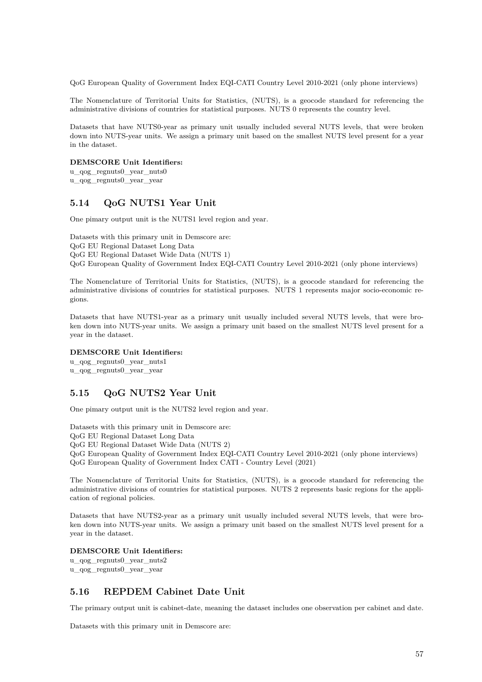QoG European Quality of Government Index EQI-CATI Country Level 2010-2021 (only phone interviews)

The Nomenclature of Territorial Units for Statistics, (NUTS), is a geocode standard for referencing the administrative divisions of countries for statistical purposes. NUTS 0 represents the country level.

Datasets that have NUTS0-year as primary unit usually included several NUTS levels, that were broken down into NUTS-year units. We assign a primary unit based on the smallest NUTS level present for a year in the dataset.

#### **DEMSCORE Unit Identifiers:**

u\_qog\_regnuts0\_year\_nuts0 u\_qog\_regnuts0\_year\_year

### **5.14 QoG NUTS1 Year Unit**

One pimary output unit is the NUTS1 level region and year.

Datasets with this primary unit in Demscore are: QoG EU Regional Dataset Long Data QoG EU Regional Dataset Wide Data (NUTS 1) QoG European Quality of Government Index EQI-CATI Country Level 2010-2021 (only phone interviews)

The Nomenclature of Territorial Units for Statistics, (NUTS), is a geocode standard for referencing the administrative divisions of countries for statistical purposes. NUTS 1 represents major socio-economic regions.

Datasets that have NUTS1-year as a primary unit usually included several NUTS levels, that were broken down into NUTS-year units. We assign a primary unit based on the smallest NUTS level present for a year in the dataset.

### **DEMSCORE Unit Identifiers:**

u\_qog\_regnuts0\_year\_nuts1 u\_qog\_regnuts0\_year\_year

## **5.15 QoG NUTS2 Year Unit**

One pimary output unit is the NUTS2 level region and year.

Datasets with this primary unit in Demscore are:

QoG EU Regional Dataset Long Data

QoG EU Regional Dataset Wide Data (NUTS 2)

QoG European Quality of Government Index EQI-CATI Country Level 2010-2021 (only phone interviews) QoG European Quality of Government Index CATI - Country Level (2021)

The Nomenclature of Territorial Units for Statistics, (NUTS), is a geocode standard for referencing the administrative divisions of countries for statistical purposes. NUTS 2 represents basic regions for the application of regional policies.

Datasets that have NUTS2-year as a primary unit usually included several NUTS levels, that were broken down into NUTS-year units. We assign a primary unit based on the smallest NUTS level present for a year in the dataset.

### **DEMSCORE Unit Identifiers:**

u\_qog\_regnuts0\_year\_nuts2 u\_qog\_regnuts0\_year\_year

# **5.16 REPDEM Cabinet Date Unit**

The primary output unit is cabinet-date, meaning the dataset includes one observation per cabinet and date.

Datasets with this primary unit in Demscore are: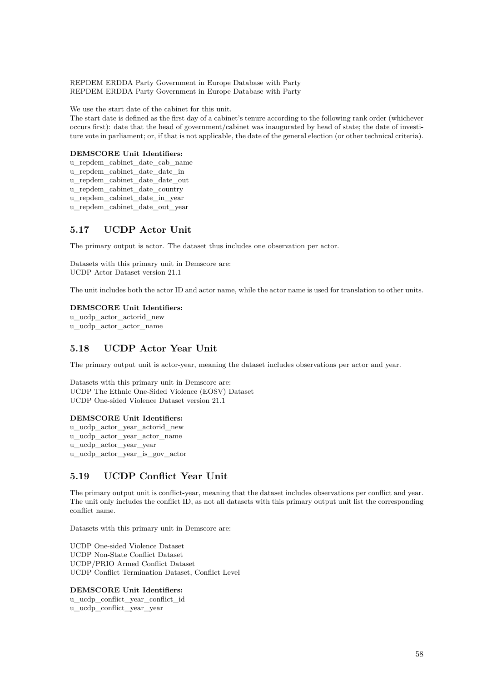REPDEM ERDDA Party Government in Europe Database with Party REPDEM ERDDA Party Government in Europe Database with Party

We use the start date of the cabinet for this unit.

The start date is defined as the first day of a cabinet's tenure according to the following rank order (whichever occurs first): date that the head of government/cabinet was inaugurated by head of state; the date of investiture vote in parliament; or, if that is not applicable, the date of the general election (or other technical criteria).

#### **DEMSCORE Unit Identifiers:**

u\_repdem\_cabinet\_date\_cab\_name u\_repdem\_cabinet\_date\_date\_in u\_repdem\_cabinet\_date\_date\_out u\_repdem\_cabinet\_date\_country u\_repdem\_cabinet\_date\_in\_year u\_repdem\_cabinet\_date\_out\_year

# **5.17 UCDP Actor Unit**

The primary output is actor. The dataset thus includes one observation per actor.

Datasets with this primary unit in Demscore are: UCDP Actor Dataset version 21.1

The unit includes both the actor ID and actor name, while the actor name is used for translation to other units.

#### **DEMSCORE Unit Identifiers:**

u\_ucdp\_actor\_actorid\_new u\_ucdp\_actor\_actor\_name

### **5.18 UCDP Actor Year Unit**

The primary output unit is actor-year, meaning the dataset includes observations per actor and year.

Datasets with this primary unit in Demscore are: UCDP The Ethnic One-Sided Violence (EOSV) Dataset UCDP One-sided Violence Dataset version 21.1

#### **DEMSCORE Unit Identifiers:**

u\_ucdp\_actor\_year\_actorid\_new u\_ucdp\_actor\_year\_actor\_name u\_ucdp\_actor\_year\_year u\_ucdp\_actor\_year\_is\_gov\_actor

# **5.19 UCDP Conflict Year Unit**

The primary output unit is conflict-year, meaning that the dataset includes observations per conflict and year. The unit only includes the conflict ID, as not all datasets with this primary output unit list the corresponding conflict name.

Datasets with this primary unit in Demscore are:

UCDP One-sided Violence Dataset UCDP Non-State Conflict Dataset UCDP/PRIO Armed Conflict Dataset UCDP Conflict Termination Dataset, Conflict Level

### **DEMSCORE Unit Identifiers:**

u\_ucdp\_conflict\_year\_conflict\_id u ucdp conflict year year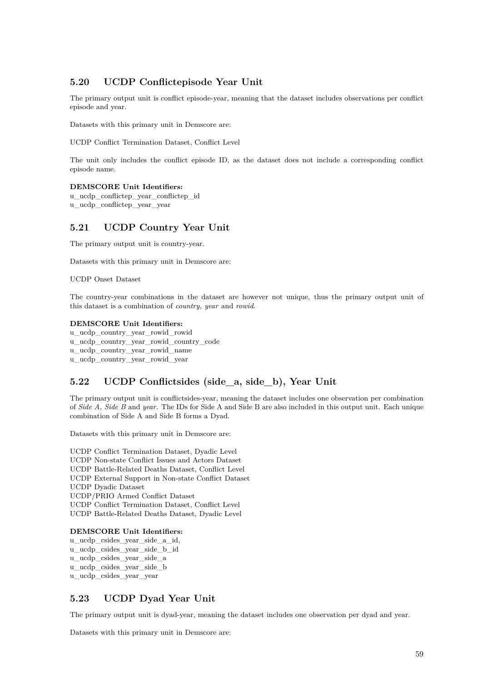# **5.20 UCDP Conflictepisode Year Unit**

The primary output unit is conflict episode-year, meaning that the dataset includes observations per conflict episode and year.

Datasets with this primary unit in Demscore are:

UCDP Conflict Termination Dataset, Conflict Level

The unit only includes the conflict episode ID, as the dataset does not include a corresponding conflict episode name.

**DEMSCORE Unit Identifiers:** u\_ucdp\_conflictep\_year\_conflictep\_id

u ucdp conflictep year year

## **5.21 UCDP Country Year Unit**

The primary output unit is country-year.

Datasets with this primary unit in Demscore are:

UCDP Onset Dataset

The country-year combinations in the dataset are however not unique, thus the primary output unit of this dataset is a combination of *country, year* and *rowid*.

#### **DEMSCORE Unit Identifiers:**

u\_ucdp\_country\_year\_rowid\_rowid u\_ucdp\_country\_year\_rowid\_country\_code u\_ucdp\_country\_year\_rowid\_name

# u\_ucdp\_country\_year\_rowid\_year

# **5.22 UCDP Conflictsides (side\_a, side\_b), Year Unit**

The primary output unit is conflictsides-year, meaning the dataset includes one observation per combination of *Side A, Side B* and *year*. The IDs for Side A and Side B are also included in this output unit. Each unique combination of Side A and Side B forms a Dyad.

Datasets with this primary unit in Demscore are:

UCDP Conflict Termination Dataset, Dyadic Level UCDP Non-state Conflict Issues and Actors Dataset UCDP Battle-Related Deaths Dataset, Conflict Level UCDP External Support in Non-state Conflict Dataset UCDP Dyadic Dataset UCDP/PRIO Armed Conflict Dataset UCDP Conflict Termination Dataset, Conflict Level UCDP Battle-Related Deaths Dataset, Dyadic Level

#### **DEMSCORE Unit Identifiers:**

u\_ucdp\_csides\_year\_side\_a\_id, u\_ucdp\_csides\_year\_side\_b\_id u\_ucdp\_csides\_year\_side\_a u\_ucdp\_csides\_year\_side\_b u\_ucdp\_csides\_year\_year

# **5.23 UCDP Dyad Year Unit**

The primary output unit is dyad-year, meaning the dataset includes one observation per dyad and year.

Datasets with this primary unit in Demscore are: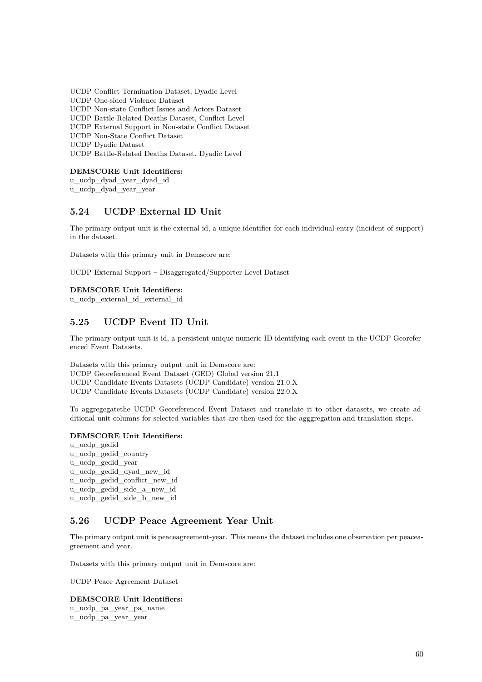UCDP Conflict Termination Dataset, Dyadic Level UCDP One-sided Violence Dataset UCDP Non-state Conflict Issues and Actors Dataset UCDP Battle-Related Deaths Dataset, Conflict Level UCDP External Support in Non-state Conflict Dataset UCDP Non-State Conflict Dataset UCDP Dyadic Dataset UCDP Battle-Related Deaths Dataset, Dyadic Level

**DEMSCORE Unit Identifiers:**

u\_ucdp\_dyad\_year\_dyad\_id

u\_ucdp\_dyad\_year\_year

# **5.24 UCDP External ID Unit**

The primary output unit is the external id, a unique identifier for each individual entry (incident of support) in the dataset.

Datasets with this primary unit in Demscore are:

UCDP External Support – Disaggregated/Supporter Level Dataset

### **DEMSCORE Unit Identifiers:**

u\_ucdp\_external\_id\_external\_id

# **5.25 UCDP Event ID Unit**

The primary output unit is id, a persistent unique numeric ID identifying each event in the UCDP Georeferenced Event Datasets.

Datasets with this primary output unit in Demscore are: UCDP Georeferenced Event Dataset (GED) Global version 21.1 UCDP Candidate Events Datasets (UCDP Candidate) version 21.0.X UCDP Candidate Events Datasets (UCDP Candidate) version 22.0.X

To aggregegatethe UCDP Georeferenced Event Dataset and translate it to other datasets, we create additional unit columns for selected variables that are then used for the agggregation and translation steps.

### **DEMSCORE Unit Identifiers:**

u\_ucdp\_gedid u\_ucdp\_gedid\_country u\_ucdp\_gedid\_year u\_ucdp\_gedid\_dyad\_new\_id u\_ucdp\_gedid\_conflict\_new\_id u\_ucdp\_gedid\_side\_a\_new\_id u\_ucdp\_gedid\_side\_b\_new\_id

## **5.26 UCDP Peace Agreement Year Unit**

The primary output unit is peaceagreement-year. This means the dataset includes one observation per peaceagreement and year.

Datasets with this primary output unit in Demscore are:

UCDP Peace Agreement Dataset

# **DEMSCORE Unit Identifiers:** u\_ucdp\_pa\_year\_pa\_name

u\_ucdp\_pa\_year\_year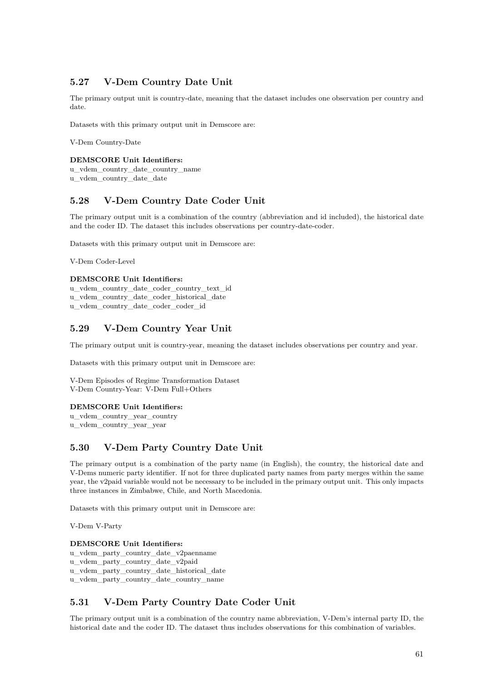# **5.27 V-Dem Country Date Unit**

The primary output unit is country-date, meaning that the dataset includes one observation per country and date.

Datasets with this primary output unit in Demscore are:

V-Dem Country-Date

### **DEMSCORE Unit Identifiers:**

u\_vdem\_country\_date\_country\_name u\_vdem\_country\_date\_date

# **5.28 V-Dem Country Date Coder Unit**

The primary output unit is a combination of the country (abbreviation and id included), the historical date and the coder ID. The dataset this includes observations per country-date-coder.

Datasets with this primary output unit in Demscore are:

V-Dem Coder-Level

### **DEMSCORE Unit Identifiers:**

u\_vdem\_country\_date\_coder\_country\_text\_id u\_vdem\_country\_date\_coder\_historical\_date u\_vdem\_country\_date\_coder\_coder\_id

# **5.29 V-Dem Country Year Unit**

The primary output unit is country-year, meaning the dataset includes observations per country and year.

Datasets with this primary output unit in Demscore are:

V-Dem Episodes of Regime Transformation Dataset V-Dem Country-Year: V-Dem Full+Others

### **DEMSCORE Unit Identifiers:**

u\_vdem\_country\_year\_country u\_vdem\_country\_year\_year

# **5.30 V-Dem Party Country Date Unit**

The primary output is a combination of the party name (in English), the country, the historical date and V-Dems numeric party identifier. If not for three duplicated party names from party merges within the same year, the v2paid variable would not be necessary to be included in the primary output unit. This only impacts three instances in Zimbabwe, Chile, and North Macedonia.

Datasets with this primary output unit in Demscore are:

V-Dem V-Party

### **DEMSCORE Unit Identifiers:**

u\_vdem\_party\_country\_date\_v2paenname u\_vdem\_party\_country\_date\_v2paid u\_vdem\_party\_country\_date\_historical\_date

u\_vdem\_party\_country\_date\_country\_name

# **5.31 V-Dem Party Country Date Coder Unit**

The primary output unit is a combination of the country name abbreviation, V-Dem's internal party ID, the historical date and the coder ID. The dataset thus includes observations for this combination of variables.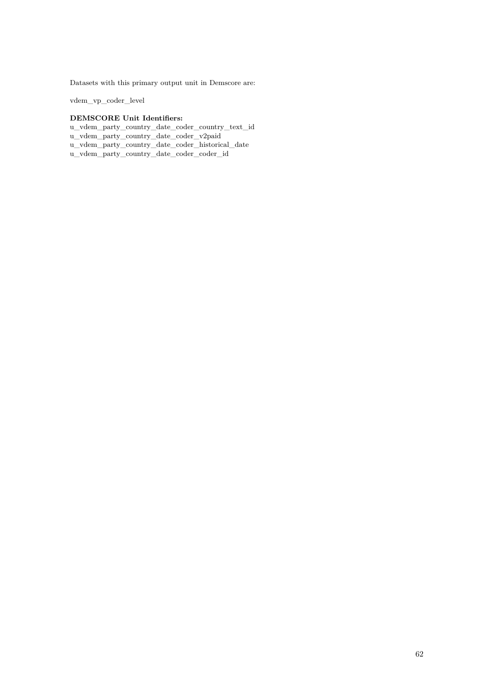Datasets with this primary output unit in Demscore are:

vdem\_vp\_coder\_level

### **DEMSCORE Unit Identifiers:**

u\_vdem\_party\_country\_date\_coder\_country\_text\_id

u\_vdem\_party\_country\_date\_coder\_v2paid

u\_vdem\_party\_country\_date\_coder\_historical\_date

u\_vdem\_party\_country\_date\_coder\_coder\_id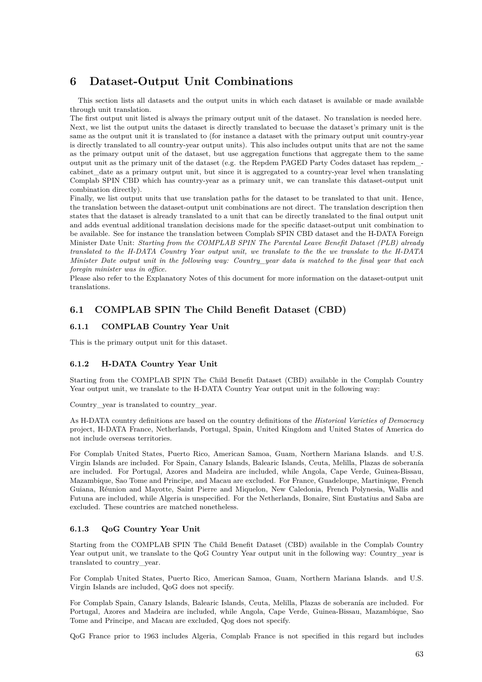# **6 Dataset-Output Unit Combinations**

This section lists all datasets and the output units in which each dataset is available or made available through unit translation.

The first output unit listed is always the primary output unit of the dataset. No translation is needed here. Next, we list the output units the dataset is directly translated to becuase the dataset's primary unit is the same as the output unit it is translated to (for instance a dataset with the primary output unit country-year is directly translated to all country-year output units). This also includes output units that are not the same as the primary output unit of the dataset, but use aggregation functions that aggregate them to the same output unit as the primary unit of the dataset (e.g. the Repdem PAGED Party Codes dataset has repdem\_ cabinet\_date as a primary output unit, but since it is aggregated to a country-year level when translating Complab SPIN CBD which has country-year as a primary unit, we can translate this dataset-output unit combination directly).

Finally, we list output units that use translation paths for the dataset to be translated to that unit. Hence, the translation between the dataset-output unit combinations are not direct. The translation description then states that the dataset is already translated to a unit that can be directly translated to the final output unit and adds eventual additional translation decisions made for the specific dataset-output unit combination to be available. See for instance the translation between Complab SPIN CBD dataset and the H-DATA Foreign Minister Date Unit: *Starting from the COMPLAB SPIN The Parental Leave Benefit Dataset (PLB) already translated to the H-DATA Country Year output unit, we translate to the the we translate to the H-DATA Minister Date output unit in the following way: Country\_year data is matched to the final year that each foregin minister was in office.*

Please also refer to the Explanatory Notes of this document for more information on the dataset-output unit translations.

## **6.1 COMPLAB SPIN The Child Benefit Dataset (CBD)**

### **6.1.1 COMPLAB Country Year Unit**

This is the primary output unit for this dataset.

### **6.1.2 H-DATA Country Year Unit**

Starting from the COMPLAB SPIN The Child Benefit Dataset (CBD) available in the Complab Country Year output unit, we translate to the H-DATA Country Year output unit in the following way:

Country year is translated to country year.

As H-DATA country definitions are based on the country definitions of the *Historical Varieties of Democracy* project, H-DATA France, Netherlands, Portugal, Spain, United Kingdom and United States of America do not include overseas territories.

For Complab United States, Puerto Rico, American Samoa, Guam, Northern Mariana Islands. and U.S. Virgin Islands are included. For Spain, Canary Islands, Balearic Islands, Ceuta, Melilla, Plazas de soberanía are included. For Portugal, Azores and Madeira are included, while Angola, Cape Verde, Guinea-Bissau, Mazambique, Sao Tome and Principe, and Macau are excluded. For France, Guadeloupe, Martinique, French Guiana, Réunion and Mayotte, Saint Pierre and Miquelon, New Caledonia, French Polynesia, Wallis and Futuna are included, while Algeria is unspecified. For the Netherlands, Bonaire, Sint Eustatius and Saba are excluded. These countries are matched nonetheless.

### **6.1.3 QoG Country Year Unit**

Starting from the COMPLAB SPIN The Child Benefit Dataset (CBD) available in the Complab Country Year output unit, we translate to the QoG Country Year output unit in the following way: Country\_year is translated to country\_year.

For Complab United States, Puerto Rico, American Samoa, Guam, Northern Mariana Islands. and U.S. Virgin Islands are included, QoG does not specify.

For Complab Spain, Canary Islands, Balearic Islands, Ceuta, Melilla, Plazas de soberanía are included. For Portugal, Azores and Madeira are included, while Angola, Cape Verde, Guinea-Bissau, Mazambique, Sao Tome and Principe, and Macau are excluded, Qog does not specify.

QoG France prior to 1963 includes Algeria, Complab France is not specified in this regard but includes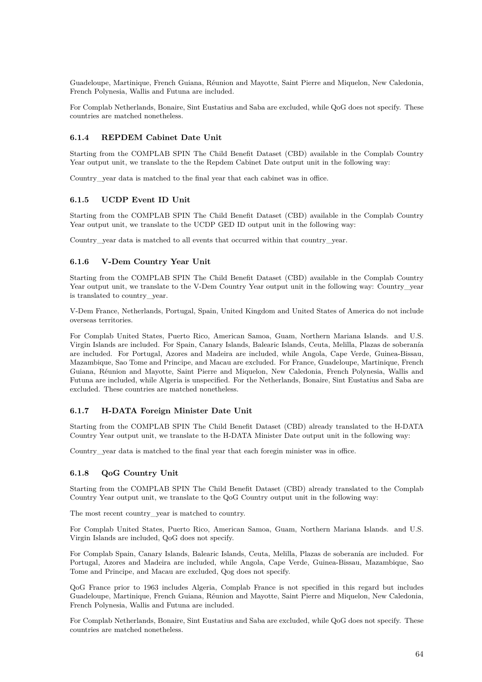Guadeloupe, Martinique, French Guiana, Réunion and Mayotte, Saint Pierre and Miquelon, New Caledonia, French Polynesia, Wallis and Futuna are included.

For Complab Netherlands, Bonaire, Sint Eustatius and Saba are excluded, while QoG does not specify. These countries are matched nonetheless.

### **6.1.4 REPDEM Cabinet Date Unit**

Starting from the COMPLAB SPIN The Child Benefit Dataset (CBD) available in the Complab Country Year output unit, we translate to the the Repdem Cabinet Date output unit in the following way:

Country\_year data is matched to the final year that each cabinet was in office.

### **6.1.5 UCDP Event ID Unit**

Starting from the COMPLAB SPIN The Child Benefit Dataset (CBD) available in the Complab Country Year output unit, we translate to the UCDP GED ID output unit in the following way:

Country\_year data is matched to all events that occurred within that country\_year.

### **6.1.6 V-Dem Country Year Unit**

Starting from the COMPLAB SPIN The Child Benefit Dataset (CBD) available in the Complab Country Year output unit, we translate to the V-Dem Country Year output unit in the following way: Country year is translated to country\_year.

V-Dem France, Netherlands, Portugal, Spain, United Kingdom and United States of America do not include overseas territories.

For Complab United States, Puerto Rico, American Samoa, Guam, Northern Mariana Islands. and U.S. Virgin Islands are included. For Spain, Canary Islands, Balearic Islands, Ceuta, Melilla, Plazas de soberanía are included. For Portugal, Azores and Madeira are included, while Angola, Cape Verde, Guinea-Bissau, Mazambique, Sao Tome and Principe, and Macau are excluded. For France, Guadeloupe, Martinique, French Guiana, Réunion and Mayotte, Saint Pierre and Miquelon, New Caledonia, French Polynesia, Wallis and Futuna are included, while Algeria is unspecified. For the Netherlands, Bonaire, Sint Eustatius and Saba are excluded. These countries are matched nonetheless.

### **6.1.7 H-DATA Foreign Minister Date Unit**

Starting from the COMPLAB SPIN The Child Benefit Dataset (CBD) already translated to the H-DATA Country Year output unit, we translate to the H-DATA Minister Date output unit in the following way:

Country\_year data is matched to the final year that each foregin minister was in office.

### **6.1.8 QoG Country Unit**

Starting from the COMPLAB SPIN The Child Benefit Dataset (CBD) already translated to the Complab Country Year output unit, we translate to the QoG Country output unit in the following way:

The most recent country\_year is matched to country.

For Complab United States, Puerto Rico, American Samoa, Guam, Northern Mariana Islands. and U.S. Virgin Islands are included, QoG does not specify.

For Complab Spain, Canary Islands, Balearic Islands, Ceuta, Melilla, Plazas de soberanía are included. For Portugal, Azores and Madeira are included, while Angola, Cape Verde, Guinea-Bissau, Mazambique, Sao Tome and Principe, and Macau are excluded, Qog does not specify.

QoG France prior to 1963 includes Algeria, Complab France is not specified in this regard but includes Guadeloupe, Martinique, French Guiana, Réunion and Mayotte, Saint Pierre and Miquelon, New Caledonia, French Polynesia, Wallis and Futuna are included.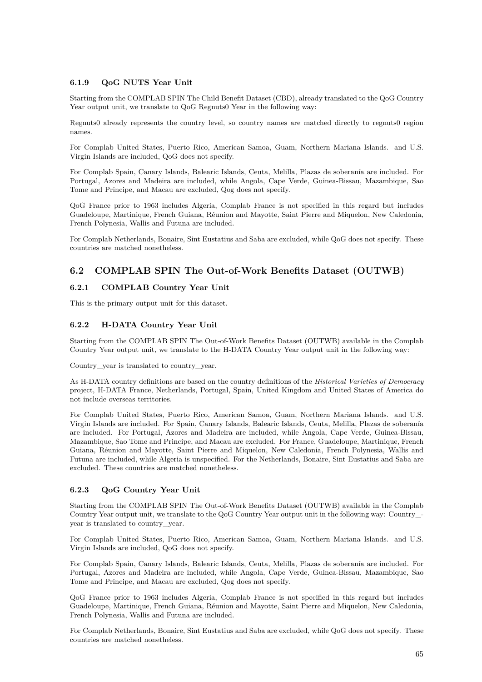### **6.1.9 QoG NUTS Year Unit**

Starting from the COMPLAB SPIN The Child Benefit Dataset (CBD), already translated to the QoG Country Year output unit, we translate to QoG Regnuts0 Year in the following way:

Regnuts0 already represents the country level, so country names are matched directly to regnuts0 region names.

For Complab United States, Puerto Rico, American Samoa, Guam, Northern Mariana Islands. and U.S. Virgin Islands are included, QoG does not specify.

For Complab Spain, Canary Islands, Balearic Islands, Ceuta, Melilla, Plazas de soberanía are included. For Portugal, Azores and Madeira are included, while Angola, Cape Verde, Guinea-Bissau, Mazambique, Sao Tome and Principe, and Macau are excluded, Qog does not specify.

QoG France prior to 1963 includes Algeria, Complab France is not specified in this regard but includes Guadeloupe, Martinique, French Guiana, Réunion and Mayotte, Saint Pierre and Miquelon, New Caledonia, French Polynesia, Wallis and Futuna are included.

For Complab Netherlands, Bonaire, Sint Eustatius and Saba are excluded, while QoG does not specify. These countries are matched nonetheless.

# **6.2 COMPLAB SPIN The Out-of-Work Benefits Dataset (OUTWB)**

### **6.2.1 COMPLAB Country Year Unit**

This is the primary output unit for this dataset.

### **6.2.2 H-DATA Country Year Unit**

Starting from the COMPLAB SPIN The Out-of-Work Benefits Dataset (OUTWB) available in the Complab Country Year output unit, we translate to the H-DATA Country Year output unit in the following way:

Country\_year is translated to country\_year.

As H-DATA country definitions are based on the country definitions of the *Historical Varieties of Democracy* project, H-DATA France, Netherlands, Portugal, Spain, United Kingdom and United States of America do not include overseas territories.

For Complab United States, Puerto Rico, American Samoa, Guam, Northern Mariana Islands. and U.S. Virgin Islands are included. For Spain, Canary Islands, Balearic Islands, Ceuta, Melilla, Plazas de soberanía are included. For Portugal, Azores and Madeira are included, while Angola, Cape Verde, Guinea-Bissau, Mazambique, Sao Tome and Principe, and Macau are excluded. For France, Guadeloupe, Martinique, French Guiana, Réunion and Mayotte, Saint Pierre and Miquelon, New Caledonia, French Polynesia, Wallis and Futuna are included, while Algeria is unspecified. For the Netherlands, Bonaire, Sint Eustatius and Saba are excluded. These countries are matched nonetheless.

### **6.2.3 QoG Country Year Unit**

Starting from the COMPLAB SPIN The Out-of-Work Benefits Dataset (OUTWB) available in the Complab Country Year output unit, we translate to the QoG Country Year output unit in the following way: Country\_ year is translated to country\_year.

For Complab United States, Puerto Rico, American Samoa, Guam, Northern Mariana Islands. and U.S. Virgin Islands are included, QoG does not specify.

For Complab Spain, Canary Islands, Balearic Islands, Ceuta, Melilla, Plazas de soberanía are included. For Portugal, Azores and Madeira are included, while Angola, Cape Verde, Guinea-Bissau, Mazambique, Sao Tome and Principe, and Macau are excluded, Qog does not specify.

QoG France prior to 1963 includes Algeria, Complab France is not specified in this regard but includes Guadeloupe, Martinique, French Guiana, Réunion and Mayotte, Saint Pierre and Miquelon, New Caledonia, French Polynesia, Wallis and Futuna are included.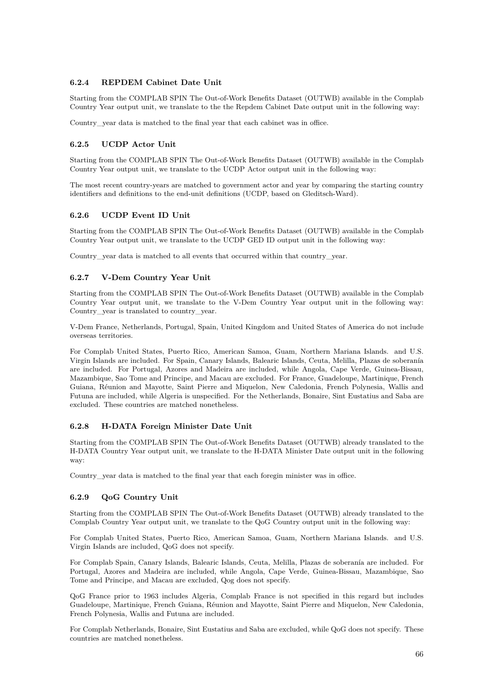### **6.2.4 REPDEM Cabinet Date Unit**

Starting from the COMPLAB SPIN The Out-of-Work Benefits Dataset (OUTWB) available in the Complab Country Year output unit, we translate to the the Repdem Cabinet Date output unit in the following way:

Country\_year data is matched to the final year that each cabinet was in office.

### **6.2.5 UCDP Actor Unit**

Starting from the COMPLAB SPIN The Out-of-Work Benefits Dataset (OUTWB) available in the Complab Country Year output unit, we translate to the UCDP Actor output unit in the following way:

The most recent country-years are matched to government actor and year by comparing the starting country identifiers and definitions to the end-unit definitions (UCDP, based on Gleditsch-Ward).

### **6.2.6 UCDP Event ID Unit**

Starting from the COMPLAB SPIN The Out-of-Work Benefits Dataset (OUTWB) available in the Complab Country Year output unit, we translate to the UCDP GED ID output unit in the following way:

Country year data is matched to all events that occurred within that country year.

### **6.2.7 V-Dem Country Year Unit**

Starting from the COMPLAB SPIN The Out-of-Work Benefits Dataset (OUTWB) available in the Complab Country Year output unit, we translate to the V-Dem Country Year output unit in the following way: Country\_year is translated to country\_year.

V-Dem France, Netherlands, Portugal, Spain, United Kingdom and United States of America do not include overseas territories.

For Complab United States, Puerto Rico, American Samoa, Guam, Northern Mariana Islands. and U.S. Virgin Islands are included. For Spain, Canary Islands, Balearic Islands, Ceuta, Melilla, Plazas de soberanía are included. For Portugal, Azores and Madeira are included, while Angola, Cape Verde, Guinea-Bissau, Mazambique, Sao Tome and Principe, and Macau are excluded. For France, Guadeloupe, Martinique, French Guiana, Réunion and Mayotte, Saint Pierre and Miquelon, New Caledonia, French Polynesia, Wallis and Futuna are included, while Algeria is unspecified. For the Netherlands, Bonaire, Sint Eustatius and Saba are excluded. These countries are matched nonetheless.

### **6.2.8 H-DATA Foreign Minister Date Unit**

Starting from the COMPLAB SPIN The Out-of-Work Benefits Dataset (OUTWB) already translated to the H-DATA Country Year output unit, we translate to the H-DATA Minister Date output unit in the following way:

Country year data is matched to the final year that each foregin minister was in office.

### **6.2.9 QoG Country Unit**

Starting from the COMPLAB SPIN The Out-of-Work Benefits Dataset (OUTWB) already translated to the Complab Country Year output unit, we translate to the QoG Country output unit in the following way:

For Complab United States, Puerto Rico, American Samoa, Guam, Northern Mariana Islands. and U.S. Virgin Islands are included, QoG does not specify.

For Complab Spain, Canary Islands, Balearic Islands, Ceuta, Melilla, Plazas de soberanía are included. For Portugal, Azores and Madeira are included, while Angola, Cape Verde, Guinea-Bissau, Mazambique, Sao Tome and Principe, and Macau are excluded, Qog does not specify.

QoG France prior to 1963 includes Algeria, Complab France is not specified in this regard but includes Guadeloupe, Martinique, French Guiana, Réunion and Mayotte, Saint Pierre and Miquelon, New Caledonia, French Polynesia, Wallis and Futuna are included.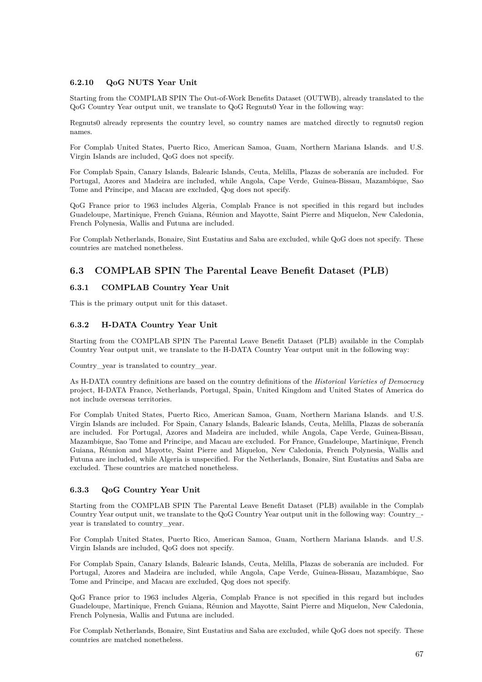### **6.2.10 QoG NUTS Year Unit**

Starting from the COMPLAB SPIN The Out-of-Work Benefits Dataset (OUTWB), already translated to the QoG Country Year output unit, we translate to QoG Regnuts0 Year in the following way:

Regnuts0 already represents the country level, so country names are matched directly to regnuts0 region names.

For Complab United States, Puerto Rico, American Samoa, Guam, Northern Mariana Islands. and U.S. Virgin Islands are included, QoG does not specify.

For Complab Spain, Canary Islands, Balearic Islands, Ceuta, Melilla, Plazas de soberanía are included. For Portugal, Azores and Madeira are included, while Angola, Cape Verde, Guinea-Bissau, Mazambique, Sao Tome and Principe, and Macau are excluded, Qog does not specify.

QoG France prior to 1963 includes Algeria, Complab France is not specified in this regard but includes Guadeloupe, Martinique, French Guiana, Réunion and Mayotte, Saint Pierre and Miquelon, New Caledonia, French Polynesia, Wallis and Futuna are included.

For Complab Netherlands, Bonaire, Sint Eustatius and Saba are excluded, while QoG does not specify. These countries are matched nonetheless.

# **6.3 COMPLAB SPIN The Parental Leave Benefit Dataset (PLB)**

### **6.3.1 COMPLAB Country Year Unit**

This is the primary output unit for this dataset.

### **6.3.2 H-DATA Country Year Unit**

Starting from the COMPLAB SPIN The Parental Leave Benefit Dataset (PLB) available in the Complab Country Year output unit, we translate to the H-DATA Country Year output unit in the following way:

Country\_year is translated to country\_year.

As H-DATA country definitions are based on the country definitions of the *Historical Varieties of Democracy* project, H-DATA France, Netherlands, Portugal, Spain, United Kingdom and United States of America do not include overseas territories.

For Complab United States, Puerto Rico, American Samoa, Guam, Northern Mariana Islands. and U.S. Virgin Islands are included. For Spain, Canary Islands, Balearic Islands, Ceuta, Melilla, Plazas de soberanía are included. For Portugal, Azores and Madeira are included, while Angola, Cape Verde, Guinea-Bissau, Mazambique, Sao Tome and Principe, and Macau are excluded. For France, Guadeloupe, Martinique, French Guiana, Réunion and Mayotte, Saint Pierre and Miquelon, New Caledonia, French Polynesia, Wallis and Futuna are included, while Algeria is unspecified. For the Netherlands, Bonaire, Sint Eustatius and Saba are excluded. These countries are matched nonetheless.

### **6.3.3 QoG Country Year Unit**

Starting from the COMPLAB SPIN The Parental Leave Benefit Dataset (PLB) available in the Complab Country Year output unit, we translate to the QoG Country Year output unit in the following way: Country\_ year is translated to country\_year.

For Complab United States, Puerto Rico, American Samoa, Guam, Northern Mariana Islands. and U.S. Virgin Islands are included, QoG does not specify.

For Complab Spain, Canary Islands, Balearic Islands, Ceuta, Melilla, Plazas de soberanía are included. For Portugal, Azores and Madeira are included, while Angola, Cape Verde, Guinea-Bissau, Mazambique, Sao Tome and Principe, and Macau are excluded, Qog does not specify.

QoG France prior to 1963 includes Algeria, Complab France is not specified in this regard but includes Guadeloupe, Martinique, French Guiana, Réunion and Mayotte, Saint Pierre and Miquelon, New Caledonia, French Polynesia, Wallis and Futuna are included.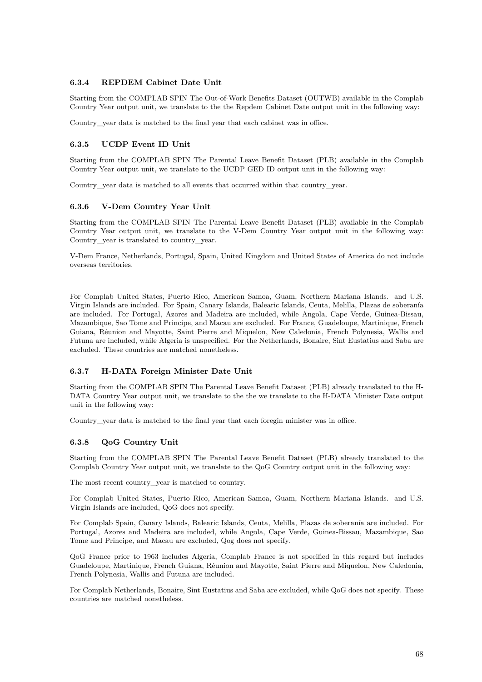### **6.3.4 REPDEM Cabinet Date Unit**

Starting from the COMPLAB SPIN The Out-of-Work Benefits Dataset (OUTWB) available in the Complab Country Year output unit, we translate to the the Repdem Cabinet Date output unit in the following way:

Country\_year data is matched to the final year that each cabinet was in office.

### **6.3.5 UCDP Event ID Unit**

Starting from the COMPLAB SPIN The Parental Leave Benefit Dataset (PLB) available in the Complab Country Year output unit, we translate to the UCDP GED ID output unit in the following way:

Country\_year data is matched to all events that occurred within that country\_year.

#### **6.3.6 V-Dem Country Year Unit**

Starting from the COMPLAB SPIN The Parental Leave Benefit Dataset (PLB) available in the Complab Country Year output unit, we translate to the V-Dem Country Year output unit in the following way: Country\_year is translated to country\_year.

V-Dem France, Netherlands, Portugal, Spain, United Kingdom and United States of America do not include overseas territories.

For Complab United States, Puerto Rico, American Samoa, Guam, Northern Mariana Islands. and U.S. Virgin Islands are included. For Spain, Canary Islands, Balearic Islands, Ceuta, Melilla, Plazas de soberanía are included. For Portugal, Azores and Madeira are included, while Angola, Cape Verde, Guinea-Bissau, Mazambique, Sao Tome and Principe, and Macau are excluded. For France, Guadeloupe, Martinique, French Guiana, Réunion and Mayotte, Saint Pierre and Miquelon, New Caledonia, French Polynesia, Wallis and Futuna are included, while Algeria is unspecified. For the Netherlands, Bonaire, Sint Eustatius and Saba are excluded. These countries are matched nonetheless.

### **6.3.7 H-DATA Foreign Minister Date Unit**

Starting from the COMPLAB SPIN The Parental Leave Benefit Dataset (PLB) already translated to the H-DATA Country Year output unit, we translate to the the we translate to the H-DATA Minister Date output unit in the following way:

Country\_year data is matched to the final year that each foregin minister was in office.

### **6.3.8 QoG Country Unit**

Starting from the COMPLAB SPIN The Parental Leave Benefit Dataset (PLB) already translated to the Complab Country Year output unit, we translate to the QoG Country output unit in the following way:

The most recent country\_year is matched to country.

For Complab United States, Puerto Rico, American Samoa, Guam, Northern Mariana Islands. and U.S. Virgin Islands are included, QoG does not specify.

For Complab Spain, Canary Islands, Balearic Islands, Ceuta, Melilla, Plazas de soberanía are included. For Portugal, Azores and Madeira are included, while Angola, Cape Verde, Guinea-Bissau, Mazambique, Sao Tome and Principe, and Macau are excluded, Qog does not specify.

QoG France prior to 1963 includes Algeria, Complab France is not specified in this regard but includes Guadeloupe, Martinique, French Guiana, Réunion and Mayotte, Saint Pierre and Miquelon, New Caledonia, French Polynesia, Wallis and Futuna are included.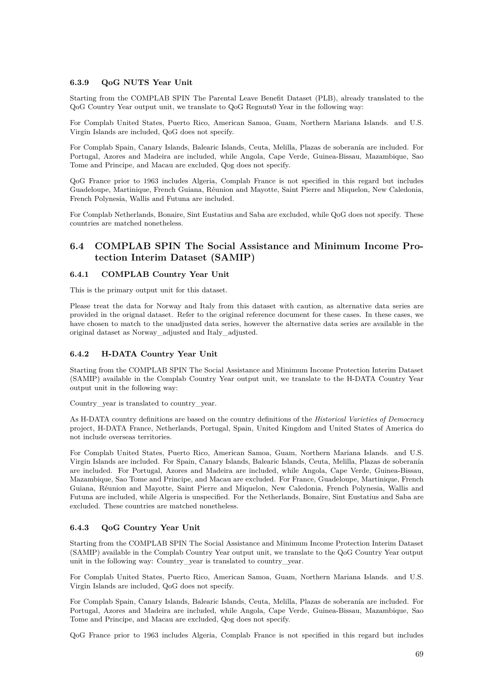### **6.3.9 QoG NUTS Year Unit**

Starting from the COMPLAB SPIN The Parental Leave Benefit Dataset (PLB), already translated to the QoG Country Year output unit, we translate to QoG Regnuts0 Year in the following way:

For Complab United States, Puerto Rico, American Samoa, Guam, Northern Mariana Islands. and U.S. Virgin Islands are included, QoG does not specify.

For Complab Spain, Canary Islands, Balearic Islands, Ceuta, Melilla, Plazas de soberanía are included. For Portugal, Azores and Madeira are included, while Angola, Cape Verde, Guinea-Bissau, Mazambique, Sao Tome and Principe, and Macau are excluded, Qog does not specify.

QoG France prior to 1963 includes Algeria, Complab France is not specified in this regard but includes Guadeloupe, Martinique, French Guiana, Réunion and Mayotte, Saint Pierre and Miquelon, New Caledonia, French Polynesia, Wallis and Futuna are included.

For Complab Netherlands, Bonaire, Sint Eustatius and Saba are excluded, while QoG does not specify. These countries are matched nonetheless.

# **6.4 COMPLAB SPIN The Social Assistance and Minimum Income Protection Interim Dataset (SAMIP)**

### **6.4.1 COMPLAB Country Year Unit**

This is the primary output unit for this dataset.

Please treat the data for Norway and Italy from this dataset with caution, as alternative data series are provided in the orignal dataset. Refer to the original reference document for these cases. In these cases, we have chosen to match to the unadjusted data series, however the alternative data series are available in the original dataset as Norway\_adjusted and Italy\_adjusted.

### **6.4.2 H-DATA Country Year Unit**

Starting from the COMPLAB SPIN The Social Assistance and Minimum Income Protection Interim Dataset (SAMIP) available in the Complab Country Year output unit, we translate to the H-DATA Country Year output unit in the following way:

Country\_year is translated to country\_year.

As H-DATA country definitions are based on the country definitions of the *Historical Varieties of Democracy* project, H-DATA France, Netherlands, Portugal, Spain, United Kingdom and United States of America do not include overseas territories.

For Complab United States, Puerto Rico, American Samoa, Guam, Northern Mariana Islands. and U.S. Virgin Islands are included. For Spain, Canary Islands, Balearic Islands, Ceuta, Melilla, Plazas de soberanía are included. For Portugal, Azores and Madeira are included, while Angola, Cape Verde, Guinea-Bissau, Mazambique, Sao Tome and Principe, and Macau are excluded. For France, Guadeloupe, Martinique, French Guiana, Réunion and Mayotte, Saint Pierre and Miquelon, New Caledonia, French Polynesia, Wallis and Futuna are included, while Algeria is unspecified. For the Netherlands, Bonaire, Sint Eustatius and Saba are excluded. These countries are matched nonetheless.

### **6.4.3 QoG Country Year Unit**

Starting from the COMPLAB SPIN The Social Assistance and Minimum Income Protection Interim Dataset (SAMIP) available in the Complab Country Year output unit, we translate to the QoG Country Year output unit in the following way: Country\_year is translated to country\_year.

For Complab United States, Puerto Rico, American Samoa, Guam, Northern Mariana Islands. and U.S. Virgin Islands are included, QoG does not specify.

For Complab Spain, Canary Islands, Balearic Islands, Ceuta, Melilla, Plazas de soberanía are included. For Portugal, Azores and Madeira are included, while Angola, Cape Verde, Guinea-Bissau, Mazambique, Sao Tome and Principe, and Macau are excluded, Qog does not specify.

QoG France prior to 1963 includes Algeria, Complab France is not specified in this regard but includes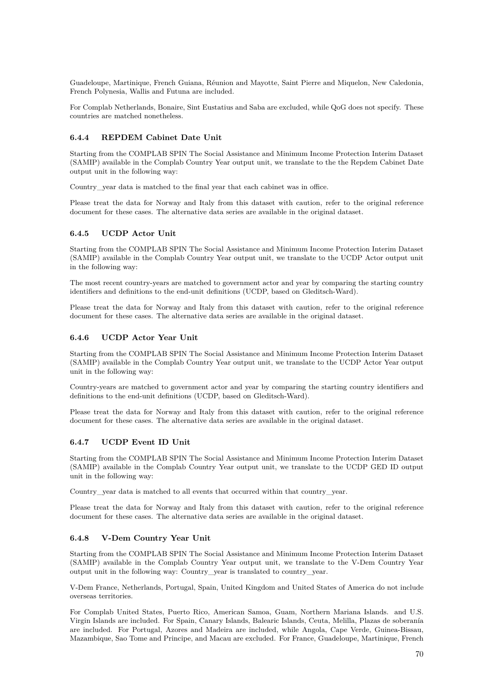Guadeloupe, Martinique, French Guiana, Réunion and Mayotte, Saint Pierre and Miquelon, New Caledonia, French Polynesia, Wallis and Futuna are included.

For Complab Netherlands, Bonaire, Sint Eustatius and Saba are excluded, while QoG does not specify. These countries are matched nonetheless.

### **6.4.4 REPDEM Cabinet Date Unit**

Starting from the COMPLAB SPIN The Social Assistance and Minimum Income Protection Interim Dataset (SAMIP) available in the Complab Country Year output unit, we translate to the the Repdem Cabinet Date output unit in the following way:

Country\_year data is matched to the final year that each cabinet was in office.

Please treat the data for Norway and Italy from this dataset with caution, refer to the original reference document for these cases. The alternative data series are available in the original dataset.

### **6.4.5 UCDP Actor Unit**

Starting from the COMPLAB SPIN The Social Assistance and Minimum Income Protection Interim Dataset (SAMIP) available in the Complab Country Year output unit, we translate to the UCDP Actor output unit in the following way:

The most recent country-years are matched to government actor and year by comparing the starting country identifiers and definitions to the end-unit definitions (UCDP, based on Gleditsch-Ward).

Please treat the data for Norway and Italy from this dataset with caution, refer to the original reference document for these cases. The alternative data series are available in the original dataset.

### **6.4.6 UCDP Actor Year Unit**

Starting from the COMPLAB SPIN The Social Assistance and Minimum Income Protection Interim Dataset (SAMIP) available in the Complab Country Year output unit, we translate to the UCDP Actor Year output unit in the following way:

Country-years are matched to government actor and year by comparing the starting country identifiers and definitions to the end-unit definitions (UCDP, based on Gleditsch-Ward).

Please treat the data for Norway and Italy from this dataset with caution, refer to the original reference document for these cases. The alternative data series are available in the original dataset.

### **6.4.7 UCDP Event ID Unit**

Starting from the COMPLAB SPIN The Social Assistance and Minimum Income Protection Interim Dataset (SAMIP) available in the Complab Country Year output unit, we translate to the UCDP GED ID output unit in the following way:

Country\_year data is matched to all events that occurred within that country\_year.

Please treat the data for Norway and Italy from this dataset with caution, refer to the original reference document for these cases. The alternative data series are available in the original dataset.

### **6.4.8 V-Dem Country Year Unit**

Starting from the COMPLAB SPIN The Social Assistance and Minimum Income Protection Interim Dataset (SAMIP) available in the Complab Country Year output unit, we translate to the V-Dem Country Year output unit in the following way: Country\_year is translated to country\_year.

V-Dem France, Netherlands, Portugal, Spain, United Kingdom and United States of America do not include overseas territories.

For Complab United States, Puerto Rico, American Samoa, Guam, Northern Mariana Islands. and U.S. Virgin Islands are included. For Spain, Canary Islands, Balearic Islands, Ceuta, Melilla, Plazas de soberanía are included. For Portugal, Azores and Madeira are included, while Angola, Cape Verde, Guinea-Bissau, Mazambique, Sao Tome and Principe, and Macau are excluded. For France, Guadeloupe, Martinique, French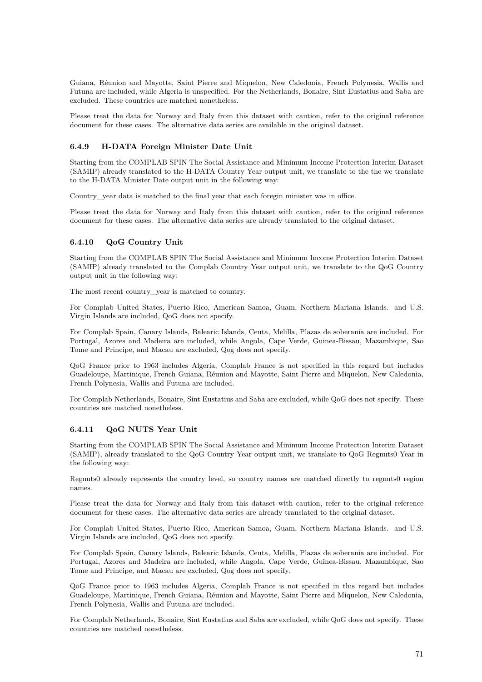Guiana, Réunion and Mayotte, Saint Pierre and Miquelon, New Caledonia, French Polynesia, Wallis and Futuna are included, while Algeria is unspecified. For the Netherlands, Bonaire, Sint Eustatius and Saba are excluded. These countries are matched nonetheless.

Please treat the data for Norway and Italy from this dataset with caution, refer to the original reference document for these cases. The alternative data series are available in the original dataset.

### **6.4.9 H-DATA Foreign Minister Date Unit**

Starting from the COMPLAB SPIN The Social Assistance and Minimum Income Protection Interim Dataset (SAMIP) already translated to the H-DATA Country Year output unit, we translate to the the we translate to the H-DATA Minister Date output unit in the following way:

Country\_year data is matched to the final year that each foregin minister was in office.

Please treat the data for Norway and Italy from this dataset with caution, refer to the original reference document for these cases. The alternative data series are already translated to the original dataset.

#### **6.4.10 QoG Country Unit**

Starting from the COMPLAB SPIN The Social Assistance and Minimum Income Protection Interim Dataset (SAMIP) already translated to the Complab Country Year output unit, we translate to the QoG Country output unit in the following way:

The most recent country\_year is matched to country.

For Complab United States, Puerto Rico, American Samoa, Guam, Northern Mariana Islands. and U.S. Virgin Islands are included, QoG does not specify.

For Complab Spain, Canary Islands, Balearic Islands, Ceuta, Melilla, Plazas de soberanía are included. For Portugal, Azores and Madeira are included, while Angola, Cape Verde, Guinea-Bissau, Mazambique, Sao Tome and Principe, and Macau are excluded, Qog does not specify.

QoG France prior to 1963 includes Algeria, Complab France is not specified in this regard but includes Guadeloupe, Martinique, French Guiana, Réunion and Mayotte, Saint Pierre and Miquelon, New Caledonia, French Polynesia, Wallis and Futuna are included.

For Complab Netherlands, Bonaire, Sint Eustatius and Saba are excluded, while QoG does not specify. These countries are matched nonetheless.

### **6.4.11 QoG NUTS Year Unit**

Starting from the COMPLAB SPIN The Social Assistance and Minimum Income Protection Interim Dataset (SAMIP), already translated to the QoG Country Year output unit, we translate to QoG Regnuts0 Year in the following way:

Regnuts0 already represents the country level, so country names are matched directly to regnuts0 region names.

Please treat the data for Norway and Italy from this dataset with caution, refer to the original reference document for these cases. The alternative data series are already translated to the original dataset.

For Complab United States, Puerto Rico, American Samoa, Guam, Northern Mariana Islands. and U.S. Virgin Islands are included, QoG does not specify.

For Complab Spain, Canary Islands, Balearic Islands, Ceuta, Melilla, Plazas de soberanía are included. For Portugal, Azores and Madeira are included, while Angola, Cape Verde, Guinea-Bissau, Mazambique, Sao Tome and Principe, and Macau are excluded, Qog does not specify.

QoG France prior to 1963 includes Algeria, Complab France is not specified in this regard but includes Guadeloupe, Martinique, French Guiana, Réunion and Mayotte, Saint Pierre and Miquelon, New Caledonia, French Polynesia, Wallis and Futuna are included.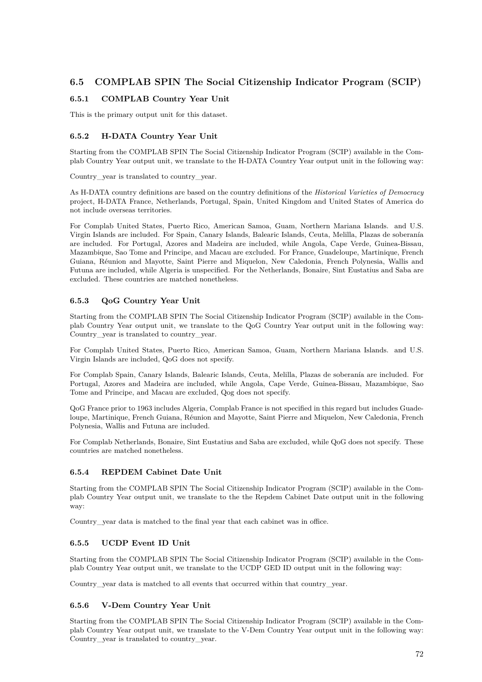# **6.5 COMPLAB SPIN The Social Citizenship Indicator Program (SCIP)**

## **6.5.1 COMPLAB Country Year Unit**

This is the primary output unit for this dataset.

## **6.5.2 H-DATA Country Year Unit**

Starting from the COMPLAB SPIN The Social Citizenship Indicator Program (SCIP) available in the Complab Country Year output unit, we translate to the H-DATA Country Year output unit in the following way:

Country\_year is translated to country\_year.

As H-DATA country definitions are based on the country definitions of the *Historical Varieties of Democracy* project, H-DATA France, Netherlands, Portugal, Spain, United Kingdom and United States of America do not include overseas territories.

For Complab United States, Puerto Rico, American Samoa, Guam, Northern Mariana Islands. and U.S. Virgin Islands are included. For Spain, Canary Islands, Balearic Islands, Ceuta, Melilla, Plazas de soberanía are included. For Portugal, Azores and Madeira are included, while Angola, Cape Verde, Guinea-Bissau, Mazambique, Sao Tome and Principe, and Macau are excluded. For France, Guadeloupe, Martinique, French Guiana, Réunion and Mayotte, Saint Pierre and Miquelon, New Caledonia, French Polynesia, Wallis and Futuna are included, while Algeria is unspecified. For the Netherlands, Bonaire, Sint Eustatius and Saba are excluded. These countries are matched nonetheless.

## **6.5.3 QoG Country Year Unit**

Starting from the COMPLAB SPIN The Social Citizenship Indicator Program (SCIP) available in the Complab Country Year output unit, we translate to the QoG Country Year output unit in the following way: Country\_year is translated to country\_year.

For Complab United States, Puerto Rico, American Samoa, Guam, Northern Mariana Islands. and U.S. Virgin Islands are included, QoG does not specify.

For Complab Spain, Canary Islands, Balearic Islands, Ceuta, Melilla, Plazas de soberanía are included. For Portugal, Azores and Madeira are included, while Angola, Cape Verde, Guinea-Bissau, Mazambique, Sao Tome and Principe, and Macau are excluded, Qog does not specify.

QoG France prior to 1963 includes Algeria, Complab France is not specified in this regard but includes Guadeloupe, Martinique, French Guiana, Réunion and Mayotte, Saint Pierre and Miquelon, New Caledonia, French Polynesia, Wallis and Futuna are included.

For Complab Netherlands, Bonaire, Sint Eustatius and Saba are excluded, while QoG does not specify. These countries are matched nonetheless.

## **6.5.4 REPDEM Cabinet Date Unit**

Starting from the COMPLAB SPIN The Social Citizenship Indicator Program (SCIP) available in the Complab Country Year output unit, we translate to the the Repdem Cabinet Date output unit in the following way:

Country\_year data is matched to the final year that each cabinet was in office.

## **6.5.5 UCDP Event ID Unit**

Starting from the COMPLAB SPIN The Social Citizenship Indicator Program (SCIP) available in the Complab Country Year output unit, we translate to the UCDP GED ID output unit in the following way:

Country year data is matched to all events that occurred within that country year.

## **6.5.6 V-Dem Country Year Unit**

Starting from the COMPLAB SPIN The Social Citizenship Indicator Program (SCIP) available in the Complab Country Year output unit, we translate to the V-Dem Country Year output unit in the following way: Country year is translated to country year.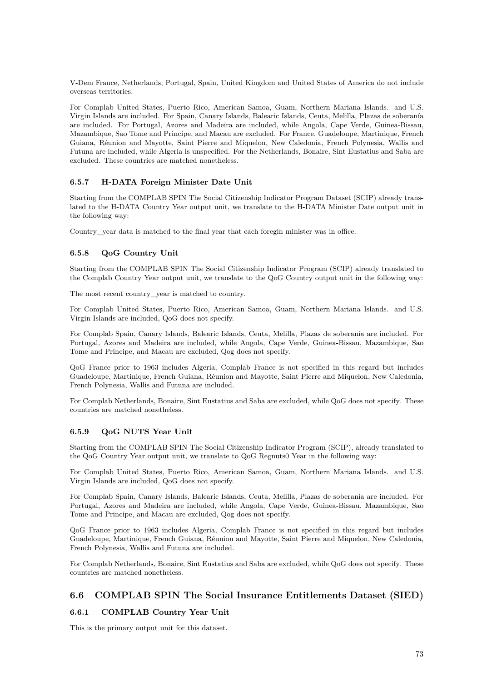V-Dem France, Netherlands, Portugal, Spain, United Kingdom and United States of America do not include overseas territories.

For Complab United States, Puerto Rico, American Samoa, Guam, Northern Mariana Islands. and U.S. Virgin Islands are included. For Spain, Canary Islands, Balearic Islands, Ceuta, Melilla, Plazas de soberanía are included. For Portugal, Azores and Madeira are included, while Angola, Cape Verde, Guinea-Bissau, Mazambique, Sao Tome and Principe, and Macau are excluded. For France, Guadeloupe, Martinique, French Guiana, Réunion and Mayotte, Saint Pierre and Miquelon, New Caledonia, French Polynesia, Wallis and Futuna are included, while Algeria is unspecified. For the Netherlands, Bonaire, Sint Eustatius and Saba are excluded. These countries are matched nonetheless.

### **6.5.7 H-DATA Foreign Minister Date Unit**

Starting from the COMPLAB SPIN The Social Citizenship Indicator Program Dataset (SCIP) already translated to the H-DATA Country Year output unit, we translate to the H-DATA Minister Date output unit in the following way:

Country\_year data is matched to the final year that each foregin minister was in office.

### **6.5.8 QoG Country Unit**

Starting from the COMPLAB SPIN The Social Citizenship Indicator Program (SCIP) already translated to the Complab Country Year output unit, we translate to the QoG Country output unit in the following way:

The most recent country year is matched to country.

For Complab United States, Puerto Rico, American Samoa, Guam, Northern Mariana Islands. and U.S. Virgin Islands are included, QoG does not specify.

For Complab Spain, Canary Islands, Balearic Islands, Ceuta, Melilla, Plazas de soberanía are included. For Portugal, Azores and Madeira are included, while Angola, Cape Verde, Guinea-Bissau, Mazambique, Sao Tome and Principe, and Macau are excluded, Qog does not specify.

QoG France prior to 1963 includes Algeria, Complab France is not specified in this regard but includes Guadeloupe, Martinique, French Guiana, Réunion and Mayotte, Saint Pierre and Miquelon, New Caledonia, French Polynesia, Wallis and Futuna are included.

For Complab Netherlands, Bonaire, Sint Eustatius and Saba are excluded, while QoG does not specify. These countries are matched nonetheless.

#### **6.5.9 QoG NUTS Year Unit**

Starting from the COMPLAB SPIN The Social Citizenship Indicator Program (SCIP), already translated to the QoG Country Year output unit, we translate to QoG Regnuts0 Year in the following way:

For Complab United States, Puerto Rico, American Samoa, Guam, Northern Mariana Islands. and U.S. Virgin Islands are included, QoG does not specify.

For Complab Spain, Canary Islands, Balearic Islands, Ceuta, Melilla, Plazas de soberanía are included. For Portugal, Azores and Madeira are included, while Angola, Cape Verde, Guinea-Bissau, Mazambique, Sao Tome and Principe, and Macau are excluded, Qog does not specify.

QoG France prior to 1963 includes Algeria, Complab France is not specified in this regard but includes Guadeloupe, Martinique, French Guiana, Réunion and Mayotte, Saint Pierre and Miquelon, New Caledonia, French Polynesia, Wallis and Futuna are included.

For Complab Netherlands, Bonaire, Sint Eustatius and Saba are excluded, while QoG does not specify. These countries are matched nonetheless.

## **6.6 COMPLAB SPIN The Social Insurance Entitlements Dataset (SIED)**

## **6.6.1 COMPLAB Country Year Unit**

This is the primary output unit for this dataset.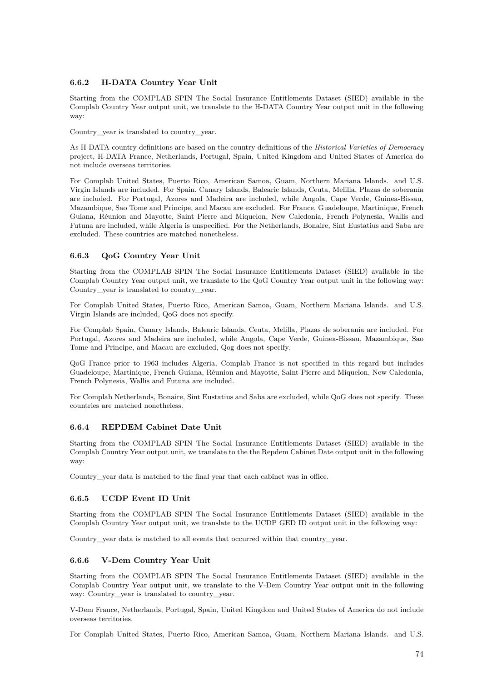### **6.6.2 H-DATA Country Year Unit**

Starting from the COMPLAB SPIN The Social Insurance Entitlements Dataset (SIED) available in the Complab Country Year output unit, we translate to the H-DATA Country Year output unit in the following way:

Country year is translated to country year.

As H-DATA country definitions are based on the country definitions of the *Historical Varieties of Democracy* project, H-DATA France, Netherlands, Portugal, Spain, United Kingdom and United States of America do not include overseas territories.

For Complab United States, Puerto Rico, American Samoa, Guam, Northern Mariana Islands. and U.S. Virgin Islands are included. For Spain, Canary Islands, Balearic Islands, Ceuta, Melilla, Plazas de soberanía are included. For Portugal, Azores and Madeira are included, while Angola, Cape Verde, Guinea-Bissau, Mazambique, Sao Tome and Principe, and Macau are excluded. For France, Guadeloupe, Martinique, French Guiana, Réunion and Mayotte, Saint Pierre and Miquelon, New Caledonia, French Polynesia, Wallis and Futuna are included, while Algeria is unspecified. For the Netherlands, Bonaire, Sint Eustatius and Saba are excluded. These countries are matched nonetheless.

## **6.6.3 QoG Country Year Unit**

Starting from the COMPLAB SPIN The Social Insurance Entitlements Dataset (SIED) available in the Complab Country Year output unit, we translate to the QoG Country Year output unit in the following way: Country year is translated to country year.

For Complab United States, Puerto Rico, American Samoa, Guam, Northern Mariana Islands. and U.S. Virgin Islands are included, QoG does not specify.

For Complab Spain, Canary Islands, Balearic Islands, Ceuta, Melilla, Plazas de soberanía are included. For Portugal, Azores and Madeira are included, while Angola, Cape Verde, Guinea-Bissau, Mazambique, Sao Tome and Principe, and Macau are excluded, Qog does not specify.

QoG France prior to 1963 includes Algeria, Complab France is not specified in this regard but includes Guadeloupe, Martinique, French Guiana, Réunion and Mayotte, Saint Pierre and Miquelon, New Caledonia, French Polynesia, Wallis and Futuna are included.

For Complab Netherlands, Bonaire, Sint Eustatius and Saba are excluded, while QoG does not specify. These countries are matched nonetheless.

#### **6.6.4 REPDEM Cabinet Date Unit**

Starting from the COMPLAB SPIN The Social Insurance Entitlements Dataset (SIED) available in the Complab Country Year output unit, we translate to the the Repdem Cabinet Date output unit in the following way:

Country\_year data is matched to the final year that each cabinet was in office.

#### **6.6.5 UCDP Event ID Unit**

Starting from the COMPLAB SPIN The Social Insurance Entitlements Dataset (SIED) available in the Complab Country Year output unit, we translate to the UCDP GED ID output unit in the following way:

Country vear data is matched to all events that occurred within that country vear.

#### **6.6.6 V-Dem Country Year Unit**

Starting from the COMPLAB SPIN The Social Insurance Entitlements Dataset (SIED) available in the Complab Country Year output unit, we translate to the V-Dem Country Year output unit in the following way: Country\_year is translated to country\_year.

V-Dem France, Netherlands, Portugal, Spain, United Kingdom and United States of America do not include overseas territories.

For Complab United States, Puerto Rico, American Samoa, Guam, Northern Mariana Islands. and U.S.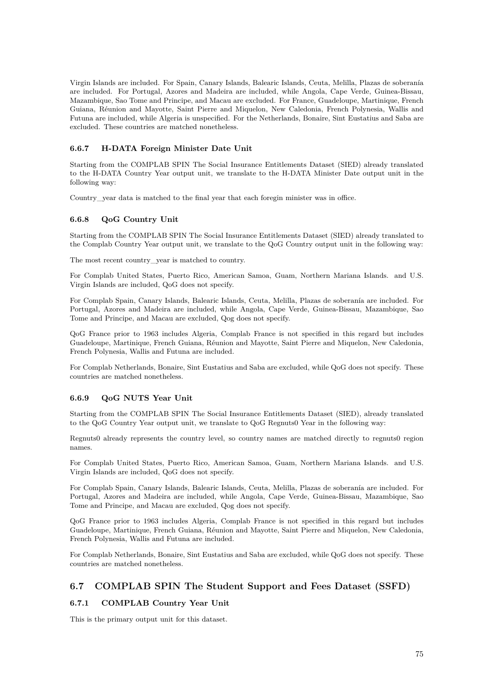Virgin Islands are included. For Spain, Canary Islands, Balearic Islands, Ceuta, Melilla, Plazas de soberanía are included. For Portugal, Azores and Madeira are included, while Angola, Cape Verde, Guinea-Bissau, Mazambique, Sao Tome and Principe, and Macau are excluded. For France, Guadeloupe, Martinique, French Guiana, Réunion and Mayotte, Saint Pierre and Miquelon, New Caledonia, French Polynesia, Wallis and Futuna are included, while Algeria is unspecified. For the Netherlands, Bonaire, Sint Eustatius and Saba are excluded. These countries are matched nonetheless.

### **6.6.7 H-DATA Foreign Minister Date Unit**

Starting from the COMPLAB SPIN The Social Insurance Entitlements Dataset (SIED) already translated to the H-DATA Country Year output unit, we translate to the H-DATA Minister Date output unit in the following way:

Country\_year data is matched to the final year that each foregin minister was in office.

### **6.6.8 QoG Country Unit**

Starting from the COMPLAB SPIN The Social Insurance Entitlements Dataset (SIED) already translated to the Complab Country Year output unit, we translate to the QoG Country output unit in the following way:

The most recent country\_year is matched to country.

For Complab United States, Puerto Rico, American Samoa, Guam, Northern Mariana Islands. and U.S. Virgin Islands are included, QoG does not specify.

For Complab Spain, Canary Islands, Balearic Islands, Ceuta, Melilla, Plazas de soberanía are included. For Portugal, Azores and Madeira are included, while Angola, Cape Verde, Guinea-Bissau, Mazambique, Sao Tome and Principe, and Macau are excluded, Qog does not specify.

QoG France prior to 1963 includes Algeria, Complab France is not specified in this regard but includes Guadeloupe, Martinique, French Guiana, Réunion and Mayotte, Saint Pierre and Miquelon, New Caledonia, French Polynesia, Wallis and Futuna are included.

For Complab Netherlands, Bonaire, Sint Eustatius and Saba are excluded, while QoG does not specify. These countries are matched nonetheless.

#### **6.6.9 QoG NUTS Year Unit**

Starting from the COMPLAB SPIN The Social Insurance Entitlements Dataset (SIED), already translated to the QoG Country Year output unit, we translate to QoG Regnuts0 Year in the following way:

Regnuts0 already represents the country level, so country names are matched directly to regnuts0 region names.

For Complab United States, Puerto Rico, American Samoa, Guam, Northern Mariana Islands. and U.S. Virgin Islands are included, QoG does not specify.

For Complab Spain, Canary Islands, Balearic Islands, Ceuta, Melilla, Plazas de soberanía are included. For Portugal, Azores and Madeira are included, while Angola, Cape Verde, Guinea-Bissau, Mazambique, Sao Tome and Principe, and Macau are excluded, Qog does not specify.

QoG France prior to 1963 includes Algeria, Complab France is not specified in this regard but includes Guadeloupe, Martinique, French Guiana, Réunion and Mayotte, Saint Pierre and Miquelon, New Caledonia, French Polynesia, Wallis and Futuna are included.

For Complab Netherlands, Bonaire, Sint Eustatius and Saba are excluded, while QoG does not specify. These countries are matched nonetheless.

## **6.7 COMPLAB SPIN The Student Support and Fees Dataset (SSFD)**

## **6.7.1 COMPLAB Country Year Unit**

This is the primary output unit for this dataset.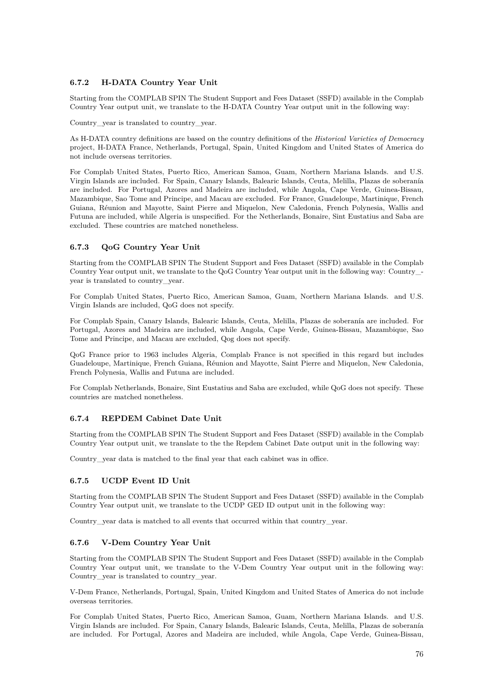## **6.7.2 H-DATA Country Year Unit**

Starting from the COMPLAB SPIN The Student Support and Fees Dataset (SSFD) available in the Complab Country Year output unit, we translate to the H-DATA Country Year output unit in the following way:

Country vear is translated to country vear.

As H-DATA country definitions are based on the country definitions of the *Historical Varieties of Democracy* project, H-DATA France, Netherlands, Portugal, Spain, United Kingdom and United States of America do not include overseas territories.

For Complab United States, Puerto Rico, American Samoa, Guam, Northern Mariana Islands. and U.S. Virgin Islands are included. For Spain, Canary Islands, Balearic Islands, Ceuta, Melilla, Plazas de soberanía are included. For Portugal, Azores and Madeira are included, while Angola, Cape Verde, Guinea-Bissau, Mazambique, Sao Tome and Principe, and Macau are excluded. For France, Guadeloupe, Martinique, French Guiana, Réunion and Mayotte, Saint Pierre and Miquelon, New Caledonia, French Polynesia, Wallis and Futuna are included, while Algeria is unspecified. For the Netherlands, Bonaire, Sint Eustatius and Saba are excluded. These countries are matched nonetheless.

## **6.7.3 QoG Country Year Unit**

Starting from the COMPLAB SPIN The Student Support and Fees Dataset (SSFD) available in the Complab Country Year output unit, we translate to the QoG Country Year output unit in the following way: Country\_ year is translated to country\_year.

For Complab United States, Puerto Rico, American Samoa, Guam, Northern Mariana Islands. and U.S. Virgin Islands are included, QoG does not specify.

For Complab Spain, Canary Islands, Balearic Islands, Ceuta, Melilla, Plazas de soberanía are included. For Portugal, Azores and Madeira are included, while Angola, Cape Verde, Guinea-Bissau, Mazambique, Sao Tome and Principe, and Macau are excluded, Qog does not specify.

QoG France prior to 1963 includes Algeria, Complab France is not specified in this regard but includes Guadeloupe, Martinique, French Guiana, Réunion and Mayotte, Saint Pierre and Miquelon, New Caledonia, French Polynesia, Wallis and Futuna are included.

For Complab Netherlands, Bonaire, Sint Eustatius and Saba are excluded, while QoG does not specify. These countries are matched nonetheless.

## **6.7.4 REPDEM Cabinet Date Unit**

Starting from the COMPLAB SPIN The Student Support and Fees Dataset (SSFD) available in the Complab Country Year output unit, we translate to the the Repdem Cabinet Date output unit in the following way:

Country year data is matched to the final year that each cabinet was in office.

## **6.7.5 UCDP Event ID Unit**

Starting from the COMPLAB SPIN The Student Support and Fees Dataset (SSFD) available in the Complab Country Year output unit, we translate to the UCDP GED ID output unit in the following way:

Country\_year data is matched to all events that occurred within that country\_year.

## **6.7.6 V-Dem Country Year Unit**

Starting from the COMPLAB SPIN The Student Support and Fees Dataset (SSFD) available in the Complab Country Year output unit, we translate to the V-Dem Country Year output unit in the following way: Country\_year is translated to country\_year.

V-Dem France, Netherlands, Portugal, Spain, United Kingdom and United States of America do not include overseas territories.

For Complab United States, Puerto Rico, American Samoa, Guam, Northern Mariana Islands. and U.S. Virgin Islands are included. For Spain, Canary Islands, Balearic Islands, Ceuta, Melilla, Plazas de soberanía are included. For Portugal, Azores and Madeira are included, while Angola, Cape Verde, Guinea-Bissau,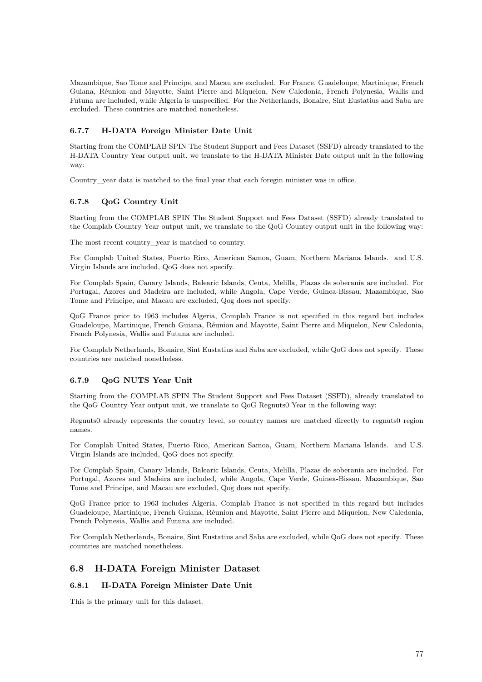Mazambique, Sao Tome and Principe, and Macau are excluded. For France, Guadeloupe, Martinique, French Guiana, Réunion and Mayotte, Saint Pierre and Miquelon, New Caledonia, French Polynesia, Wallis and Futuna are included, while Algeria is unspecified. For the Netherlands, Bonaire, Sint Eustatius and Saba are excluded. These countries are matched nonetheless.

## **6.7.7 H-DATA Foreign Minister Date Unit**

Starting from the COMPLAB SPIN The Student Support and Fees Dataset (SSFD) already translated to the H-DATA Country Year output unit, we translate to the H-DATA Minister Date output unit in the following way:

Country\_year data is matched to the final year that each foregin minister was in office.

## **6.7.8 QoG Country Unit**

Starting from the COMPLAB SPIN The Student Support and Fees Dataset (SSFD) already translated to the Complab Country Year output unit, we translate to the QoG Country output unit in the following way:

The most recent country\_year is matched to country.

For Complab United States, Puerto Rico, American Samoa, Guam, Northern Mariana Islands. and U.S. Virgin Islands are included, QoG does not specify.

For Complab Spain, Canary Islands, Balearic Islands, Ceuta, Melilla, Plazas de soberanía are included. For Portugal, Azores and Madeira are included, while Angola, Cape Verde, Guinea-Bissau, Mazambique, Sao Tome and Principe, and Macau are excluded, Qog does not specify.

QoG France prior to 1963 includes Algeria, Complab France is not specified in this regard but includes Guadeloupe, Martinique, French Guiana, Réunion and Mayotte, Saint Pierre and Miquelon, New Caledonia, French Polynesia, Wallis and Futuna are included.

For Complab Netherlands, Bonaire, Sint Eustatius and Saba are excluded, while QoG does not specify. These countries are matched nonetheless.

## **6.7.9 QoG NUTS Year Unit**

Starting from the COMPLAB SPIN The Student Support and Fees Dataset (SSFD), already translated to the QoG Country Year output unit, we translate to QoG Regnuts0 Year in the following way:

Regnuts0 already represents the country level, so country names are matched directly to regnuts0 region names.

For Complab United States, Puerto Rico, American Samoa, Guam, Northern Mariana Islands. and U.S. Virgin Islands are included, QoG does not specify.

For Complab Spain, Canary Islands, Balearic Islands, Ceuta, Melilla, Plazas de soberanía are included. For Portugal, Azores and Madeira are included, while Angola, Cape Verde, Guinea-Bissau, Mazambique, Sao Tome and Principe, and Macau are excluded, Qog does not specify.

QoG France prior to 1963 includes Algeria, Complab France is not specified in this regard but includes Guadeloupe, Martinique, French Guiana, Réunion and Mayotte, Saint Pierre and Miquelon, New Caledonia, French Polynesia, Wallis and Futuna are included.

For Complab Netherlands, Bonaire, Sint Eustatius and Saba are excluded, while QoG does not specify. These countries are matched nonetheless.

## **6.8 H-DATA Foreign Minister Dataset**

## **6.8.1 H-DATA Foreign Minister Date Unit**

This is the primary unit for this dataset.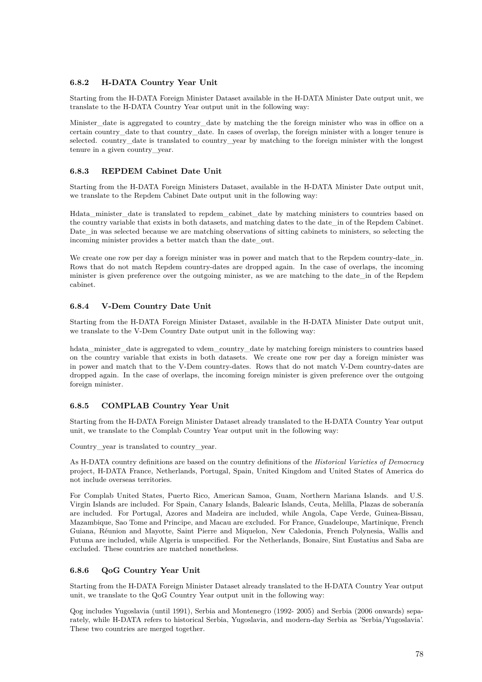## **6.8.2 H-DATA Country Year Unit**

Starting from the H-DATA Foreign Minister Dataset available in the H-DATA Minister Date output unit, we translate to the H-DATA Country Year output unit in the following way:

Minister date is aggregated to country date by matching the the foreign minister who was in office on a certain country\_date to that country\_date. In cases of overlap, the foreign minister with a longer tenure is selected. country date is translated to country year by matching to the foreign minister with the longest tenure in a given country\_year.

## **6.8.3 REPDEM Cabinet Date Unit**

Starting from the H-DATA Foreign Ministers Dataset, available in the H-DATA Minister Date output unit, we translate to the Repdem Cabinet Date output unit in the following way:

Hdata\_minister\_date is translated to repdem\_cabinet\_date by matching ministers to countries based on the country variable that exists in both datasets, and matching dates to the date\_in of the Repdem Cabinet. Date\_in was selected because we are matching observations of sitting cabinets to ministers, so selecting the incoming minister provides a better match than the date\_out.

We create one row per day a foreign minister was in power and match that to the Repdem country-date in. Rows that do not match Repdem country-dates are dropped again. In the case of overlaps, the incoming minister is given preference over the outgoing minister, as we are matching to the date\_in of the Repdem cabinet.

## **6.8.4 V-Dem Country Date Unit**

Starting from the H-DATA Foreign Minister Dataset, available in the H-DATA Minister Date output unit, we translate to the V-Dem Country Date output unit in the following way:

hdata\_minister\_date is aggregated to vdem\_country\_date by matching foreign ministers to countries based on the country variable that exists in both datasets. We create one row per day a foreign minister was in power and match that to the V-Dem country-dates. Rows that do not match V-Dem country-dates are dropped again. In the case of overlaps, the incoming foreign minister is given preference over the outgoing foreign minister.

## **6.8.5 COMPLAB Country Year Unit**

Starting from the H-DATA Foreign Minister Dataset already translated to the H-DATA Country Year output unit, we translate to the Complab Country Year output unit in the following way:

Country\_year is translated to country\_year.

As H-DATA country definitions are based on the country definitions of the *Historical Varieties of Democracy* project, H-DATA France, Netherlands, Portugal, Spain, United Kingdom and United States of America do not include overseas territories.

For Complab United States, Puerto Rico, American Samoa, Guam, Northern Mariana Islands. and U.S. Virgin Islands are included. For Spain, Canary Islands, Balearic Islands, Ceuta, Melilla, Plazas de soberanía are included. For Portugal, Azores and Madeira are included, while Angola, Cape Verde, Guinea-Bissau, Mazambique, Sao Tome and Principe, and Macau are excluded. For France, Guadeloupe, Martinique, French Guiana, Réunion and Mayotte, Saint Pierre and Miquelon, New Caledonia, French Polynesia, Wallis and Futuna are included, while Algeria is unspecified. For the Netherlands, Bonaire, Sint Eustatius and Saba are excluded. These countries are matched nonetheless.

## **6.8.6 QoG Country Year Unit**

Starting from the H-DATA Foreign Minister Dataset already translated to the H-DATA Country Year output unit, we translate to the QoG Country Year output unit in the following way:

Qog includes Yugoslavia (until 1991), Serbia and Montenegro (1992- 2005) and Serbia (2006 onwards) separately, while H-DATA refers to historical Serbia, Yugoslavia, and modern-day Serbia as 'Serbia/Yugoslavia'. These two countries are merged together.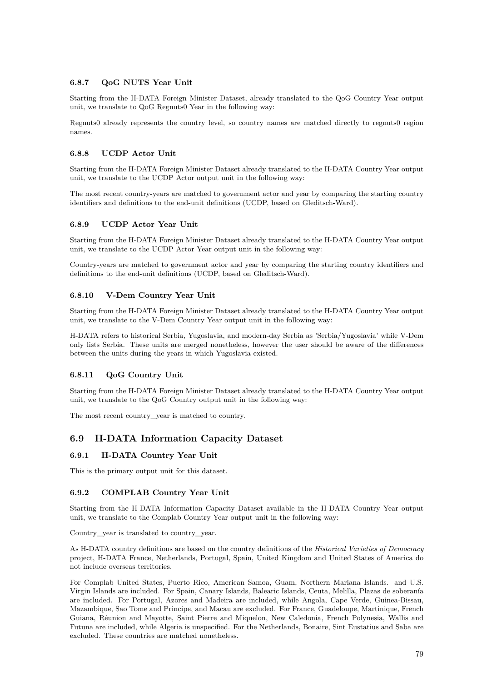## **6.8.7 QoG NUTS Year Unit**

Starting from the H-DATA Foreign Minister Dataset, already translated to the QoG Country Year output unit, we translate to QoG Regnuts0 Year in the following way:

Regnuts0 already represents the country level, so country names are matched directly to regnuts0 region names.

#### **6.8.8 UCDP Actor Unit**

Starting from the H-DATA Foreign Minister Dataset already translated to the H-DATA Country Year output unit, we translate to the UCDP Actor output unit in the following way:

The most recent country-years are matched to government actor and year by comparing the starting country identifiers and definitions to the end-unit definitions (UCDP, based on Gleditsch-Ward).

#### **6.8.9 UCDP Actor Year Unit**

Starting from the H-DATA Foreign Minister Dataset already translated to the H-DATA Country Year output unit, we translate to the UCDP Actor Year output unit in the following way:

Country-years are matched to government actor and year by comparing the starting country identifiers and definitions to the end-unit definitions (UCDP, based on Gleditsch-Ward).

#### **6.8.10 V-Dem Country Year Unit**

Starting from the H-DATA Foreign Minister Dataset already translated to the H-DATA Country Year output unit, we translate to the V-Dem Country Year output unit in the following way:

H-DATA refers to historical Serbia, Yugoslavia, and modern-day Serbia as 'Serbia/Yugoslavia' while V-Dem only lists Serbia. These units are merged nonetheless, however the user should be aware of the differences between the units during the years in which Yugoslavia existed.

#### **6.8.11 QoG Country Unit**

Starting from the H-DATA Foreign Minister Dataset already translated to the H-DATA Country Year output unit, we translate to the QoG Country output unit in the following way:

The most recent country year is matched to country.

## **6.9 H-DATA Information Capacity Dataset**

### **6.9.1 H-DATA Country Year Unit**

This is the primary output unit for this dataset.

#### **6.9.2 COMPLAB Country Year Unit**

Starting from the H-DATA Information Capacity Dataset available in the H-DATA Country Year output unit, we translate to the Complab Country Year output unit in the following way:

Country\_year is translated to country\_year.

As H-DATA country definitions are based on the country definitions of the *Historical Varieties of Democracy* project, H-DATA France, Netherlands, Portugal, Spain, United Kingdom and United States of America do not include overseas territories.

For Complab United States, Puerto Rico, American Samoa, Guam, Northern Mariana Islands. and U.S. Virgin Islands are included. For Spain, Canary Islands, Balearic Islands, Ceuta, Melilla, Plazas de soberanía are included. For Portugal, Azores and Madeira are included, while Angola, Cape Verde, Guinea-Bissau, Mazambique, Sao Tome and Principe, and Macau are excluded. For France, Guadeloupe, Martinique, French Guiana, Réunion and Mayotte, Saint Pierre and Miquelon, New Caledonia, French Polynesia, Wallis and Futuna are included, while Algeria is unspecified. For the Netherlands, Bonaire, Sint Eustatius and Saba are excluded. These countries are matched nonetheless.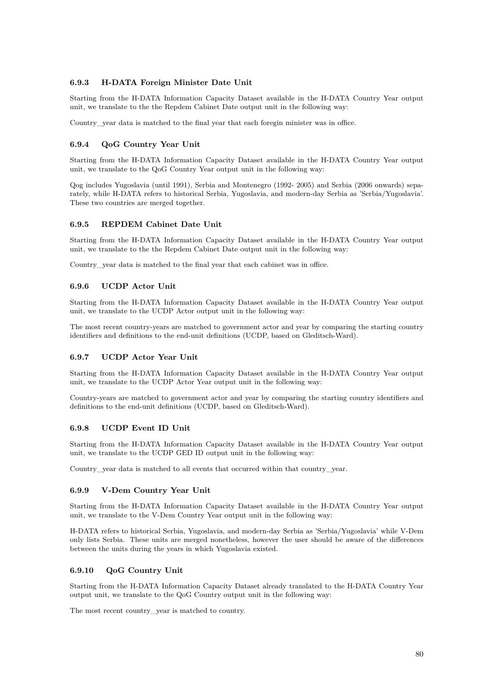### **6.9.3 H-DATA Foreign Minister Date Unit**

Starting from the H-DATA Information Capacity Dataset available in the H-DATA Country Year output unit, we translate to the the Repdem Cabinet Date output unit in the following way:

Country vear data is matched to the final year that each foregin minister was in office.

#### **6.9.4 QoG Country Year Unit**

Starting from the H-DATA Information Capacity Dataset available in the H-DATA Country Year output unit, we translate to the QoG Country Year output unit in the following way:

Qog includes Yugoslavia (until 1991), Serbia and Montenegro (1992- 2005) and Serbia (2006 onwards) separately, while H-DATA refers to historical Serbia, Yugoslavia, and modern-day Serbia as 'Serbia/Yugoslavia'. These two countries are merged together.

#### **6.9.5 REPDEM Cabinet Date Unit**

Starting from the H-DATA Information Capacity Dataset available in the H-DATA Country Year output unit, we translate to the the Repdem Cabinet Date output unit in the following way:

Country\_year data is matched to the final year that each cabinet was in office.

#### **6.9.6 UCDP Actor Unit**

Starting from the H-DATA Information Capacity Dataset available in the H-DATA Country Year output unit, we translate to the UCDP Actor output unit in the following way:

The most recent country-years are matched to government actor and year by comparing the starting country identifiers and definitions to the end-unit definitions (UCDP, based on Gleditsch-Ward).

#### **6.9.7 UCDP Actor Year Unit**

Starting from the H-DATA Information Capacity Dataset available in the H-DATA Country Year output unit, we translate to the UCDP Actor Year output unit in the following way:

Country-years are matched to government actor and year by comparing the starting country identifiers and definitions to the end-unit definitions (UCDP, based on Gleditsch-Ward).

#### **6.9.8 UCDP Event ID Unit**

Starting from the H-DATA Information Capacity Dataset available in the H-DATA Country Year output unit, we translate to the UCDP GED ID output unit in the following way:

Country year data is matched to all events that occurred within that country year.

#### **6.9.9 V-Dem Country Year Unit**

Starting from the H-DATA Information Capacity Dataset available in the H-DATA Country Year output unit, we translate to the V-Dem Country Year output unit in the following way:

H-DATA refers to historical Serbia, Yugoslavia, and modern-day Serbia as 'Serbia/Yugoslavia' while V-Dem only lists Serbia. These units are merged nonetheless, however the user should be aware of the differences between the units during the years in which Yugoslavia existed.

#### **6.9.10 QoG Country Unit**

Starting from the H-DATA Information Capacity Dataset already translated to the H-DATA Country Year output unit, we translate to the QoG Country output unit in the following way:

The most recent country\_year is matched to country.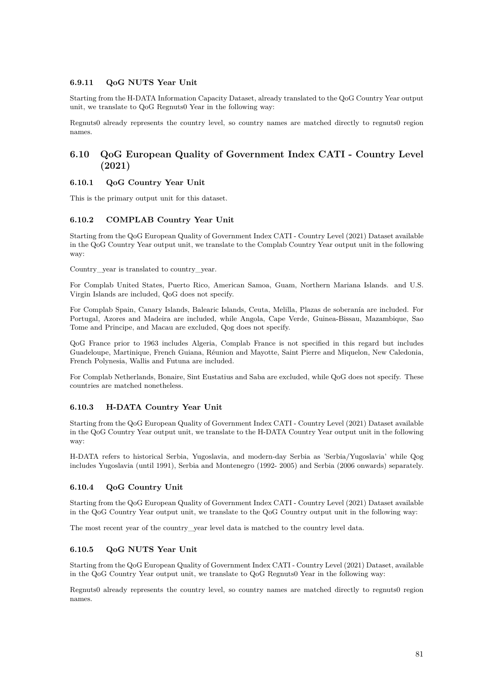### **6.9.11 QoG NUTS Year Unit**

Starting from the H-DATA Information Capacity Dataset, already translated to the QoG Country Year output unit, we translate to QoG Regnuts0 Year in the following way:

Regnuts0 already represents the country level, so country names are matched directly to regnuts0 region names.

# **6.10 QoG European Quality of Government Index CATI - Country Level (2021)**

## **6.10.1 QoG Country Year Unit**

This is the primary output unit for this dataset.

### **6.10.2 COMPLAB Country Year Unit**

Starting from the QoG European Quality of Government Index CATI - Country Level (2021) Dataset available in the QoG Country Year output unit, we translate to the Complab Country Year output unit in the following way:

Country\_year is translated to country\_year.

For Complab United States, Puerto Rico, American Samoa, Guam, Northern Mariana Islands. and U.S. Virgin Islands are included, QoG does not specify.

For Complab Spain, Canary Islands, Balearic Islands, Ceuta, Melilla, Plazas de soberanía are included. For Portugal, Azores and Madeira are included, while Angola, Cape Verde, Guinea-Bissau, Mazambique, Sao Tome and Principe, and Macau are excluded, Qog does not specify.

QoG France prior to 1963 includes Algeria, Complab France is not specified in this regard but includes Guadeloupe, Martinique, French Guiana, Réunion and Mayotte, Saint Pierre and Miquelon, New Caledonia, French Polynesia, Wallis and Futuna are included.

For Complab Netherlands, Bonaire, Sint Eustatius and Saba are excluded, while QoG does not specify. These countries are matched nonetheless.

## **6.10.3 H-DATA Country Year Unit**

Starting from the QoG European Quality of Government Index CATI - Country Level (2021) Dataset available in the QoG Country Year output unit, we translate to the H-DATA Country Year output unit in the following way:

H-DATA refers to historical Serbia, Yugoslavia, and modern-day Serbia as 'Serbia/Yugoslavia' while Qog includes Yugoslavia (until 1991), Serbia and Montenegro (1992- 2005) and Serbia (2006 onwards) separately.

#### **6.10.4 QoG Country Unit**

Starting from the QoG European Quality of Government Index CATI - Country Level (2021) Dataset available in the QoG Country Year output unit, we translate to the QoG Country output unit in the following way:

The most recent year of the country\_year level data is matched to the country level data.

## **6.10.5 QoG NUTS Year Unit**

Starting from the QoG European Quality of Government Index CATI - Country Level (2021) Dataset, available in the QoG Country Year output unit, we translate to QoG Regnuts0 Year in the following way:

Regnuts0 already represents the country level, so country names are matched directly to regnuts0 region names.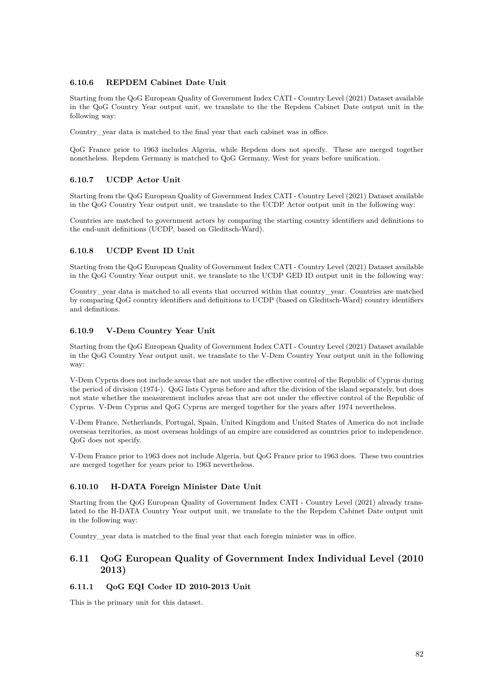## **6.10.6 REPDEM Cabinet Date Unit**

Starting from the QoG European Quality of Government Index CATI - Country Level (2021) Dataset available in the QoG Country Year output unit, we translate to the the Repdem Cabinet Date output unit in the following way:

Country\_year data is matched to the final year that each cabinet was in office.

QoG France prior to 1963 includes Algeria, while Repdem does not specify. These are merged together nonetheless. Repdem Germany is matched to QoG Germany, West for years before unification.

## **6.10.7 UCDP Actor Unit**

Starting from the QoG European Quality of Government Index CATI - Country Level (2021) Dataset available in the QoG Country Year output unit, we translate to the UCDP Actor output unit in the following way:

Countries are matched to government actors by comparing the starting country identifiers and definitions to the end-unit definitions (UCDP, based on Gleditsch-Ward).

## **6.10.8 UCDP Event ID Unit**

Starting from the QoG European Quality of Government Index CATI - Country Level (2021) Dataset available in the QoG Country Year output unit, we translate to the UCDP GED ID output unit in the following way:

Country\_year data is matched to all events that occurred within that country\_year. Countries are matched by comparing QoG country identifiers and definitions to UCDP (based on Gleditsch-Ward) country identifiers and definitions.

## **6.10.9 V-Dem Country Year Unit**

Starting from the QoG European Quality of Government Index CATI - Country Level (2021) Dataset available in the QoG Country Year output unit, we translate to the V-Dem Country Year output unit in the following way:

V-Dem Cyprus does not include areas that are not under the effective control of the Republic of Cyprus during the period of division (1974-). QoG lists Cyprus before and after the division of the island separately, but does not state whether the measurement includes areas that are not under the effective control of the Republic of Cyprus. V-Dem Cyprus and QoG Cyprus are merged together for the years after 1974 nevertheless.

V-Dem France, Netherlands, Portugal, Spain, United Kingdom and United States of America do not include overseas territories, as most overseas holdings of an empire are considered as countries prior to independence. QoG does not specify.

V-Dem France prior to 1963 does not include Algeria, but QoG France prior to 1963 does. These two countries are merged together for years prior to 1963 nevertheless.

## **6.10.10 H-DATA Foreign Minister Date Unit**

Starting from the QoG European Quality of Government Index CATI - Country Level (2021) already translated to the H-DATA Country Year output unit, we translate to the the Repdem Cabinet Date output unit in the following way:

Country year data is matched to the final year that each foregin minister was in office.

# **6.11 QoG European Quality of Government Index Individual Level (2010 2013)**

## **6.11.1 QoG EQI Coder ID 2010-2013 Unit**

This is the primary unit for this dataset.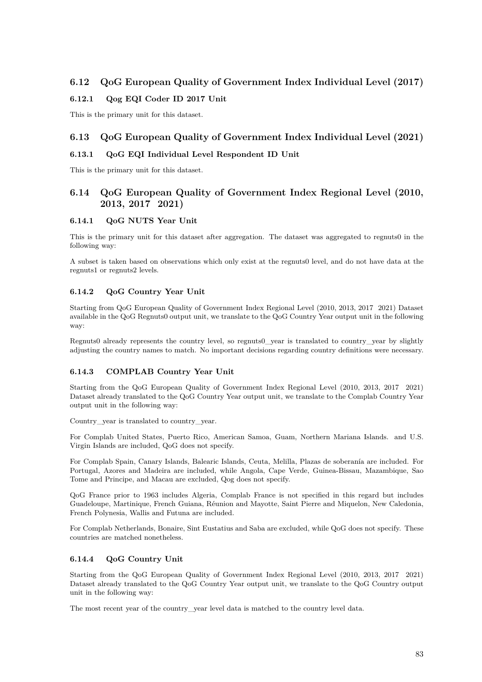# **6.12 QoG European Quality of Government Index Individual Level (2017)**

## **6.12.1 Qog EQI Coder ID 2017 Unit**

This is the primary unit for this dataset.

# **6.13 QoG European Quality of Government Index Individual Level (2021)**

## **6.13.1 QoG EQI Individual Level Respondent ID Unit**

This is the primary unit for this dataset.

# **6.14 QoG European Quality of Government Index Regional Level (2010, 2013, 2017 2021)**

## **6.14.1 QoG NUTS Year Unit**

This is the primary unit for this dataset after aggregation. The dataset was aggregated to regnuts0 in the following way:

A subset is taken based on observations which only exist at the regnuts0 level, and do not have data at the regnuts1 or regnuts2 levels.

## **6.14.2 QoG Country Year Unit**

Starting from QoG European Quality of Government Index Regional Level (2010, 2013, 2017 2021) Dataset available in the QoG Regnuts0 output unit, we translate to the QoG Country Year output unit in the following way:

Regnuts0 already represents the country level, so regnuts0\_year is translated to country\_year by slightly adjusting the country names to match. No important decisions regarding country definitions were necessary.

## **6.14.3 COMPLAB Country Year Unit**

Starting from the QoG European Quality of Government Index Regional Level (2010, 2013, 2017 2021) Dataset already translated to the QoG Country Year output unit, we translate to the Complab Country Year output unit in the following way:

Country year is translated to country year.

For Complab United States, Puerto Rico, American Samoa, Guam, Northern Mariana Islands. and U.S. Virgin Islands are included, QoG does not specify.

For Complab Spain, Canary Islands, Balearic Islands, Ceuta, Melilla, Plazas de soberanía are included. For Portugal, Azores and Madeira are included, while Angola, Cape Verde, Guinea-Bissau, Mazambique, Sao Tome and Principe, and Macau are excluded, Qog does not specify.

QoG France prior to 1963 includes Algeria, Complab France is not specified in this regard but includes Guadeloupe, Martinique, French Guiana, Réunion and Mayotte, Saint Pierre and Miquelon, New Caledonia, French Polynesia, Wallis and Futuna are included.

For Complab Netherlands, Bonaire, Sint Eustatius and Saba are excluded, while QoG does not specify. These countries are matched nonetheless.

## **6.14.4 QoG Country Unit**

Starting from the QoG European Quality of Government Index Regional Level (2010, 2013, 2017 2021) Dataset already translated to the QoG Country Year output unit, we translate to the QoG Country output unit in the following way:

The most recent year of the country\_year level data is matched to the country level data.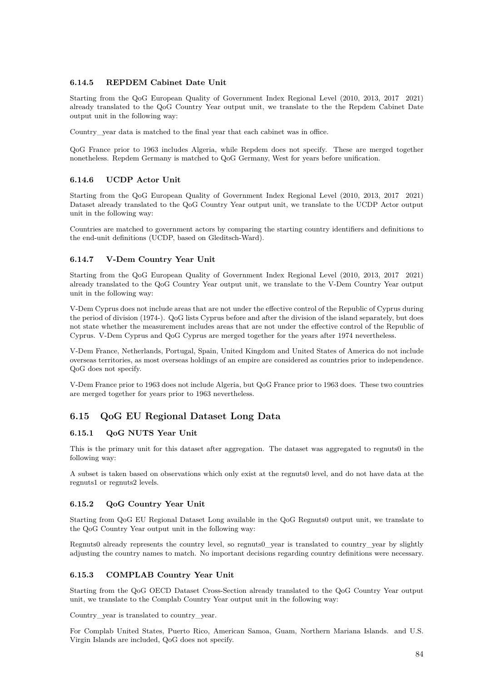## **6.14.5 REPDEM Cabinet Date Unit**

Starting from the QoG European Quality of Government Index Regional Level (2010, 2013, 2017 2021) already translated to the QoG Country Year output unit, we translate to the the Repdem Cabinet Date output unit in the following way:

Country\_year data is matched to the final year that each cabinet was in office.

QoG France prior to 1963 includes Algeria, while Repdem does not specify. These are merged together nonetheless. Repdem Germany is matched to QoG Germany, West for years before unification.

### **6.14.6 UCDP Actor Unit**

Starting from the QoG European Quality of Government Index Regional Level (2010, 2013, 2017 2021) Dataset already translated to the QoG Country Year output unit, we translate to the UCDP Actor output unit in the following way:

Countries are matched to government actors by comparing the starting country identifiers and definitions to the end-unit definitions (UCDP, based on Gleditsch-Ward).

### **6.14.7 V-Dem Country Year Unit**

Starting from the QoG European Quality of Government Index Regional Level (2010, 2013, 2017 2021) already translated to the QoG Country Year output unit, we translate to the V-Dem Country Year output unit in the following way:

V-Dem Cyprus does not include areas that are not under the effective control of the Republic of Cyprus during the period of division (1974-). QoG lists Cyprus before and after the division of the island separately, but does not state whether the measurement includes areas that are not under the effective control of the Republic of Cyprus. V-Dem Cyprus and QoG Cyprus are merged together for the years after 1974 nevertheless.

V-Dem France, Netherlands, Portugal, Spain, United Kingdom and United States of America do not include overseas territories, as most overseas holdings of an empire are considered as countries prior to independence. QoG does not specify.

V-Dem France prior to 1963 does not include Algeria, but QoG France prior to 1963 does. These two countries are merged together for years prior to 1963 nevertheless.

# **6.15 QoG EU Regional Dataset Long Data**

#### **6.15.1 QoG NUTS Year Unit**

This is the primary unit for this dataset after aggregation. The dataset was aggregated to regnuts0 in the following way:

A subset is taken based on observations which only exist at the regnuts0 level, and do not have data at the regnuts1 or regnuts2 levels.

#### **6.15.2 QoG Country Year Unit**

Starting from QoG EU Regional Dataset Long available in the QoG Regnuts0 output unit, we translate to the QoG Country Year output unit in the following way:

Regnuts0 already represents the country level, so regnuts0\_year is translated to country\_year by slightly adjusting the country names to match. No important decisions regarding country definitions were necessary.

#### **6.15.3 COMPLAB Country Year Unit**

Starting from the QoG OECD Dataset Cross-Section already translated to the QoG Country Year output unit, we translate to the Complab Country Year output unit in the following way:

Country\_year is translated to country\_year.

For Complab United States, Puerto Rico, American Samoa, Guam, Northern Mariana Islands. and U.S. Virgin Islands are included, QoG does not specify.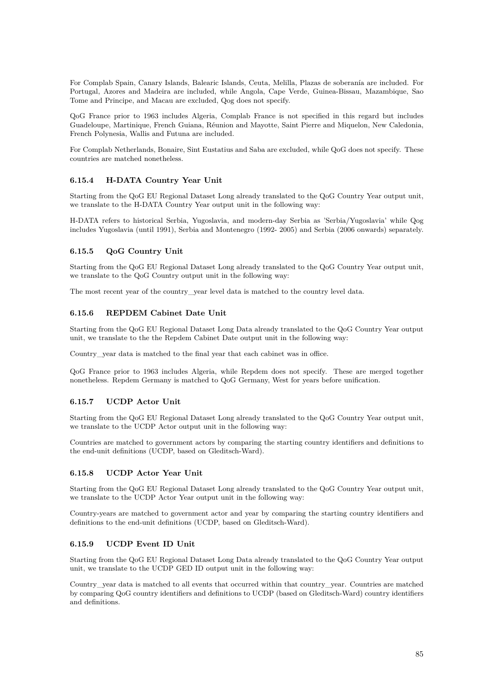For Complab Spain, Canary Islands, Balearic Islands, Ceuta, Melilla, Plazas de soberanía are included. For Portugal, Azores and Madeira are included, while Angola, Cape Verde, Guinea-Bissau, Mazambique, Sao Tome and Principe, and Macau are excluded, Qog does not specify.

QoG France prior to 1963 includes Algeria, Complab France is not specified in this regard but includes Guadeloupe, Martinique, French Guiana, Réunion and Mayotte, Saint Pierre and Miquelon, New Caledonia, French Polynesia, Wallis and Futuna are included.

For Complab Netherlands, Bonaire, Sint Eustatius and Saba are excluded, while QoG does not specify. These countries are matched nonetheless.

## **6.15.4 H-DATA Country Year Unit**

Starting from the QoG EU Regional Dataset Long already translated to the QoG Country Year output unit, we translate to the H-DATA Country Year output unit in the following way:

H-DATA refers to historical Serbia, Yugoslavia, and modern-day Serbia as 'Serbia/Yugoslavia' while Qog includes Yugoslavia (until 1991), Serbia and Montenegro (1992- 2005) and Serbia (2006 onwards) separately.

## **6.15.5 QoG Country Unit**

Starting from the QoG EU Regional Dataset Long already translated to the QoG Country Year output unit, we translate to the QoG Country output unit in the following way:

The most recent year of the country year level data is matched to the country level data.

## **6.15.6 REPDEM Cabinet Date Unit**

Starting from the QoG EU Regional Dataset Long Data already translated to the QoG Country Year output unit, we translate to the the Repdem Cabinet Date output unit in the following way:

Country\_year data is matched to the final year that each cabinet was in office.

QoG France prior to 1963 includes Algeria, while Repdem does not specify. These are merged together nonetheless. Repdem Germany is matched to QoG Germany, West for years before unification.

## **6.15.7 UCDP Actor Unit**

Starting from the QoG EU Regional Dataset Long already translated to the QoG Country Year output unit, we translate to the UCDP Actor output unit in the following way:

Countries are matched to government actors by comparing the starting country identifiers and definitions to the end-unit definitions (UCDP, based on Gleditsch-Ward).

## **6.15.8 UCDP Actor Year Unit**

Starting from the QoG EU Regional Dataset Long already translated to the QoG Country Year output unit, we translate to the UCDP Actor Year output unit in the following way:

Country-years are matched to government actor and year by comparing the starting country identifiers and definitions to the end-unit definitions (UCDP, based on Gleditsch-Ward).

## **6.15.9 UCDP Event ID Unit**

Starting from the QoG EU Regional Dataset Long Data already translated to the QoG Country Year output unit, we translate to the UCDP GED ID output unit in the following way:

Country\_year data is matched to all events that occurred within that country\_year. Countries are matched by comparing QoG country identifiers and definitions to UCDP (based on Gleditsch-Ward) country identifiers and definitions.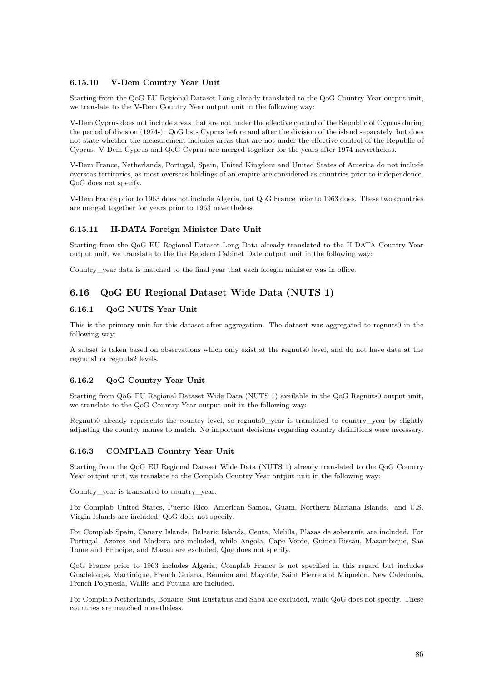## **6.15.10 V-Dem Country Year Unit**

Starting from the QoG EU Regional Dataset Long already translated to the QoG Country Year output unit, we translate to the V-Dem Country Year output unit in the following way:

V-Dem Cyprus does not include areas that are not under the effective control of the Republic of Cyprus during the period of division (1974-). QoG lists Cyprus before and after the division of the island separately, but does not state whether the measurement includes areas that are not under the effective control of the Republic of Cyprus. V-Dem Cyprus and QoG Cyprus are merged together for the years after 1974 nevertheless.

V-Dem France, Netherlands, Portugal, Spain, United Kingdom and United States of America do not include overseas territories, as most overseas holdings of an empire are considered as countries prior to independence. QoG does not specify.

V-Dem France prior to 1963 does not include Algeria, but QoG France prior to 1963 does. These two countries are merged together for years prior to 1963 nevertheless.

### **6.15.11 H-DATA Foreign Minister Date Unit**

Starting from the QoG EU Regional Dataset Long Data already translated to the H-DATA Country Year output unit, we translate to the the Repdem Cabinet Date output unit in the following way:

Country\_year data is matched to the final year that each foregin minister was in office.

# **6.16 QoG EU Regional Dataset Wide Data (NUTS 1)**

### **6.16.1 QoG NUTS Year Unit**

This is the primary unit for this dataset after aggregation. The dataset was aggregated to regnuts0 in the following way:

A subset is taken based on observations which only exist at the regnuts0 level, and do not have data at the regnuts1 or regnuts2 levels.

## **6.16.2 QoG Country Year Unit**

Starting from QoG EU Regional Dataset Wide Data (NUTS 1) available in the QoG Regnuts0 output unit, we translate to the QoG Country Year output unit in the following way:

Regnuts0 already represents the country level, so regnuts0\_year is translated to country\_year by slightly adjusting the country names to match. No important decisions regarding country definitions were necessary.

#### **6.16.3 COMPLAB Country Year Unit**

Starting from the QoG EU Regional Dataset Wide Data (NUTS 1) already translated to the QoG Country Year output unit, we translate to the Complab Country Year output unit in the following way:

Country\_year is translated to country\_year.

For Complab United States, Puerto Rico, American Samoa, Guam, Northern Mariana Islands. and U.S. Virgin Islands are included, QoG does not specify.

For Complab Spain, Canary Islands, Balearic Islands, Ceuta, Melilla, Plazas de soberanía are included. For Portugal, Azores and Madeira are included, while Angola, Cape Verde, Guinea-Bissau, Mazambique, Sao Tome and Principe, and Macau are excluded, Qog does not specify.

QoG France prior to 1963 includes Algeria, Complab France is not specified in this regard but includes Guadeloupe, Martinique, French Guiana, Réunion and Mayotte, Saint Pierre and Miquelon, New Caledonia, French Polynesia, Wallis and Futuna are included.

For Complab Netherlands, Bonaire, Sint Eustatius and Saba are excluded, while QoG does not specify. These countries are matched nonetheless.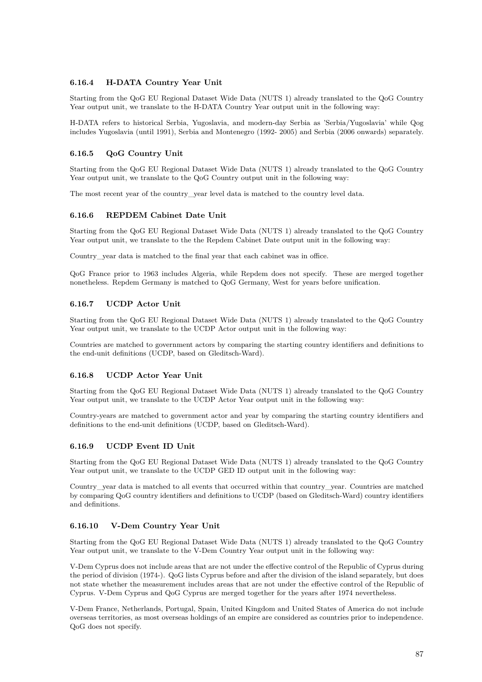## **6.16.4 H-DATA Country Year Unit**

Starting from the QoG EU Regional Dataset Wide Data (NUTS 1) already translated to the QoG Country Year output unit, we translate to the H-DATA Country Year output unit in the following way:

H-DATA refers to historical Serbia, Yugoslavia, and modern-day Serbia as 'Serbia/Yugoslavia' while Qog includes Yugoslavia (until 1991), Serbia and Montenegro (1992- 2005) and Serbia (2006 onwards) separately.

### **6.16.5 QoG Country Unit**

Starting from the QoG EU Regional Dataset Wide Data (NUTS 1) already translated to the QoG Country Year output unit, we translate to the QoG Country output unit in the following way:

The most recent year of the country year level data is matched to the country level data.

#### **6.16.6 REPDEM Cabinet Date Unit**

Starting from the QoG EU Regional Dataset Wide Data (NUTS 1) already translated to the QoG Country Year output unit, we translate to the the Repdem Cabinet Date output unit in the following way:

Country\_year data is matched to the final year that each cabinet was in office.

QoG France prior to 1963 includes Algeria, while Repdem does not specify. These are merged together nonetheless. Repdem Germany is matched to QoG Germany, West for years before unification.

#### **6.16.7 UCDP Actor Unit**

Starting from the QoG EU Regional Dataset Wide Data (NUTS 1) already translated to the QoG Country Year output unit, we translate to the UCDP Actor output unit in the following way:

Countries are matched to government actors by comparing the starting country identifiers and definitions to the end-unit definitions (UCDP, based on Gleditsch-Ward).

#### **6.16.8 UCDP Actor Year Unit**

Starting from the QoG EU Regional Dataset Wide Data (NUTS 1) already translated to the QoG Country Year output unit, we translate to the UCDP Actor Year output unit in the following way:

Country-years are matched to government actor and year by comparing the starting country identifiers and definitions to the end-unit definitions (UCDP, based on Gleditsch-Ward).

### **6.16.9 UCDP Event ID Unit**

Starting from the QoG EU Regional Dataset Wide Data (NUTS 1) already translated to the QoG Country Year output unit, we translate to the UCDP GED ID output unit in the following way:

Country\_year data is matched to all events that occurred within that country\_year. Countries are matched by comparing QoG country identifiers and definitions to UCDP (based on Gleditsch-Ward) country identifiers and definitions.

#### **6.16.10 V-Dem Country Year Unit**

Starting from the QoG EU Regional Dataset Wide Data (NUTS 1) already translated to the QoG Country Year output unit, we translate to the V-Dem Country Year output unit in the following way:

V-Dem Cyprus does not include areas that are not under the effective control of the Republic of Cyprus during the period of division (1974-). QoG lists Cyprus before and after the division of the island separately, but does not state whether the measurement includes areas that are not under the effective control of the Republic of Cyprus. V-Dem Cyprus and QoG Cyprus are merged together for the years after 1974 nevertheless.

V-Dem France, Netherlands, Portugal, Spain, United Kingdom and United States of America do not include overseas territories, as most overseas holdings of an empire are considered as countries prior to independence. QoG does not specify.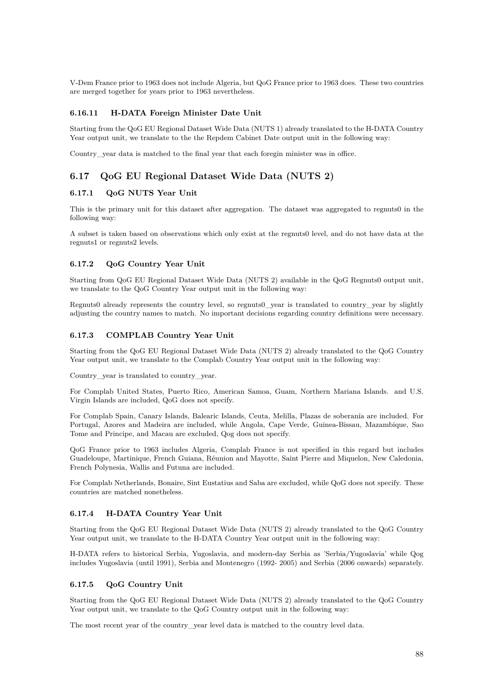V-Dem France prior to 1963 does not include Algeria, but QoG France prior to 1963 does. These two countries are merged together for years prior to 1963 nevertheless.

#### **6.16.11 H-DATA Foreign Minister Date Unit**

Starting from the QoG EU Regional Dataset Wide Data (NUTS 1) already translated to the H-DATA Country Year output unit, we translate to the the Repdem Cabinet Date output unit in the following way:

Country\_year data is matched to the final year that each foregin minister was in office.

## **6.17 QoG EU Regional Dataset Wide Data (NUTS 2)**

## **6.17.1 QoG NUTS Year Unit**

This is the primary unit for this dataset after aggregation. The dataset was aggregated to regnuts0 in the following way:

A subset is taken based on observations which only exist at the regnuts0 level, and do not have data at the regnuts1 or regnuts2 levels.

### **6.17.2 QoG Country Year Unit**

Starting from QoG EU Regional Dataset Wide Data (NUTS 2) available in the QoG Regnuts0 output unit, we translate to the QoG Country Year output unit in the following way:

Regnuts0 already represents the country level, so regnuts0\_year is translated to country\_year by slightly adjusting the country names to match. No important decisions regarding country definitions were necessary.

### **6.17.3 COMPLAB Country Year Unit**

Starting from the QoG EU Regional Dataset Wide Data (NUTS 2) already translated to the QoG Country Year output unit, we translate to the Complab Country Year output unit in the following way:

Country\_year is translated to country\_year.

For Complab United States, Puerto Rico, American Samoa, Guam, Northern Mariana Islands. and U.S. Virgin Islands are included, QoG does not specify.

For Complab Spain, Canary Islands, Balearic Islands, Ceuta, Melilla, Plazas de soberanía are included. For Portugal, Azores and Madeira are included, while Angola, Cape Verde, Guinea-Bissau, Mazambique, Sao Tome and Principe, and Macau are excluded, Qog does not specify.

QoG France prior to 1963 includes Algeria, Complab France is not specified in this regard but includes Guadeloupe, Martinique, French Guiana, Réunion and Mayotte, Saint Pierre and Miquelon, New Caledonia, French Polynesia, Wallis and Futuna are included.

For Complab Netherlands, Bonaire, Sint Eustatius and Saba are excluded, while QoG does not specify. These countries are matched nonetheless.

#### **6.17.4 H-DATA Country Year Unit**

Starting from the QoG EU Regional Dataset Wide Data (NUTS 2) already translated to the QoG Country Year output unit, we translate to the H-DATA Country Year output unit in the following way:

H-DATA refers to historical Serbia, Yugoslavia, and modern-day Serbia as 'Serbia/Yugoslavia' while Qog includes Yugoslavia (until 1991), Serbia and Montenegro (1992- 2005) and Serbia (2006 onwards) separately.

#### **6.17.5 QoG Country Unit**

Starting from the QoG EU Regional Dataset Wide Data (NUTS 2) already translated to the QoG Country Year output unit, we translate to the QoG Country output unit in the following way:

The most recent year of the country\_year level data is matched to the country level data.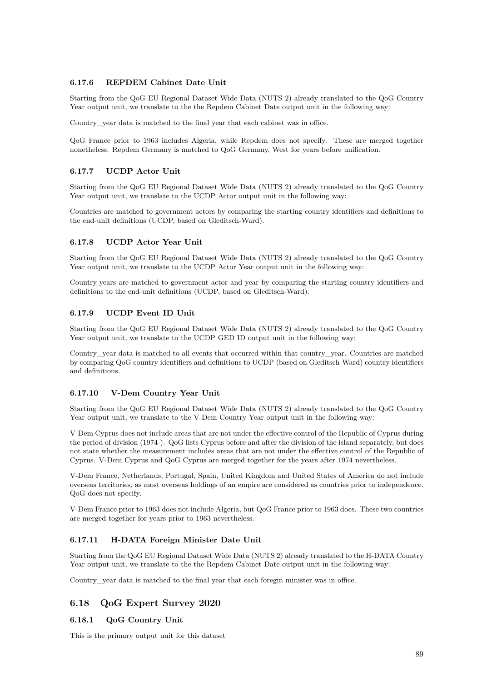### **6.17.6 REPDEM Cabinet Date Unit**

Starting from the QoG EU Regional Dataset Wide Data (NUTS 2) already translated to the QoG Country Year output unit, we translate to the the Repdem Cabinet Date output unit in the following way:

Country\_year data is matched to the final year that each cabinet was in office.

QoG France prior to 1963 includes Algeria, while Repdem does not specify. These are merged together nonetheless. Repdem Germany is matched to QoG Germany, West for years before unification.

### **6.17.7 UCDP Actor Unit**

Starting from the QoG EU Regional Dataset Wide Data (NUTS 2) already translated to the QoG Country Year output unit, we translate to the UCDP Actor output unit in the following way:

Countries are matched to government actors by comparing the starting country identifiers and definitions to the end-unit definitions (UCDP, based on Gleditsch-Ward).

### **6.17.8 UCDP Actor Year Unit**

Starting from the QoG EU Regional Dataset Wide Data (NUTS 2) already translated to the QoG Country Year output unit, we translate to the UCDP Actor Year output unit in the following way:

Country-years are matched to government actor and year by comparing the starting country identifiers and definitions to the end-unit definitions (UCDP, based on Gleditsch-Ward).

### **6.17.9 UCDP Event ID Unit**

Starting from the QoG EU Regional Dataset Wide Data (NUTS 2) already translated to the QoG Country Year output unit, we translate to the UCDP GED ID output unit in the following way:

Country\_year data is matched to all events that occurred within that country\_year. Countries are matched by comparing QoG country identifiers and definitions to UCDP (based on Gleditsch-Ward) country identifiers and definitions.

#### **6.17.10 V-Dem Country Year Unit**

Starting from the QoG EU Regional Dataset Wide Data (NUTS 2) already translated to the QoG Country Year output unit, we translate to the V-Dem Country Year output unit in the following way:

V-Dem Cyprus does not include areas that are not under the effective control of the Republic of Cyprus during the period of division (1974-). QoG lists Cyprus before and after the division of the island separately, but does not state whether the measurement includes areas that are not under the effective control of the Republic of Cyprus. V-Dem Cyprus and QoG Cyprus are merged together for the years after 1974 nevertheless.

V-Dem France, Netherlands, Portugal, Spain, United Kingdom and United States of America do not include overseas territories, as most overseas holdings of an empire are considered as countries prior to independence. QoG does not specify.

V-Dem France prior to 1963 does not include Algeria, but QoG France prior to 1963 does. These two countries are merged together for years prior to 1963 nevertheless.

## **6.17.11 H-DATA Foreign Minister Date Unit**

Starting from the QoG EU Regional Dataset Wide Data (NUTS 2) already translated to the H-DATA Country Year output unit, we translate to the the Repdem Cabinet Date output unit in the following way:

Country\_year data is matched to the final year that each foregin minister was in office.

## **6.18 QoG Expert Survey 2020**

### **6.18.1 QoG Country Unit**

This is the primary output unit for this dataset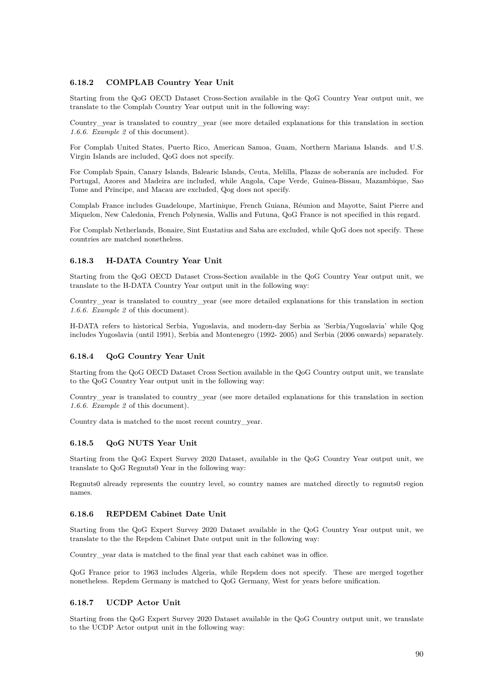### **6.18.2 COMPLAB Country Year Unit**

Starting from the QoG OECD Dataset Cross-Section available in the QoG Country Year output unit, we translate to the Complab Country Year output unit in the following way:

Country vear is translated to country vear (see more detailed explanations for this translation in section *1.6.6. Example 2* of this document).

For Complab United States, Puerto Rico, American Samoa, Guam, Northern Mariana Islands. and U.S. Virgin Islands are included, QoG does not specify.

For Complab Spain, Canary Islands, Balearic Islands, Ceuta, Melilla, Plazas de soberanía are included. For Portugal, Azores and Madeira are included, while Angola, Cape Verde, Guinea-Bissau, Mazambique, Sao Tome and Principe, and Macau are excluded, Qog does not specify.

Complab France includes Guadeloupe, Martinique, French Guiana, Réunion and Mayotte, Saint Pierre and Miquelon, New Caledonia, French Polynesia, Wallis and Futuna, QoG France is not specified in this regard.

For Complab Netherlands, Bonaire, Sint Eustatius and Saba are excluded, while QoG does not specify. These countries are matched nonetheless.

#### **6.18.3 H-DATA Country Year Unit**

Starting from the QoG OECD Dataset Cross-Section available in the QoG Country Year output unit, we translate to the H-DATA Country Year output unit in the following way:

Country\_year is translated to country\_year (see more detailed explanations for this translation in section *1.6.6. Example 2* of this document).

H-DATA refers to historical Serbia, Yugoslavia, and modern-day Serbia as 'Serbia/Yugoslavia' while Qog includes Yugoslavia (until 1991), Serbia and Montenegro (1992- 2005) and Serbia (2006 onwards) separately.

#### **6.18.4 QoG Country Year Unit**

Starting from the QoG OECD Dataset Cross Section available in the QoG Country output unit, we translate to the QoG Country Year output unit in the following way:

Country\_year is translated to country\_year (see more detailed explanations for this translation in section *1.6.6. Example 2* of this document).

Country data is matched to the most recent country\_year.

#### **6.18.5 QoG NUTS Year Unit**

Starting from the QoG Expert Survey 2020 Dataset, available in the QoG Country Year output unit, we translate to QoG Regnuts0 Year in the following way:

Regnuts0 already represents the country level, so country names are matched directly to regnuts0 region names.

### **6.18.6 REPDEM Cabinet Date Unit**

Starting from the QoG Expert Survey 2020 Dataset available in the QoG Country Year output unit, we translate to the the Repdem Cabinet Date output unit in the following way:

Country\_year data is matched to the final year that each cabinet was in office.

QoG France prior to 1963 includes Algeria, while Repdem does not specify. These are merged together nonetheless. Repdem Germany is matched to QoG Germany, West for years before unification.

#### **6.18.7 UCDP Actor Unit**

Starting from the QoG Expert Survey 2020 Dataset available in the QoG Country output unit, we translate to the UCDP Actor output unit in the following way: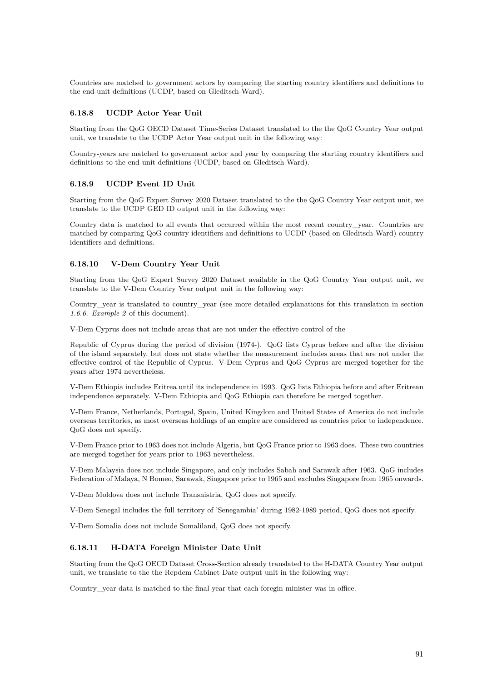Countries are matched to government actors by comparing the starting country identifiers and definitions to the end-unit definitions (UCDP, based on Gleditsch-Ward).

### **6.18.8 UCDP Actor Year Unit**

Starting from the QoG OECD Dataset Time-Series Dataset translated to the the QoG Country Year output unit, we translate to the UCDP Actor Year output unit in the following way:

Country-years are matched to government actor and year by comparing the starting country identifiers and definitions to the end-unit definitions (UCDP, based on Gleditsch-Ward).

#### **6.18.9 UCDP Event ID Unit**

Starting from the QoG Expert Survey 2020 Dataset translated to the the QoG Country Year output unit, we translate to the UCDP GED ID output unit in the following way:

Country data is matched to all events that occurred within the most recent country\_year. Countries are matched by comparing QoG country identifiers and definitions to UCDP (based on Gleditsch-Ward) country identifiers and definitions.

### **6.18.10 V-Dem Country Year Unit**

Starting from the QoG Expert Survey 2020 Dataset available in the QoG Country Year output unit, we translate to the V-Dem Country Year output unit in the following way:

Country\_year is translated to country\_year (see more detailed explanations for this translation in section *1.6.6. Example 2* of this document).

V-Dem Cyprus does not include areas that are not under the effective control of the

Republic of Cyprus during the period of division (1974-). QoG lists Cyprus before and after the division of the island separately, but does not state whether the measurement includes areas that are not under the effective control of the Republic of Cyprus. V-Dem Cyprus and QoG Cyprus are merged together for the years after 1974 nevertheless.

V-Dem Ethiopia includes Eritrea until its independence in 1993. QoG lists Ethiopia before and after Eritrean independence separately. V-Dem Ethiopia and QoG Ethiopia can therefore be merged together.

V-Dem France, Netherlands, Portugal, Spain, United Kingdom and United States of America do not include overseas territories, as most overseas holdings of an empire are considered as countries prior to independence. QoG does not specify.

V-Dem France prior to 1963 does not include Algeria, but QoG France prior to 1963 does. These two countries are merged together for years prior to 1963 nevertheless.

V-Dem Malaysia does not include Singapore, and only includes Sabah and Sarawak after 1963. QoG includes Federation of Malaya, N Bomeo, Sarawak, Singapore prior to 1965 and excludes Singapore from 1965 onwards.

V-Dem Moldova does not include Transnistria, QoG does not specify.

V-Dem Senegal includes the full territory of 'Senegambia' during 1982-1989 period, QoG does not specify.

V-Dem Somalia does not include Somaliland, QoG does not specify.

#### **6.18.11 H-DATA Foreign Minister Date Unit**

Starting from the QoG OECD Dataset Cross-Section already translated to the H-DATA Country Year output unit, we translate to the the Repdem Cabinet Date output unit in the following way:

Country\_year data is matched to the final year that each foregin minister was in office.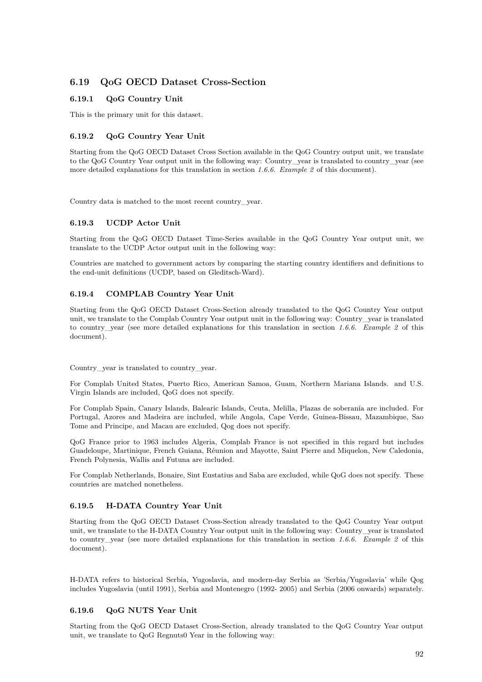# **6.19 QoG OECD Dataset Cross-Section**

### **6.19.1 QoG Country Unit**

This is the primary unit for this dataset.

### **6.19.2 QoG Country Year Unit**

Starting from the QoG OECD Dataset Cross Section available in the QoG Country output unit, we translate to the QoG Country Year output unit in the following way: Country\_year is translated to country\_year (see more detailed explanations for this translation in section *1.6.6. Example 2* of this document).

Country data is matched to the most recent country\_year.

#### **6.19.3 UCDP Actor Unit**

Starting from the QoG OECD Dataset Time-Series available in the QoG Country Year output unit, we translate to the UCDP Actor output unit in the following way:

Countries are matched to government actors by comparing the starting country identifiers and definitions to the end-unit definitions (UCDP, based on Gleditsch-Ward).

#### **6.19.4 COMPLAB Country Year Unit**

Starting from the QoG OECD Dataset Cross-Section already translated to the QoG Country Year output unit, we translate to the Complab Country Year output unit in the following way: Country\_year is translated to country\_year (see more detailed explanations for this translation in section *1.6.6. Example 2* of this document).

Country\_year is translated to country\_year.

For Complab United States, Puerto Rico, American Samoa, Guam, Northern Mariana Islands. and U.S. Virgin Islands are included, QoG does not specify.

For Complab Spain, Canary Islands, Balearic Islands, Ceuta, Melilla, Plazas de soberanía are included. For Portugal, Azores and Madeira are included, while Angola, Cape Verde, Guinea-Bissau, Mazambique, Sao Tome and Principe, and Macau are excluded, Qog does not specify.

QoG France prior to 1963 includes Algeria, Complab France is not specified in this regard but includes Guadeloupe, Martinique, French Guiana, Réunion and Mayotte, Saint Pierre and Miquelon, New Caledonia, French Polynesia, Wallis and Futuna are included.

For Complab Netherlands, Bonaire, Sint Eustatius and Saba are excluded, while QoG does not specify. These countries are matched nonetheless.

#### **6.19.5 H-DATA Country Year Unit**

Starting from the QoG OECD Dataset Cross-Section already translated to the QoG Country Year output unit, we translate to the H-DATA Country Year output unit in the following way: Country\_year is translated to country\_year (see more detailed explanations for this translation in section *1.6.6. Example 2* of this document).

H-DATA refers to historical Serbia, Yugoslavia, and modern-day Serbia as 'Serbia/Yugoslavia' while Qog includes Yugoslavia (until 1991), Serbia and Montenegro (1992- 2005) and Serbia (2006 onwards) separately.

### **6.19.6 QoG NUTS Year Unit**

Starting from the QoG OECD Dataset Cross-Section, already translated to the QoG Country Year output unit, we translate to QoG Regnuts0 Year in the following way: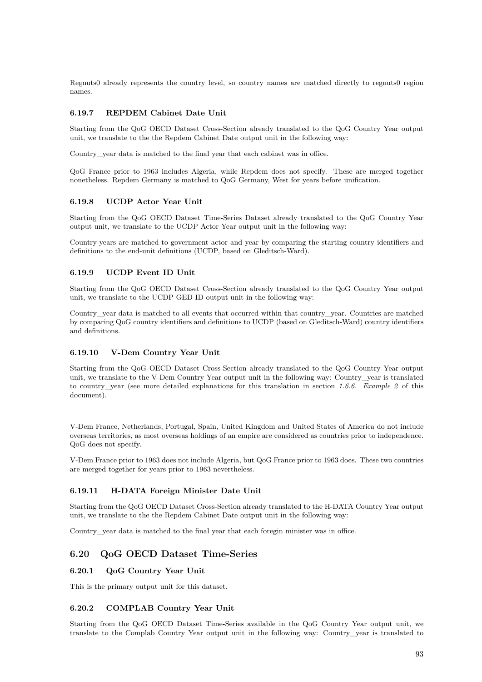Regnuts0 already represents the country level, so country names are matched directly to regnuts0 region names.

### **6.19.7 REPDEM Cabinet Date Unit**

Starting from the QoG OECD Dataset Cross-Section already translated to the QoG Country Year output unit, we translate to the the Repdem Cabinet Date output unit in the following way:

Country\_year data is matched to the final year that each cabinet was in office.

QoG France prior to 1963 includes Algeria, while Repdem does not specify. These are merged together nonetheless. Repdem Germany is matched to QoG Germany, West for years before unification.

#### **6.19.8 UCDP Actor Year Unit**

Starting from the QoG OECD Dataset Time-Series Dataset already translated to the QoG Country Year output unit, we translate to the UCDP Actor Year output unit in the following way:

Country-years are matched to government actor and year by comparing the starting country identifiers and definitions to the end-unit definitions (UCDP, based on Gleditsch-Ward).

### **6.19.9 UCDP Event ID Unit**

Starting from the QoG OECD Dataset Cross-Section already translated to the QoG Country Year output unit, we translate to the UCDP GED ID output unit in the following way:

Country\_year data is matched to all events that occurred within that country\_year. Countries are matched by comparing QoG country identifiers and definitions to UCDP (based on Gleditsch-Ward) country identifiers and definitions.

### **6.19.10 V-Dem Country Year Unit**

Starting from the QoG OECD Dataset Cross-Section already translated to the QoG Country Year output unit, we translate to the V-Dem Country Year output unit in the following way: Country year is translated to country\_year (see more detailed explanations for this translation in section *1.6.6. Example 2* of this document).

V-Dem France, Netherlands, Portugal, Spain, United Kingdom and United States of America do not include overseas territories, as most overseas holdings of an empire are considered as countries prior to independence. QoG does not specify.

V-Dem France prior to 1963 does not include Algeria, but QoG France prior to 1963 does. These two countries are merged together for years prior to 1963 nevertheless.

#### **6.19.11 H-DATA Foreign Minister Date Unit**

Starting from the QoG OECD Dataset Cross-Section already translated to the H-DATA Country Year output unit, we translate to the the Repdem Cabinet Date output unit in the following way:

Country\_year data is matched to the final year that each foregin minister was in office.

## **6.20 QoG OECD Dataset Time-Series**

#### **6.20.1 QoG Country Year Unit**

This is the primary output unit for this dataset.

#### **6.20.2 COMPLAB Country Year Unit**

Starting from the QoG OECD Dataset Time-Series available in the QoG Country Year output unit, we translate to the Complab Country Year output unit in the following way: Country\_year is translated to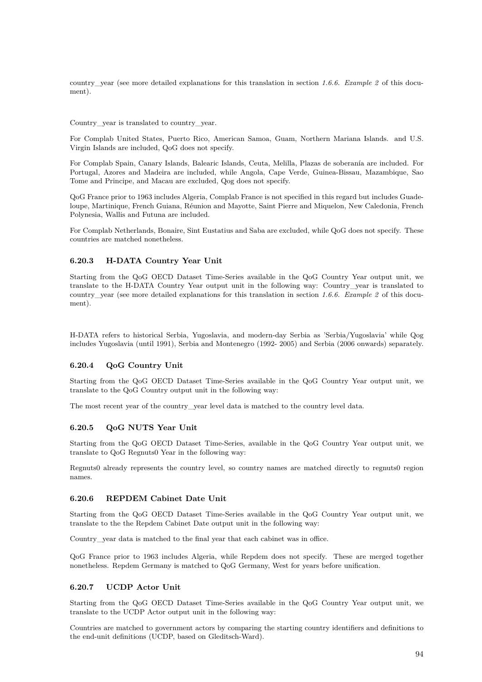country\_year (see more detailed explanations for this translation in section *1.6.6. Example 2* of this document).

Country year is translated to country year.

For Complab United States, Puerto Rico, American Samoa, Guam, Northern Mariana Islands. and U.S. Virgin Islands are included, QoG does not specify.

For Complab Spain, Canary Islands, Balearic Islands, Ceuta, Melilla, Plazas de soberanía are included. For Portugal, Azores and Madeira are included, while Angola, Cape Verde, Guinea-Bissau, Mazambique, Sao Tome and Principe, and Macau are excluded, Qog does not specify.

QoG France prior to 1963 includes Algeria, Complab France is not specified in this regard but includes Guadeloupe, Martinique, French Guiana, Réunion and Mayotte, Saint Pierre and Miquelon, New Caledonia, French Polynesia, Wallis and Futuna are included.

For Complab Netherlands, Bonaire, Sint Eustatius and Saba are excluded, while QoG does not specify. These countries are matched nonetheless.

#### **6.20.3 H-DATA Country Year Unit**

Starting from the QoG OECD Dataset Time-Series available in the QoG Country Year output unit, we translate to the H-DATA Country Year output unit in the following way: Country\_year is translated to country\_year (see more detailed explanations for this translation in section *1.6.6. Example 2* of this document).

H-DATA refers to historical Serbia, Yugoslavia, and modern-day Serbia as 'Serbia/Yugoslavia' while Qog includes Yugoslavia (until 1991), Serbia and Montenegro (1992- 2005) and Serbia (2006 onwards) separately.

#### **6.20.4 QoG Country Unit**

Starting from the QoG OECD Dataset Time-Series available in the QoG Country Year output unit, we translate to the QoG Country output unit in the following way:

The most recent year of the country\_year level data is matched to the country level data.

#### **6.20.5 QoG NUTS Year Unit**

Starting from the QoG OECD Dataset Time-Series, available in the QoG Country Year output unit, we translate to QoG Regnuts0 Year in the following way:

Regnuts0 already represents the country level, so country names are matched directly to regnuts0 region names.

#### **6.20.6 REPDEM Cabinet Date Unit**

Starting from the QoG OECD Dataset Time-Series available in the QoG Country Year output unit, we translate to the the Repdem Cabinet Date output unit in the following way:

Country\_year data is matched to the final year that each cabinet was in office.

QoG France prior to 1963 includes Algeria, while Repdem does not specify. These are merged together nonetheless. Repdem Germany is matched to QoG Germany, West for years before unification.

### **6.20.7 UCDP Actor Unit**

Starting from the QoG OECD Dataset Time-Series available in the QoG Country Year output unit, we translate to the UCDP Actor output unit in the following way:

Countries are matched to government actors by comparing the starting country identifiers and definitions to the end-unit definitions (UCDP, based on Gleditsch-Ward).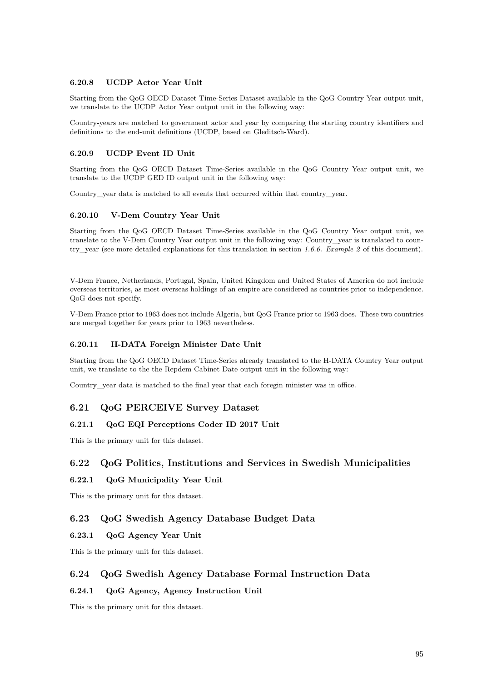### **6.20.8 UCDP Actor Year Unit**

Starting from the QoG OECD Dataset Time-Series Dataset available in the QoG Country Year output unit, we translate to the UCDP Actor Year output unit in the following way:

Country-years are matched to government actor and year by comparing the starting country identifiers and definitions to the end-unit definitions (UCDP, based on Gleditsch-Ward).

### **6.20.9 UCDP Event ID Unit**

Starting from the QoG OECD Dataset Time-Series available in the QoG Country Year output unit, we translate to the UCDP GED ID output unit in the following way:

Country\_year data is matched to all events that occurred within that country\_year.

#### **6.20.10 V-Dem Country Year Unit**

Starting from the QoG OECD Dataset Time-Series available in the QoG Country Year output unit, we translate to the V-Dem Country Year output unit in the following way: Country\_year is translated to country\_year (see more detailed explanations for this translation in section *1.6.6. Example 2* of this document).

V-Dem France, Netherlands, Portugal, Spain, United Kingdom and United States of America do not include overseas territories, as most overseas holdings of an empire are considered as countries prior to independence. QoG does not specify.

V-Dem France prior to 1963 does not include Algeria, but QoG France prior to 1963 does. These two countries are merged together for years prior to 1963 nevertheless.

#### **6.20.11 H-DATA Foreign Minister Date Unit**

Starting from the QoG OECD Dataset Time-Series already translated to the H-DATA Country Year output unit, we translate to the the Repdem Cabinet Date output unit in the following way:

Country\_year data is matched to the final year that each foregin minister was in office.

## **6.21 QoG PERCEIVE Survey Dataset**

#### **6.21.1 QoG EQI Perceptions Coder ID 2017 Unit**

This is the primary unit for this dataset.

#### **6.22 QoG Politics, Institutions and Services in Swedish Municipalities**

#### **6.22.1 QoG Municipality Year Unit**

This is the primary unit for this dataset.

## **6.23 QoG Swedish Agency Database Budget Data**

### **6.23.1 QoG Agency Year Unit**

This is the primary unit for this dataset.

#### **6.24 QoG Swedish Agency Database Formal Instruction Data**

## **6.24.1 QoG Agency, Agency Instruction Unit**

This is the primary unit for this dataset.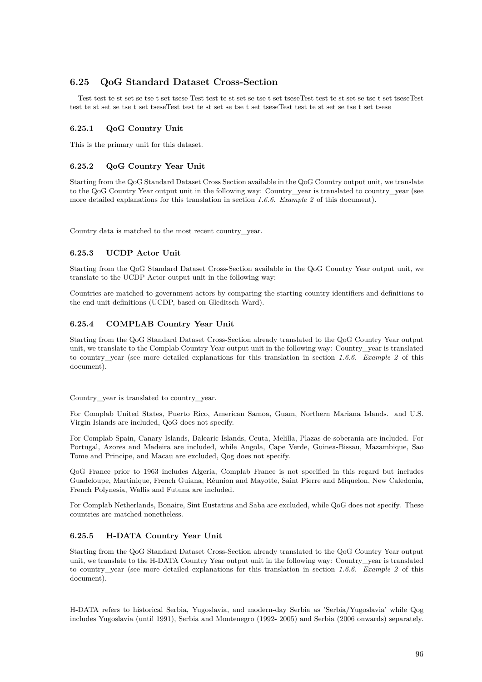# **6.25 QoG Standard Dataset Cross-Section**

Test test te st set se tse t set tsese Test test te st set se tse t set tseseTest test te st set se tse t set tseseTest test te st set se tse t set tseseTest test te st set se tse t set tseseTest test te st set se tse t set tsese

## **6.25.1 QoG Country Unit**

This is the primary unit for this dataset.

## **6.25.2 QoG Country Year Unit**

Starting from the QoG Standard Dataset Cross Section available in the QoG Country output unit, we translate to the QoG Country Year output unit in the following way: Country\_year is translated to country\_year (see more detailed explanations for this translation in section *1.6.6. Example 2* of this document).

Country data is matched to the most recent country\_year.

## **6.25.3 UCDP Actor Unit**

Starting from the QoG Standard Dataset Cross-Section available in the QoG Country Year output unit, we translate to the UCDP Actor output unit in the following way:

Countries are matched to government actors by comparing the starting country identifiers and definitions to the end-unit definitions (UCDP, based on Gleditsch-Ward).

## **6.25.4 COMPLAB Country Year Unit**

Starting from the QoG Standard Dataset Cross-Section already translated to the QoG Country Year output unit, we translate to the Complab Country Year output unit in the following way: Country\_year is translated to country\_year (see more detailed explanations for this translation in section *1.6.6. Example 2* of this document).

Country year is translated to country year.

For Complab United States, Puerto Rico, American Samoa, Guam, Northern Mariana Islands. and U.S. Virgin Islands are included, QoG does not specify.

For Complab Spain, Canary Islands, Balearic Islands, Ceuta, Melilla, Plazas de soberanía are included. For Portugal, Azores and Madeira are included, while Angola, Cape Verde, Guinea-Bissau, Mazambique, Sao Tome and Principe, and Macau are excluded, Qog does not specify.

QoG France prior to 1963 includes Algeria, Complab France is not specified in this regard but includes Guadeloupe, Martinique, French Guiana, Réunion and Mayotte, Saint Pierre and Miquelon, New Caledonia, French Polynesia, Wallis and Futuna are included.

For Complab Netherlands, Bonaire, Sint Eustatius and Saba are excluded, while QoG does not specify. These countries are matched nonetheless.

## **6.25.5 H-DATA Country Year Unit**

Starting from the QoG Standard Dataset Cross-Section already translated to the QoG Country Year output unit, we translate to the H-DATA Country Year output unit in the following way: Country\_year is translated to country\_year (see more detailed explanations for this translation in section *1.6.6. Example 2* of this document).

H-DATA refers to historical Serbia, Yugoslavia, and modern-day Serbia as 'Serbia/Yugoslavia' while Qog includes Yugoslavia (until 1991), Serbia and Montenegro (1992- 2005) and Serbia (2006 onwards) separately.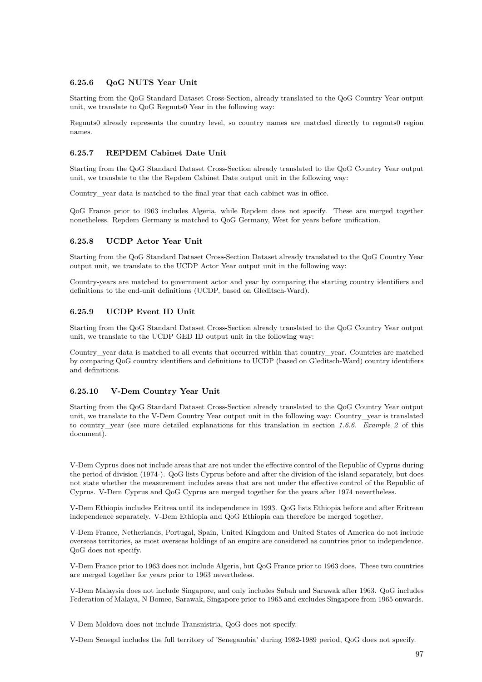#### **6.25.6 QoG NUTS Year Unit**

Starting from the QoG Standard Dataset Cross-Section, already translated to the QoG Country Year output unit, we translate to QoG Regnuts0 Year in the following way:

Regnuts0 already represents the country level, so country names are matched directly to regnuts0 region names.

### **6.25.7 REPDEM Cabinet Date Unit**

Starting from the QoG Standard Dataset Cross-Section already translated to the QoG Country Year output unit, we translate to the the Repdem Cabinet Date output unit in the following way:

Country\_year data is matched to the final year that each cabinet was in office.

QoG France prior to 1963 includes Algeria, while Repdem does not specify. These are merged together nonetheless. Repdem Germany is matched to QoG Germany, West for years before unification.

#### **6.25.8 UCDP Actor Year Unit**

Starting from the QoG Standard Dataset Cross-Section Dataset already translated to the QoG Country Year output unit, we translate to the UCDP Actor Year output unit in the following way:

Country-years are matched to government actor and year by comparing the starting country identifiers and definitions to the end-unit definitions (UCDP, based on Gleditsch-Ward).

#### **6.25.9 UCDP Event ID Unit**

Starting from the QoG Standard Dataset Cross-Section already translated to the QoG Country Year output unit, we translate to the UCDP GED ID output unit in the following way:

Country\_year data is matched to all events that occurred within that country\_year. Countries are matched by comparing QoG country identifiers and definitions to UCDP (based on Gleditsch-Ward) country identifiers and definitions.

#### **6.25.10 V-Dem Country Year Unit**

Starting from the QoG Standard Dataset Cross-Section already translated to the QoG Country Year output unit, we translate to the V-Dem Country Year output unit in the following way: Country\_year is translated to country\_year (see more detailed explanations for this translation in section *1.6.6. Example 2* of this document).

V-Dem Cyprus does not include areas that are not under the effective control of the Republic of Cyprus during the period of division (1974-). QoG lists Cyprus before and after the division of the island separately, but does not state whether the measurement includes areas that are not under the effective control of the Republic of Cyprus. V-Dem Cyprus and QoG Cyprus are merged together for the years after 1974 nevertheless.

V-Dem Ethiopia includes Eritrea until its independence in 1993. QoG lists Ethiopia before and after Eritrean independence separately. V-Dem Ethiopia and QoG Ethiopia can therefore be merged together.

V-Dem France, Netherlands, Portugal, Spain, United Kingdom and United States of America do not include overseas territories, as most overseas holdings of an empire are considered as countries prior to independence. QoG does not specify.

V-Dem France prior to 1963 does not include Algeria, but QoG France prior to 1963 does. These two countries are merged together for years prior to 1963 nevertheless.

V-Dem Malaysia does not include Singapore, and only includes Sabah and Sarawak after 1963. QoG includes Federation of Malaya, N Bomeo, Sarawak, Singapore prior to 1965 and excludes Singapore from 1965 onwards.

V-Dem Moldova does not include Transnistria, QoG does not specify.

V-Dem Senegal includes the full territory of 'Senegambia' during 1982-1989 period, QoG does not specify.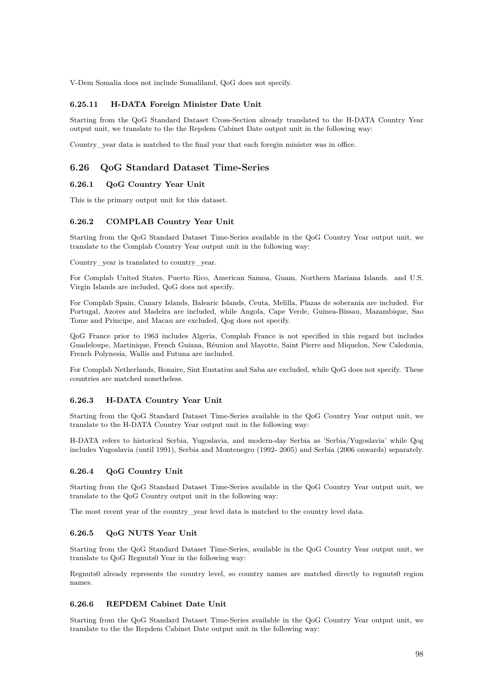V-Dem Somalia does not include Somaliland, QoG does not specify.

#### **6.25.11 H-DATA Foreign Minister Date Unit**

Starting from the QoG Standard Dataset Cross-Section already translated to the H-DATA Country Year output unit, we translate to the the Repdem Cabinet Date output unit in the following way:

Country\_year data is matched to the final year that each foregin minister was in office.

### **6.26 QoG Standard Dataset Time-Series**

#### **6.26.1 QoG Country Year Unit**

This is the primary output unit for this dataset.

#### **6.26.2 COMPLAB Country Year Unit**

Starting from the QoG Standard Dataset Time-Series available in the QoG Country Year output unit, we translate to the Complab Country Year output unit in the following way:

Country year is translated to country year.

For Complab United States, Puerto Rico, American Samoa, Guam, Northern Mariana Islands. and U.S. Virgin Islands are included, QoG does not specify.

For Complab Spain, Canary Islands, Balearic Islands, Ceuta, Melilla, Plazas de soberanía are included. For Portugal, Azores and Madeira are included, while Angola, Cape Verde, Guinea-Bissau, Mazambique, Sao Tome and Principe, and Macau are excluded, Qog does not specify.

QoG France prior to 1963 includes Algeria, Complab France is not specified in this regard but includes Guadeloupe, Martinique, French Guiana, Réunion and Mayotte, Saint Pierre and Miquelon, New Caledonia, French Polynesia, Wallis and Futuna are included.

For Complab Netherlands, Bonaire, Sint Eustatius and Saba are excluded, while QoG does not specify. These countries are matched nonetheless.

#### **6.26.3 H-DATA Country Year Unit**

Starting from the QoG Standard Dataset Time-Series available in the QoG Country Year output unit, we translate to the H-DATA Country Year output unit in the following way:

H-DATA refers to historical Serbia, Yugoslavia, and modern-day Serbia as 'Serbia/Yugoslavia' while Qog includes Yugoslavia (until 1991), Serbia and Montenegro (1992- 2005) and Serbia (2006 onwards) separately.

#### **6.26.4 QoG Country Unit**

Starting from the QoG Standard Dataset Time-Series available in the QoG Country Year output unit, we translate to the QoG Country output unit in the following way:

The most recent year of the country\_year level data is matched to the country level data.

#### **6.26.5 QoG NUTS Year Unit**

Starting from the QoG Standard Dataset Time-Series, available in the QoG Country Year output unit, we translate to QoG Regnuts0 Year in the following way:

Regnuts0 already represents the country level, so country names are matched directly to regnuts0 region names.

#### **6.26.6 REPDEM Cabinet Date Unit**

Starting from the QoG Standard Dataset Time-Series available in the QoG Country Year output unit, we translate to the the Repdem Cabinet Date output unit in the following way: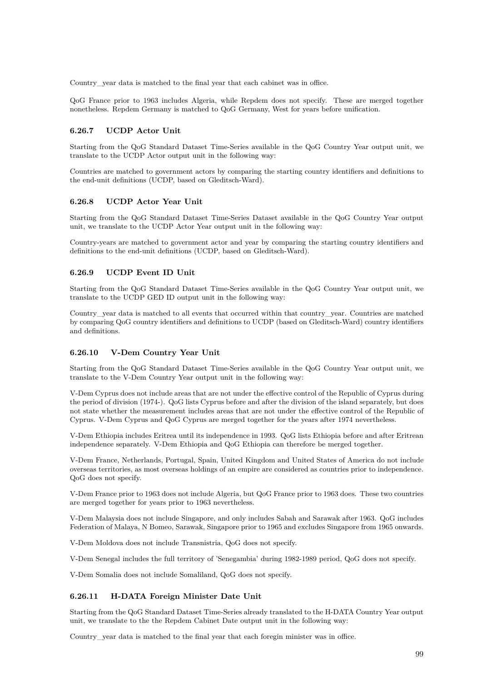Country\_year data is matched to the final year that each cabinet was in office.

QoG France prior to 1963 includes Algeria, while Repdem does not specify. These are merged together nonetheless. Repdem Germany is matched to QoG Germany, West for years before unification.

#### **6.26.7 UCDP Actor Unit**

Starting from the QoG Standard Dataset Time-Series available in the QoG Country Year output unit, we translate to the UCDP Actor output unit in the following way:

Countries are matched to government actors by comparing the starting country identifiers and definitions to the end-unit definitions (UCDP, based on Gleditsch-Ward).

#### **6.26.8 UCDP Actor Year Unit**

Starting from the QoG Standard Dataset Time-Series Dataset available in the QoG Country Year output unit, we translate to the UCDP Actor Year output unit in the following way:

Country-years are matched to government actor and year by comparing the starting country identifiers and definitions to the end-unit definitions (UCDP, based on Gleditsch-Ward).

### **6.26.9 UCDP Event ID Unit**

Starting from the QoG Standard Dataset Time-Series available in the QoG Country Year output unit, we translate to the UCDP GED ID output unit in the following way:

Country\_year data is matched to all events that occurred within that country\_year. Countries are matched by comparing QoG country identifiers and definitions to UCDP (based on Gleditsch-Ward) country identifiers and definitions.

### **6.26.10 V-Dem Country Year Unit**

Starting from the QoG Standard Dataset Time-Series available in the QoG Country Year output unit, we translate to the V-Dem Country Year output unit in the following way:

V-Dem Cyprus does not include areas that are not under the effective control of the Republic of Cyprus during the period of division (1974-). QoG lists Cyprus before and after the division of the island separately, but does not state whether the measurement includes areas that are not under the effective control of the Republic of Cyprus. V-Dem Cyprus and QoG Cyprus are merged together for the years after 1974 nevertheless.

V-Dem Ethiopia includes Eritrea until its independence in 1993. QoG lists Ethiopia before and after Eritrean independence separately. V-Dem Ethiopia and QoG Ethiopia can therefore be merged together.

V-Dem France, Netherlands, Portugal, Spain, United Kingdom and United States of America do not include overseas territories, as most overseas holdings of an empire are considered as countries prior to independence. QoG does not specify.

V-Dem France prior to 1963 does not include Algeria, but QoG France prior to 1963 does. These two countries are merged together for years prior to 1963 nevertheless.

V-Dem Malaysia does not include Singapore, and only includes Sabah and Sarawak after 1963. QoG includes Federation of Malaya, N Bomeo, Sarawak, Singapore prior to 1965 and excludes Singapore from 1965 onwards.

V-Dem Moldova does not include Transnistria, QoG does not specify.

V-Dem Senegal includes the full territory of 'Senegambia' during 1982-1989 period, QoG does not specify.

V-Dem Somalia does not include Somaliland, QoG does not specify.

#### **6.26.11 H-DATA Foreign Minister Date Unit**

Starting from the QoG Standard Dataset Time-Series already translated to the H-DATA Country Year output unit, we translate to the the Repdem Cabinet Date output unit in the following way:

Country vear data is matched to the final year that each foregin minister was in office.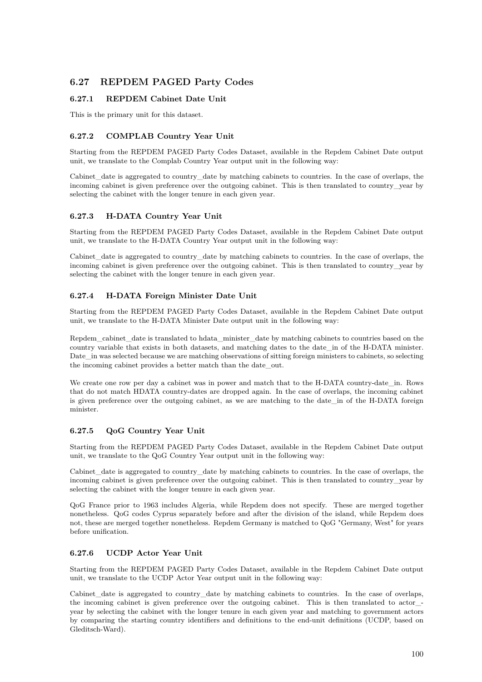# **6.27 REPDEM PAGED Party Codes**

## **6.27.1 REPDEM Cabinet Date Unit**

This is the primary unit for this dataset.

## **6.27.2 COMPLAB Country Year Unit**

Starting from the REPDEM PAGED Party Codes Dataset, available in the Repdem Cabinet Date output unit, we translate to the Complab Country Year output unit in the following way:

Cabinet\_date is aggregated to country\_date by matching cabinets to countries. In the case of overlaps, the incoming cabinet is given preference over the outgoing cabinet. This is then translated to country\_year by selecting the cabinet with the longer tenure in each given year.

## **6.27.3 H-DATA Country Year Unit**

Starting from the REPDEM PAGED Party Codes Dataset, available in the Repdem Cabinet Date output unit, we translate to the H-DATA Country Year output unit in the following way:

Cabinet date is aggregated to country date by matching cabinets to countries. In the case of overlaps, the incoming cabinet is given preference over the outgoing cabinet. This is then translated to country\_year by selecting the cabinet with the longer tenure in each given year.

## **6.27.4 H-DATA Foreign Minister Date Unit**

Starting from the REPDEM PAGED Party Codes Dataset, available in the Repdem Cabinet Date output unit, we translate to the H-DATA Minister Date output unit in the following way:

Repdem\_cabinet\_date is translated to hdata\_minister\_date by matching cabinets to countries based on the country variable that exists in both datasets, and matching dates to the date\_in of the H-DATA minister. Date in was selected because we are matching observations of sitting foreign ministers to cabinets, so selecting the incoming cabinet provides a better match than the date\_out.

We create one row per day a cabinet was in power and match that to the H-DATA country-date in. Rows that do not match HDATA country-dates are dropped again. In the case of overlaps, the incoming cabinet is given preference over the outgoing cabinet, as we are matching to the date\_in of the H-DATA foreign minister.

## **6.27.5 QoG Country Year Unit**

Starting from the REPDEM PAGED Party Codes Dataset, available in the Repdem Cabinet Date output unit, we translate to the QoG Country Year output unit in the following way:

Cabinet\_date is aggregated to country\_date by matching cabinets to countries. In the case of overlaps, the incoming cabinet is given preference over the outgoing cabinet. This is then translated to country\_year by selecting the cabinet with the longer tenure in each given year.

QoG France prior to 1963 includes Algeria, while Repdem does not specify. These are merged together nonetheless. QoG codes Cyprus separately before and after the division of the island, while Repdem does not, these are merged together nonetheless. Repdem Germany is matched to QoG "Germany, West" for years before unification.

## **6.27.6 UCDP Actor Year Unit**

Starting from the REPDEM PAGED Party Codes Dataset, available in the Repdem Cabinet Date output unit, we translate to the UCDP Actor Year output unit in the following way:

Cabinet\_date is aggregated to country\_date by matching cabinets to countries. In the case of overlaps, the incoming cabinet is given preference over the outgoing cabinet. This is then translated to actor\_ year by selecting the cabinet with the longer tenure in each given year and matching to government actors by comparing the starting country identifiers and definitions to the end-unit definitions (UCDP, based on Gleditsch-Ward).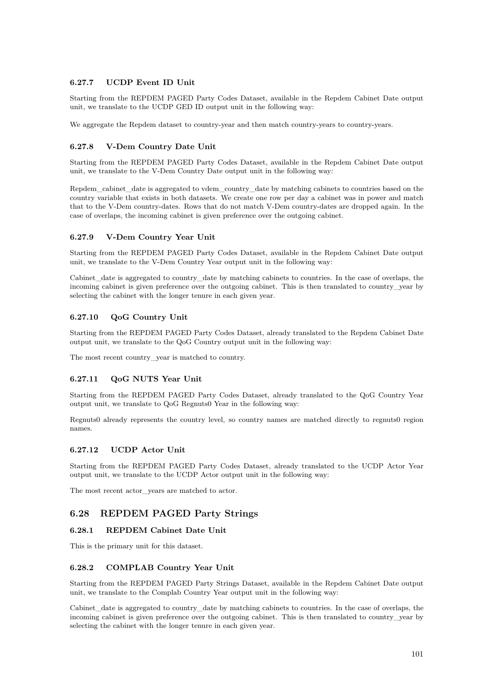## **6.27.7 UCDP Event ID Unit**

Starting from the REPDEM PAGED Party Codes Dataset, available in the Repdem Cabinet Date output unit, we translate to the UCDP GED ID output unit in the following way:

We aggregate the Repdem dataset to country-year and then match country-years to country-years.

## **6.27.8 V-Dem Country Date Unit**

Starting from the REPDEM PAGED Party Codes Dataset, available in the Repdem Cabinet Date output unit, we translate to the V-Dem Country Date output unit in the following way:

Repdem\_cabinet\_date is aggregated to vdem\_country\_date by matching cabinets to countries based on the country variable that exists in both datasets. We create one row per day a cabinet was in power and match that to the V-Dem country-dates. Rows that do not match V-Dem country-dates are dropped again. In the case of overlaps, the incoming cabinet is given preference over the outgoing cabinet.

## **6.27.9 V-Dem Country Year Unit**

Starting from the REPDEM PAGED Party Codes Dataset, available in the Repdem Cabinet Date output unit, we translate to the V-Dem Country Year output unit in the following way:

Cabinet\_date is aggregated to country\_date by matching cabinets to countries. In the case of overlaps, the incoming cabinet is given preference over the outgoing cabinet. This is then translated to country year by selecting the cabinet with the longer tenure in each given year.

## **6.27.10 QoG Country Unit**

Starting from the REPDEM PAGED Party Codes Dataset, already translated to the Repdem Cabinet Date output unit, we translate to the QoG Country output unit in the following way:

The most recent country\_year is matched to country.

## **6.27.11 QoG NUTS Year Unit**

Starting from the REPDEM PAGED Party Codes Dataset, already translated to the QoG Country Year output unit, we translate to QoG Regnuts0 Year in the following way:

Regnuts0 already represents the country level, so country names are matched directly to regnuts0 region names.

#### **6.27.12 UCDP Actor Unit**

Starting from the REPDEM PAGED Party Codes Dataset, already translated to the UCDP Actor Year output unit, we translate to the UCDP Actor output unit in the following way:

The most recent actor\_years are matched to actor.

## **6.28 REPDEM PAGED Party Strings**

## **6.28.1 REPDEM Cabinet Date Unit**

This is the primary unit for this dataset.

#### **6.28.2 COMPLAB Country Year Unit**

Starting from the REPDEM PAGED Party Strings Dataset, available in the Repdem Cabinet Date output unit, we translate to the Complab Country Year output unit in the following way:

Cabinet date is aggregated to country date by matching cabinets to countries. In the case of overlaps, the incoming cabinet is given preference over the outgoing cabinet. This is then translated to country\_year by selecting the cabinet with the longer tenure in each given year.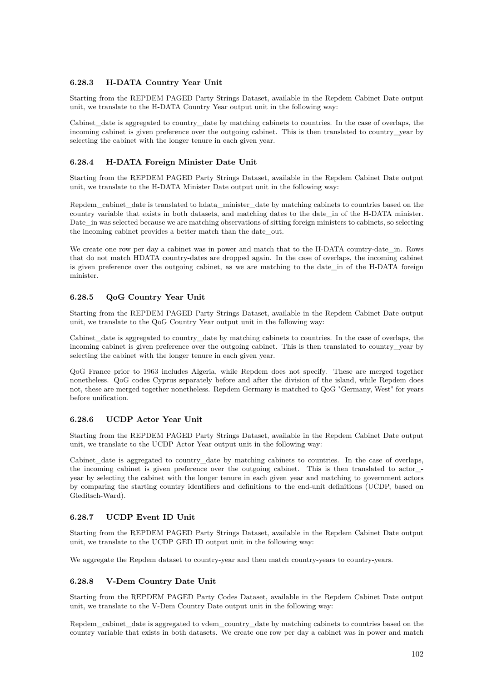## **6.28.3 H-DATA Country Year Unit**

Starting from the REPDEM PAGED Party Strings Dataset, available in the Repdem Cabinet Date output unit, we translate to the H-DATA Country Year output unit in the following way:

Cabinet date is aggregated to country date by matching cabinets to countries. In the case of overlaps, the incoming cabinet is given preference over the outgoing cabinet. This is then translated to country year by selecting the cabinet with the longer tenure in each given year.

### **6.28.4 H-DATA Foreign Minister Date Unit**

Starting from the REPDEM PAGED Party Strings Dataset, available in the Repdem Cabinet Date output unit, we translate to the H-DATA Minister Date output unit in the following way:

Repdem\_cabinet\_date is translated to hdata\_minister\_date by matching cabinets to countries based on the country variable that exists in both datasets, and matching dates to the date\_in of the H-DATA minister. Date in was selected because we are matching observations of sitting foreign ministers to cabinets, so selecting the incoming cabinet provides a better match than the date\_out.

We create one row per day a cabinet was in power and match that to the H-DATA country-date\_in. Rows that do not match HDATA country-dates are dropped again. In the case of overlaps, the incoming cabinet is given preference over the outgoing cabinet, as we are matching to the date in of the H-DATA foreign minister.

### **6.28.5 QoG Country Year Unit**

Starting from the REPDEM PAGED Party Strings Dataset, available in the Repdem Cabinet Date output unit, we translate to the QoG Country Year output unit in the following way:

Cabinet date is aggregated to country date by matching cabinets to countries. In the case of overlaps, the incoming cabinet is given preference over the outgoing cabinet. This is then translated to country\_year by selecting the cabinet with the longer tenure in each given year.

QoG France prior to 1963 includes Algeria, while Repdem does not specify. These are merged together nonetheless. QoG codes Cyprus separately before and after the division of the island, while Repdem does not, these are merged together nonetheless. Repdem Germany is matched to QoG "Germany, West" for years before unification.

#### **6.28.6 UCDP Actor Year Unit**

Starting from the REPDEM PAGED Party Strings Dataset, available in the Repdem Cabinet Date output unit, we translate to the UCDP Actor Year output unit in the following way:

Cabinet\_date is aggregated to country\_date by matching cabinets to countries. In the case of overlaps, the incoming cabinet is given preference over the outgoing cabinet. This is then translated to actor\_ year by selecting the cabinet with the longer tenure in each given year and matching to government actors by comparing the starting country identifiers and definitions to the end-unit definitions (UCDP, based on Gleditsch-Ward).

#### **6.28.7 UCDP Event ID Unit**

Starting from the REPDEM PAGED Party Strings Dataset, available in the Repdem Cabinet Date output unit, we translate to the UCDP GED ID output unit in the following way:

We aggregate the Repdem dataset to country-year and then match country-years to country-years.

#### **6.28.8 V-Dem Country Date Unit**

Starting from the REPDEM PAGED Party Codes Dataset, available in the Repdem Cabinet Date output unit, we translate to the V-Dem Country Date output unit in the following way:

Repdem\_cabinet\_date is aggregated to vdem\_country\_date by matching cabinets to countries based on the country variable that exists in both datasets. We create one row per day a cabinet was in power and match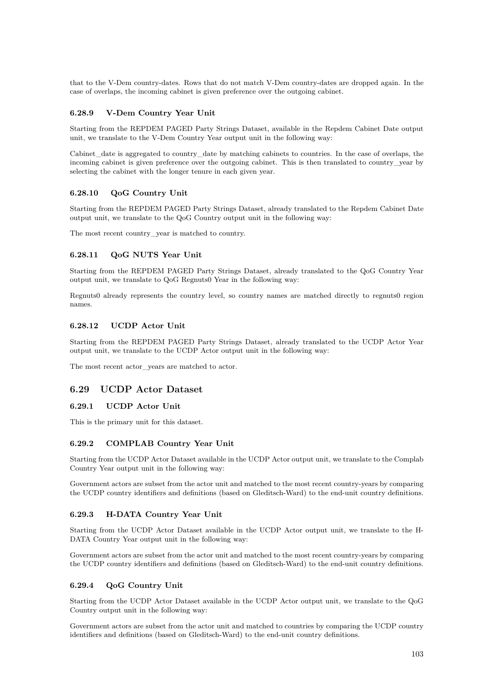that to the V-Dem country-dates. Rows that do not match V-Dem country-dates are dropped again. In the case of overlaps, the incoming cabinet is given preference over the outgoing cabinet.

### **6.28.9 V-Dem Country Year Unit**

Starting from the REPDEM PAGED Party Strings Dataset, available in the Repdem Cabinet Date output unit, we translate to the V-Dem Country Year output unit in the following way:

Cabinet\_date is aggregated to country\_date by matching cabinets to countries. In the case of overlaps, the incoming cabinet is given preference over the outgoing cabinet. This is then translated to country\_year by selecting the cabinet with the longer tenure in each given year.

### **6.28.10 QoG Country Unit**

Starting from the REPDEM PAGED Party Strings Dataset, already translated to the Repdem Cabinet Date output unit, we translate to the QoG Country output unit in the following way:

The most recent country\_year is matched to country.

#### **6.28.11 QoG NUTS Year Unit**

Starting from the REPDEM PAGED Party Strings Dataset, already translated to the QoG Country Year output unit, we translate to QoG Regnuts0 Year in the following way:

Regnuts0 already represents the country level, so country names are matched directly to regnuts0 region names.

#### **6.28.12 UCDP Actor Unit**

Starting from the REPDEM PAGED Party Strings Dataset, already translated to the UCDP Actor Year output unit, we translate to the UCDP Actor output unit in the following way:

The most recent actor vears are matched to actor.

## **6.29 UCDP Actor Dataset**

### **6.29.1 UCDP Actor Unit**

This is the primary unit for this dataset.

### **6.29.2 COMPLAB Country Year Unit**

Starting from the UCDP Actor Dataset available in the UCDP Actor output unit, we translate to the Complab Country Year output unit in the following way:

Government actors are subset from the actor unit and matched to the most recent country-years by comparing the UCDP country identifiers and definitions (based on Gleditsch-Ward) to the end-unit country definitions.

#### **6.29.3 H-DATA Country Year Unit**

Starting from the UCDP Actor Dataset available in the UCDP Actor output unit, we translate to the H-DATA Country Year output unit in the following way:

Government actors are subset from the actor unit and matched to the most recent country-years by comparing the UCDP country identifiers and definitions (based on Gleditsch-Ward) to the end-unit country definitions.

#### **6.29.4 QoG Country Unit**

Starting from the UCDP Actor Dataset available in the UCDP Actor output unit, we translate to the QoG Country output unit in the following way:

Government actors are subset from the actor unit and matched to countries by comparing the UCDP country identifiers and definitions (based on Gleditsch-Ward) to the end-unit country definitions.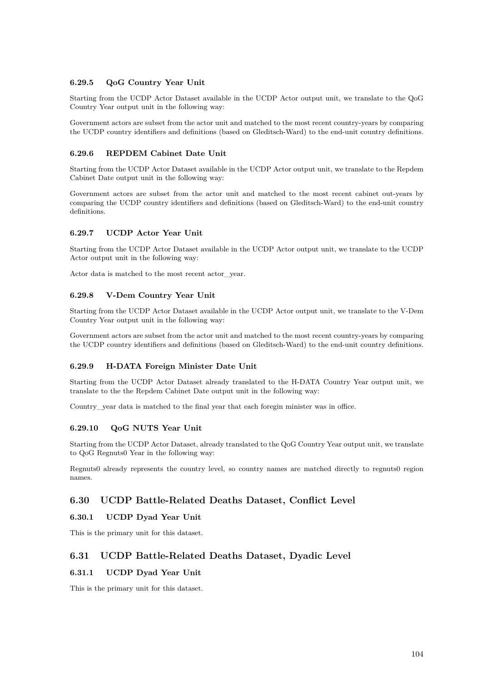### **6.29.5 QoG Country Year Unit**

Starting from the UCDP Actor Dataset available in the UCDP Actor output unit, we translate to the QoG Country Year output unit in the following way:

Government actors are subset from the actor unit and matched to the most recent country-years by comparing the UCDP country identifiers and definitions (based on Gleditsch-Ward) to the end-unit country definitions.

#### **6.29.6 REPDEM Cabinet Date Unit**

Starting from the UCDP Actor Dataset available in the UCDP Actor output unit, we translate to the Repdem Cabinet Date output unit in the following way:

Government actors are subset from the actor unit and matched to the most recent cabinet out-years by comparing the UCDP country identifiers and definitions (based on Gleditsch-Ward) to the end-unit country definitions.

#### **6.29.7 UCDP Actor Year Unit**

Starting from the UCDP Actor Dataset available in the UCDP Actor output unit, we translate to the UCDP Actor output unit in the following way:

Actor data is matched to the most recent actor\_year.

#### **6.29.8 V-Dem Country Year Unit**

Starting from the UCDP Actor Dataset available in the UCDP Actor output unit, we translate to the V-Dem Country Year output unit in the following way:

Government actors are subset from the actor unit and matched to the most recent country-years by comparing the UCDP country identifiers and definitions (based on Gleditsch-Ward) to the end-unit country definitions.

#### **6.29.9 H-DATA Foreign Minister Date Unit**

Starting from the UCDP Actor Dataset already translated to the H-DATA Country Year output unit, we translate to the the Repdem Cabinet Date output unit in the following way:

Country year data is matched to the final year that each foregin minister was in office.

#### **6.29.10 QoG NUTS Year Unit**

Starting from the UCDP Actor Dataset, already translated to the QoG Country Year output unit, we translate to QoG Regnuts0 Year in the following way:

Regnuts0 already represents the country level, so country names are matched directly to regnuts0 region names.

## **6.30 UCDP Battle-Related Deaths Dataset, Conflict Level**

## **6.30.1 UCDP Dyad Year Unit**

This is the primary unit for this dataset.

## **6.31 UCDP Battle-Related Deaths Dataset, Dyadic Level**

### **6.31.1 UCDP Dyad Year Unit**

This is the primary unit for this dataset.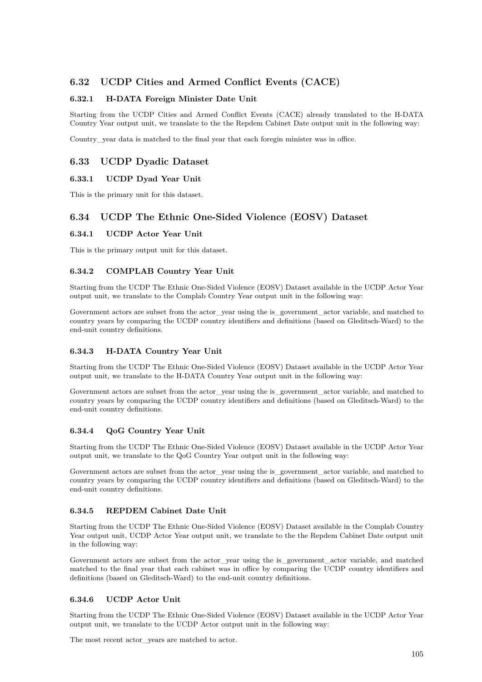# **6.32 UCDP Cities and Armed Conflict Events (CACE)**

### **6.32.1 H-DATA Foreign Minister Date Unit**

Starting from the UCDP Cities and Armed Conflict Events (CACE) already translated to the H-DATA Country Year output unit, we translate to the the Repdem Cabinet Date output unit in the following way:

Country year data is matched to the final year that each foregin minister was in office.

## **6.33 UCDP Dyadic Dataset**

### **6.33.1 UCDP Dyad Year Unit**

This is the primary unit for this dataset.

## **6.34 UCDP The Ethnic One-Sided Violence (EOSV) Dataset**

#### **6.34.1 UCDP Actor Year Unit**

This is the primary output unit for this dataset.

### **6.34.2 COMPLAB Country Year Unit**

Starting from the UCDP The Ethnic One-Sided Violence (EOSV) Dataset available in the UCDP Actor Year output unit, we translate to the Complab Country Year output unit in the following way:

Government actors are subset from the actor\_year using the is\_government\_actor variable, and matched to country years by comparing the UCDP country identifiers and definitions (based on Gleditsch-Ward) to the end-unit country definitions.

#### **6.34.3 H-DATA Country Year Unit**

Starting from the UCDP The Ethnic One-Sided Violence (EOSV) Dataset available in the UCDP Actor Year output unit, we translate to the H-DATA Country Year output unit in the following way:

Government actors are subset from the actor\_year using the is\_government\_actor variable, and matched to country years by comparing the UCDP country identifiers and definitions (based on Gleditsch-Ward) to the end-unit country definitions.

#### **6.34.4 QoG Country Year Unit**

Starting from the UCDP The Ethnic One-Sided Violence (EOSV) Dataset available in the UCDP Actor Year output unit, we translate to the QoG Country Year output unit in the following way:

Government actors are subset from the actor\_year using the is\_government\_actor variable, and matched to country years by comparing the UCDP country identifiers and definitions (based on Gleditsch-Ward) to the end-unit country definitions.

### **6.34.5 REPDEM Cabinet Date Unit**

Starting from the UCDP The Ethnic One-Sided Violence (EOSV) Dataset available in the Complab Country Year output unit, UCDP Actor Year output unit, we translate to the the Repdem Cabinet Date output unit in the following way:

Government actors are subset from the actor\_year using the is\_government\_actor variable, and matched matched to the final year that each cabinet was in office by comparing the UCDP country identifiers and definitions (based on Gleditsch-Ward) to the end-unit country definitions.

## **6.34.6 UCDP Actor Unit**

Starting from the UCDP The Ethnic One-Sided Violence (EOSV) Dataset available in the UCDP Actor Year output unit, we translate to the UCDP Actor output unit in the following way:

The most recent actor\_years are matched to actor.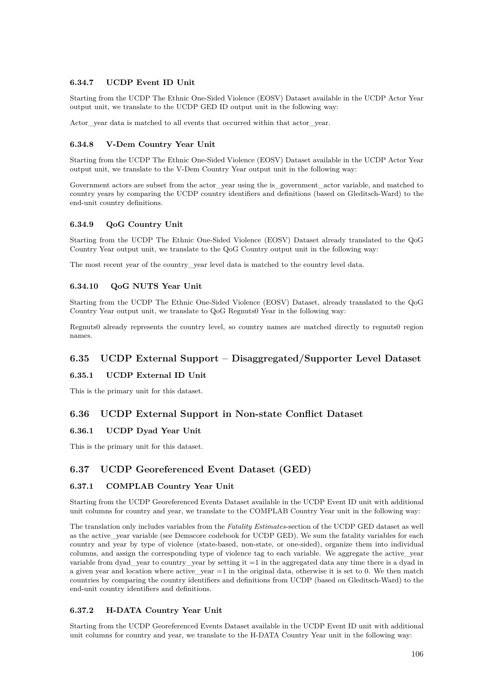### **6.34.7 UCDP Event ID Unit**

Starting from the UCDP The Ethnic One-Sided Violence (EOSV) Dataset available in the UCDP Actor Year output unit, we translate to the UCDP GED ID output unit in the following way:

Actor vear data is matched to all events that occurred within that actor vear.

#### **6.34.8 V-Dem Country Year Unit**

Starting from the UCDP The Ethnic One-Sided Violence (EOSV) Dataset available in the UCDP Actor Year output unit, we translate to the V-Dem Country Year output unit in the following way:

Government actors are subset from the actor\_year using the is\_government\_actor variable, and matched to country years by comparing the UCDP country identifiers and definitions (based on Gleditsch-Ward) to the end-unit country definitions.

#### **6.34.9 QoG Country Unit**

Starting from the UCDP The Ethnic One-Sided Violence (EOSV) Dataset already translated to the QoG Country Year output unit, we translate to the QoG Country output unit in the following way:

The most recent year of the country\_year level data is matched to the country level data.

#### **6.34.10 QoG NUTS Year Unit**

Starting from the UCDP The Ethnic One-Sided Violence (EOSV) Dataset, already translated to the QoG Country Year output unit, we translate to QoG Regnuts0 Year in the following way:

Regnuts0 already represents the country level, so country names are matched directly to regnuts0 region names.

## **6.35 UCDP External Support – Disaggregated/Supporter Level Dataset**

## **6.35.1 UCDP External ID Unit**

This is the primary unit for this dataset.

## **6.36 UCDP External Support in Non-state Conflict Dataset**

## **6.36.1 UCDP Dyad Year Unit**

This is the primary unit for this dataset.

## **6.37 UCDP Georeferenced Event Dataset (GED)**

#### **6.37.1 COMPLAB Country Year Unit**

Starting from the UCDP Georeferenced Events Dataset available in the UCDP Event ID unit with additional unit columns for country and year, we translate to the COMPLAB Country Year unit in the following way:

The translation only includes variables from the *Fatality Estimates*-section of the UCDP GED dataset as well as the active\_year variable (see Demscore codebook for UCDP GED). We sum the fatality variables for each country and year by type of violence (state-based, non-state, or one-sided), organize them into individual columns, and assign the corresponding type of violence tag to each variable. We aggregate the active\_year variable from dyad\_year to country\_year by setting it =1 in the aggregated data any time there is a dyad in a given year and location where active year  $=1$  in the original data, otherwise it is set to 0. We then match countries by comparing the country identifiers and definitions from UCDP (based on Gleditsch-Ward) to the end-unit country identifiers and definitions.

#### **6.37.2 H-DATA Country Year Unit**

Starting from the UCDP Georeferenced Events Dataset available in the UCDP Event ID unit with additional unit columns for country and year, we translate to the H-DATA Country Year unit in the following way: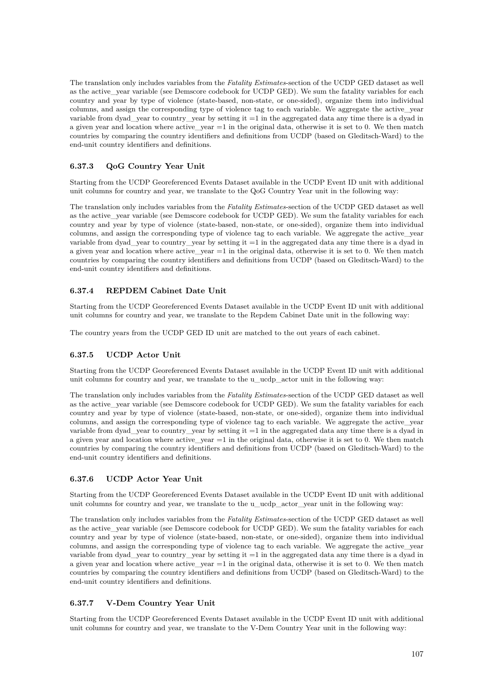The translation only includes variables from the *Fatality Estimates*-section of the UCDP GED dataset as well as the active\_year variable (see Demscore codebook for UCDP GED). We sum the fatality variables for each country and year by type of violence (state-based, non-state, or one-sided), organize them into individual columns, and assign the corresponding type of violence tag to each variable. We aggregate the active\_year variable from dyad year to country year by setting it  $=1$  in the aggregated data any time there is a dyad in a given year and location where active\_year  $=1$  in the original data, otherwise it is set to 0. We then match countries by comparing the country identifiers and definitions from UCDP (based on Gleditsch-Ward) to the end-unit country identifiers and definitions.

## **6.37.3 QoG Country Year Unit**

Starting from the UCDP Georeferenced Events Dataset available in the UCDP Event ID unit with additional unit columns for country and year, we translate to the QoG Country Year unit in the following way:

The translation only includes variables from the *Fatality Estimates*-section of the UCDP GED dataset as well as the active\_year variable (see Demscore codebook for UCDP GED). We sum the fatality variables for each country and year by type of violence (state-based, non-state, or one-sided), organize them into individual columns, and assign the corresponding type of violence tag to each variable. We aggregate the active\_year variable from dyad\_year to country\_year by setting it =1 in the aggregated data any time there is a dyad in a given year and location where active\_year =1 in the original data, otherwise it is set to 0. We then match countries by comparing the country identifiers and definitions from UCDP (based on Gleditsch-Ward) to the end-unit country identifiers and definitions.

## **6.37.4 REPDEM Cabinet Date Unit**

Starting from the UCDP Georeferenced Events Dataset available in the UCDP Event ID unit with additional unit columns for country and year, we translate to the Repdem Cabinet Date unit in the following way:

The country years from the UCDP GED ID unit are matched to the out years of each cabinet.

## **6.37.5 UCDP Actor Unit**

Starting from the UCDP Georeferenced Events Dataset available in the UCDP Event ID unit with additional unit columns for country and year, we translate to the u\_ucdp\_actor unit in the following way:

The translation only includes variables from the *Fatality Estimates*-section of the UCDP GED dataset as well as the active vear variable (see Demscore codebook for UCDP GED). We sum the fatality variables for each country and year by type of violence (state-based, non-state, or one-sided), organize them into individual columns, and assign the corresponding type of violence tag to each variable. We aggregate the active\_year variable from dyad\_year to country\_year by setting it =1 in the aggregated data any time there is a dyad in a given year and location where active\_year =1 in the original data, otherwise it is set to 0. We then match countries by comparing the country identifiers and definitions from UCDP (based on Gleditsch-Ward) to the end-unit country identifiers and definitions.

## **6.37.6 UCDP Actor Year Unit**

Starting from the UCDP Georeferenced Events Dataset available in the UCDP Event ID unit with additional unit columns for country and year, we translate to the u\_ucdp\_actor\_year unit in the following way:

The translation only includes variables from the *Fatality Estimates*-section of the UCDP GED dataset as well as the active vear variable (see Demscore codebook for UCDP GED). We sum the fatality variables for each country and year by type of violence (state-based, non-state, or one-sided), organize them into individual columns, and assign the corresponding type of violence tag to each variable. We aggregate the active\_year variable from dyad vear to country year by setting it  $=1$  in the aggregated data any time there is a dyad in a given year and location where active year  $=1$  in the original data, otherwise it is set to 0. We then match countries by comparing the country identifiers and definitions from UCDP (based on Gleditsch-Ward) to the end-unit country identifiers and definitions.

## **6.37.7 V-Dem Country Year Unit**

Starting from the UCDP Georeferenced Events Dataset available in the UCDP Event ID unit with additional unit columns for country and year, we translate to the V-Dem Country Year unit in the following way: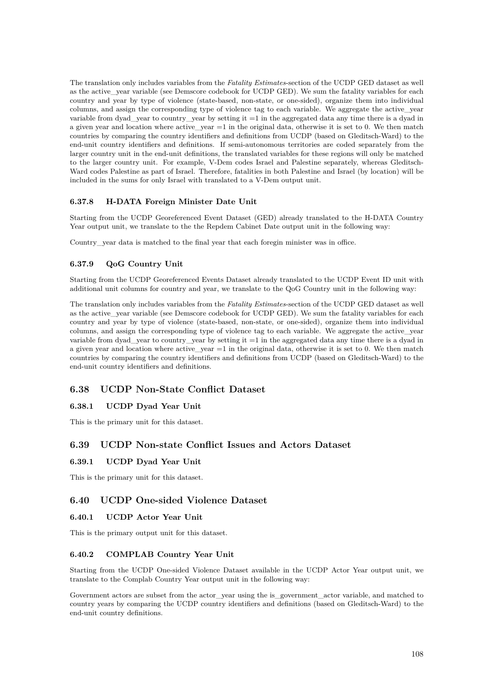The translation only includes variables from the *Fatality Estimates*-section of the UCDP GED dataset as well as the active\_year variable (see Demscore codebook for UCDP GED). We sum the fatality variables for each country and year by type of violence (state-based, non-state, or one-sided), organize them into individual columns, and assign the corresponding type of violence tag to each variable. We aggregate the active\_year variable from dyad year to country year by setting it  $=1$  in the aggregated data any time there is a dyad in a given year and location where active\_year  $=1$  in the original data, otherwise it is set to 0. We then match countries by comparing the country identifiers and definitions from UCDP (based on Gleditsch-Ward) to the end-unit country identifiers and definitions. If semi-autonomous territories are coded separately from the larger country unit in the end-unit definitions, the translated variables for these regions will only be matched to the larger country unit. For example, V-Dem codes Israel and Palestine separately, whereas Gleditsch-Ward codes Palestine as part of Israel. Therefore, fatalities in both Palestine and Israel (by location) will be included in the sums for only Israel with translated to a V-Dem output unit.

#### **6.37.8 H-DATA Foreign Minister Date Unit**

Starting from the UCDP Georeferenced Event Dataset (GED) already translated to the H-DATA Country Year output unit, we translate to the the Repdem Cabinet Date output unit in the following way:

Country\_year data is matched to the final year that each foregin minister was in office.

#### **6.37.9 QoG Country Unit**

Starting from the UCDP Georeferenced Events Dataset already translated to the UCDP Event ID unit with additional unit columns for country and year, we translate to the QoG Country unit in the following way:

The translation only includes variables from the *Fatality Estimates*-section of the UCDP GED dataset as well as the active\_year variable (see Demscore codebook for UCDP GED). We sum the fatality variables for each country and year by type of violence (state-based, non-state, or one-sided), organize them into individual columns, and assign the corresponding type of violence tag to each variable. We aggregate the active\_year variable from dyad\_year to country\_year by setting it =1 in the aggregated data any time there is a dyad in a given year and location where active\_year =1 in the original data, otherwise it is set to 0. We then match countries by comparing the country identifiers and definitions from UCDP (based on Gleditsch-Ward) to the end-unit country identifiers and definitions.

## **6.38 UCDP Non-State Conflict Dataset**

#### **6.38.1 UCDP Dyad Year Unit**

This is the primary unit for this dataset.

# **6.39 UCDP Non-state Conflict Issues and Actors Dataset**

#### **6.39.1 UCDP Dyad Year Unit**

This is the primary unit for this dataset.

# **6.40 UCDP One-sided Violence Dataset**

## **6.40.1 UCDP Actor Year Unit**

This is the primary output unit for this dataset.

#### **6.40.2 COMPLAB Country Year Unit**

Starting from the UCDP One-sided Violence Dataset available in the UCDP Actor Year output unit, we translate to the Complab Country Year output unit in the following way:

Government actors are subset from the actor\_year using the is\_government\_actor variable, and matched to country years by comparing the UCDP country identifiers and definitions (based on Gleditsch-Ward) to the end-unit country definitions.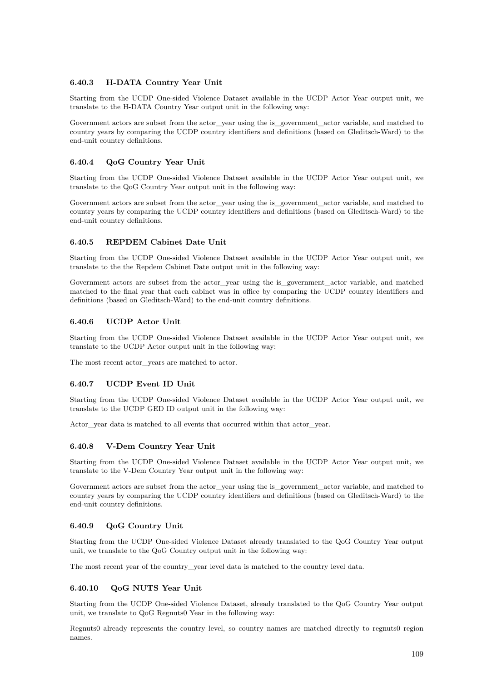#### **6.40.3 H-DATA Country Year Unit**

Starting from the UCDP One-sided Violence Dataset available in the UCDP Actor Year output unit, we translate to the H-DATA Country Year output unit in the following way:

Government actors are subset from the actor vear using the is government actor variable, and matched to country years by comparing the UCDP country identifiers and definitions (based on Gleditsch-Ward) to the end-unit country definitions.

#### **6.40.4 QoG Country Year Unit**

Starting from the UCDP One-sided Violence Dataset available in the UCDP Actor Year output unit, we translate to the QoG Country Year output unit in the following way:

Government actors are subset from the actor year using the is government actor variable, and matched to country years by comparing the UCDP country identifiers and definitions (based on Gleditsch-Ward) to the end-unit country definitions.

#### **6.40.5 REPDEM Cabinet Date Unit**

Starting from the UCDP One-sided Violence Dataset available in the UCDP Actor Year output unit, we translate to the the Repdem Cabinet Date output unit in the following way:

Government actors are subset from the actor\_year using the is\_government\_actor variable, and matched matched to the final year that each cabinet was in office by comparing the UCDP country identifiers and definitions (based on Gleditsch-Ward) to the end-unit country definitions.

#### **6.40.6 UCDP Actor Unit**

Starting from the UCDP One-sided Violence Dataset available in the UCDP Actor Year output unit, we translate to the UCDP Actor output unit in the following way:

The most recent actor\_years are matched to actor.

#### **6.40.7 UCDP Event ID Unit**

Starting from the UCDP One-sided Violence Dataset available in the UCDP Actor Year output unit, we translate to the UCDP GED ID output unit in the following way:

Actor\_year data is matched to all events that occurred within that actor\_year.

## **6.40.8 V-Dem Country Year Unit**

Starting from the UCDP One-sided Violence Dataset available in the UCDP Actor Year output unit, we translate to the V-Dem Country Year output unit in the following way:

Government actors are subset from the actor\_year using the is\_government\_actor variable, and matched to country years by comparing the UCDP country identifiers and definitions (based on Gleditsch-Ward) to the end-unit country definitions.

#### **6.40.9 QoG Country Unit**

Starting from the UCDP One-sided Violence Dataset already translated to the QoG Country Year output unit, we translate to the QoG Country output unit in the following way:

The most recent year of the country\_year level data is matched to the country level data.

## **6.40.10 QoG NUTS Year Unit**

Starting from the UCDP One-sided Violence Dataset, already translated to the QoG Country Year output unit, we translate to QoG Regnuts0 Year in the following way:

Regnuts0 already represents the country level, so country names are matched directly to regnuts0 region names.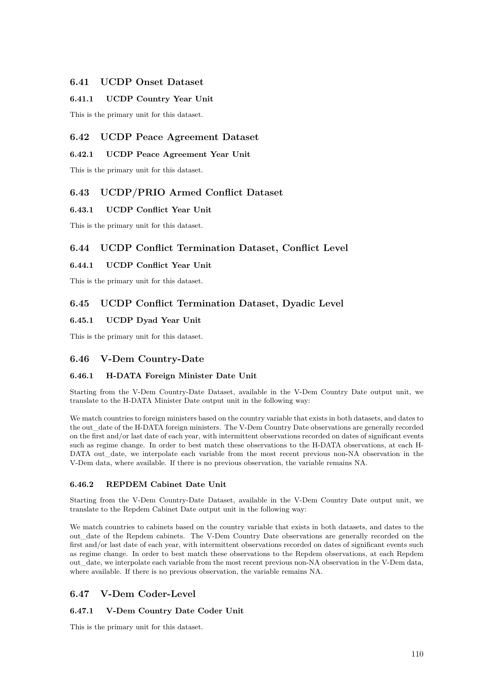## **6.41 UCDP Onset Dataset**

## **6.41.1 UCDP Country Year Unit**

This is the primary unit for this dataset.

# **6.42 UCDP Peace Agreement Dataset**

## **6.42.1 UCDP Peace Agreement Year Unit**

This is the primary unit for this dataset.

# **6.43 UCDP/PRIO Armed Conflict Dataset**

## **6.43.1 UCDP Conflict Year Unit**

This is the primary unit for this dataset.

# **6.44 UCDP Conflict Termination Dataset, Conflict Level**

## **6.44.1 UCDP Conflict Year Unit**

This is the primary unit for this dataset.

# **6.45 UCDP Conflict Termination Dataset, Dyadic Level**

## **6.45.1 UCDP Dyad Year Unit**

This is the primary unit for this dataset.

## **6.46 V-Dem Country-Date**

## **6.46.1 H-DATA Foreign Minister Date Unit**

Starting from the V-Dem Country-Date Dataset, available in the V-Dem Country Date output unit, we translate to the H-DATA Minister Date output unit in the following way:

We match countries to foreign ministers based on the country variable that exists in both datasets, and dates to the out date of the H-DATA foreign ministers. The V-Dem Country Date observations are generally recorded on the first and/or last date of each year, with intermittent observations recorded on dates of significant events such as regime change. In order to best match these observations to the H-DATA observations, at each H-DATA out\_date, we interpolate each variable from the most recent previous non-NA observation in the V-Dem data, where available. If there is no previous observation, the variable remains NA.

## **6.46.2 REPDEM Cabinet Date Unit**

Starting from the V-Dem Country-Date Dataset, available in the V-Dem Country Date output unit, we translate to the Repdem Cabinet Date output unit in the following way:

We match countries to cabinets based on the country variable that exists in both datasets, and dates to the out\_date of the Repdem cabinets. The V-Dem Country Date observations are generally recorded on the first and/or last date of each year, with intermittent observations recorded on dates of significant events such as regime change. In order to best match these observations to the Repdem observations, at each Repdem out\_date, we interpolate each variable from the most recent previous non-NA observation in the V-Dem data, where available. If there is no previous observation, the variable remains NA.

# **6.47 V-Dem Coder-Level**

## **6.47.1 V-Dem Country Date Coder Unit**

This is the primary unit for this dataset.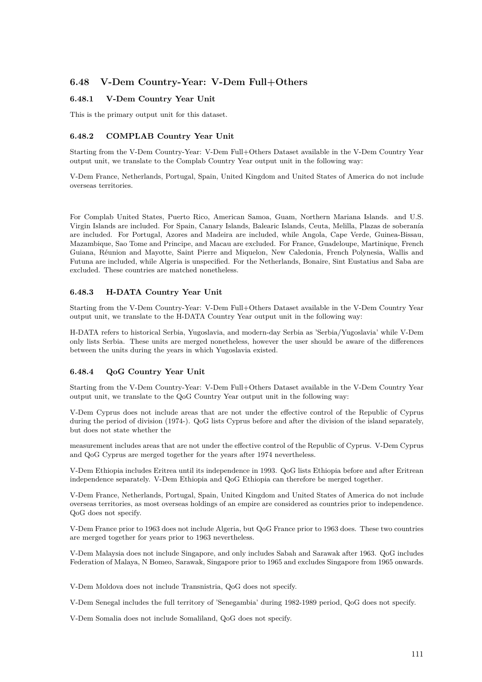# **6.48 V-Dem Country-Year: V-Dem Full+Others**

#### **6.48.1 V-Dem Country Year Unit**

This is the primary output unit for this dataset.

#### **6.48.2 COMPLAB Country Year Unit**

Starting from the V-Dem Country-Year: V-Dem Full+Others Dataset available in the V-Dem Country Year output unit, we translate to the Complab Country Year output unit in the following way:

V-Dem France, Netherlands, Portugal, Spain, United Kingdom and United States of America do not include overseas territories.

For Complab United States, Puerto Rico, American Samoa, Guam, Northern Mariana Islands. and U.S. Virgin Islands are included. For Spain, Canary Islands, Balearic Islands, Ceuta, Melilla, Plazas de soberanía are included. For Portugal, Azores and Madeira are included, while Angola, Cape Verde, Guinea-Bissau, Mazambique, Sao Tome and Principe, and Macau are excluded. For France, Guadeloupe, Martinique, French Guiana, Réunion and Mayotte, Saint Pierre and Miquelon, New Caledonia, French Polynesia, Wallis and Futuna are included, while Algeria is unspecified. For the Netherlands, Bonaire, Sint Eustatius and Saba are excluded. These countries are matched nonetheless.

#### **6.48.3 H-DATA Country Year Unit**

Starting from the V-Dem Country-Year: V-Dem Full+Others Dataset available in the V-Dem Country Year output unit, we translate to the H-DATA Country Year output unit in the following way:

H-DATA refers to historical Serbia, Yugoslavia, and modern-day Serbia as 'Serbia/Yugoslavia' while V-Dem only lists Serbia. These units are merged nonetheless, however the user should be aware of the differences between the units during the years in which Yugoslavia existed.

#### **6.48.4 QoG Country Year Unit**

Starting from the V-Dem Country-Year: V-Dem Full+Others Dataset available in the V-Dem Country Year output unit, we translate to the QoG Country Year output unit in the following way:

V-Dem Cyprus does not include areas that are not under the effective control of the Republic of Cyprus during the period of division (1974-). QoG lists Cyprus before and after the division of the island separately, but does not state whether the

measurement includes areas that are not under the effective control of the Republic of Cyprus. V-Dem Cyprus and QoG Cyprus are merged together for the years after 1974 nevertheless.

V-Dem Ethiopia includes Eritrea until its independence in 1993. QoG lists Ethiopia before and after Eritrean independence separately. V-Dem Ethiopia and QoG Ethiopia can therefore be merged together.

V-Dem France, Netherlands, Portugal, Spain, United Kingdom and United States of America do not include overseas territories, as most overseas holdings of an empire are considered as countries prior to independence. QoG does not specify.

V-Dem France prior to 1963 does not include Algeria, but QoG France prior to 1963 does. These two countries are merged together for years prior to 1963 nevertheless.

V-Dem Malaysia does not include Singapore, and only includes Sabah and Sarawak after 1963. QoG includes Federation of Malaya, N Bomeo, Sarawak, Singapore prior to 1965 and excludes Singapore from 1965 onwards.

V-Dem Moldova does not include Transnistria, QoG does not specify.

V-Dem Senegal includes the full territory of 'Senegambia' during 1982-1989 period, QoG does not specify.

V-Dem Somalia does not include Somaliland, QoG does not specify.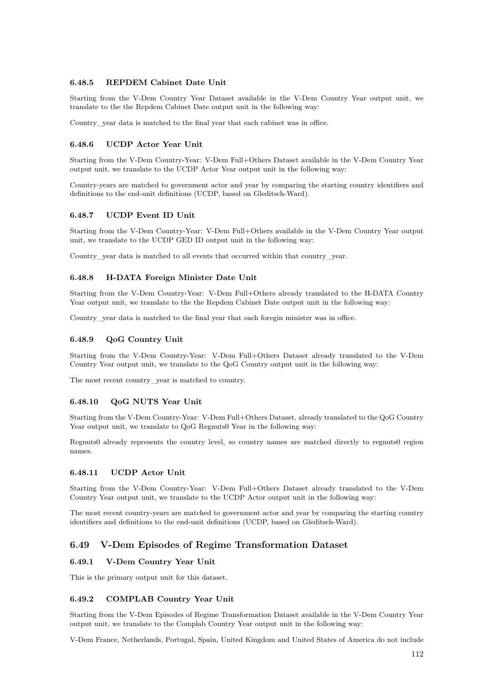#### **6.48.5 REPDEM Cabinet Date Unit**

Starting from the V-Dem Country Year Dataset available in the V-Dem Country Year output unit, we translate to the the Repdem Cabinet Date output unit in the following way:

Country\_year data is matched to the final year that each cabinet was in office.

#### **6.48.6 UCDP Actor Year Unit**

Starting from the V-Dem Country-Year: V-Dem Full+Others Dataset available in the V-Dem Country Year output unit, we translate to the UCDP Actor Year output unit in the following way:

Country-years are matched to government actor and year by comparing the starting country identifiers and definitions to the end-unit definitions (UCDP, based on Gleditsch-Ward).

#### **6.48.7 UCDP Event ID Unit**

Starting from the V-Dem Country-Year: V-Dem Full+Others available in the V-Dem Country Year output unit, we translate to the UCDP GED ID output unit in the following way:

Country year data is matched to all events that occurred within that country year.

#### **6.48.8 H-DATA Foreign Minister Date Unit**

Starting from the V-Dem Country-Year: V-Dem Full+Others already translated to the H-DATA Country Year output unit, we translate to the the Repdem Cabinet Date output unit in the following way:

Country\_year data is matched to the final year that each foregin minister was in office.

#### **6.48.9 QoG Country Unit**

Starting from the V-Dem Country-Year: V-Dem Full+Others Dataset already translated to the V-Dem Country Year output unit, we translate to the QoG Country output unit in the following way:

The most recent country\_year is matched to country.

#### **6.48.10 QoG NUTS Year Unit**

Starting from the V-Dem Country-Year: V-Dem Full+Others Dataset, already translated to the QoG Country Year output unit, we translate to QoG Regnuts0 Year in the following way:

Regnuts0 already represents the country level, so country names are matched directly to regnuts0 region names.

#### **6.48.11 UCDP Actor Unit**

Starting from the V-Dem Country-Year: V-Dem Full+Others Dataset already translated to the V-Dem Country Year output unit, we translate to the UCDP Actor output unit in the following way:

The most recent country-years are matched to government actor and year by comparing the starting country identifiers and definitions to the end-unit definitions (UCDP, based on Gleditsch-Ward).

## **6.49 V-Dem Episodes of Regime Transformation Dataset**

#### **6.49.1 V-Dem Country Year Unit**

This is the primary output unit for this dataset.

#### **6.49.2 COMPLAB Country Year Unit**

Starting from the V-Dem Episodes of Regime Transformation Dataset available in the V-Dem Country Year output unit, we translate to the Complab Country Year output unit in the following way:

V-Dem France, Netherlands, Portugal, Spain, United Kingdom and United States of America do not include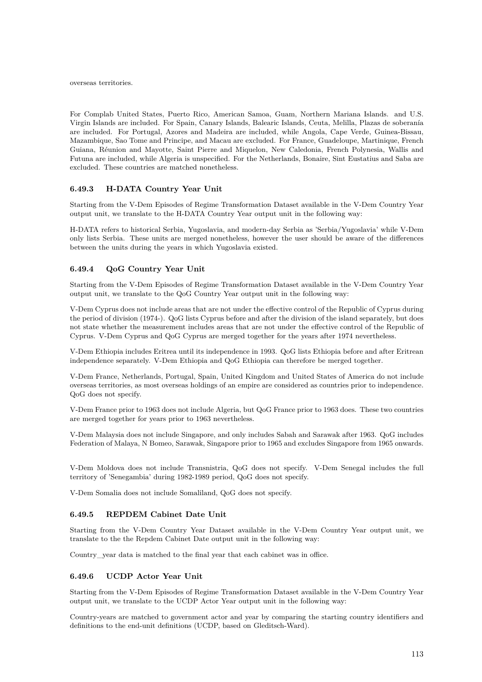overseas territories.

For Complab United States, Puerto Rico, American Samoa, Guam, Northern Mariana Islands. and U.S. Virgin Islands are included. For Spain, Canary Islands, Balearic Islands, Ceuta, Melilla, Plazas de soberanía are included. For Portugal, Azores and Madeira are included, while Angola, Cape Verde, Guinea-Bissau, Mazambique, Sao Tome and Principe, and Macau are excluded. For France, Guadeloupe, Martinique, French Guiana, Réunion and Mayotte, Saint Pierre and Miquelon, New Caledonia, French Polynesia, Wallis and Futuna are included, while Algeria is unspecified. For the Netherlands, Bonaire, Sint Eustatius and Saba are excluded. These countries are matched nonetheless.

#### **6.49.3 H-DATA Country Year Unit**

Starting from the V-Dem Episodes of Regime Transformation Dataset available in the V-Dem Country Year output unit, we translate to the H-DATA Country Year output unit in the following way:

H-DATA refers to historical Serbia, Yugoslavia, and modern-day Serbia as 'Serbia/Yugoslavia' while V-Dem only lists Serbia. These units are merged nonetheless, however the user should be aware of the differences between the units during the years in which Yugoslavia existed.

#### **6.49.4 QoG Country Year Unit**

Starting from the V-Dem Episodes of Regime Transformation Dataset available in the V-Dem Country Year output unit, we translate to the QoG Country Year output unit in the following way:

V-Dem Cyprus does not include areas that are not under the effective control of the Republic of Cyprus during the period of division (1974-). QoG lists Cyprus before and after the division of the island separately, but does not state whether the measurement includes areas that are not under the effective control of the Republic of Cyprus. V-Dem Cyprus and QoG Cyprus are merged together for the years after 1974 nevertheless.

V-Dem Ethiopia includes Eritrea until its independence in 1993. QoG lists Ethiopia before and after Eritrean independence separately. V-Dem Ethiopia and QoG Ethiopia can therefore be merged together.

V-Dem France, Netherlands, Portugal, Spain, United Kingdom and United States of America do not include overseas territories, as most overseas holdings of an empire are considered as countries prior to independence. QoG does not specify.

V-Dem France prior to 1963 does not include Algeria, but QoG France prior to 1963 does. These two countries are merged together for years prior to 1963 nevertheless.

V-Dem Malaysia does not include Singapore, and only includes Sabah and Sarawak after 1963. QoG includes Federation of Malaya, N Bomeo, Sarawak, Singapore prior to 1965 and excludes Singapore from 1965 onwards.

V-Dem Moldova does not include Transnistria, QoG does not specify. V-Dem Senegal includes the full territory of 'Senegambia' during 1982-1989 period, QoG does not specify.

V-Dem Somalia does not include Somaliland, QoG does not specify.

#### **6.49.5 REPDEM Cabinet Date Unit**

Starting from the V-Dem Country Year Dataset available in the V-Dem Country Year output unit, we translate to the the Repdem Cabinet Date output unit in the following way:

Country\_year data is matched to the final year that each cabinet was in office.

#### **6.49.6 UCDP Actor Year Unit**

Starting from the V-Dem Episodes of Regime Transformation Dataset available in the V-Dem Country Year output unit, we translate to the UCDP Actor Year output unit in the following way:

Country-years are matched to government actor and year by comparing the starting country identifiers and definitions to the end-unit definitions (UCDP, based on Gleditsch-Ward).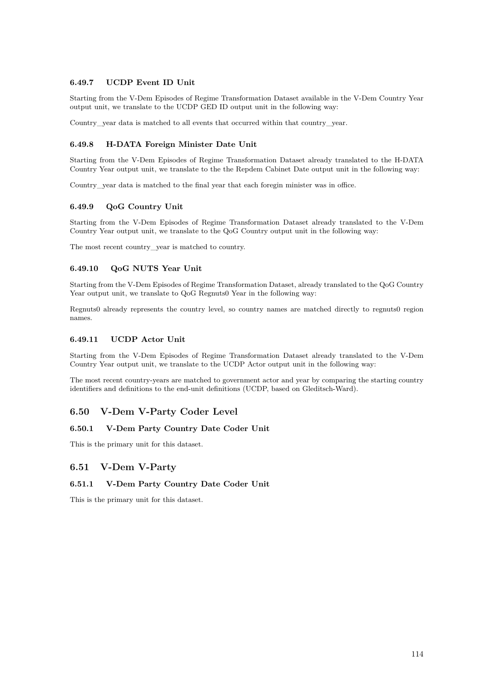## **6.49.7 UCDP Event ID Unit**

Starting from the V-Dem Episodes of Regime Transformation Dataset available in the V-Dem Country Year output unit, we translate to the UCDP GED ID output unit in the following way:

Country vear data is matched to all events that occurred within that country vear.

## **6.49.8 H-DATA Foreign Minister Date Unit**

Starting from the V-Dem Episodes of Regime Transformation Dataset already translated to the H-DATA Country Year output unit, we translate to the the Repdem Cabinet Date output unit in the following way:

Country\_year data is matched to the final year that each foregin minister was in office.

#### **6.49.9 QoG Country Unit**

Starting from the V-Dem Episodes of Regime Transformation Dataset already translated to the V-Dem Country Year output unit, we translate to the QoG Country output unit in the following way:

The most recent country\_year is matched to country.

#### **6.49.10 QoG NUTS Year Unit**

Starting from the V-Dem Episodes of Regime Transformation Dataset, already translated to the QoG Country Year output unit, we translate to QoG Regnuts0 Year in the following way:

Regnuts0 already represents the country level, so country names are matched directly to regnuts0 region names.

## **6.49.11 UCDP Actor Unit**

Starting from the V-Dem Episodes of Regime Transformation Dataset already translated to the V-Dem Country Year output unit, we translate to the UCDP Actor output unit in the following way:

The most recent country-years are matched to government actor and year by comparing the starting country identifiers and definitions to the end-unit definitions (UCDP, based on Gleditsch-Ward).

## **6.50 V-Dem V-Party Coder Level**

#### **6.50.1 V-Dem Party Country Date Coder Unit**

This is the primary unit for this dataset.

## **6.51 V-Dem V-Party**

#### **6.51.1 V-Dem Party Country Date Coder Unit**

This is the primary unit for this dataset.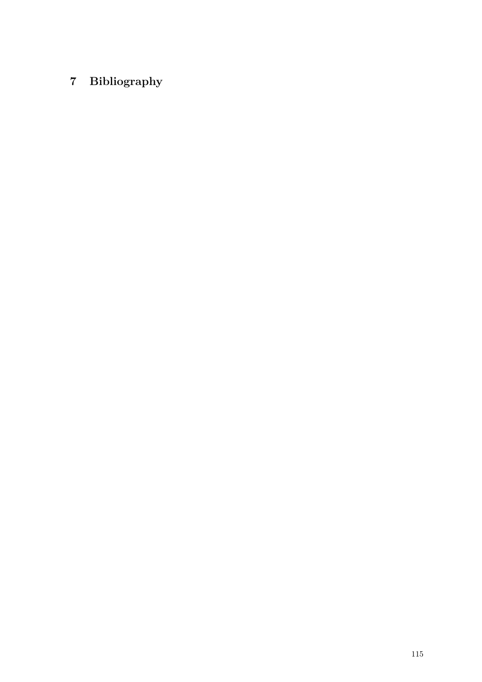# **7 Bibliography**